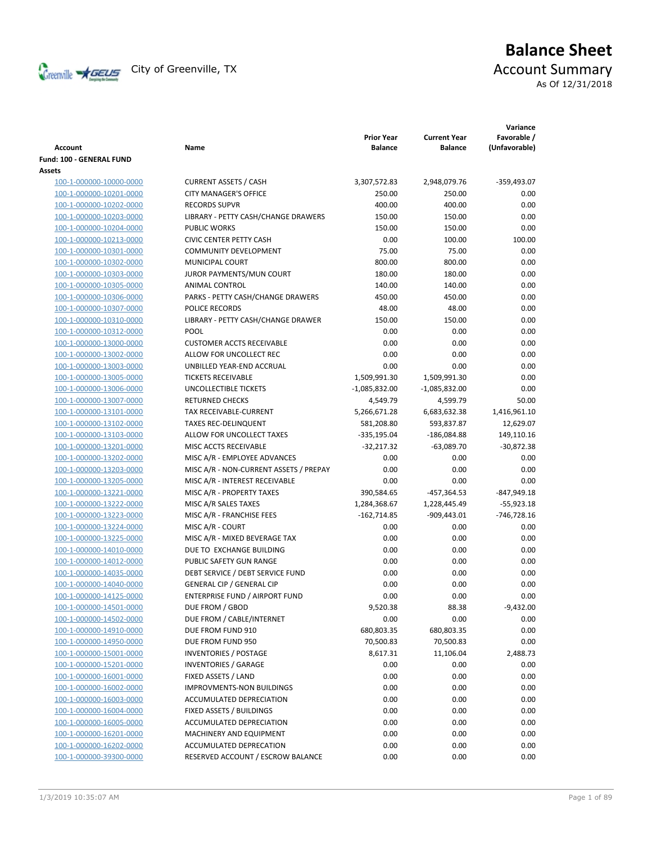

# **Balance Sheet** Creenville  $\star$  GEUS</del> City of Greenville, TX **ACCOUNT** Summary As Of 12/31/2018

| <b>Account</b>                                     | Name                                         | <b>Prior Year</b><br><b>Balance</b> | <b>Current Year</b><br><b>Balance</b> | Variance<br>Favorable /<br>(Unfavorable) |
|----------------------------------------------------|----------------------------------------------|-------------------------------------|---------------------------------------|------------------------------------------|
| Fund: 100 - GENERAL FUND                           |                                              |                                     |                                       |                                          |
| Assets                                             |                                              |                                     |                                       |                                          |
| 100-1-000000-10000-0000                            | <b>CURRENT ASSETS / CASH</b>                 | 3,307,572.83                        | 2,948,079.76                          | $-359,493.07$                            |
| 100-1-000000-10201-0000                            | <b>CITY MANAGER'S OFFICE</b>                 | 250.00                              | 250.00                                | 0.00                                     |
| 100-1-000000-10202-0000                            | <b>RECORDS SUPVR</b>                         | 400.00                              | 400.00                                | 0.00                                     |
| 100-1-000000-10203-0000                            | LIBRARY - PETTY CASH/CHANGE DRAWERS          | 150.00                              | 150.00                                | 0.00                                     |
| 100-1-000000-10204-0000                            | <b>PUBLIC WORKS</b>                          | 150.00                              | 150.00                                | 0.00                                     |
| 100-1-000000-10213-0000                            | <b>CIVIC CENTER PETTY CASH</b>               | 0.00                                | 100.00                                | 100.00                                   |
| 100-1-000000-10301-0000                            | <b>COMMUNITY DEVELOPMENT</b>                 | 75.00                               | 75.00                                 | 0.00                                     |
| 100-1-000000-10302-0000                            | <b>MUNICIPAL COURT</b>                       | 800.00                              | 800.00                                | 0.00                                     |
| 100-1-000000-10303-0000                            | JUROR PAYMENTS/MUN COURT                     | 180.00                              | 180.00                                | 0.00                                     |
| 100-1-000000-10305-0000                            | ANIMAL CONTROL                               | 140.00                              | 140.00                                | 0.00                                     |
| 100-1-000000-10306-0000                            | PARKS - PETTY CASH/CHANGE DRAWERS            | 450.00                              | 450.00                                | 0.00                                     |
| 100-1-000000-10307-0000                            | POLICE RECORDS                               | 48.00                               | 48.00                                 | 0.00                                     |
| 100-1-000000-10310-0000                            | LIBRARY - PETTY CASH/CHANGE DRAWER           | 150.00                              | 150.00                                | 0.00                                     |
| 100-1-000000-10312-0000                            | POOL                                         | 0.00                                | 0.00                                  | 0.00                                     |
| 100-1-000000-13000-0000                            | <b>CUSTOMER ACCTS RECEIVABLE</b>             | 0.00                                | 0.00                                  | 0.00                                     |
| 100-1-000000-13002-0000                            | ALLOW FOR UNCOLLECT REC                      | 0.00                                | 0.00                                  | 0.00                                     |
| 100-1-000000-13003-0000                            | UNBILLED YEAR-END ACCRUAL                    | 0.00                                | 0.00                                  | 0.00                                     |
| 100-1-000000-13005-0000                            | <b>TICKETS RECEIVABLE</b>                    | 1,509,991.30                        | 1,509,991.30                          | 0.00                                     |
| 100-1-000000-13006-0000                            | UNCOLLECTIBLE TICKETS                        | $-1,085,832.00$                     | $-1,085,832.00$                       | 0.00                                     |
| 100-1-000000-13007-0000                            | <b>RETURNED CHECKS</b>                       | 4,549.79                            | 4,599.79                              | 50.00                                    |
| 100-1-000000-13101-0000                            | TAX RECEIVABLE-CURRENT                       | 5,266,671.28                        | 6,683,632.38                          | 1,416,961.10                             |
| 100-1-000000-13102-0000                            | <b>TAXES REC-DELINQUENT</b>                  | 581,208.80                          | 593,837.87                            | 12,629.07                                |
| 100-1-000000-13103-0000                            | ALLOW FOR UNCOLLECT TAXES                    | -335,195.04                         | -186,084.88                           | 149,110.16                               |
| 100-1-000000-13201-0000                            | MISC ACCTS RECEIVABLE                        | $-32,217.32$                        | $-63,089.70$                          | $-30,872.38$                             |
| 100-1-000000-13202-0000                            | MISC A/R - EMPLOYEE ADVANCES                 | 0.00                                | 0.00                                  | 0.00                                     |
| 100-1-000000-13203-0000                            | MISC A/R - NON-CURRENT ASSETS / PREPAY       | 0.00                                | 0.00                                  | 0.00                                     |
| 100-1-000000-13205-0000                            | MISC A/R - INTEREST RECEIVABLE               | 0.00                                | 0.00                                  | 0.00                                     |
| 100-1-000000-13221-0000                            | MISC A/R - PROPERTY TAXES                    | 390,584.65                          | -457,364.53                           | $-847,949.18$                            |
| 100-1-000000-13222-0000                            | MISC A/R SALES TAXES                         | 1,284,368.67                        | 1,228,445.49                          | $-55,923.18$                             |
| 100-1-000000-13223-0000                            | MISC A/R - FRANCHISE FEES                    | $-162,714.85$                       | $-909,443.01$                         | $-746,728.16$                            |
| 100-1-000000-13224-0000                            | MISC A/R - COURT                             | 0.00                                | 0.00                                  | 0.00                                     |
| 100-1-000000-13225-0000                            | MISC A/R - MIXED BEVERAGE TAX                | 0.00                                | 0.00                                  | 0.00                                     |
| 100-1-000000-14010-0000                            | DUE TO EXCHANGE BUILDING                     | 0.00                                | 0.00                                  | 0.00                                     |
| 100-1-000000-14012-0000                            | PUBLIC SAFETY GUN RANGE                      | 0.00                                | 0.00                                  | 0.00                                     |
| 100-1-000000-14035-0000                            | DEBT SERVICE / DEBT SERVICE FUND             | 0.00                                | 0.00                                  | 0.00                                     |
| 100-1-000000-14040-0000                            | <b>GENERAL CIP / GENERAL CIP</b>             | 0.00                                | 0.00                                  | 0.00                                     |
| 100-1-000000-14125-0000                            | ENTERPRISE FUND / AIRPORT FUND               | 0.00                                |                                       |                                          |
|                                                    |                                              |                                     | 0.00                                  | 0.00                                     |
| 100-1-000000-14501-0000<br>100-1-000000-14502-0000 | DUE FROM / GBOD<br>DUE FROM / CABLE/INTERNET | 9,520.38<br>0.00                    | 88.38<br>0.00                         | $-9,432.00$<br>0.00                      |
|                                                    |                                              |                                     |                                       | 0.00                                     |
| 100-1-000000-14910-0000                            | DUE FROM FUND 910                            | 680,803.35                          | 680,803.35                            |                                          |
| 100-1-000000-14950-0000                            | DUE FROM FUND 950                            | 70,500.83                           | 70,500.83                             | 0.00                                     |
| 100-1-000000-15001-0000                            | <b>INVENTORIES / POSTAGE</b>                 | 8,617.31                            | 11,106.04                             | 2,488.73                                 |
| 100-1-000000-15201-0000                            | <b>INVENTORIES / GARAGE</b>                  | 0.00                                | 0.00                                  | 0.00                                     |
| 100-1-000000-16001-0000                            | FIXED ASSETS / LAND                          | 0.00                                | 0.00                                  | 0.00                                     |
| 100-1-000000-16002-0000                            | <b>IMPROVMENTS-NON BUILDINGS</b>             | 0.00                                | 0.00                                  | 0.00                                     |
| 100-1-000000-16003-0000                            | ACCUMULATED DEPRECIATION                     | 0.00                                | 0.00                                  | 0.00                                     |
| 100-1-000000-16004-0000                            | FIXED ASSETS / BUILDINGS                     | 0.00                                | 0.00                                  | 0.00                                     |
| 100-1-000000-16005-0000                            | ACCUMULATED DEPRECIATION                     | 0.00                                | 0.00                                  | 0.00                                     |
| 100-1-000000-16201-0000                            | MACHINERY AND EQUIPMENT                      | 0.00                                | 0.00                                  | 0.00                                     |
| 100-1-000000-16202-0000                            | ACCUMULATED DEPRECATION                      | 0.00                                | 0.00                                  | 0.00                                     |
| 100-1-000000-39300-0000                            | RESERVED ACCOUNT / ESCROW BALANCE            | 0.00                                | 0.00                                  | 0.00                                     |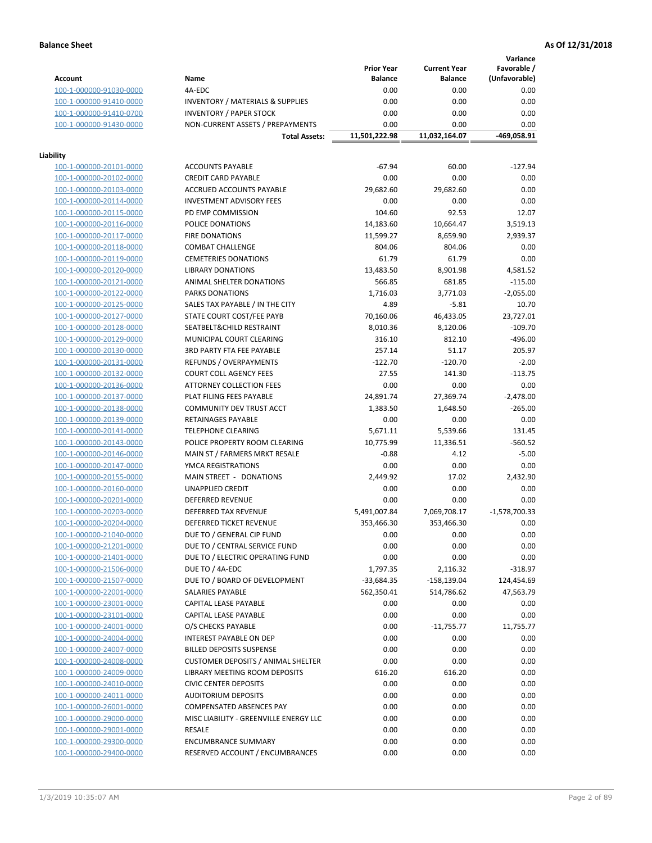**Variance**

|                         |                                             | <b>Prior Year</b> | <b>Current Year</b> | Favorable /     |
|-------------------------|---------------------------------------------|-------------------|---------------------|-----------------|
| Account                 | Name                                        | <b>Balance</b>    | <b>Balance</b>      | (Unfavorable)   |
| 100-1-000000-91030-0000 | 4A-EDC                                      | 0.00              | 0.00                | 0.00            |
| 100-1-000000-91410-0000 | <b>INVENTORY / MATERIALS &amp; SUPPLIES</b> | 0.00              | 0.00                | 0.00            |
| 100-1-000000-91410-0700 | <b>INVENTORY / PAPER STOCK</b>              | 0.00              | 0.00                | 0.00            |
| 100-1-000000-91430-0000 | NON-CURRENT ASSETS / PREPAYMENTS            | 0.00              | 0.00                | 0.00            |
|                         |                                             |                   |                     |                 |
|                         | <b>Total Assets:</b>                        | 11,501,222.98     | 11,032,164.07       | -469,058.91     |
| Liability               |                                             |                   |                     |                 |
| 100-1-000000-20101-0000 | <b>ACCOUNTS PAYABLE</b>                     | $-67.94$          | 60.00               | $-127.94$       |
|                         |                                             | 0.00              |                     | 0.00            |
| 100-1-000000-20102-0000 | <b>CREDIT CARD PAYABLE</b>                  |                   | 0.00                |                 |
| 100-1-000000-20103-0000 | ACCRUED ACCOUNTS PAYABLE                    | 29,682.60         | 29,682.60           | 0.00            |
| 100-1-000000-20114-0000 | <b>INVESTMENT ADVISORY FEES</b>             | 0.00              | 0.00                | 0.00            |
| 100-1-000000-20115-0000 | PD EMP COMMISSION                           | 104.60            | 92.53               | 12.07           |
| 100-1-000000-20116-0000 | POLICE DONATIONS                            | 14,183.60         | 10,664.47           | 3,519.13        |
| 100-1-000000-20117-0000 | <b>FIRE DONATIONS</b>                       | 11,599.27         | 8,659.90            | 2,939.37        |
| 100-1-000000-20118-0000 | <b>COMBAT CHALLENGE</b>                     | 804.06            | 804.06              | 0.00            |
| 100-1-000000-20119-0000 | <b>CEMETERIES DONATIONS</b>                 | 61.79             | 61.79               | 0.00            |
| 100-1-000000-20120-0000 | <b>LIBRARY DONATIONS</b>                    | 13,483.50         | 8,901.98            | 4,581.52        |
| 100-1-000000-20121-0000 | ANIMAL SHELTER DONATIONS                    | 566.85            | 681.85              | $-115.00$       |
| 100-1-000000-20122-0000 | <b>PARKS DONATIONS</b>                      | 1,716.03          | 3,771.03            | $-2,055.00$     |
| 100-1-000000-20125-0000 | SALES TAX PAYABLE / IN THE CITY             | 4.89              | $-5.81$             | 10.70           |
|                         |                                             |                   |                     |                 |
| 100-1-000000-20127-0000 | STATE COURT COST/FEE PAYB                   | 70,160.06         | 46,433.05           | 23,727.01       |
| 100-1-000000-20128-0000 | SEATBELT&CHILD RESTRAINT                    | 8,010.36          | 8,120.06            | $-109.70$       |
| 100-1-000000-20129-0000 | MUNICIPAL COURT CLEARING                    | 316.10            | 812.10              | $-496.00$       |
| 100-1-000000-20130-0000 | <b>3RD PARTY FTA FEE PAYABLE</b>            | 257.14            | 51.17               | 205.97          |
| 100-1-000000-20131-0000 | REFUNDS / OVERPAYMENTS                      | $-122.70$         | $-120.70$           | $-2.00$         |
| 100-1-000000-20132-0000 | <b>COURT COLL AGENCY FEES</b>               | 27.55             | 141.30              | $-113.75$       |
| 100-1-000000-20136-0000 | <b>ATTORNEY COLLECTION FEES</b>             | 0.00              | 0.00                | 0.00            |
| 100-1-000000-20137-0000 | PLAT FILING FEES PAYABLE                    | 24,891.74         | 27,369.74           | $-2,478.00$     |
| 100-1-000000-20138-0000 | COMMUNITY DEV TRUST ACCT                    | 1,383.50          | 1,648.50            | $-265.00$       |
| 100-1-000000-20139-0000 | RETAINAGES PAYABLE                          | 0.00              | 0.00                | 0.00            |
| 100-1-000000-20141-0000 | <b>TELEPHONE CLEARING</b>                   | 5,671.11          | 5,539.66            | 131.45          |
|                         |                                             |                   |                     |                 |
| 100-1-000000-20143-0000 | POLICE PROPERTY ROOM CLEARING               | 10,775.99         | 11,336.51           | $-560.52$       |
| 100-1-000000-20146-0000 | MAIN ST / FARMERS MRKT RESALE               | $-0.88$           | 4.12                | $-5.00$         |
| 100-1-000000-20147-0000 | YMCA REGISTRATIONS                          | 0.00              | 0.00                | 0.00            |
| 100-1-000000-20155-0000 | MAIN STREET - DONATIONS                     | 2,449.92          | 17.02               | 2,432.90        |
| 100-1-000000-20160-0000 | <b>UNAPPLIED CREDIT</b>                     | 0.00              | 0.00                | 0.00            |
| 100-1-000000-20201-0000 | <b>DEFERRED REVENUE</b>                     | 0.00              | 0.00                | 0.00            |
| 100-1-000000-20203-0000 | DEFERRED TAX REVENUE                        | 5,491,007.84      | 7,069,708.17        | $-1,578,700.33$ |
| 100-1-000000-20204-0000 | DEFERRED TICKET REVENUE                     | 353,466.30        | 353,466.30          | 0.00            |
| 100-1-000000-21040-0000 | DUE TO / GENERAL CIP FUND                   | 0.00              | 0.00                | 0.00            |
| 100-1-000000-21201-0000 | DUE TO / CENTRAL SERVICE FUND               | 0.00              | 0.00                | 0.00            |
| 100-1-000000-21401-0000 | DUE TO / ELECTRIC OPERATING FUND            | 0.00              | 0.00                | 0.00            |
| 100-1-000000-21506-0000 | DUE TO / 4A-EDC                             | 1,797.35          | 2,116.32            | $-318.97$       |
|                         | DUE TO / BOARD OF DEVELOPMENT               |                   |                     | 124,454.69      |
| 100-1-000000-21507-0000 |                                             | -33,684.35        | -158,139.04         |                 |
| 100-1-000000-22001-0000 | SALARIES PAYABLE                            | 562,350.41        | 514,786.62          | 47,563.79       |
| 100-1-000000-23001-0000 | <b>CAPITAL LEASE PAYABLE</b>                | 0.00              | 0.00                | 0.00            |
| 100-1-000000-23101-0000 | CAPITAL LEASE PAYABLE                       | 0.00              | 0.00                | 0.00            |
| 100-1-000000-24001-0000 | O/S CHECKS PAYABLE                          | 0.00              | $-11,755.77$        | 11,755.77       |
| 100-1-000000-24004-0000 | INTEREST PAYABLE ON DEP                     | 0.00              | 0.00                | 0.00            |
| 100-1-000000-24007-0000 | <b>BILLED DEPOSITS SUSPENSE</b>             | 0.00              | 0.00                | 0.00            |
| 100-1-000000-24008-0000 | <b>CUSTOMER DEPOSITS / ANIMAL SHELTER</b>   | 0.00              | 0.00                | 0.00            |
| 100-1-000000-24009-0000 | LIBRARY MEETING ROOM DEPOSITS               | 616.20            | 616.20              | 0.00            |
| 100-1-000000-24010-0000 | <b>CIVIC CENTER DEPOSITS</b>                | 0.00              | 0.00                | 0.00            |
| 100-1-000000-24011-0000 | <b>AUDITORIUM DEPOSITS</b>                  | 0.00              | 0.00                | 0.00            |
| 100-1-000000-26001-0000 | COMPENSATED ABSENCES PAY                    | 0.00              | 0.00                | 0.00            |
| 100-1-000000-29000-0000 | MISC LIABILITY - GREENVILLE ENERGY LLC      | 0.00              | 0.00                | 0.00            |
|                         |                                             |                   |                     |                 |
| 100-1-000000-29001-0000 | RESALE                                      | 0.00              | 0.00                | 0.00            |
| 100-1-000000-29300-0000 | <b>ENCUMBRANCE SUMMARY</b>                  | 0.00              | 0.00                | 0.00            |
| 100-1-000000-29400-0000 | RESERVED ACCOUNT / ENCUMBRANCES             | 0.00              | 0.00                | 0.00            |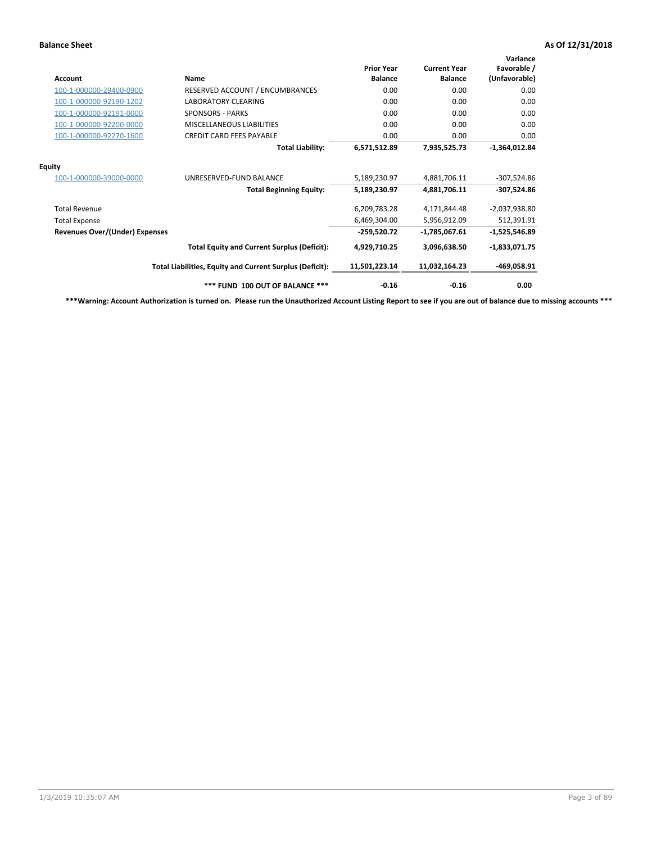| Account                               | <b>Name</b>                                              | <b>Prior Year</b><br><b>Balance</b> | <b>Current Year</b><br><b>Balance</b> | Variance<br>Favorable /<br>(Unfavorable) |
|---------------------------------------|----------------------------------------------------------|-------------------------------------|---------------------------------------|------------------------------------------|
| 100-1-000000-29400-0900               | RESERVED ACCOUNT / ENCUMBRANCES                          | 0.00                                | 0.00                                  | 0.00                                     |
| 100-1-000000-92190-1202               | <b>LABORATORY CLEARING</b>                               | 0.00                                | 0.00                                  | 0.00                                     |
| 100-1-000000-92191-0000               | <b>SPONSORS - PARKS</b>                                  | 0.00                                | 0.00                                  | 0.00                                     |
| 100-1-000000-92200-0000               | <b>MISCELLANEOUS LIABILITIES</b>                         | 0.00                                | 0.00                                  | 0.00                                     |
| 100-1-000000-92270-1600               | <b>CREDIT CARD FEES PAYABLE</b>                          | 0.00                                | 0.00                                  | 0.00                                     |
|                                       | <b>Total Liability:</b>                                  | 6,571,512.89                        | 7,935,525.73                          | $-1,364,012.84$                          |
| <b>Equity</b>                         |                                                          |                                     |                                       |                                          |
| 100-1-000000-39000-0000               | UNRESERVED-FUND BALANCE                                  | 5,189,230.97                        | 4,881,706.11                          | $-307,524.86$                            |
|                                       | <b>Total Beginning Equity:</b>                           | 5,189,230.97                        | 4,881,706.11                          | $-307,524.86$                            |
| <b>Total Revenue</b>                  |                                                          | 6,209,783.28                        | 4,171,844.48                          | $-2,037,938.80$                          |
| <b>Total Expense</b>                  |                                                          | 6,469,304.00                        | 5,956,912.09                          | 512,391.91                               |
| <b>Revenues Over/(Under) Expenses</b> |                                                          | $-259,520.72$                       | -1,785,067.61                         | $-1,525,546.89$                          |
|                                       | <b>Total Equity and Current Surplus (Deficit):</b>       | 4,929,710.25                        | 3,096,638.50                          | $-1,833,071.75$                          |
|                                       | Total Liabilities, Equity and Current Surplus (Deficit): | 11,501,223.14                       | 11,032,164.23                         | -469,058.91                              |
|                                       | *** FUND 100 OUT OF BALANCE ***                          | $-0.16$                             | $-0.16$                               | 0.00                                     |

**\*\*\*Warning: Account Authorization is turned on. Please run the Unauthorized Account Listing Report to see if you are out of balance due to missing accounts \*\*\***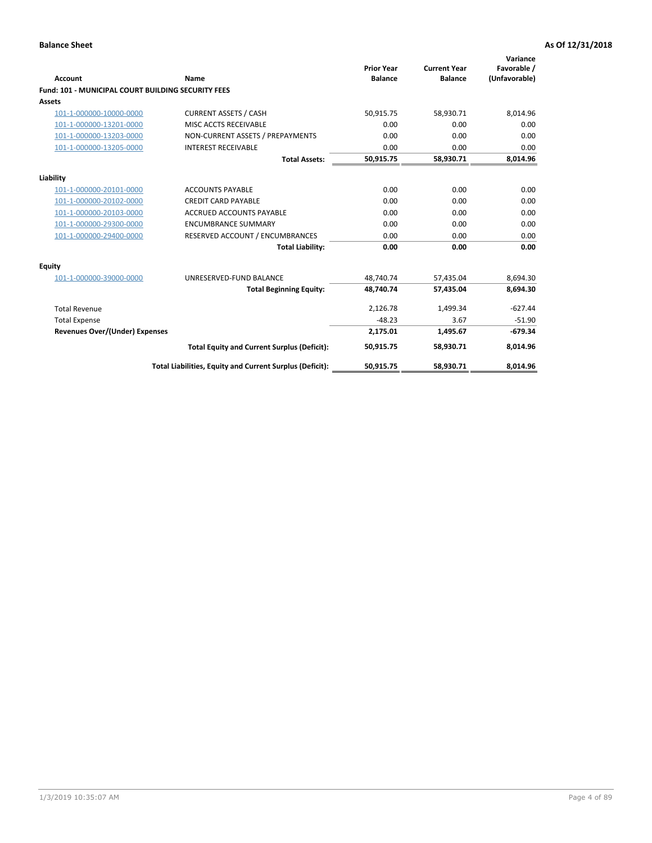| Account                                                   | Name                                                     | <b>Prior Year</b><br><b>Balance</b> | <b>Current Year</b><br><b>Balance</b> | Variance<br>Favorable /<br>(Unfavorable) |
|-----------------------------------------------------------|----------------------------------------------------------|-------------------------------------|---------------------------------------|------------------------------------------|
| <b>Fund: 101 - MUNICIPAL COURT BUILDING SECURITY FEES</b> |                                                          |                                     |                                       |                                          |
| Assets                                                    |                                                          |                                     |                                       |                                          |
| 101-1-000000-10000-0000                                   | <b>CURRENT ASSETS / CASH</b>                             | 50,915.75                           | 58,930.71                             | 8,014.96                                 |
| 101-1-000000-13201-0000                                   | MISC ACCTS RECEIVABLE                                    | 0.00                                | 0.00                                  | 0.00                                     |
| 101-1-000000-13203-0000                                   | NON-CURRENT ASSETS / PREPAYMENTS                         | 0.00                                | 0.00                                  | 0.00                                     |
| 101-1-000000-13205-0000                                   | <b>INTEREST RECEIVABLE</b>                               | 0.00                                | 0.00                                  | 0.00                                     |
|                                                           | <b>Total Assets:</b>                                     | 50,915.75                           | 58,930.71                             | 8,014.96                                 |
| Liability                                                 |                                                          |                                     |                                       |                                          |
| 101-1-000000-20101-0000                                   | <b>ACCOUNTS PAYABLE</b>                                  | 0.00                                | 0.00                                  | 0.00                                     |
| 101-1-000000-20102-0000                                   | <b>CREDIT CARD PAYABLE</b>                               | 0.00                                | 0.00                                  | 0.00                                     |
| 101-1-000000-20103-0000                                   | <b>ACCRUED ACCOUNTS PAYABLE</b>                          | 0.00                                | 0.00                                  | 0.00                                     |
| 101-1-000000-29300-0000                                   | <b>ENCUMBRANCE SUMMARY</b>                               | 0.00                                | 0.00                                  | 0.00                                     |
| 101-1-000000-29400-0000                                   | RESERVED ACCOUNT / ENCUMBRANCES                          | 0.00                                | 0.00                                  | 0.00                                     |
|                                                           | <b>Total Liability:</b>                                  | 0.00                                | 0.00                                  | 0.00                                     |
| <b>Equity</b>                                             |                                                          |                                     |                                       |                                          |
| 101-1-000000-39000-0000                                   | UNRESERVED-FUND BALANCE                                  | 48,740.74                           | 57,435.04                             | 8,694.30                                 |
|                                                           | <b>Total Beginning Equity:</b>                           | 48,740.74                           | 57,435.04                             | 8,694.30                                 |
| <b>Total Revenue</b>                                      |                                                          | 2,126.78                            | 1,499.34                              | $-627.44$                                |
| <b>Total Expense</b>                                      |                                                          | $-48.23$                            | 3.67                                  | $-51.90$                                 |
| <b>Revenues Over/(Under) Expenses</b>                     |                                                          | 2,175.01                            | 1,495.67                              | $-679.34$                                |
|                                                           | <b>Total Equity and Current Surplus (Deficit):</b>       | 50.915.75                           | 58.930.71                             | 8,014.96                                 |
|                                                           | Total Liabilities, Equity and Current Surplus (Deficit): | 50,915.75                           | 58,930.71                             | 8,014.96                                 |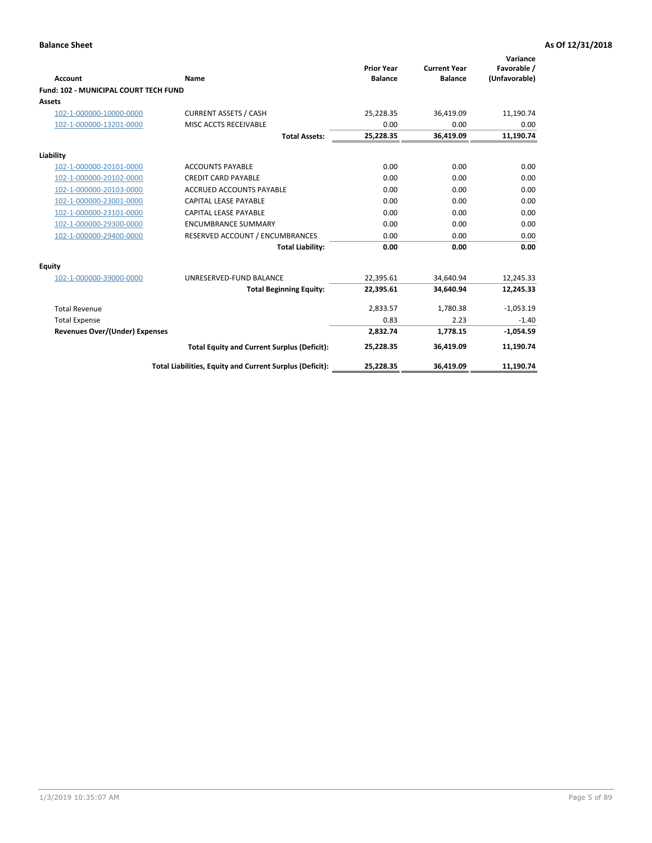| <b>Account</b>                        | Name                                                     | <b>Prior Year</b><br><b>Balance</b> | <b>Current Year</b><br><b>Balance</b> | Variance<br>Favorable /<br>(Unfavorable) |
|---------------------------------------|----------------------------------------------------------|-------------------------------------|---------------------------------------|------------------------------------------|
| Fund: 102 - MUNICIPAL COURT TECH FUND |                                                          |                                     |                                       |                                          |
| Assets                                |                                                          |                                     |                                       |                                          |
| 102-1-000000-10000-0000               | <b>CURRENT ASSETS / CASH</b>                             | 25,228.35                           | 36,419.09                             | 11,190.74                                |
| 102-1-000000-13201-0000               | MISC ACCTS RECEIVABLE                                    | 0.00                                | 0.00                                  | 0.00                                     |
|                                       | <b>Total Assets:</b>                                     | 25,228.35                           | 36,419.09                             | 11,190.74                                |
| Liability                             |                                                          |                                     |                                       |                                          |
| 102-1-000000-20101-0000               | <b>ACCOUNTS PAYABLE</b>                                  | 0.00                                | 0.00                                  | 0.00                                     |
| 102-1-000000-20102-0000               | <b>CREDIT CARD PAYABLE</b>                               | 0.00                                | 0.00                                  | 0.00                                     |
| 102-1-000000-20103-0000               | <b>ACCRUED ACCOUNTS PAYABLE</b>                          | 0.00                                | 0.00                                  | 0.00                                     |
| 102-1-000000-23001-0000               | <b>CAPITAL LEASE PAYABLE</b>                             | 0.00                                | 0.00                                  | 0.00                                     |
| 102-1-000000-23101-0000               | <b>CAPITAL LEASE PAYABLE</b>                             | 0.00                                | 0.00                                  | 0.00                                     |
| 102-1-000000-29300-0000               | <b>ENCUMBRANCE SUMMARY</b>                               | 0.00                                | 0.00                                  | 0.00                                     |
| 102-1-000000-29400-0000               | RESERVED ACCOUNT / ENCUMBRANCES                          | 0.00                                | 0.00                                  | 0.00                                     |
|                                       | <b>Total Liability:</b>                                  | 0.00                                | 0.00                                  | 0.00                                     |
| <b>Equity</b>                         |                                                          |                                     |                                       |                                          |
| 102-1-000000-39000-0000               | UNRESERVED-FUND BALANCE                                  | 22,395.61                           | 34,640.94                             | 12,245.33                                |
|                                       | <b>Total Beginning Equity:</b>                           | 22,395.61                           | 34.640.94                             | 12,245.33                                |
| <b>Total Revenue</b>                  |                                                          | 2,833.57                            | 1,780.38                              | $-1,053.19$                              |
| <b>Total Expense</b>                  |                                                          | 0.83                                | 2.23                                  | $-1.40$                                  |
| <b>Revenues Over/(Under) Expenses</b> |                                                          | 2,832.74                            | 1,778.15                              | $-1,054.59$                              |
|                                       | <b>Total Equity and Current Surplus (Deficit):</b>       | 25,228.35                           | 36,419.09                             | 11,190.74                                |
|                                       | Total Liabilities, Equity and Current Surplus (Deficit): | 25,228.35                           | 36,419.09                             | 11,190.74                                |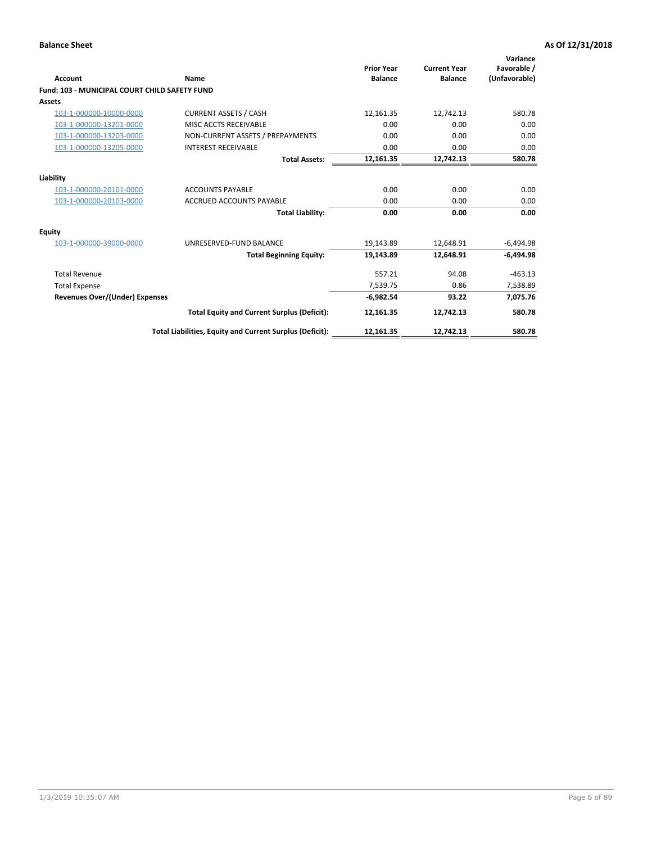| <b>Account</b>                                       | Name                                                     | <b>Prior Year</b><br><b>Balance</b> | <b>Current Year</b><br><b>Balance</b> | Variance<br>Favorable /<br>(Unfavorable) |
|------------------------------------------------------|----------------------------------------------------------|-------------------------------------|---------------------------------------|------------------------------------------|
| <b>Fund: 103 - MUNICIPAL COURT CHILD SAFETY FUND</b> |                                                          |                                     |                                       |                                          |
| <b>Assets</b>                                        |                                                          |                                     |                                       |                                          |
| 103-1-000000-10000-0000                              | <b>CURRENT ASSETS / CASH</b>                             | 12,161.35                           | 12,742.13                             | 580.78                                   |
| 103-1-000000-13201-0000                              | MISC ACCTS RECEIVABLE                                    | 0.00                                | 0.00                                  | 0.00                                     |
| 103-1-000000-13203-0000                              | NON-CURRENT ASSETS / PREPAYMENTS                         | 0.00                                | 0.00                                  | 0.00                                     |
| 103-1-000000-13205-0000                              | <b>INTEREST RECEIVABLE</b>                               | 0.00                                | 0.00                                  | 0.00                                     |
|                                                      | <b>Total Assets:</b>                                     | 12,161.35                           | 12,742.13                             | 580.78                                   |
| Liability                                            |                                                          |                                     |                                       |                                          |
| 103-1-000000-20101-0000                              | <b>ACCOUNTS PAYABLE</b>                                  | 0.00                                | 0.00                                  | 0.00                                     |
| 103-1-000000-20103-0000                              | <b>ACCRUED ACCOUNTS PAYABLE</b>                          | 0.00                                | 0.00                                  | 0.00                                     |
|                                                      | <b>Total Liability:</b>                                  | 0.00                                | 0.00                                  | 0.00                                     |
| Equity                                               |                                                          |                                     |                                       |                                          |
| 103-1-000000-39000-0000                              | UNRESERVED-FUND BALANCE                                  | 19,143.89                           | 12,648.91                             | $-6,494.98$                              |
|                                                      | <b>Total Beginning Equity:</b>                           | 19,143.89                           | 12.648.91                             | $-6.494.98$                              |
| <b>Total Revenue</b>                                 |                                                          | 557.21                              | 94.08                                 | $-463.13$                                |
| <b>Total Expense</b>                                 |                                                          | 7,539.75                            | 0.86                                  | 7,538.89                                 |
| <b>Revenues Over/(Under) Expenses</b>                |                                                          | $-6,982.54$                         | 93.22                                 | 7,075.76                                 |
|                                                      | <b>Total Equity and Current Surplus (Deficit):</b>       | 12,161.35                           | 12,742.13                             | 580.78                                   |
|                                                      | Total Liabilities, Equity and Current Surplus (Deficit): | 12,161.35                           | 12,742.13                             | 580.78                                   |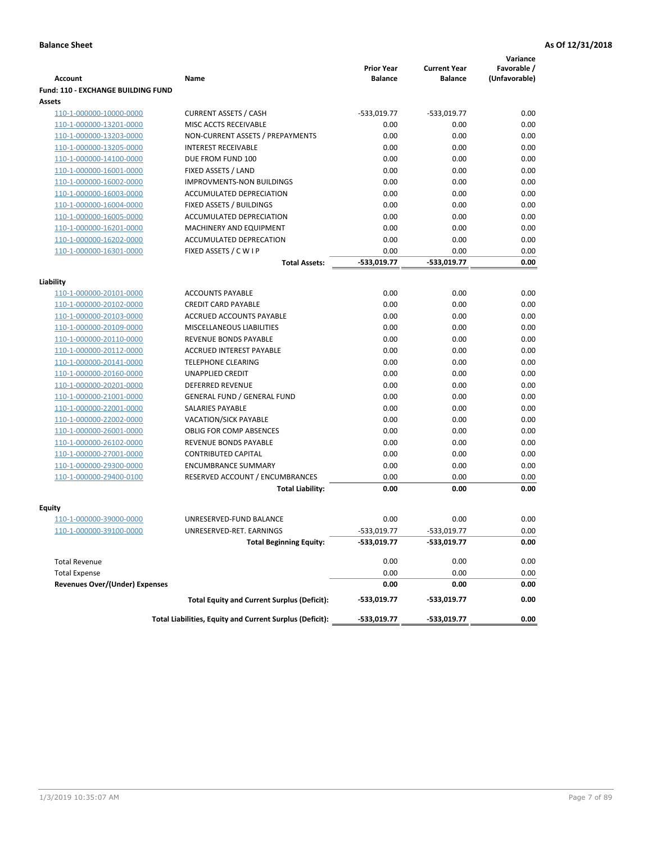|                                                    |                                                          |                                     |                                       | Variance                     |
|----------------------------------------------------|----------------------------------------------------------|-------------------------------------|---------------------------------------|------------------------------|
| <b>Account</b>                                     | Name                                                     | <b>Prior Year</b><br><b>Balance</b> | <b>Current Year</b><br><b>Balance</b> | Favorable /<br>(Unfavorable) |
| <b>Fund: 110 - EXCHANGE BUILDING FUND</b>          |                                                          |                                     |                                       |                              |
| Assets                                             |                                                          |                                     |                                       |                              |
| 110-1-000000-10000-0000                            | <b>CURRENT ASSETS / CASH</b>                             | -533,019.77                         | $-533,019.77$                         | 0.00                         |
| 110-1-000000-13201-0000                            | MISC ACCTS RECEIVABLE                                    | 0.00                                | 0.00                                  | 0.00                         |
| 110-1-000000-13203-0000                            | NON-CURRENT ASSETS / PREPAYMENTS                         | 0.00                                | 0.00                                  | 0.00                         |
| 110-1-000000-13205-0000                            | <b>INTEREST RECEIVABLE</b>                               | 0.00                                | 0.00                                  | 0.00                         |
| 110-1-000000-14100-0000                            | DUE FROM FUND 100                                        | 0.00                                | 0.00                                  | 0.00                         |
| 110-1-000000-16001-0000                            | FIXED ASSETS / LAND                                      | 0.00                                | 0.00                                  | 0.00                         |
| 110-1-000000-16002-0000                            | <b>IMPROVMENTS-NON BUILDINGS</b>                         | 0.00                                | 0.00                                  | 0.00                         |
| 110-1-000000-16003-0000                            | ACCUMULATED DEPRECIATION                                 | 0.00                                | 0.00                                  | 0.00                         |
| 110-1-000000-16004-0000                            | FIXED ASSETS / BUILDINGS                                 | 0.00                                | 0.00                                  | 0.00                         |
| 110-1-000000-16005-0000                            | ACCUMULATED DEPRECIATION                                 | 0.00                                | 0.00                                  | 0.00                         |
| 110-1-000000-16201-0000                            | <b>MACHINERY AND EQUIPMENT</b>                           | 0.00                                | 0.00                                  | 0.00                         |
| 110-1-000000-16202-0000                            | ACCUMULATED DEPRECATION                                  | 0.00                                | 0.00                                  | 0.00                         |
| 110-1-000000-16301-0000                            | FIXED ASSETS / C W I P                                   | 0.00                                | 0.00                                  | 0.00                         |
|                                                    | <b>Total Assets:</b>                                     | $-533,019.77$                       | -533,019.77                           | 0.00                         |
| Liability                                          |                                                          |                                     |                                       |                              |
| 110-1-000000-20101-0000                            | <b>ACCOUNTS PAYABLE</b>                                  | 0.00                                | 0.00                                  | 0.00                         |
| 110-1-000000-20102-0000                            | <b>CREDIT CARD PAYABLE</b>                               | 0.00                                | 0.00                                  | 0.00                         |
| 110-1-000000-20103-0000                            | ACCRUED ACCOUNTS PAYABLE                                 | 0.00                                | 0.00                                  | 0.00                         |
| 110-1-000000-20109-0000                            | MISCELLANEOUS LIABILITIES                                | 0.00                                | 0.00                                  | 0.00                         |
| 110-1-000000-20110-0000                            | REVENUE BONDS PAYABLE                                    | 0.00                                | 0.00                                  | 0.00                         |
| 110-1-000000-20112-0000                            | <b>ACCRUED INTEREST PAYABLE</b>                          | 0.00                                | 0.00                                  | 0.00                         |
| 110-1-000000-20141-0000                            | <b>TELEPHONE CLEARING</b>                                | 0.00                                | 0.00                                  | 0.00                         |
| 110-1-000000-20160-0000                            | <b>UNAPPLIED CREDIT</b>                                  | 0.00                                | 0.00                                  | 0.00                         |
| 110-1-000000-20201-0000                            | <b>DEFERRED REVENUE</b>                                  | 0.00                                | 0.00                                  | 0.00                         |
| 110-1-000000-21001-0000                            | <b>GENERAL FUND / GENERAL FUND</b>                       | 0.00                                | 0.00                                  | 0.00                         |
| 110-1-000000-22001-0000                            | SALARIES PAYABLE                                         | 0.00                                | 0.00                                  | 0.00                         |
| 110-1-000000-22002-0000                            | <b>VACATION/SICK PAYABLE</b>                             | 0.00                                | 0.00                                  | 0.00                         |
| 110-1-000000-26001-0000                            | <b>OBLIG FOR COMP ABSENCES</b>                           | 0.00                                | 0.00                                  | 0.00                         |
| 110-1-000000-26102-0000                            | REVENUE BONDS PAYABLE                                    | 0.00                                | 0.00                                  | 0.00                         |
| 110-1-000000-27001-0000                            | <b>CONTRIBUTED CAPITAL</b>                               | 0.00                                | 0.00                                  | 0.00                         |
| 110-1-000000-29300-0000                            | <b>ENCUMBRANCE SUMMARY</b>                               | 0.00                                | 0.00                                  | 0.00                         |
| 110-1-000000-29400-0100                            | RESERVED ACCOUNT / ENCUMBRANCES                          | 0.00                                | 0.00                                  | 0.00                         |
|                                                    | <b>Total Liability:</b>                                  | 0.00                                | 0.00                                  | 0.00                         |
|                                                    |                                                          |                                     |                                       |                              |
| <b>Equity</b>                                      | UNRESERVED-FUND BALANCE                                  | 0.00                                | 0.00                                  | 0.00                         |
| 110-1-000000-39000-0000<br>110-1-000000-39100-0000 | UNRESERVED-RET. EARNINGS                                 | -533,019.77                         | -533,019.77                           | 0.00                         |
|                                                    | <b>Total Beginning Equity:</b>                           | -533,019.77                         | -533,019.77                           | 0.00                         |
|                                                    |                                                          |                                     |                                       |                              |
| <b>Total Revenue</b>                               |                                                          | 0.00                                | 0.00                                  | 0.00                         |
| <b>Total Expense</b>                               |                                                          | 0.00                                | 0.00                                  | 0.00                         |
| <b>Revenues Over/(Under) Expenses</b>              |                                                          | 0.00                                | 0.00                                  | 0.00                         |
|                                                    | <b>Total Equity and Current Surplus (Deficit):</b>       | -533,019.77                         | -533,019.77                           | 0.00                         |
|                                                    | Total Liabilities, Equity and Current Surplus (Deficit): | -533,019.77                         | -533,019.77                           | 0.00                         |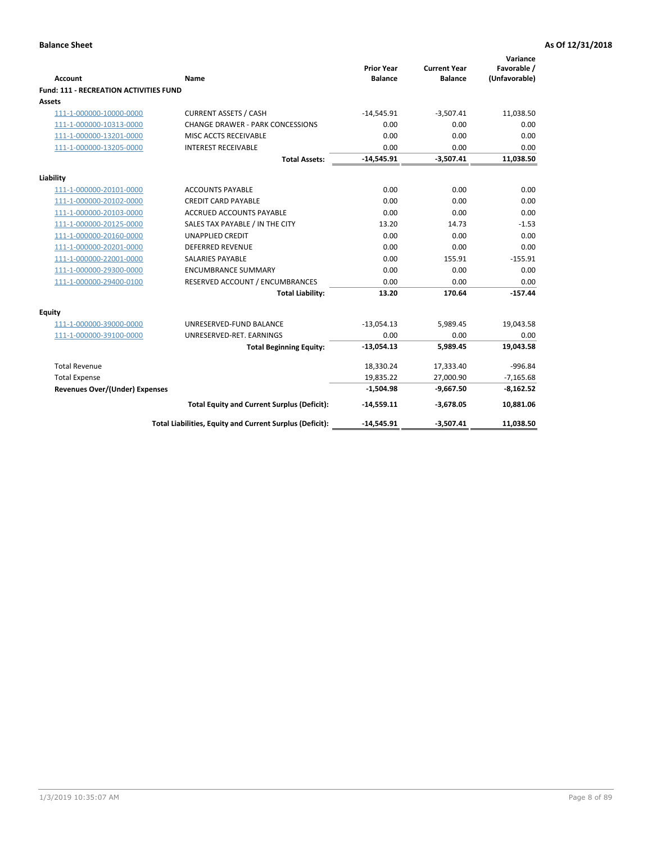| <b>Account</b>                                | Name                                                     | <b>Prior Year</b><br><b>Balance</b> | <b>Current Year</b><br><b>Balance</b> | Variance<br>Favorable /<br>(Unfavorable) |
|-----------------------------------------------|----------------------------------------------------------|-------------------------------------|---------------------------------------|------------------------------------------|
| <b>Fund: 111 - RECREATION ACTIVITIES FUND</b> |                                                          |                                     |                                       |                                          |
| Assets                                        |                                                          |                                     |                                       |                                          |
| 111-1-000000-10000-0000                       | <b>CURRENT ASSETS / CASH</b>                             | $-14,545.91$                        | $-3,507.41$                           | 11,038.50                                |
| 111-1-000000-10313-0000                       | <b>CHANGE DRAWER - PARK CONCESSIONS</b>                  | 0.00                                | 0.00                                  | 0.00                                     |
| 111-1-000000-13201-0000                       | MISC ACCTS RECEIVABLE                                    | 0.00                                | 0.00                                  | 0.00                                     |
| 111-1-000000-13205-0000                       | <b>INTEREST RECEIVABLE</b>                               | 0.00                                | 0.00                                  | 0.00                                     |
|                                               | <b>Total Assets:</b>                                     | $-14,545.91$                        | $-3,507.41$                           | 11,038.50                                |
| Liability                                     |                                                          |                                     |                                       |                                          |
| 111-1-000000-20101-0000                       | <b>ACCOUNTS PAYABLE</b>                                  | 0.00                                | 0.00                                  | 0.00                                     |
| 111-1-000000-20102-0000                       | <b>CREDIT CARD PAYABLE</b>                               | 0.00                                | 0.00                                  | 0.00                                     |
| 111-1-000000-20103-0000                       | ACCRUED ACCOUNTS PAYABLE                                 | 0.00                                | 0.00                                  | 0.00                                     |
| 111-1-000000-20125-0000                       | SALES TAX PAYABLE / IN THE CITY                          | 13.20                               | 14.73                                 | $-1.53$                                  |
| 111-1-000000-20160-0000                       | <b>UNAPPLIED CREDIT</b>                                  | 0.00                                | 0.00                                  | 0.00                                     |
| 111-1-000000-20201-0000                       | <b>DEFERRED REVENUE</b>                                  | 0.00                                | 0.00                                  | 0.00                                     |
| 111-1-000000-22001-0000                       | <b>SALARIES PAYABLE</b>                                  | 0.00                                | 155.91                                | $-155.91$                                |
| 111-1-000000-29300-0000                       | <b>ENCUMBRANCE SUMMARY</b>                               | 0.00                                | 0.00                                  | 0.00                                     |
| 111-1-000000-29400-0100                       | RESERVED ACCOUNT / ENCUMBRANCES                          | 0.00                                | 0.00                                  | 0.00                                     |
|                                               | <b>Total Liability:</b>                                  | 13.20                               | 170.64                                | $-157.44$                                |
| Equity                                        |                                                          |                                     |                                       |                                          |
| 111-1-000000-39000-0000                       | UNRESERVED-FUND BALANCE                                  | $-13,054.13$                        | 5,989.45                              | 19,043.58                                |
| 111-1-000000-39100-0000                       | UNRESERVED-RET. EARNINGS                                 | 0.00                                | 0.00                                  | 0.00                                     |
|                                               | <b>Total Beginning Equity:</b>                           | $-13,054.13$                        | 5,989.45                              | 19,043.58                                |
| <b>Total Revenue</b>                          |                                                          | 18,330.24                           | 17,333.40                             | $-996.84$                                |
| <b>Total Expense</b>                          |                                                          | 19,835.22                           | 27,000.90                             | $-7,165.68$                              |
| <b>Revenues Over/(Under) Expenses</b>         |                                                          | $-1,504.98$                         | $-9,667.50$                           | $-8,162.52$                              |
|                                               | <b>Total Equity and Current Surplus (Deficit):</b>       | $-14,559.11$                        | $-3,678.05$                           | 10,881.06                                |
|                                               | Total Liabilities, Equity and Current Surplus (Deficit): | $-14,545.91$                        | $-3,507.41$                           | 11,038.50                                |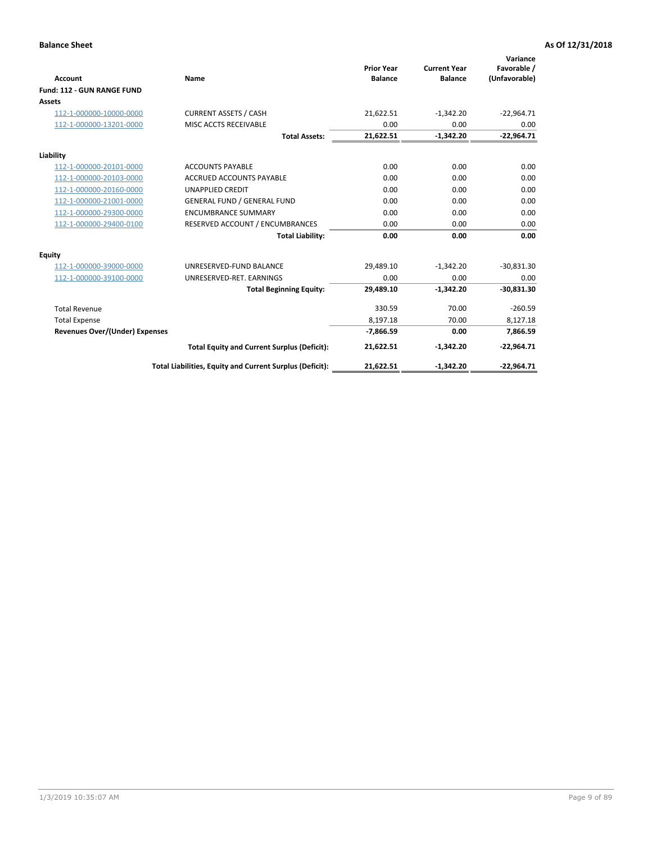|                                       |                                                          |                                     |                                       | Variance                     |
|---------------------------------------|----------------------------------------------------------|-------------------------------------|---------------------------------------|------------------------------|
| <b>Account</b>                        | Name                                                     | <b>Prior Year</b><br><b>Balance</b> | <b>Current Year</b><br><b>Balance</b> | Favorable /<br>(Unfavorable) |
| Fund: 112 - GUN RANGE FUND            |                                                          |                                     |                                       |                              |
| <b>Assets</b>                         |                                                          |                                     |                                       |                              |
| 112-1-000000-10000-0000               | <b>CURRENT ASSETS / CASH</b>                             | 21,622.51                           | $-1,342.20$                           | $-22,964.71$                 |
| 112-1-000000-13201-0000               | MISC ACCTS RECEIVABLE                                    | 0.00                                | 0.00                                  | 0.00                         |
|                                       | <b>Total Assets:</b>                                     | 21,622.51                           | $-1,342.20$                           | $-22,964.71$                 |
| Liability                             |                                                          |                                     |                                       |                              |
| 112-1-000000-20101-0000               | <b>ACCOUNTS PAYABLE</b>                                  | 0.00                                | 0.00                                  | 0.00                         |
| 112-1-000000-20103-0000               | <b>ACCRUED ACCOUNTS PAYABLE</b>                          | 0.00                                | 0.00                                  | 0.00                         |
| 112-1-000000-20160-0000               | <b>UNAPPLIED CREDIT</b>                                  | 0.00                                | 0.00                                  | 0.00                         |
| 112-1-000000-21001-0000               | <b>GENERAL FUND / GENERAL FUND</b>                       | 0.00                                | 0.00                                  | 0.00                         |
| 112-1-000000-29300-0000               | <b>ENCUMBRANCE SUMMARY</b>                               | 0.00                                | 0.00                                  | 0.00                         |
| 112-1-000000-29400-0100               | RESERVED ACCOUNT / ENCUMBRANCES                          | 0.00                                | 0.00                                  | 0.00                         |
|                                       | <b>Total Liability:</b>                                  | 0.00                                | 0.00                                  | 0.00                         |
| Equity                                |                                                          |                                     |                                       |                              |
| 112-1-000000-39000-0000               | UNRESERVED-FUND BALANCE                                  | 29,489.10                           | $-1,342.20$                           | $-30,831.30$                 |
| 112-1-000000-39100-0000               | UNRESERVED-RET. EARNINGS                                 | 0.00                                | 0.00                                  | 0.00                         |
|                                       | <b>Total Beginning Equity:</b>                           | 29,489.10                           | $-1,342.20$                           | $-30,831.30$                 |
| <b>Total Revenue</b>                  |                                                          | 330.59                              | 70.00                                 | $-260.59$                    |
| <b>Total Expense</b>                  |                                                          | 8,197.18                            | 70.00                                 | 8,127.18                     |
| <b>Revenues Over/(Under) Expenses</b> |                                                          | $-7,866.59$                         | 0.00                                  | 7,866.59                     |
|                                       | <b>Total Equity and Current Surplus (Deficit):</b>       | 21,622.51                           | $-1,342.20$                           | $-22,964.71$                 |
|                                       | Total Liabilities, Equity and Current Surplus (Deficit): | 21,622.51                           | $-1,342.20$                           | $-22,964.71$                 |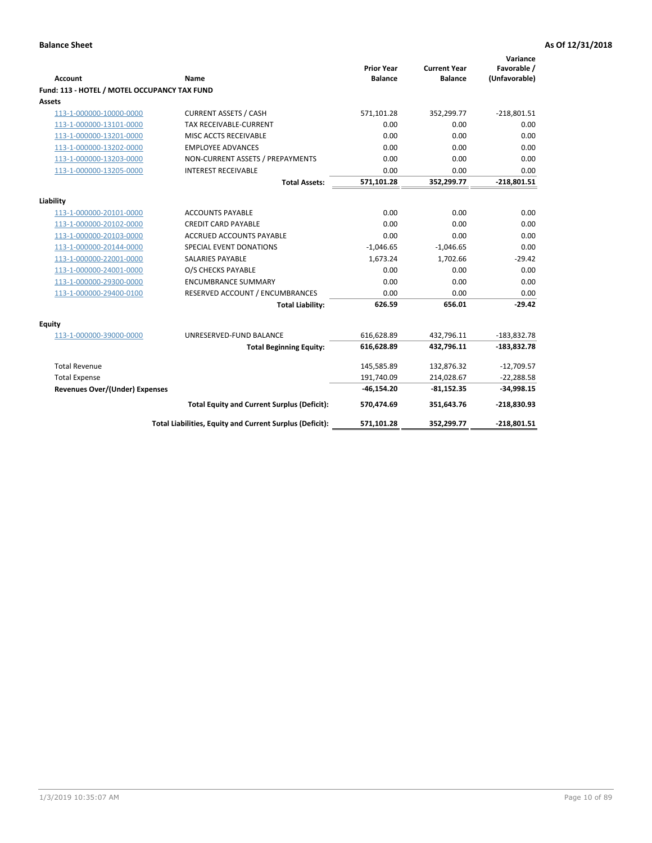| <b>Account</b>                               | <b>Name</b>                                              | <b>Prior Year</b><br><b>Balance</b> | <b>Current Year</b><br><b>Balance</b> | Variance<br>Favorable /<br>(Unfavorable) |
|----------------------------------------------|----------------------------------------------------------|-------------------------------------|---------------------------------------|------------------------------------------|
| Fund: 113 - HOTEL / MOTEL OCCUPANCY TAX FUND |                                                          |                                     |                                       |                                          |
| Assets                                       |                                                          |                                     |                                       |                                          |
| 113-1-000000-10000-0000                      | <b>CURRENT ASSETS / CASH</b>                             | 571,101.28                          | 352,299.77                            | $-218,801.51$                            |
| 113-1-000000-13101-0000                      | TAX RECEIVABLE-CURRENT                                   | 0.00                                | 0.00                                  | 0.00                                     |
| 113-1-000000-13201-0000                      | MISC ACCTS RECEIVABLE                                    | 0.00                                | 0.00                                  | 0.00                                     |
| 113-1-000000-13202-0000                      | <b>EMPLOYEE ADVANCES</b>                                 | 0.00                                | 0.00                                  | 0.00                                     |
| 113-1-000000-13203-0000                      | NON-CURRENT ASSETS / PREPAYMENTS                         | 0.00                                | 0.00                                  | 0.00                                     |
| 113-1-000000-13205-0000                      | <b>INTEREST RECEIVABLE</b>                               | 0.00                                | 0.00                                  | 0.00                                     |
|                                              | <b>Total Assets:</b>                                     | 571,101.28                          | 352,299.77                            | $-218,801.51$                            |
|                                              |                                                          |                                     |                                       |                                          |
| Liability                                    |                                                          |                                     |                                       |                                          |
| 113-1-000000-20101-0000                      | <b>ACCOUNTS PAYABLE</b>                                  | 0.00                                | 0.00                                  | 0.00                                     |
| 113-1-000000-20102-0000                      | <b>CREDIT CARD PAYABLE</b>                               | 0.00                                | 0.00                                  | 0.00                                     |
| 113-1-000000-20103-0000                      | ACCRUED ACCOUNTS PAYABLE                                 | 0.00                                | 0.00                                  | 0.00                                     |
| 113-1-000000-20144-0000                      | SPECIAL EVENT DONATIONS                                  | $-1,046.65$                         | $-1,046.65$                           | 0.00                                     |
| 113-1-000000-22001-0000                      | <b>SALARIES PAYABLE</b>                                  | 1,673.24                            | 1,702.66                              | $-29.42$                                 |
| 113-1-000000-24001-0000                      | O/S CHECKS PAYABLE                                       | 0.00                                | 0.00                                  | 0.00                                     |
| 113-1-000000-29300-0000                      | <b>ENCUMBRANCE SUMMARY</b>                               | 0.00                                | 0.00                                  | 0.00                                     |
| 113-1-000000-29400-0100                      | RESERVED ACCOUNT / ENCUMBRANCES                          | 0.00                                | 0.00                                  | 0.00                                     |
|                                              | <b>Total Liability:</b>                                  | 626.59                              | 656.01                                | $-29.42$                                 |
| Equity                                       |                                                          |                                     |                                       |                                          |
| 113-1-000000-39000-0000                      | UNRESERVED-FUND BALANCE                                  | 616,628.89                          | 432,796.11                            | $-183,832.78$                            |
|                                              | <b>Total Beginning Equity:</b>                           | 616,628.89                          | 432,796.11                            | $-183,832.78$                            |
| <b>Total Revenue</b>                         |                                                          | 145,585.89                          | 132,876.32                            | $-12,709.57$                             |
| <b>Total Expense</b>                         |                                                          | 191,740.09                          | 214,028.67                            | $-22,288.58$                             |
| <b>Revenues Over/(Under) Expenses</b>        |                                                          | $-46, 154.20$                       | $-81,152.35$                          | $-34,998.15$                             |
|                                              | <b>Total Equity and Current Surplus (Deficit):</b>       | 570,474.69                          | 351,643.76                            | $-218,830.93$                            |
|                                              | Total Liabilities, Equity and Current Surplus (Deficit): | 571,101.28                          | 352,299.77                            | $-218,801.51$                            |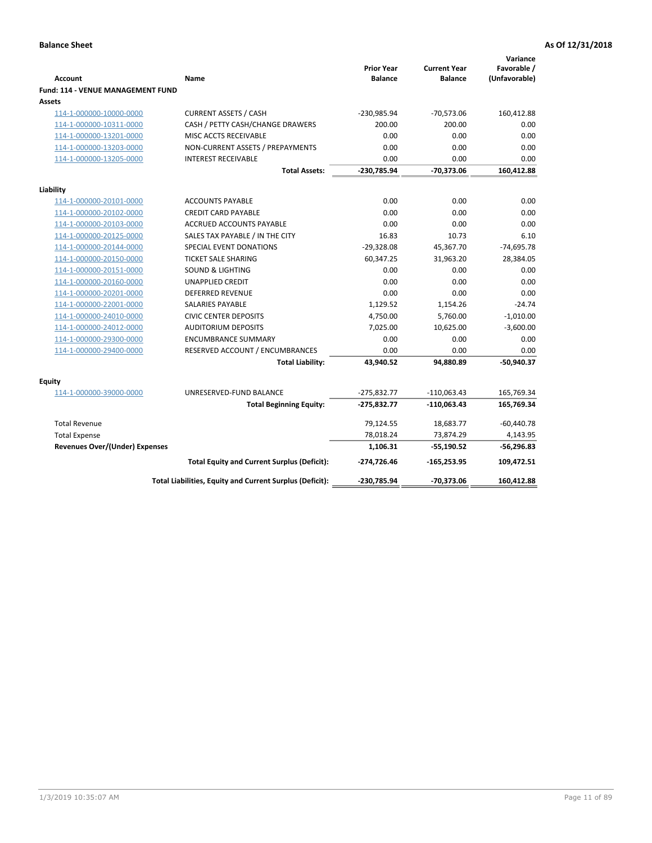| <b>Account</b>                              | <b>Name</b>                                              | <b>Prior Year</b><br><b>Balance</b> | <b>Current Year</b><br><b>Balance</b> | Variance<br>Favorable /<br>(Unfavorable) |
|---------------------------------------------|----------------------------------------------------------|-------------------------------------|---------------------------------------|------------------------------------------|
| Fund: 114 - VENUE MANAGEMENT FUND<br>Assets |                                                          |                                     |                                       |                                          |
| 114-1-000000-10000-0000                     | <b>CURRENT ASSETS / CASH</b>                             | -230,985.94                         | $-70,573.06$                          | 160,412.88                               |
| 114-1-000000-10311-0000                     | CASH / PETTY CASH/CHANGE DRAWERS                         | 200.00                              | 200.00                                | 0.00                                     |
| 114-1-000000-13201-0000                     | MISC ACCTS RECEIVABLE                                    | 0.00                                | 0.00                                  | 0.00                                     |
| 114-1-000000-13203-0000                     | NON-CURRENT ASSETS / PREPAYMENTS                         | 0.00                                | 0.00                                  | 0.00                                     |
| 114-1-000000-13205-0000                     | <b>INTEREST RECEIVABLE</b>                               | 0.00                                | 0.00                                  | 0.00                                     |
|                                             | <b>Total Assets:</b>                                     | -230,785.94                         | $-70,373.06$                          | 160,412.88                               |
| Liability                                   |                                                          |                                     |                                       |                                          |
| 114-1-000000-20101-0000                     | <b>ACCOUNTS PAYABLE</b>                                  | 0.00                                | 0.00                                  | 0.00                                     |
| 114-1-000000-20102-0000                     | <b>CREDIT CARD PAYABLE</b>                               | 0.00                                | 0.00                                  | 0.00                                     |
| 114-1-000000-20103-0000                     | <b>ACCRUED ACCOUNTS PAYABLE</b>                          | 0.00                                | 0.00                                  | 0.00                                     |
| 114-1-000000-20125-0000                     | SALES TAX PAYABLE / IN THE CITY                          | 16.83                               | 10.73                                 | 6.10                                     |
| 114-1-000000-20144-0000                     | SPECIAL EVENT DONATIONS                                  | $-29,328.08$                        | 45,367.70                             | $-74,695.78$                             |
| 114-1-000000-20150-0000                     | <b>TICKET SALE SHARING</b>                               | 60,347.25                           | 31,963.20                             | 28,384.05                                |
| 114-1-000000-20151-0000                     | <b>SOUND &amp; LIGHTING</b>                              | 0.00                                | 0.00                                  | 0.00                                     |
| 114-1-000000-20160-0000                     | <b>UNAPPLIED CREDIT</b>                                  | 0.00                                | 0.00                                  | 0.00                                     |
| 114-1-000000-20201-0000                     | <b>DEFERRED REVENUE</b>                                  | 0.00                                | 0.00                                  | 0.00                                     |
| 114-1-000000-22001-0000                     | SALARIES PAYABLE                                         | 1,129.52                            | 1,154.26                              | $-24.74$                                 |
| 114-1-000000-24010-0000                     | <b>CIVIC CENTER DEPOSITS</b>                             | 4,750.00                            | 5,760.00                              | $-1,010.00$                              |
| 114-1-000000-24012-0000                     | <b>AUDITORIUM DEPOSITS</b>                               | 7,025.00                            | 10,625.00                             | $-3,600.00$                              |
| 114-1-000000-29300-0000                     | <b>ENCUMBRANCE SUMMARY</b>                               | 0.00                                | 0.00                                  | 0.00                                     |
| 114-1-000000-29400-0000                     | RESERVED ACCOUNT / ENCUMBRANCES                          | 0.00                                | 0.00                                  | 0.00                                     |
|                                             | <b>Total Liability:</b>                                  | 43,940.52                           | 94,880.89                             | $-50,940.37$                             |
| Equity                                      |                                                          |                                     |                                       |                                          |
| 114-1-000000-39000-0000                     | UNRESERVED-FUND BALANCE                                  | $-275,832.77$                       | $-110,063.43$                         | 165,769.34                               |
|                                             | <b>Total Beginning Equity:</b>                           | $-275,832.77$                       | $-110,063.43$                         | 165,769.34                               |
| <b>Total Revenue</b>                        |                                                          | 79,124.55                           | 18,683.77                             | $-60,440.78$                             |
| <b>Total Expense</b>                        |                                                          | 78,018.24                           | 73,874.29                             | 4,143.95                                 |
| <b>Revenues Over/(Under) Expenses</b>       |                                                          | 1,106.31                            | $-55,190.52$                          | $-56,296.83$                             |
|                                             | <b>Total Equity and Current Surplus (Deficit):</b>       | $-274,726.46$                       | $-165,253.95$                         | 109,472.51                               |
|                                             | Total Liabilities, Equity and Current Surplus (Deficit): | -230,785.94                         | $-70,373.06$                          | 160.412.88                               |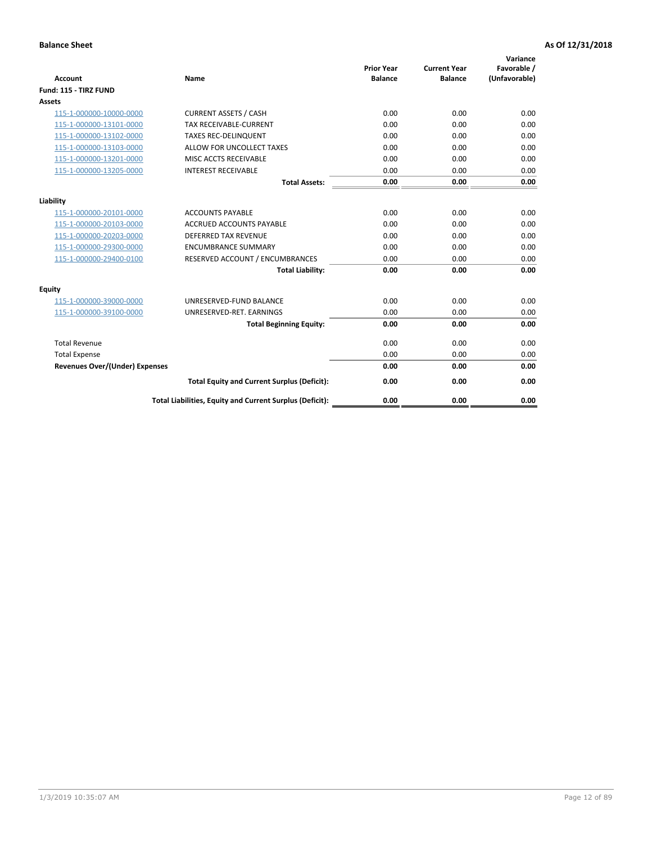| <b>Account</b>                        | <b>Name</b>                                              | <b>Prior Year</b><br><b>Balance</b> | <b>Current Year</b><br><b>Balance</b> | Variance<br>Favorable /<br>(Unfavorable) |
|---------------------------------------|----------------------------------------------------------|-------------------------------------|---------------------------------------|------------------------------------------|
| Fund: 115 - TIRZ FUND                 |                                                          |                                     |                                       |                                          |
| <b>Assets</b>                         |                                                          |                                     |                                       |                                          |
| 115-1-000000-10000-0000               | <b>CURRENT ASSETS / CASH</b>                             | 0.00                                | 0.00                                  | 0.00                                     |
| 115-1-000000-13101-0000               | <b>TAX RECEIVABLE-CURRENT</b>                            | 0.00                                | 0.00                                  | 0.00                                     |
| 115-1-000000-13102-0000               | <b>TAXES REC-DELINQUENT</b>                              | 0.00                                | 0.00                                  | 0.00                                     |
| 115-1-000000-13103-0000               | ALLOW FOR UNCOLLECT TAXES                                | 0.00                                | 0.00                                  | 0.00                                     |
| 115-1-000000-13201-0000               | MISC ACCTS RECEIVABLE                                    | 0.00                                | 0.00                                  | 0.00                                     |
| 115-1-000000-13205-0000               | <b>INTEREST RECEIVABLE</b>                               | 0.00                                | 0.00                                  | 0.00                                     |
|                                       | <b>Total Assets:</b>                                     | 0.00                                | 0.00                                  | 0.00                                     |
| Liability                             |                                                          |                                     |                                       |                                          |
| 115-1-000000-20101-0000               | <b>ACCOUNTS PAYABLE</b>                                  | 0.00                                | 0.00                                  | 0.00                                     |
| 115-1-000000-20103-0000               | <b>ACCRUED ACCOUNTS PAYABLE</b>                          | 0.00                                | 0.00                                  | 0.00                                     |
| 115-1-000000-20203-0000               | <b>DEFERRED TAX REVENUE</b>                              | 0.00                                | 0.00                                  | 0.00                                     |
| 115-1-000000-29300-0000               | <b>ENCUMBRANCE SUMMARY</b>                               | 0.00                                | 0.00                                  | 0.00                                     |
| 115-1-000000-29400-0100               | RESERVED ACCOUNT / ENCUMBRANCES                          | 0.00                                | 0.00                                  | 0.00                                     |
|                                       | <b>Total Liability:</b>                                  | 0.00                                | 0.00                                  | 0.00                                     |
| Equity                                |                                                          |                                     |                                       |                                          |
| 115-1-000000-39000-0000               | UNRESERVED-FUND BALANCE                                  | 0.00                                | 0.00                                  | 0.00                                     |
| 115-1-000000-39100-0000               | UNRESERVED-RET. EARNINGS                                 | 0.00                                | 0.00                                  | 0.00                                     |
|                                       | <b>Total Beginning Equity:</b>                           | 0.00                                | 0.00                                  | 0.00                                     |
| <b>Total Revenue</b>                  |                                                          | 0.00                                | 0.00                                  | 0.00                                     |
| <b>Total Expense</b>                  |                                                          | 0.00                                | 0.00                                  | 0.00                                     |
| <b>Revenues Over/(Under) Expenses</b> |                                                          | 0.00                                | 0.00                                  | 0.00                                     |
|                                       | <b>Total Equity and Current Surplus (Deficit):</b>       | 0.00                                | 0.00                                  | 0.00                                     |
|                                       | Total Liabilities, Equity and Current Surplus (Deficit): | 0.00                                | 0.00                                  | 0.00                                     |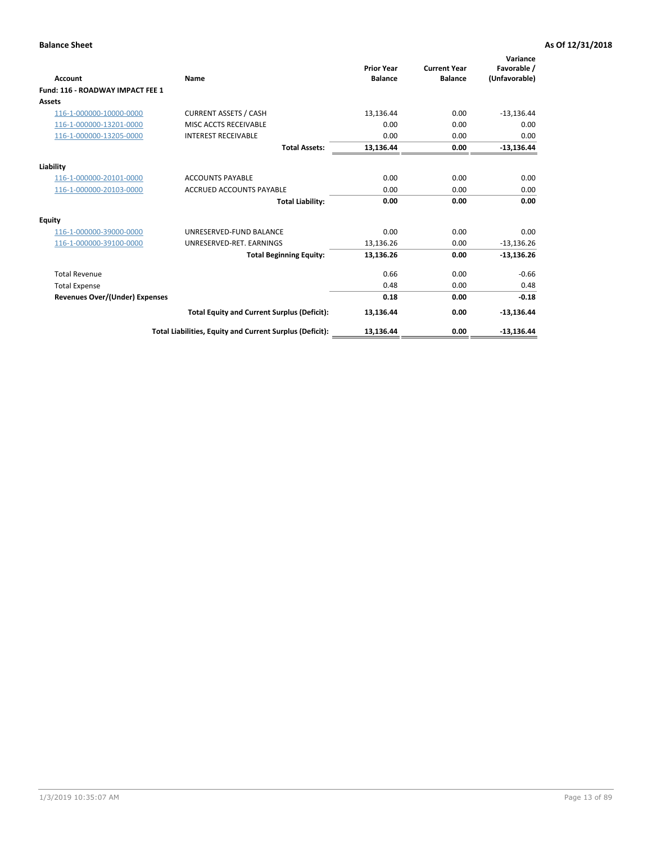| <b>Account</b>                        | Name                                                     | <b>Prior Year</b><br><b>Balance</b> | <b>Current Year</b><br><b>Balance</b> | Variance<br>Favorable /<br>(Unfavorable) |
|---------------------------------------|----------------------------------------------------------|-------------------------------------|---------------------------------------|------------------------------------------|
| Fund: 116 - ROADWAY IMPACT FEE 1      |                                                          |                                     |                                       |                                          |
| Assets                                |                                                          |                                     |                                       |                                          |
| 116-1-000000-10000-0000               | <b>CURRENT ASSETS / CASH</b>                             | 13,136.44                           | 0.00                                  | $-13,136.44$                             |
| 116-1-000000-13201-0000               | MISC ACCTS RECEIVABLE                                    | 0.00                                | 0.00                                  | 0.00                                     |
| 116-1-000000-13205-0000               | <b>INTEREST RECEIVABLE</b>                               | 0.00                                | 0.00                                  | 0.00                                     |
|                                       | <b>Total Assets:</b>                                     | 13,136.44                           | 0.00                                  | $-13,136.44$                             |
| Liability                             |                                                          |                                     |                                       |                                          |
| 116-1-000000-20101-0000               | <b>ACCOUNTS PAYABLE</b>                                  | 0.00                                | 0.00                                  | 0.00                                     |
| 116-1-000000-20103-0000               | <b>ACCRUED ACCOUNTS PAYABLE</b>                          | 0.00                                | 0.00                                  | 0.00                                     |
|                                       | <b>Total Liability:</b>                                  | 0.00                                | 0.00                                  | 0.00                                     |
| Equity                                |                                                          |                                     |                                       |                                          |
| 116-1-000000-39000-0000               | UNRESERVED-FUND BALANCE                                  | 0.00                                | 0.00                                  | 0.00                                     |
| 116-1-000000-39100-0000               | UNRESERVED-RET. EARNINGS                                 | 13,136.26                           | 0.00                                  | $-13,136.26$                             |
|                                       | <b>Total Beginning Equity:</b>                           | 13,136.26                           | 0.00                                  | $-13,136.26$                             |
| <b>Total Revenue</b>                  |                                                          | 0.66                                | 0.00                                  | $-0.66$                                  |
| <b>Total Expense</b>                  |                                                          | 0.48                                | 0.00                                  | 0.48                                     |
| <b>Revenues Over/(Under) Expenses</b> |                                                          | 0.18                                | 0.00                                  | $-0.18$                                  |
|                                       | <b>Total Equity and Current Surplus (Deficit):</b>       | 13,136.44                           | 0.00                                  | $-13,136.44$                             |
|                                       | Total Liabilities, Equity and Current Surplus (Deficit): | 13,136.44                           | 0.00                                  | $-13,136.44$                             |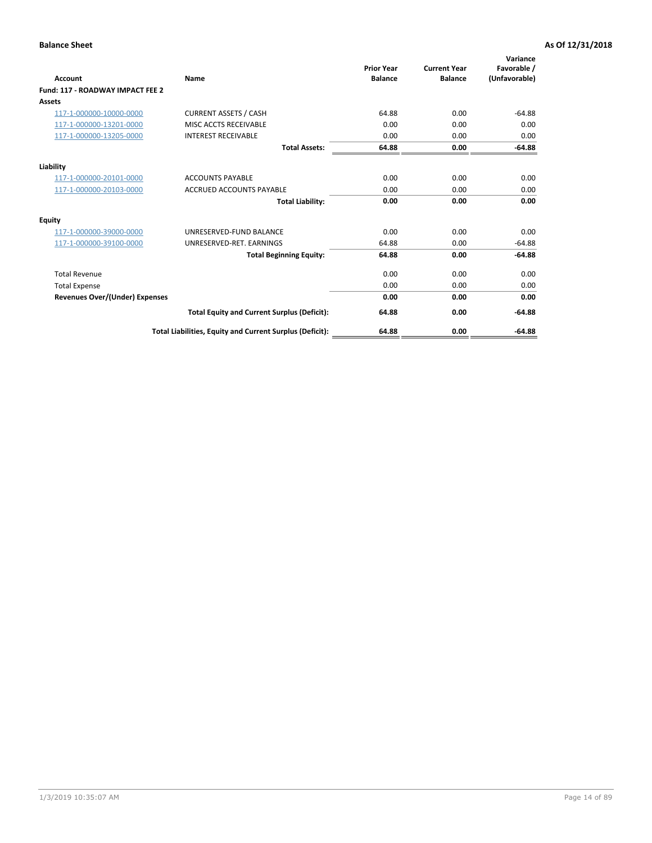| <b>Account</b>                        | Name                                                     | <b>Prior Year</b><br><b>Balance</b> | <b>Current Year</b><br><b>Balance</b> | Variance<br>Favorable /<br>(Unfavorable) |
|---------------------------------------|----------------------------------------------------------|-------------------------------------|---------------------------------------|------------------------------------------|
| Fund: 117 - ROADWAY IMPACT FEE 2      |                                                          |                                     |                                       |                                          |
| <b>Assets</b>                         |                                                          |                                     |                                       |                                          |
| 117-1-000000-10000-0000               | <b>CURRENT ASSETS / CASH</b>                             | 64.88                               | 0.00                                  | $-64.88$                                 |
| 117-1-000000-13201-0000               | MISC ACCTS RECEIVABLE                                    | 0.00                                | 0.00                                  | 0.00                                     |
| 117-1-000000-13205-0000               | <b>INTEREST RECEIVABLE</b>                               | 0.00                                | 0.00                                  | 0.00                                     |
|                                       | <b>Total Assets:</b>                                     | 64.88                               | 0.00                                  | $-64.88$                                 |
| Liability                             |                                                          |                                     |                                       |                                          |
| 117-1-000000-20101-0000               | <b>ACCOUNTS PAYABLE</b>                                  | 0.00                                | 0.00                                  | 0.00                                     |
| 117-1-000000-20103-0000               | <b>ACCRUED ACCOUNTS PAYABLE</b>                          | 0.00                                | 0.00                                  | 0.00                                     |
|                                       | <b>Total Liability:</b>                                  | 0.00                                | 0.00                                  | 0.00                                     |
| <b>Equity</b>                         |                                                          |                                     |                                       |                                          |
| 117-1-000000-39000-0000               | UNRESERVED-FUND BALANCE                                  | 0.00                                | 0.00                                  | 0.00                                     |
| 117-1-000000-39100-0000               | UNRESERVED-RET. EARNINGS                                 | 64.88                               | 0.00                                  | $-64.88$                                 |
|                                       | <b>Total Beginning Equity:</b>                           | 64.88                               | 0.00                                  | $-64.88$                                 |
| <b>Total Revenue</b>                  |                                                          | 0.00                                | 0.00                                  | 0.00                                     |
| <b>Total Expense</b>                  |                                                          | 0.00                                | 0.00                                  | 0.00                                     |
| <b>Revenues Over/(Under) Expenses</b> |                                                          | 0.00                                | 0.00                                  | 0.00                                     |
|                                       | <b>Total Equity and Current Surplus (Deficit):</b>       | 64.88                               | 0.00                                  | $-64.88$                                 |
|                                       | Total Liabilities, Equity and Current Surplus (Deficit): | 64.88                               | 0.00                                  | $-64.88$                                 |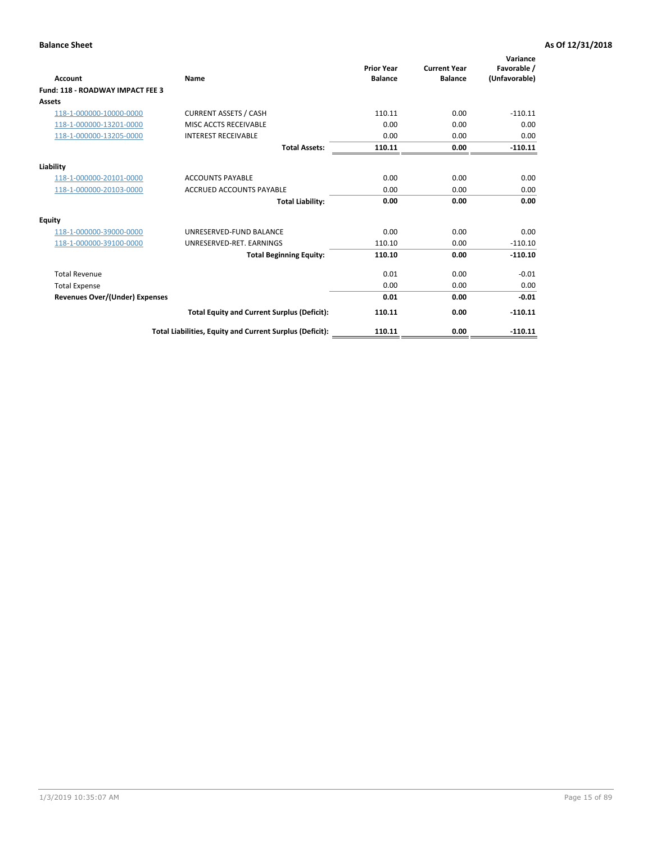| <b>Account</b>                        | Name                                                     | <b>Prior Year</b><br><b>Balance</b> | <b>Current Year</b><br><b>Balance</b> | Variance<br>Favorable /<br>(Unfavorable) |
|---------------------------------------|----------------------------------------------------------|-------------------------------------|---------------------------------------|------------------------------------------|
| Fund: 118 - ROADWAY IMPACT FEE 3      |                                                          |                                     |                                       |                                          |
| Assets                                |                                                          |                                     |                                       |                                          |
| 118-1-000000-10000-0000               | <b>CURRENT ASSETS / CASH</b>                             | 110.11                              | 0.00                                  | $-110.11$                                |
| 118-1-000000-13201-0000               | MISC ACCTS RECEIVABLE                                    | 0.00                                | 0.00                                  | 0.00                                     |
| 118-1-000000-13205-0000               | <b>INTEREST RECEIVABLE</b>                               | 0.00                                | 0.00                                  | 0.00                                     |
|                                       | <b>Total Assets:</b>                                     | 110.11                              | 0.00                                  | $-110.11$                                |
| Liability                             |                                                          |                                     |                                       |                                          |
| 118-1-000000-20101-0000               | <b>ACCOUNTS PAYABLE</b>                                  | 0.00                                | 0.00                                  | 0.00                                     |
| 118-1-000000-20103-0000               | <b>ACCRUED ACCOUNTS PAYABLE</b>                          | 0.00                                | 0.00                                  | 0.00                                     |
|                                       | <b>Total Liability:</b>                                  | 0.00                                | 0.00                                  | 0.00                                     |
| Equity                                |                                                          |                                     |                                       |                                          |
| 118-1-000000-39000-0000               | UNRESERVED-FUND BALANCE                                  | 0.00                                | 0.00                                  | 0.00                                     |
| 118-1-000000-39100-0000               | UNRESERVED-RET, EARNINGS                                 | 110.10                              | 0.00                                  | $-110.10$                                |
|                                       | <b>Total Beginning Equity:</b>                           | 110.10                              | 0.00                                  | $-110.10$                                |
| <b>Total Revenue</b>                  |                                                          | 0.01                                | 0.00                                  | $-0.01$                                  |
| <b>Total Expense</b>                  |                                                          | 0.00                                | 0.00                                  | 0.00                                     |
| <b>Revenues Over/(Under) Expenses</b> |                                                          | 0.01                                | 0.00                                  | $-0.01$                                  |
|                                       | <b>Total Equity and Current Surplus (Deficit):</b>       | 110.11                              | 0.00                                  | $-110.11$                                |
|                                       | Total Liabilities, Equity and Current Surplus (Deficit): | 110.11                              | 0.00                                  | $-110.11$                                |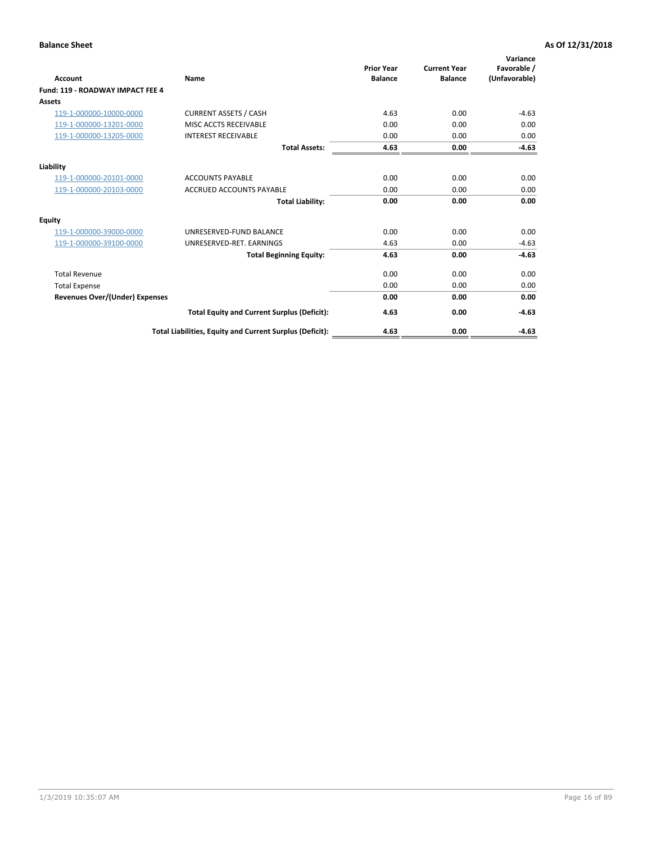| <b>Account</b>                        | Name                                                     | <b>Prior Year</b><br><b>Balance</b> | <b>Current Year</b><br><b>Balance</b> | Variance<br>Favorable /<br>(Unfavorable) |
|---------------------------------------|----------------------------------------------------------|-------------------------------------|---------------------------------------|------------------------------------------|
| Fund: 119 - ROADWAY IMPACT FEE 4      |                                                          |                                     |                                       |                                          |
| Assets                                |                                                          |                                     |                                       |                                          |
| 119-1-000000-10000-0000               | <b>CURRENT ASSETS / CASH</b>                             | 4.63                                | 0.00                                  | $-4.63$                                  |
| 119-1-000000-13201-0000               | MISC ACCTS RECEIVABLE                                    | 0.00                                | 0.00                                  | 0.00                                     |
| 119-1-000000-13205-0000               | <b>INTEREST RECEIVABLE</b>                               | 0.00                                | 0.00                                  | 0.00                                     |
|                                       | <b>Total Assets:</b>                                     | 4.63                                | 0.00                                  | $-4.63$                                  |
| Liability                             |                                                          |                                     |                                       |                                          |
| 119-1-000000-20101-0000               | <b>ACCOUNTS PAYABLE</b>                                  | 0.00                                | 0.00                                  | 0.00                                     |
| 119-1-000000-20103-0000               | <b>ACCRUED ACCOUNTS PAYABLE</b>                          | 0.00                                | 0.00                                  | 0.00                                     |
|                                       | <b>Total Liability:</b>                                  | 0.00                                | 0.00                                  | 0.00                                     |
| Equity                                |                                                          |                                     |                                       |                                          |
| 119-1-000000-39000-0000               | UNRESERVED-FUND BALANCE                                  | 0.00                                | 0.00                                  | 0.00                                     |
| 119-1-000000-39100-0000               | UNRESERVED-RET. EARNINGS                                 | 4.63                                | 0.00                                  | $-4.63$                                  |
|                                       | <b>Total Beginning Equity:</b>                           | 4.63                                | 0.00                                  | $-4.63$                                  |
| <b>Total Revenue</b>                  |                                                          | 0.00                                | 0.00                                  | 0.00                                     |
| <b>Total Expense</b>                  |                                                          | 0.00                                | 0.00                                  | 0.00                                     |
| <b>Revenues Over/(Under) Expenses</b> |                                                          | 0.00                                | 0.00                                  | 0.00                                     |
|                                       | <b>Total Equity and Current Surplus (Deficit):</b>       | 4.63                                | 0.00                                  | $-4.63$                                  |
|                                       | Total Liabilities, Equity and Current Surplus (Deficit): | 4.63                                | 0.00                                  | $-4.63$                                  |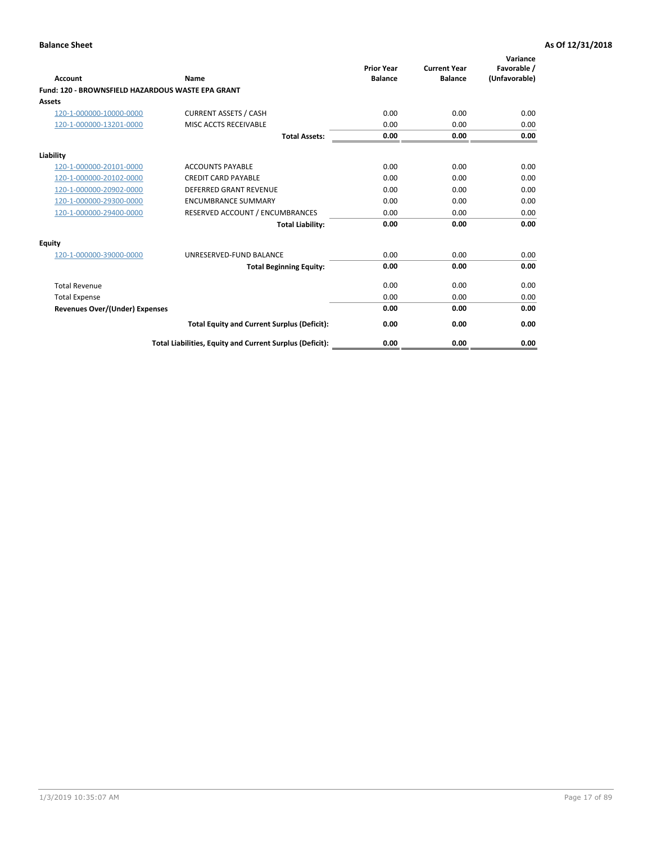|                                                   |                                                          | <b>Prior Year</b> | <b>Current Year</b> | Variance<br>Favorable / |
|---------------------------------------------------|----------------------------------------------------------|-------------------|---------------------|-------------------------|
| <b>Account</b>                                    | <b>Name</b>                                              | <b>Balance</b>    | <b>Balance</b>      | (Unfavorable)           |
| Fund: 120 - BROWNSFIELD HAZARDOUS WASTE EPA GRANT |                                                          |                   |                     |                         |
| <b>Assets</b>                                     |                                                          |                   |                     |                         |
| 120-1-000000-10000-0000                           | <b>CURRENT ASSETS / CASH</b>                             | 0.00              | 0.00                | 0.00                    |
| 120-1-000000-13201-0000                           | MISC ACCTS RECEIVABLE                                    | 0.00              | 0.00                | 0.00                    |
|                                                   | <b>Total Assets:</b>                                     | 0.00              | 0.00                | 0.00                    |
| Liability                                         |                                                          |                   |                     |                         |
| 120-1-000000-20101-0000                           | <b>ACCOUNTS PAYABLE</b>                                  | 0.00              | 0.00                | 0.00                    |
| 120-1-000000-20102-0000                           | <b>CREDIT CARD PAYABLE</b>                               | 0.00              | 0.00                | 0.00                    |
| 120-1-000000-20902-0000                           | <b>DEFERRED GRANT REVENUE</b>                            | 0.00              | 0.00                | 0.00                    |
| 120-1-000000-29300-0000                           | <b>ENCUMBRANCE SUMMARY</b>                               | 0.00              | 0.00                | 0.00                    |
| 120-1-000000-29400-0000                           | RESERVED ACCOUNT / ENCUMBRANCES                          | 0.00              | 0.00                | 0.00                    |
|                                                   | <b>Total Liability:</b>                                  | 0.00              | 0.00                | 0.00                    |
| Equity                                            |                                                          |                   |                     |                         |
| 120-1-000000-39000-0000                           | UNRESERVED-FUND BALANCE                                  | 0.00              | 0.00                | 0.00                    |
|                                                   | <b>Total Beginning Equity:</b>                           | 0.00              | 0.00                | 0.00                    |
| <b>Total Revenue</b>                              |                                                          | 0.00              | 0.00                | 0.00                    |
| <b>Total Expense</b>                              |                                                          | 0.00              | 0.00                | 0.00                    |
| <b>Revenues Over/(Under) Expenses</b>             |                                                          | 0.00              | 0.00                | 0.00                    |
|                                                   | <b>Total Equity and Current Surplus (Deficit):</b>       | 0.00              | 0.00                | 0.00                    |
|                                                   | Total Liabilities, Equity and Current Surplus (Deficit): | 0.00              | 0.00                | 0.00                    |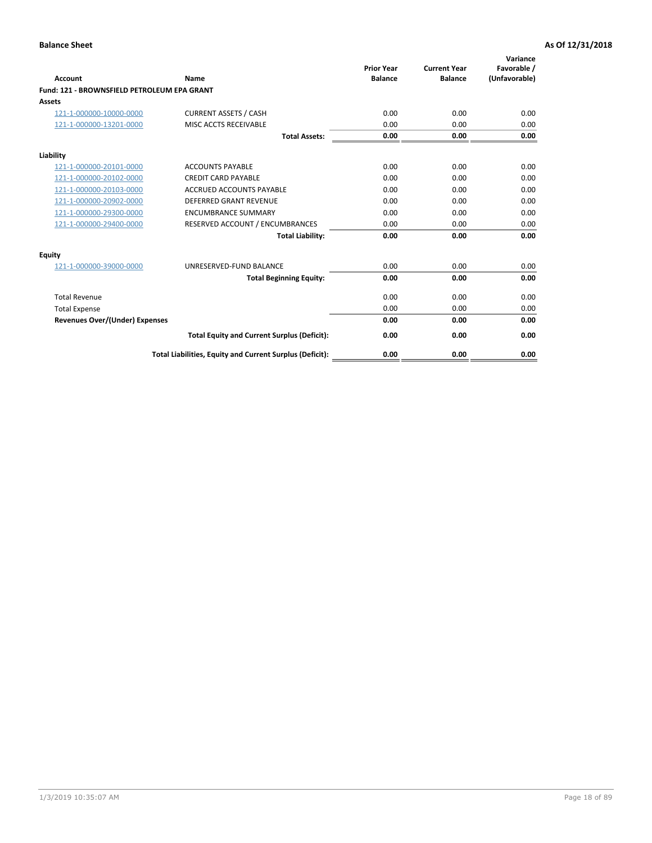| Account                                     | Name                                                     | <b>Prior Year</b><br><b>Balance</b> | <b>Current Year</b><br><b>Balance</b> | Variance<br>Favorable /<br>(Unfavorable) |
|---------------------------------------------|----------------------------------------------------------|-------------------------------------|---------------------------------------|------------------------------------------|
| Fund: 121 - BROWNSFIELD PETROLEUM EPA GRANT |                                                          |                                     |                                       |                                          |
| <b>Assets</b>                               |                                                          |                                     |                                       |                                          |
| 121-1-000000-10000-0000                     | <b>CURRENT ASSETS / CASH</b>                             | 0.00                                | 0.00                                  | 0.00                                     |
| 121-1-000000-13201-0000                     | <b>MISC ACCTS RECEIVABLE</b>                             | 0.00                                | 0.00                                  | 0.00                                     |
|                                             | <b>Total Assets:</b>                                     | 0.00                                | 0.00                                  | 0.00                                     |
| Liability                                   |                                                          |                                     |                                       |                                          |
| 121-1-000000-20101-0000                     | <b>ACCOUNTS PAYABLE</b>                                  | 0.00                                | 0.00                                  | 0.00                                     |
| 121-1-000000-20102-0000                     | <b>CREDIT CARD PAYABLE</b>                               | 0.00                                | 0.00                                  | 0.00                                     |
| 121-1-000000-20103-0000                     | <b>ACCRUED ACCOUNTS PAYABLE</b>                          | 0.00                                | 0.00                                  | 0.00                                     |
| 121-1-000000-20902-0000                     | <b>DEFERRED GRANT REVENUE</b>                            | 0.00                                | 0.00                                  | 0.00                                     |
| 121-1-000000-29300-0000                     | <b>ENCUMBRANCE SUMMARY</b>                               | 0.00                                | 0.00                                  | 0.00                                     |
| 121-1-000000-29400-0000                     | RESERVED ACCOUNT / ENCUMBRANCES                          | 0.00                                | 0.00                                  | 0.00                                     |
|                                             | <b>Total Liability:</b>                                  | 0.00                                | 0.00                                  | 0.00                                     |
| <b>Equity</b>                               |                                                          |                                     |                                       |                                          |
| 121-1-000000-39000-0000                     | UNRESERVED-FUND BALANCE                                  | 0.00                                | 0.00                                  | 0.00                                     |
|                                             | <b>Total Beginning Equity:</b>                           | 0.00                                | 0.00                                  | 0.00                                     |
| <b>Total Revenue</b>                        |                                                          | 0.00                                | 0.00                                  | 0.00                                     |
| <b>Total Expense</b>                        |                                                          | 0.00                                | 0.00                                  | 0.00                                     |
| <b>Revenues Over/(Under) Expenses</b>       |                                                          | 0.00                                | 0.00                                  | 0.00                                     |
|                                             | <b>Total Equity and Current Surplus (Deficit):</b>       | 0.00                                | 0.00                                  | 0.00                                     |
|                                             | Total Liabilities, Equity and Current Surplus (Deficit): | 0.00                                | 0.00                                  | 0.00                                     |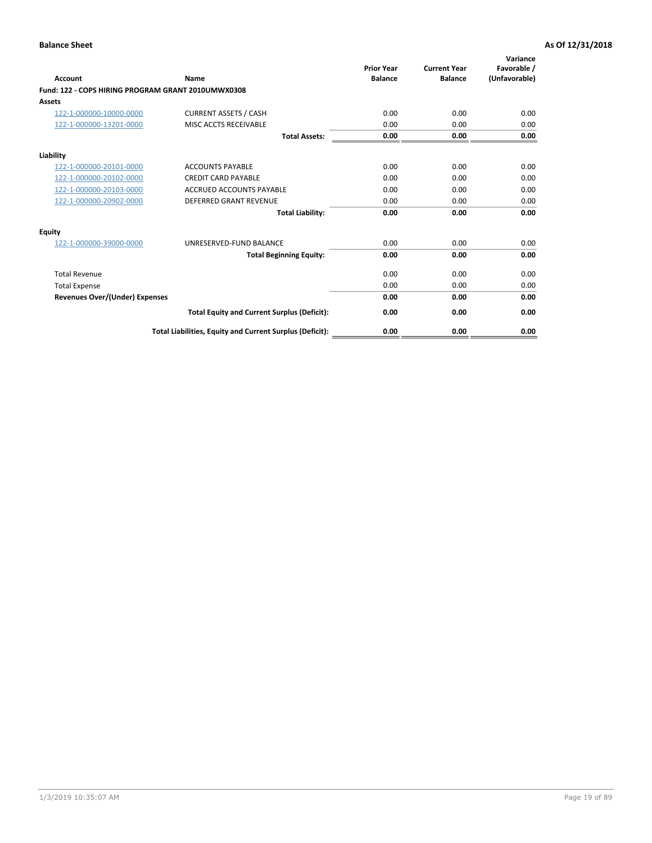| <b>Account</b>                                     | Name                                                     | <b>Prior Year</b><br><b>Balance</b> | <b>Current Year</b><br><b>Balance</b> | Variance<br>Favorable /<br>(Unfavorable) |
|----------------------------------------------------|----------------------------------------------------------|-------------------------------------|---------------------------------------|------------------------------------------|
| Fund: 122 - COPS HIRING PROGRAM GRANT 2010UMWX0308 |                                                          |                                     |                                       |                                          |
| Assets                                             |                                                          |                                     |                                       |                                          |
| 122-1-000000-10000-0000                            | <b>CURRENT ASSETS / CASH</b>                             | 0.00                                | 0.00                                  | 0.00                                     |
| 122-1-000000-13201-0000                            | MISC ACCTS RECEIVABLE                                    | 0.00                                | 0.00                                  | 0.00                                     |
|                                                    | <b>Total Assets:</b>                                     | 0.00                                | 0.00                                  | 0.00                                     |
| Liability                                          |                                                          |                                     |                                       |                                          |
| 122-1-000000-20101-0000                            | <b>ACCOUNTS PAYABLE</b>                                  | 0.00                                | 0.00                                  | 0.00                                     |
| 122-1-000000-20102-0000                            | <b>CREDIT CARD PAYABLE</b>                               | 0.00                                | 0.00                                  | 0.00                                     |
| 122-1-000000-20103-0000                            | <b>ACCRUED ACCOUNTS PAYABLE</b>                          | 0.00                                | 0.00                                  | 0.00                                     |
| 122-1-000000-20902-0000                            | <b>DEFERRED GRANT REVENUE</b>                            | 0.00                                | 0.00                                  | 0.00                                     |
|                                                    | <b>Total Liability:</b>                                  | 0.00                                | 0.00                                  | 0.00                                     |
| Equity                                             |                                                          |                                     |                                       |                                          |
| 122-1-000000-39000-0000                            | UNRESERVED-FUND BALANCE                                  | 0.00                                | 0.00                                  | 0.00                                     |
|                                                    | <b>Total Beginning Equity:</b>                           | 0.00                                | 0.00                                  | 0.00                                     |
| <b>Total Revenue</b>                               |                                                          | 0.00                                | 0.00                                  | 0.00                                     |
| <b>Total Expense</b>                               |                                                          | 0.00                                | 0.00                                  | 0.00                                     |
| <b>Revenues Over/(Under) Expenses</b>              |                                                          | 0.00                                | 0.00                                  | 0.00                                     |
|                                                    | <b>Total Equity and Current Surplus (Deficit):</b>       | 0.00                                | 0.00                                  | 0.00                                     |
|                                                    | Total Liabilities, Equity and Current Surplus (Deficit): | 0.00                                | 0.00                                  | 0.00                                     |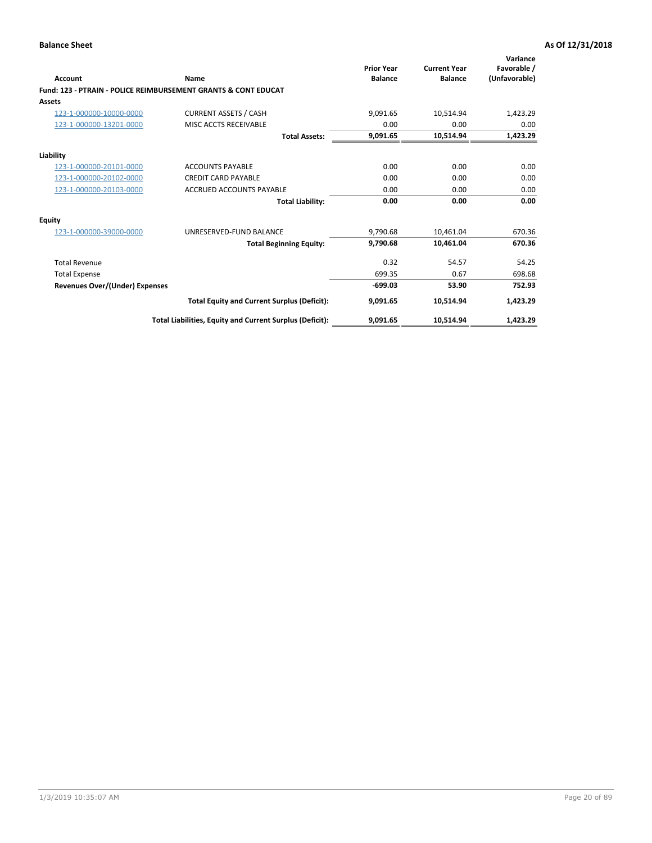| Account                        | Name                                                           | <b>Prior Year</b><br><b>Balance</b> | <b>Current Year</b><br><b>Balance</b> | Variance<br>Favorable /<br>(Unfavorable) |
|--------------------------------|----------------------------------------------------------------|-------------------------------------|---------------------------------------|------------------------------------------|
|                                | Fund: 123 - PTRAIN - POLICE REIMBURSEMENT GRANTS & CONT EDUCAT |                                     |                                       |                                          |
| Assets                         |                                                                |                                     |                                       |                                          |
| 123-1-000000-10000-0000        | <b>CURRENT ASSETS / CASH</b>                                   | 9,091.65                            | 10,514.94                             | 1,423.29                                 |
| 123-1-000000-13201-0000        | MISC ACCTS RECEIVABLE                                          | 0.00                                | 0.00                                  | 0.00                                     |
|                                | <b>Total Assets:</b>                                           | 9,091.65                            | 10,514.94                             | 1,423.29                                 |
| Liability                      |                                                                |                                     |                                       |                                          |
| 123-1-000000-20101-0000        | <b>ACCOUNTS PAYABLE</b>                                        | 0.00                                | 0.00                                  | 0.00                                     |
| 123-1-000000-20102-0000        | <b>CREDIT CARD PAYABLE</b>                                     | 0.00                                | 0.00                                  | 0.00                                     |
| 123-1-000000-20103-0000        | <b>ACCRUED ACCOUNTS PAYABLE</b>                                | 0.00                                | 0.00                                  | 0.00                                     |
|                                | <b>Total Liability:</b>                                        | 0.00                                | 0.00                                  | 0.00                                     |
| Equity                         |                                                                |                                     |                                       |                                          |
| 123-1-000000-39000-0000        | UNRESERVED-FUND BALANCE                                        | 9,790.68                            | 10,461.04                             | 670.36                                   |
|                                | <b>Total Beginning Equity:</b>                                 | 9,790.68                            | 10,461.04                             | 670.36                                   |
| <b>Total Revenue</b>           |                                                                | 0.32                                | 54.57                                 | 54.25                                    |
| <b>Total Expense</b>           |                                                                | 699.35                              | 0.67                                  | 698.68                                   |
| Revenues Over/(Under) Expenses |                                                                | $-699.03$                           | 53.90                                 | 752.93                                   |
|                                | <b>Total Equity and Current Surplus (Deficit):</b>             | 9,091.65                            | 10,514.94                             | 1,423.29                                 |
|                                | Total Liabilities, Equity and Current Surplus (Deficit):       | 9,091.65                            | 10,514.94                             | 1,423.29                                 |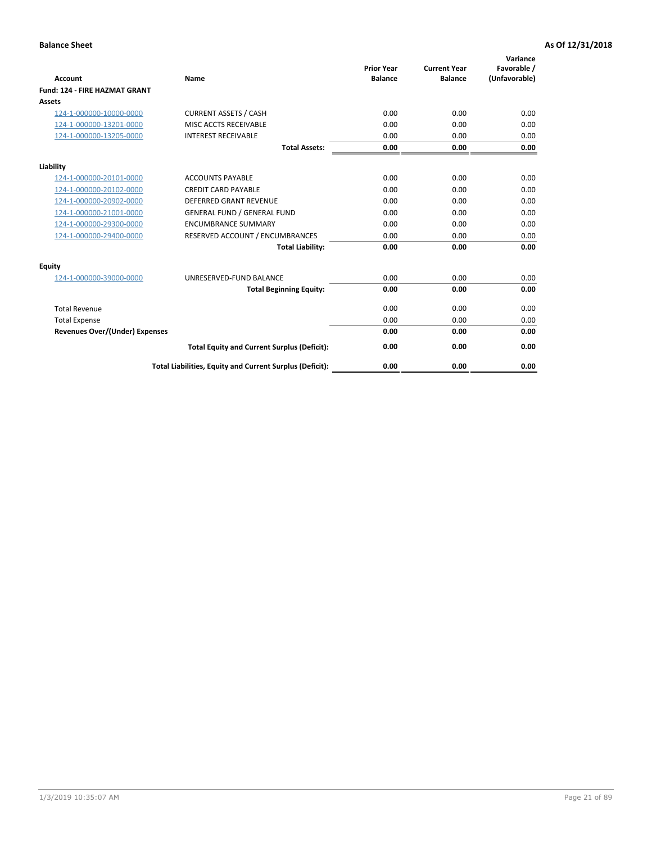| <b>Account</b>                        | Name                                                     | <b>Prior Year</b><br><b>Balance</b> | <b>Current Year</b><br><b>Balance</b> | Variance<br>Favorable /<br>(Unfavorable) |
|---------------------------------------|----------------------------------------------------------|-------------------------------------|---------------------------------------|------------------------------------------|
| <b>Fund: 124 - FIRE HAZMAT GRANT</b>  |                                                          |                                     |                                       |                                          |
| Assets                                |                                                          |                                     |                                       |                                          |
| 124-1-000000-10000-0000               | <b>CURRENT ASSETS / CASH</b>                             | 0.00                                | 0.00                                  | 0.00                                     |
| 124-1-000000-13201-0000               | MISC ACCTS RECEIVABLE                                    | 0.00                                | 0.00                                  | 0.00                                     |
| 124-1-000000-13205-0000               | <b>INTEREST RECEIVABLE</b>                               | 0.00                                | 0.00                                  | 0.00                                     |
|                                       | <b>Total Assets:</b>                                     | 0.00                                | 0.00                                  | 0.00                                     |
| Liability                             |                                                          |                                     |                                       |                                          |
| 124-1-000000-20101-0000               | <b>ACCOUNTS PAYABLE</b>                                  | 0.00                                | 0.00                                  | 0.00                                     |
| 124-1-000000-20102-0000               | <b>CREDIT CARD PAYABLE</b>                               | 0.00                                | 0.00                                  | 0.00                                     |
| 124-1-000000-20902-0000               | <b>DEFERRED GRANT REVENUE</b>                            | 0.00                                | 0.00                                  | 0.00                                     |
| 124-1-000000-21001-0000               | <b>GENERAL FUND / GENERAL FUND</b>                       | 0.00                                | 0.00                                  | 0.00                                     |
| 124-1-000000-29300-0000               | <b>ENCUMBRANCE SUMMARY</b>                               | 0.00                                | 0.00                                  | 0.00                                     |
| 124-1-000000-29400-0000               | RESERVED ACCOUNT / ENCUMBRANCES                          | 0.00                                | 0.00                                  | 0.00                                     |
|                                       | <b>Total Liability:</b>                                  | 0.00                                | 0.00                                  | 0.00                                     |
| <b>Equity</b>                         |                                                          |                                     |                                       |                                          |
| 124-1-000000-39000-0000               | UNRESERVED-FUND BALANCE                                  | 0.00                                | 0.00                                  | 0.00                                     |
|                                       | <b>Total Beginning Equity:</b>                           | 0.00                                | 0.00                                  | 0.00                                     |
| <b>Total Revenue</b>                  |                                                          | 0.00                                | 0.00                                  | 0.00                                     |
| <b>Total Expense</b>                  |                                                          | 0.00                                | 0.00                                  | 0.00                                     |
| <b>Revenues Over/(Under) Expenses</b> |                                                          | 0.00                                | 0.00                                  | 0.00                                     |
|                                       | <b>Total Equity and Current Surplus (Deficit):</b>       | 0.00                                | 0.00                                  | 0.00                                     |
|                                       | Total Liabilities, Equity and Current Surplus (Deficit): | 0.00                                | 0.00                                  | 0.00                                     |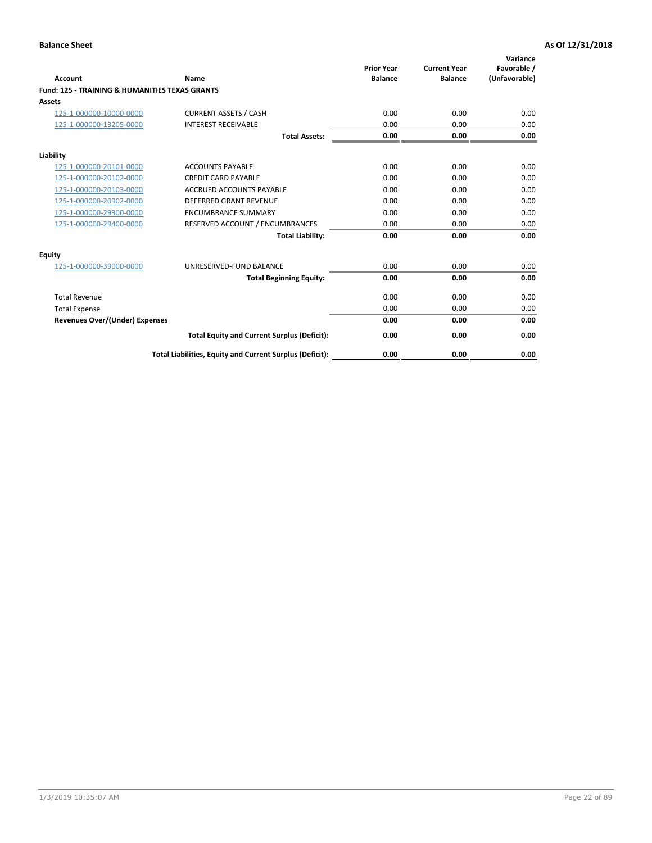| Account                                                   | Name                                                     | <b>Prior Year</b><br><b>Balance</b> | <b>Current Year</b><br><b>Balance</b> | Variance<br>Favorable /<br>(Unfavorable) |
|-----------------------------------------------------------|----------------------------------------------------------|-------------------------------------|---------------------------------------|------------------------------------------|
| <b>Fund: 125 - TRAINING &amp; HUMANITIES TEXAS GRANTS</b> |                                                          |                                     |                                       |                                          |
| <b>Assets</b>                                             |                                                          |                                     |                                       |                                          |
| 125-1-000000-10000-0000                                   | <b>CURRENT ASSETS / CASH</b>                             | 0.00                                | 0.00                                  | 0.00                                     |
| 125-1-000000-13205-0000                                   | <b>INTEREST RECEIVABLE</b>                               | 0.00                                | 0.00                                  | 0.00                                     |
|                                                           | <b>Total Assets:</b>                                     | 0.00                                | 0.00                                  | 0.00                                     |
| Liability                                                 |                                                          |                                     |                                       |                                          |
| 125-1-000000-20101-0000                                   | <b>ACCOUNTS PAYABLE</b>                                  | 0.00                                | 0.00                                  | 0.00                                     |
| 125-1-000000-20102-0000                                   | <b>CREDIT CARD PAYABLE</b>                               | 0.00                                | 0.00                                  | 0.00                                     |
| 125-1-000000-20103-0000                                   | <b>ACCRUED ACCOUNTS PAYABLE</b>                          | 0.00                                | 0.00                                  | 0.00                                     |
| 125-1-000000-20902-0000                                   | <b>DEFERRED GRANT REVENUE</b>                            | 0.00                                | 0.00                                  | 0.00                                     |
| 125-1-000000-29300-0000                                   | <b>ENCUMBRANCE SUMMARY</b>                               | 0.00                                | 0.00                                  | 0.00                                     |
| 125-1-000000-29400-0000                                   | RESERVED ACCOUNT / ENCUMBRANCES                          | 0.00                                | 0.00                                  | 0.00                                     |
|                                                           | <b>Total Liability:</b>                                  | 0.00                                | 0.00                                  | 0.00                                     |
| <b>Equity</b>                                             |                                                          |                                     |                                       |                                          |
| 125-1-000000-39000-0000                                   | UNRESERVED-FUND BALANCE                                  | 0.00                                | 0.00                                  | 0.00                                     |
|                                                           | <b>Total Beginning Equity:</b>                           | 0.00                                | 0.00                                  | 0.00                                     |
| <b>Total Revenue</b>                                      |                                                          | 0.00                                | 0.00                                  | 0.00                                     |
| <b>Total Expense</b>                                      |                                                          | 0.00                                | 0.00                                  | 0.00                                     |
| <b>Revenues Over/(Under) Expenses</b>                     |                                                          | 0.00                                | 0.00                                  | 0.00                                     |
|                                                           | <b>Total Equity and Current Surplus (Deficit):</b>       | 0.00                                | 0.00                                  | 0.00                                     |
|                                                           | Total Liabilities, Equity and Current Surplus (Deficit): | 0.00                                | 0.00                                  | 0.00                                     |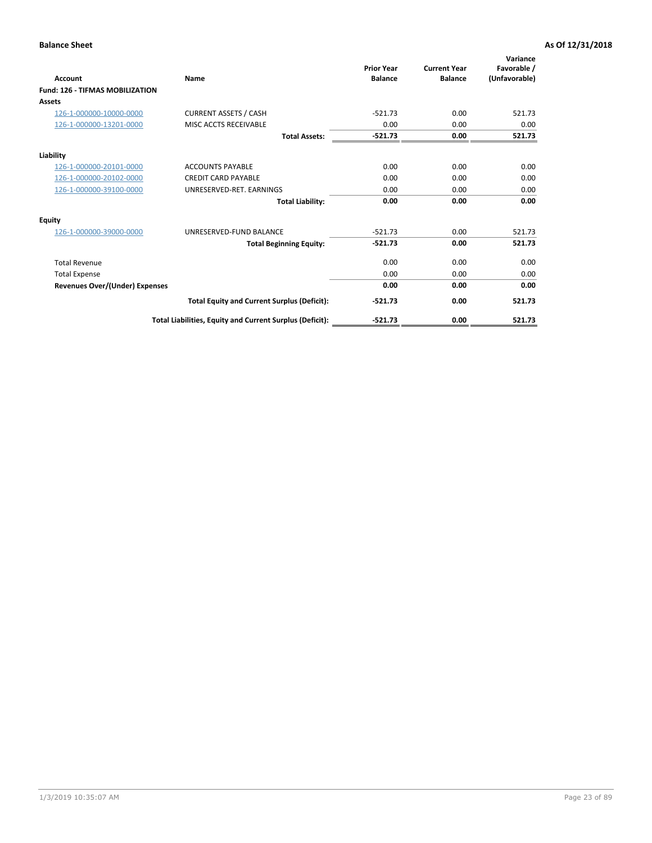| <b>Account</b>                         | Name                                                     | <b>Prior Year</b><br><b>Balance</b> | <b>Current Year</b><br><b>Balance</b> | Variance<br>Favorable /<br>(Unfavorable) |
|----------------------------------------|----------------------------------------------------------|-------------------------------------|---------------------------------------|------------------------------------------|
| <b>Fund: 126 - TIFMAS MOBILIZATION</b> |                                                          |                                     |                                       |                                          |
| Assets                                 |                                                          |                                     |                                       |                                          |
| 126-1-000000-10000-0000                | <b>CURRENT ASSETS / CASH</b>                             | $-521.73$                           | 0.00                                  | 521.73                                   |
| 126-1-000000-13201-0000                | MISC ACCTS RECEIVABLE                                    | 0.00                                | 0.00                                  | 0.00                                     |
|                                        | <b>Total Assets:</b>                                     | $-521.73$                           | 0.00                                  | 521.73                                   |
| Liability                              |                                                          |                                     |                                       |                                          |
| 126-1-000000-20101-0000                | <b>ACCOUNTS PAYABLE</b>                                  | 0.00                                | 0.00                                  | 0.00                                     |
| 126-1-000000-20102-0000                | <b>CREDIT CARD PAYABLE</b>                               | 0.00                                | 0.00                                  | 0.00                                     |
| 126-1-000000-39100-0000                | UNRESERVED-RET. EARNINGS                                 | 0.00                                | 0.00                                  | 0.00                                     |
|                                        | <b>Total Liability:</b>                                  | 0.00                                | 0.00                                  | 0.00                                     |
| Equity                                 |                                                          |                                     |                                       |                                          |
| 126-1-000000-39000-0000                | UNRESERVED-FUND BALANCE                                  | $-521.73$                           | 0.00                                  | 521.73                                   |
|                                        | <b>Total Beginning Equity:</b>                           | $-521.73$                           | 0.00                                  | 521.73                                   |
| <b>Total Revenue</b>                   |                                                          | 0.00                                | 0.00                                  | 0.00                                     |
| <b>Total Expense</b>                   |                                                          | 0.00                                | 0.00                                  | 0.00                                     |
| <b>Revenues Over/(Under) Expenses</b>  |                                                          | 0.00                                | 0.00                                  | 0.00                                     |
|                                        | <b>Total Equity and Current Surplus (Deficit):</b>       | $-521.73$                           | 0.00                                  | 521.73                                   |
|                                        | Total Liabilities, Equity and Current Surplus (Deficit): | $-521.73$                           | 0.00                                  | 521.73                                   |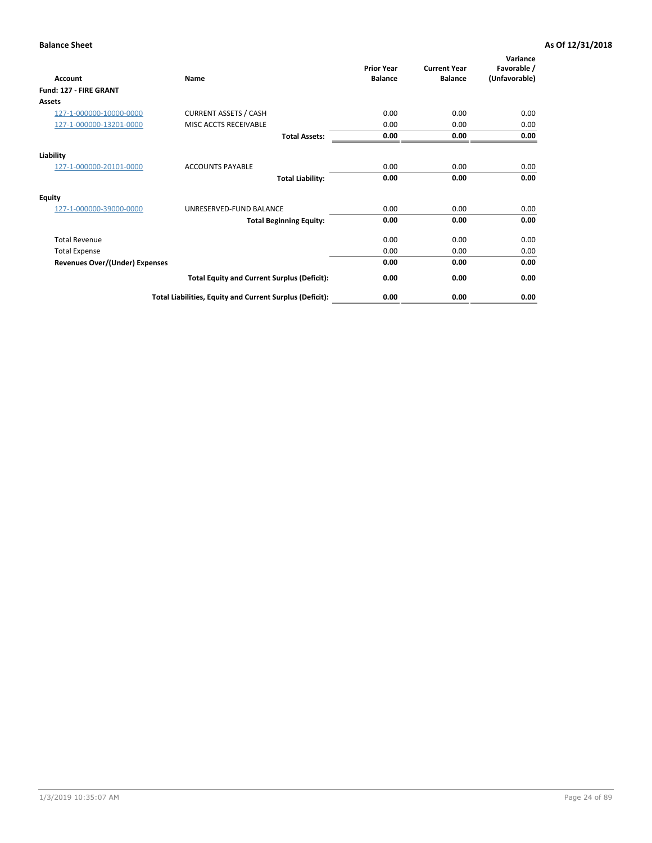| <b>Account</b>                        | Name                                                     | <b>Prior Year</b><br><b>Balance</b> | <b>Current Year</b><br><b>Balance</b> | Variance<br>Favorable /<br>(Unfavorable) |
|---------------------------------------|----------------------------------------------------------|-------------------------------------|---------------------------------------|------------------------------------------|
| Fund: 127 - FIRE GRANT                |                                                          |                                     |                                       |                                          |
| <b>Assets</b>                         |                                                          |                                     |                                       |                                          |
| 127-1-000000-10000-0000               | <b>CURRENT ASSETS / CASH</b>                             | 0.00                                | 0.00                                  | 0.00                                     |
| 127-1-000000-13201-0000               | MISC ACCTS RECEIVABLE                                    | 0.00                                | 0.00                                  | 0.00                                     |
|                                       | <b>Total Assets:</b>                                     | 0.00                                | 0.00                                  | 0.00                                     |
| Liability                             |                                                          |                                     |                                       |                                          |
| 127-1-000000-20101-0000               | <b>ACCOUNTS PAYABLE</b>                                  | 0.00                                | 0.00                                  | 0.00                                     |
|                                       | <b>Total Liability:</b>                                  | 0.00                                | 0.00                                  | 0.00                                     |
| Equity                                |                                                          |                                     |                                       |                                          |
| 127-1-000000-39000-0000               | UNRESERVED-FUND BALANCE                                  | 0.00                                | 0.00                                  | 0.00                                     |
|                                       | <b>Total Beginning Equity:</b>                           | 0.00                                | 0.00                                  | 0.00                                     |
| <b>Total Revenue</b>                  |                                                          | 0.00                                | 0.00                                  | 0.00                                     |
| <b>Total Expense</b>                  |                                                          | 0.00                                | 0.00                                  | 0.00                                     |
| <b>Revenues Over/(Under) Expenses</b> |                                                          | 0.00                                | 0.00                                  | 0.00                                     |
|                                       | <b>Total Equity and Current Surplus (Deficit):</b>       | 0.00                                | 0.00                                  | 0.00                                     |
|                                       | Total Liabilities, Equity and Current Surplus (Deficit): | 0.00                                | 0.00                                  | 0.00                                     |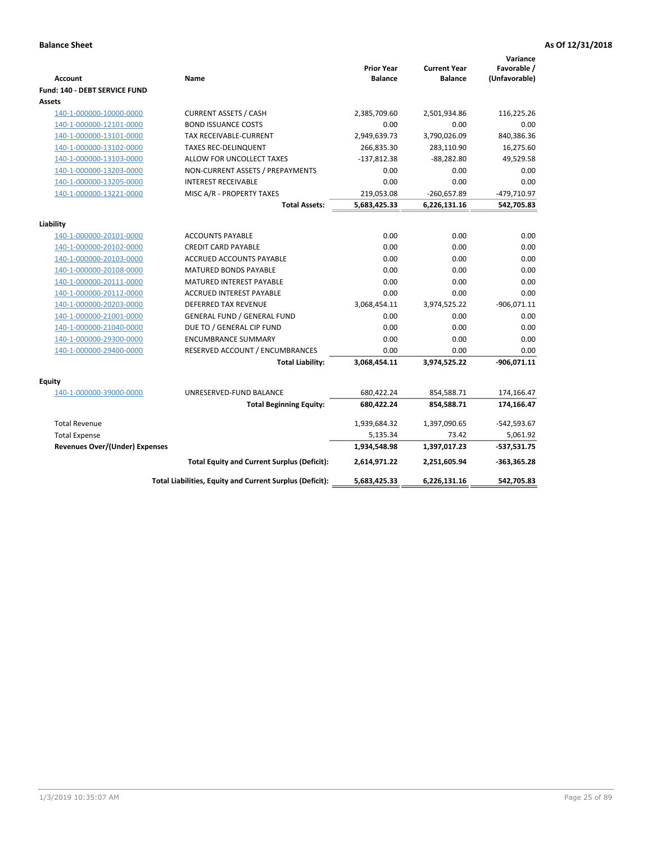| <b>Account</b>                        | Name                                                     | <b>Prior Year</b><br><b>Balance</b> | <b>Current Year</b><br><b>Balance</b> | Variance<br>Favorable /<br>(Unfavorable) |
|---------------------------------------|----------------------------------------------------------|-------------------------------------|---------------------------------------|------------------------------------------|
| Fund: 140 - DEBT SERVICE FUND         |                                                          |                                     |                                       |                                          |
| Assets                                |                                                          |                                     |                                       |                                          |
| 140-1-000000-10000-0000               | <b>CURRENT ASSETS / CASH</b>                             | 2,385,709.60                        | 2,501,934.86                          | 116,225.26                               |
| 140-1-000000-12101-0000               | <b>BOND ISSUANCE COSTS</b>                               | 0.00                                | 0.00                                  | 0.00                                     |
| 140-1-000000-13101-0000               | TAX RECEIVABLE-CURRENT                                   | 2,949,639.73                        | 3,790,026.09                          | 840,386.36                               |
| 140-1-000000-13102-0000               | <b>TAXES REC-DELINQUENT</b>                              | 266,835.30                          | 283,110.90                            | 16,275.60                                |
| 140-1-000000-13103-0000               | ALLOW FOR UNCOLLECT TAXES                                | $-137,812.38$                       | $-88,282.80$                          | 49,529.58                                |
| 140-1-000000-13203-0000               | NON-CURRENT ASSETS / PREPAYMENTS                         | 0.00                                | 0.00                                  | 0.00                                     |
| 140-1-000000-13205-0000               | <b>INTEREST RECEIVABLE</b>                               | 0.00                                | 0.00                                  | 0.00                                     |
| 140-1-000000-13221-0000               | MISC A/R - PROPERTY TAXES                                | 219,053.08                          | $-260,657.89$                         | -479,710.97                              |
|                                       | <b>Total Assets:</b>                                     | 5,683,425.33                        | 6,226,131.16                          | 542,705.83                               |
| Liability                             |                                                          |                                     |                                       |                                          |
| 140-1-000000-20101-0000               | <b>ACCOUNTS PAYABLE</b>                                  | 0.00                                | 0.00                                  | 0.00                                     |
| 140-1-000000-20102-0000               | <b>CREDIT CARD PAYABLE</b>                               | 0.00                                | 0.00                                  | 0.00                                     |
| 140-1-000000-20103-0000               | ACCRUED ACCOUNTS PAYABLE                                 | 0.00                                | 0.00                                  | 0.00                                     |
| 140-1-000000-20108-0000               | <b>MATURED BONDS PAYABLE</b>                             | 0.00                                | 0.00                                  | 0.00                                     |
| 140-1-000000-20111-0000               | MATURED INTEREST PAYABLE                                 | 0.00                                | 0.00                                  | 0.00                                     |
| 140-1-000000-20112-0000               | <b>ACCRUED INTEREST PAYABLE</b>                          | 0.00                                | 0.00                                  | 0.00                                     |
| 140-1-000000-20203-0000               | <b>DEFERRED TAX REVENUE</b>                              | 3,068,454.11                        | 3,974,525.22                          | $-906,071.11$                            |
| 140-1-000000-21001-0000               | <b>GENERAL FUND / GENERAL FUND</b>                       | 0.00                                | 0.00                                  | 0.00                                     |
| 140-1-000000-21040-0000               | DUE TO / GENERAL CIP FUND                                | 0.00                                | 0.00                                  | 0.00                                     |
| 140-1-000000-29300-0000               | <b>ENCUMBRANCE SUMMARY</b>                               | 0.00                                | 0.00                                  | 0.00                                     |
| 140-1-000000-29400-0000               | RESERVED ACCOUNT / ENCUMBRANCES                          | 0.00                                | 0.00                                  | 0.00                                     |
|                                       | <b>Total Liability:</b>                                  | 3,068,454.11                        | 3,974,525.22                          | $-906,071.11$                            |
| Equity                                |                                                          |                                     |                                       |                                          |
| 140-1-000000-39000-0000               | UNRESERVED-FUND BALANCE                                  | 680,422.24                          | 854,588.71                            | 174,166.47                               |
|                                       | <b>Total Beginning Equity:</b>                           | 680,422.24                          | 854,588.71                            | 174,166.47                               |
| <b>Total Revenue</b>                  |                                                          | 1,939,684.32                        | 1,397,090.65                          | $-542,593.67$                            |
| <b>Total Expense</b>                  |                                                          | 5,135.34                            | 73.42                                 | 5,061.92                                 |
| <b>Revenues Over/(Under) Expenses</b> |                                                          | 1,934,548.98                        | 1,397,017.23                          | $-537,531.75$                            |
|                                       | <b>Total Equity and Current Surplus (Deficit):</b>       | 2,614,971.22                        | 2,251,605.94                          | $-363,365.28$                            |
|                                       | Total Liabilities, Equity and Current Surplus (Deficit): | 5,683,425.33                        | 6,226,131.16                          | 542,705.83                               |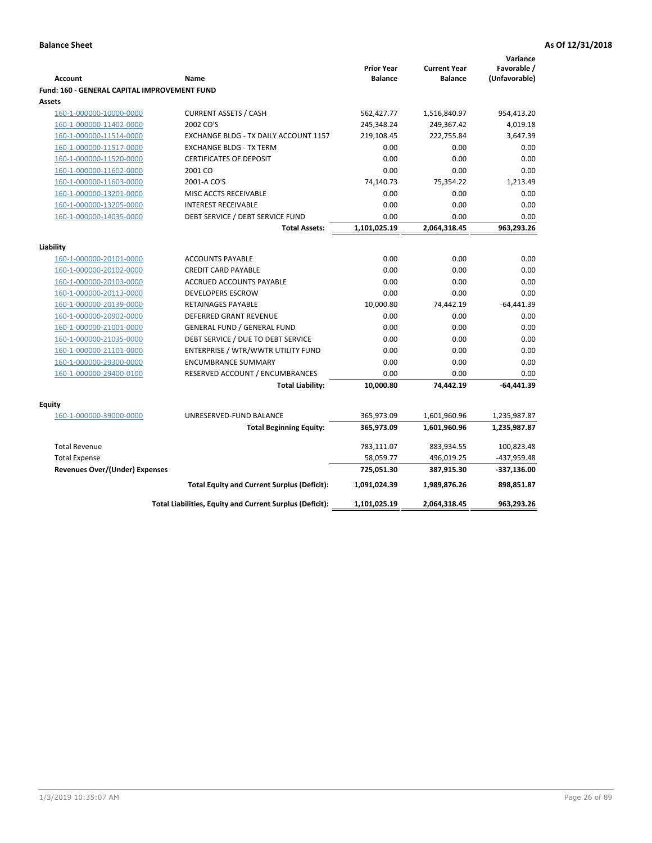|                                                     |                                                          |                   |                     | Variance      |
|-----------------------------------------------------|----------------------------------------------------------|-------------------|---------------------|---------------|
|                                                     |                                                          | <b>Prior Year</b> | <b>Current Year</b> | Favorable /   |
| <b>Account</b>                                      | Name                                                     | <b>Balance</b>    | <b>Balance</b>      | (Unfavorable) |
| <b>Fund: 160 - GENERAL CAPITAL IMPROVEMENT FUND</b> |                                                          |                   |                     |               |
| Assets                                              |                                                          |                   |                     |               |
| 160-1-000000-10000-0000                             | <b>CURRENT ASSETS / CASH</b>                             | 562,427.77        | 1,516,840.97        | 954,413.20    |
| 160-1-000000-11402-0000                             | 2002 CO'S                                                | 245,348.24        | 249,367.42          | 4,019.18      |
| 160-1-000000-11514-0000                             | EXCHANGE BLDG - TX DAILY ACCOUNT 1157                    | 219,108.45        | 222,755.84          | 3,647.39      |
| 160-1-000000-11517-0000                             | <b>EXCHANGE BLDG - TX TERM</b>                           | 0.00              | 0.00                | 0.00          |
| 160-1-000000-11520-0000                             | <b>CERTIFICATES OF DEPOSIT</b>                           | 0.00              | 0.00                | 0.00          |
| 160-1-000000-11602-0000                             | 2001 CO                                                  | 0.00              | 0.00                | 0.00          |
| 160-1-000000-11603-0000                             | 2001-A CO'S                                              | 74,140.73         | 75,354.22           | 1,213.49      |
| 160-1-000000-13201-0000                             | MISC ACCTS RECEIVABLE                                    | 0.00              | 0.00                | 0.00          |
| 160-1-000000-13205-0000                             | <b>INTEREST RECEIVABLE</b>                               | 0.00              | 0.00                | 0.00          |
| 160-1-000000-14035-0000                             | DEBT SERVICE / DEBT SERVICE FUND                         | 0.00              | 0.00                | 0.00          |
|                                                     | <b>Total Assets:</b>                                     | 1,101,025.19      | 2,064,318.45        | 963,293.26    |
| Liability                                           |                                                          |                   |                     |               |
| 160-1-000000-20101-0000                             | <b>ACCOUNTS PAYABLE</b>                                  | 0.00              | 0.00                | 0.00          |
| 160-1-000000-20102-0000                             | <b>CREDIT CARD PAYABLE</b>                               | 0.00              | 0.00                | 0.00          |
| 160-1-000000-20103-0000                             | ACCRUED ACCOUNTS PAYABLE                                 | 0.00              | 0.00                | 0.00          |
| 160-1-000000-20113-0000                             | <b>DEVELOPERS ESCROW</b>                                 | 0.00              | 0.00                | 0.00          |
| 160-1-000000-20139-0000                             | <b>RETAINAGES PAYABLE</b>                                | 10,000.80         | 74,442.19           | $-64,441.39$  |
| 160-1-000000-20902-0000                             | <b>DEFERRED GRANT REVENUE</b>                            | 0.00              | 0.00                | 0.00          |
| 160-1-000000-21001-0000                             | <b>GENERAL FUND / GENERAL FUND</b>                       | 0.00              | 0.00                | 0.00          |
| 160-1-000000-21035-0000                             | DEBT SERVICE / DUE TO DEBT SERVICE                       | 0.00              | 0.00                | 0.00          |
| 160-1-000000-21101-0000                             | ENTERPRISE / WTR/WWTR UTILITY FUND                       | 0.00              | 0.00                | 0.00          |
| 160-1-000000-29300-0000                             | <b>ENCUMBRANCE SUMMARY</b>                               | 0.00              | 0.00                | 0.00          |
| 160-1-000000-29400-0100                             | RESERVED ACCOUNT / ENCUMBRANCES                          | 0.00              | 0.00                | 0.00          |
|                                                     | <b>Total Liability:</b>                                  | 10,000.80         | 74,442.19           | $-64,441.39$  |
|                                                     |                                                          |                   |                     |               |
| <b>Equity</b>                                       |                                                          |                   |                     |               |
| 160-1-000000-39000-0000                             | UNRESERVED-FUND BALANCE                                  | 365,973.09        | 1,601,960.96        | 1,235,987.87  |
|                                                     | <b>Total Beginning Equity:</b>                           | 365,973.09        | 1,601,960.96        | 1,235,987.87  |
| <b>Total Revenue</b>                                |                                                          | 783,111.07        | 883,934.55          | 100,823.48    |
| <b>Total Expense</b>                                |                                                          | 58,059.77         | 496,019.25          | -437,959.48   |
| <b>Revenues Over/(Under) Expenses</b>               |                                                          | 725,051.30        | 387,915.30          | -337,136.00   |
|                                                     | <b>Total Equity and Current Surplus (Deficit):</b>       | 1,091,024.39      | 1,989,876.26        | 898,851.87    |
|                                                     | Total Liabilities, Equity and Current Surplus (Deficit): | 1,101,025.19      | 2,064,318.45        | 963,293.26    |
|                                                     |                                                          |                   |                     |               |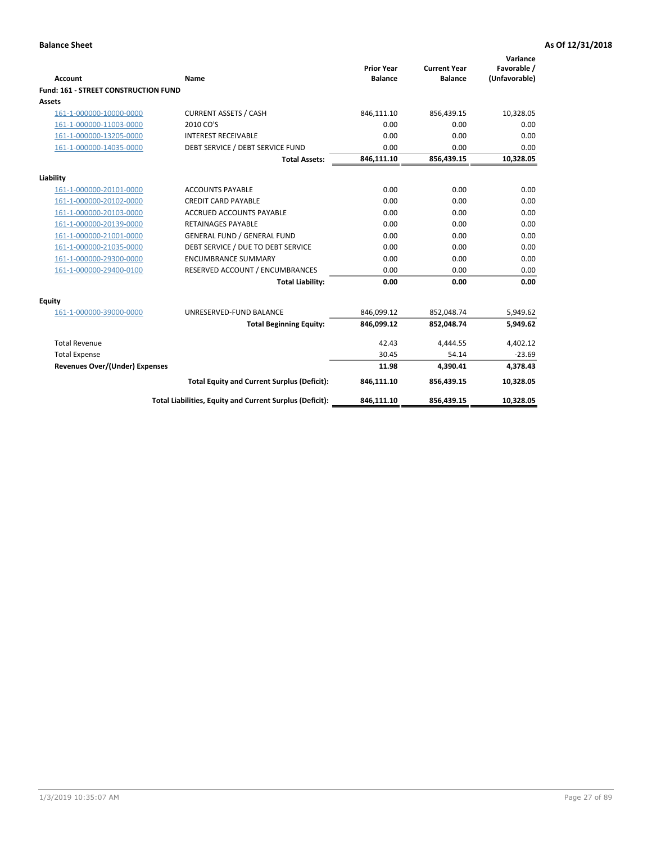| <b>Account</b>                       | Name                                                     | <b>Prior Year</b><br><b>Balance</b> | <b>Current Year</b><br><b>Balance</b> | Variance<br>Favorable /<br>(Unfavorable) |
|--------------------------------------|----------------------------------------------------------|-------------------------------------|---------------------------------------|------------------------------------------|
| Fund: 161 - STREET CONSTRUCTION FUND |                                                          |                                     |                                       |                                          |
| <b>Assets</b>                        |                                                          |                                     |                                       |                                          |
| 161-1-000000-10000-0000              | <b>CURRENT ASSETS / CASH</b>                             | 846,111.10                          | 856,439.15                            | 10,328.05                                |
| 161-1-000000-11003-0000              | 2010 CO'S                                                | 0.00                                | 0.00                                  | 0.00                                     |
| 161-1-000000-13205-0000              | <b>INTEREST RECEIVABLE</b>                               | 0.00                                | 0.00                                  | 0.00                                     |
| 161-1-000000-14035-0000              | DEBT SERVICE / DEBT SERVICE FUND                         | 0.00                                | 0.00                                  | 0.00                                     |
|                                      | <b>Total Assets:</b>                                     | 846,111.10                          | 856,439.15                            | 10,328.05                                |
| Liability                            |                                                          |                                     |                                       |                                          |
| 161-1-000000-20101-0000              | <b>ACCOUNTS PAYABLE</b>                                  | 0.00                                | 0.00                                  | 0.00                                     |
| 161-1-000000-20102-0000              | <b>CREDIT CARD PAYABLE</b>                               | 0.00                                | 0.00                                  | 0.00                                     |
| 161-1-000000-20103-0000              | <b>ACCRUED ACCOUNTS PAYABLE</b>                          | 0.00                                | 0.00                                  | 0.00                                     |
| 161-1-000000-20139-0000              | <b>RETAINAGES PAYABLE</b>                                | 0.00                                | 0.00                                  | 0.00                                     |
| 161-1-000000-21001-0000              | <b>GENERAL FUND / GENERAL FUND</b>                       | 0.00                                | 0.00                                  | 0.00                                     |
| 161-1-000000-21035-0000              | DEBT SERVICE / DUE TO DEBT SERVICE                       | 0.00                                | 0.00                                  | 0.00                                     |
| 161-1-000000-29300-0000              | <b>ENCUMBRANCE SUMMARY</b>                               | 0.00                                | 0.00                                  | 0.00                                     |
| 161-1-000000-29400-0100              | RESERVED ACCOUNT / ENCUMBRANCES                          | 0.00                                | 0.00                                  | 0.00                                     |
|                                      | <b>Total Liability:</b>                                  | 0.00                                | 0.00                                  | 0.00                                     |
| Equity                               |                                                          |                                     |                                       |                                          |
| 161-1-000000-39000-0000              | UNRESERVED-FUND BALANCE                                  | 846,099.12                          | 852,048.74                            | 5,949.62                                 |
|                                      | <b>Total Beginning Equity:</b>                           | 846,099.12                          | 852,048.74                            | 5,949.62                                 |
| <b>Total Revenue</b>                 |                                                          | 42.43                               | 4.444.55                              | 4,402.12                                 |
| <b>Total Expense</b>                 |                                                          | 30.45                               | 54.14                                 | $-23.69$                                 |
| Revenues Over/(Under) Expenses       |                                                          | 11.98                               | 4,390.41                              | 4,378.43                                 |
|                                      | <b>Total Equity and Current Surplus (Deficit):</b>       | 846,111.10                          | 856,439.15                            | 10,328.05                                |
|                                      | Total Liabilities, Equity and Current Surplus (Deficit): | 846,111.10                          | 856,439.15                            | 10,328.05                                |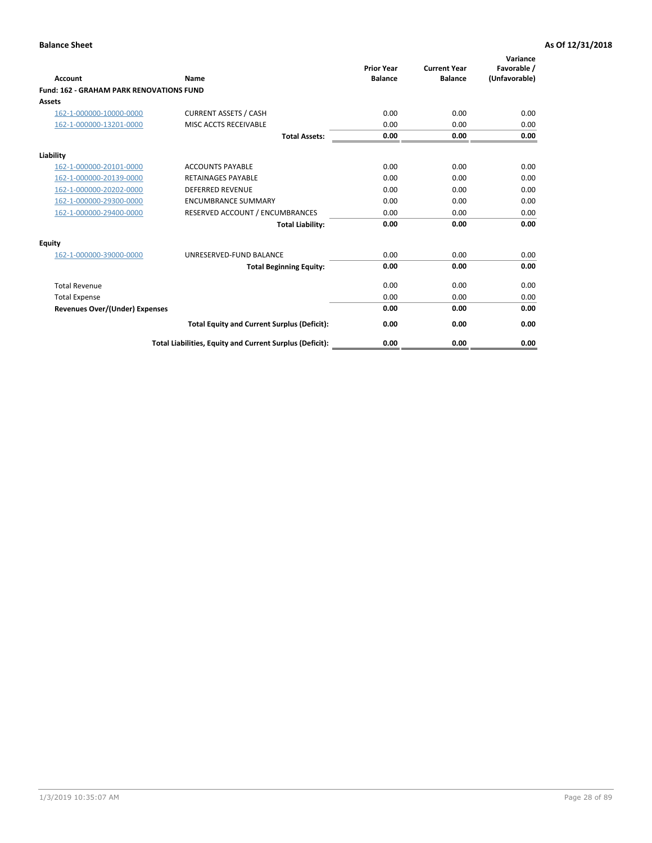|                                                 |                                                          | <b>Prior Year</b><br><b>Balance</b> | <b>Current Year</b> | Variance<br>Favorable / |
|-------------------------------------------------|----------------------------------------------------------|-------------------------------------|---------------------|-------------------------|
| <b>Account</b>                                  | Name                                                     |                                     | <b>Balance</b>      | (Unfavorable)           |
| <b>Fund: 162 - GRAHAM PARK RENOVATIONS FUND</b> |                                                          |                                     |                     |                         |
| <b>Assets</b>                                   |                                                          |                                     |                     |                         |
| 162-1-000000-10000-0000                         | <b>CURRENT ASSETS / CASH</b>                             | 0.00                                | 0.00                | 0.00                    |
| 162-1-000000-13201-0000                         | MISC ACCTS RECEIVABLE                                    | 0.00                                | 0.00                | 0.00                    |
|                                                 | <b>Total Assets:</b>                                     | 0.00                                | 0.00                | 0.00                    |
| Liability                                       |                                                          |                                     |                     |                         |
| 162-1-000000-20101-0000                         | <b>ACCOUNTS PAYABLE</b>                                  | 0.00                                | 0.00                | 0.00                    |
| 162-1-000000-20139-0000                         | <b>RETAINAGES PAYABLE</b>                                | 0.00                                | 0.00                | 0.00                    |
| 162-1-000000-20202-0000                         | <b>DEFERRED REVENUE</b>                                  | 0.00                                | 0.00                | 0.00                    |
| 162-1-000000-29300-0000                         | <b>ENCUMBRANCE SUMMARY</b>                               | 0.00                                | 0.00                | 0.00                    |
| 162-1-000000-29400-0000                         | RESERVED ACCOUNT / ENCUMBRANCES                          | 0.00                                | 0.00                | 0.00                    |
|                                                 | <b>Total Liability:</b>                                  | 0.00                                | 0.00                | 0.00                    |
| Equity                                          |                                                          |                                     |                     |                         |
| 162-1-000000-39000-0000                         | UNRESERVED-FUND BALANCE                                  | 0.00                                | 0.00                | 0.00                    |
|                                                 | <b>Total Beginning Equity:</b>                           | 0.00                                | 0.00                | 0.00                    |
| <b>Total Revenue</b>                            |                                                          | 0.00                                | 0.00                | 0.00                    |
| <b>Total Expense</b>                            |                                                          | 0.00                                | 0.00                | 0.00                    |
| Revenues Over/(Under) Expenses                  |                                                          | 0.00                                | 0.00                | 0.00                    |
|                                                 | <b>Total Equity and Current Surplus (Deficit):</b>       | 0.00                                | 0.00                | 0.00                    |
|                                                 | Total Liabilities, Equity and Current Surplus (Deficit): | 0.00                                | 0.00                | 0.00                    |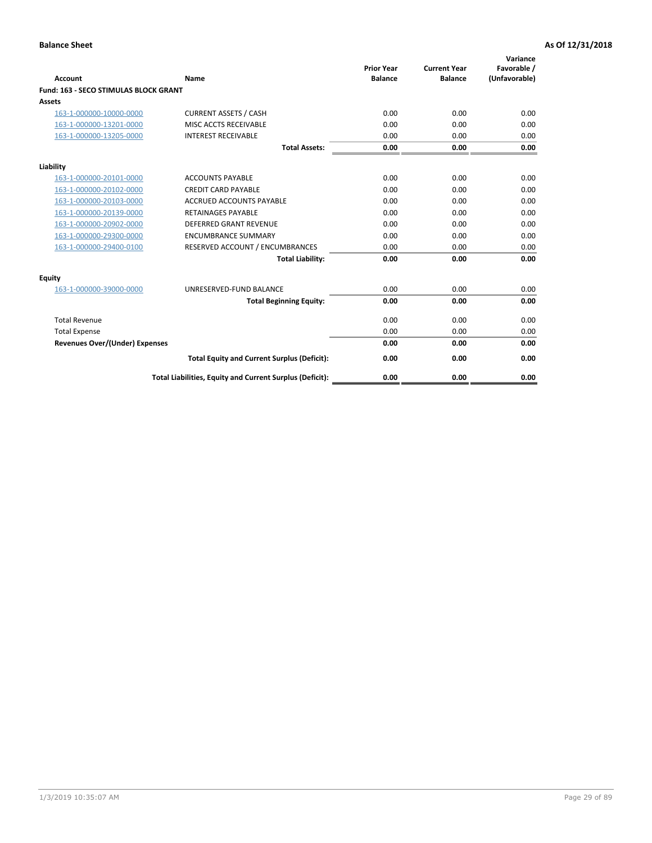|                                              |                                                          | <b>Prior Year</b> | <b>Current Year</b> | Variance<br>Favorable / |
|----------------------------------------------|----------------------------------------------------------|-------------------|---------------------|-------------------------|
| <b>Account</b>                               | Name                                                     | <b>Balance</b>    | <b>Balance</b>      | (Unfavorable)           |
| <b>Fund: 163 - SECO STIMULAS BLOCK GRANT</b> |                                                          |                   |                     |                         |
| Assets                                       |                                                          |                   |                     |                         |
| 163-1-000000-10000-0000                      | <b>CURRENT ASSETS / CASH</b>                             | 0.00              | 0.00                | 0.00                    |
| 163-1-000000-13201-0000                      | MISC ACCTS RECEIVABLE                                    | 0.00              | 0.00                | 0.00                    |
| 163-1-000000-13205-0000                      | <b>INTEREST RECEIVABLE</b>                               | 0.00              | 0.00                | 0.00                    |
|                                              | <b>Total Assets:</b>                                     | 0.00              | 0.00                | 0.00                    |
| Liability                                    |                                                          |                   |                     |                         |
| 163-1-000000-20101-0000                      | <b>ACCOUNTS PAYABLE</b>                                  | 0.00              | 0.00                | 0.00                    |
| 163-1-000000-20102-0000                      | <b>CREDIT CARD PAYABLE</b>                               | 0.00              | 0.00                | 0.00                    |
| 163-1-000000-20103-0000                      | <b>ACCRUED ACCOUNTS PAYABLE</b>                          | 0.00              | 0.00                | 0.00                    |
| 163-1-000000-20139-0000                      | <b>RETAINAGES PAYABLE</b>                                | 0.00              | 0.00                | 0.00                    |
| 163-1-000000-20902-0000                      | <b>DEFERRED GRANT REVENUE</b>                            | 0.00              | 0.00                | 0.00                    |
| 163-1-000000-29300-0000                      | <b>ENCUMBRANCE SUMMARY</b>                               | 0.00              | 0.00                | 0.00                    |
| 163-1-000000-29400-0100                      | RESERVED ACCOUNT / ENCUMBRANCES                          | 0.00              | 0.00                | 0.00                    |
|                                              | <b>Total Liability:</b>                                  | 0.00              | 0.00                | 0.00                    |
| <b>Equity</b>                                |                                                          |                   |                     |                         |
| 163-1-000000-39000-0000                      | UNRESERVED-FUND BALANCE                                  | 0.00              | 0.00                | 0.00                    |
|                                              | <b>Total Beginning Equity:</b>                           | 0.00              | 0.00                | 0.00                    |
| <b>Total Revenue</b>                         |                                                          | 0.00              | 0.00                | 0.00                    |
| <b>Total Expense</b>                         |                                                          | 0.00              | 0.00                | 0.00                    |
| Revenues Over/(Under) Expenses               |                                                          | 0.00              | 0.00                | 0.00                    |
|                                              | <b>Total Equity and Current Surplus (Deficit):</b>       | 0.00              | 0.00                | 0.00                    |
|                                              | Total Liabilities, Equity and Current Surplus (Deficit): | 0.00              | 0.00                | 0.00                    |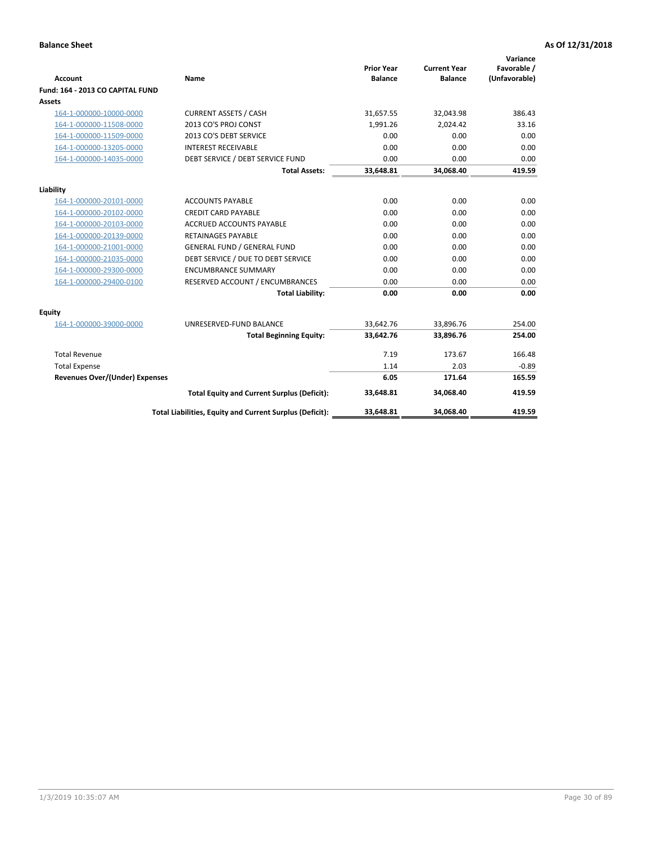| <b>Account</b>                        | <b>Name</b>                                              | <b>Prior Year</b><br><b>Balance</b> | <b>Current Year</b><br><b>Balance</b> | Variance<br>Favorable /<br>(Unfavorable) |
|---------------------------------------|----------------------------------------------------------|-------------------------------------|---------------------------------------|------------------------------------------|
| Fund: 164 - 2013 CO CAPITAL FUND      |                                                          |                                     |                                       |                                          |
| Assets                                |                                                          |                                     |                                       |                                          |
| 164-1-000000-10000-0000               | <b>CURRENT ASSETS / CASH</b>                             | 31,657.55                           | 32,043.98                             | 386.43                                   |
| 164-1-000000-11508-0000               | 2013 CO'S PROJ CONST                                     | 1,991.26                            | 2,024.42                              | 33.16                                    |
| 164-1-000000-11509-0000               | 2013 CO'S DEBT SERVICE                                   | 0.00                                | 0.00                                  | 0.00                                     |
| 164-1-000000-13205-0000               | <b>INTEREST RECEIVABLE</b>                               | 0.00                                | 0.00                                  | 0.00                                     |
| 164-1-000000-14035-0000               | DEBT SERVICE / DEBT SERVICE FUND                         | 0.00                                | 0.00                                  | 0.00                                     |
|                                       | <b>Total Assets:</b>                                     | 33,648.81                           | 34,068.40                             | 419.59                                   |
| Liability                             |                                                          |                                     |                                       |                                          |
| 164-1-000000-20101-0000               | <b>ACCOUNTS PAYABLE</b>                                  | 0.00                                | 0.00                                  | 0.00                                     |
| 164-1-000000-20102-0000               | <b>CREDIT CARD PAYABLE</b>                               | 0.00                                | 0.00                                  | 0.00                                     |
| 164-1-000000-20103-0000               | <b>ACCRUED ACCOUNTS PAYABLE</b>                          | 0.00                                | 0.00                                  | 0.00                                     |
| 164-1-000000-20139-0000               | <b>RETAINAGES PAYABLE</b>                                | 0.00                                | 0.00                                  | 0.00                                     |
| 164-1-000000-21001-0000               | <b>GENERAL FUND / GENERAL FUND</b>                       | 0.00                                | 0.00                                  | 0.00                                     |
| 164-1-000000-21035-0000               | DEBT SERVICE / DUE TO DEBT SERVICE                       | 0.00                                | 0.00                                  | 0.00                                     |
| 164-1-000000-29300-0000               | <b>ENCUMBRANCE SUMMARY</b>                               | 0.00                                | 0.00                                  | 0.00                                     |
| 164-1-000000-29400-0100               | RESERVED ACCOUNT / ENCUMBRANCES                          | 0.00                                | 0.00                                  | 0.00                                     |
|                                       | <b>Total Liability:</b>                                  | 0.00                                | 0.00                                  | 0.00                                     |
| Equity                                |                                                          |                                     |                                       |                                          |
| 164-1-000000-39000-0000               | UNRESERVED-FUND BALANCE                                  | 33,642.76                           | 33,896.76                             | 254.00                                   |
|                                       | <b>Total Beginning Equity:</b>                           | 33,642.76                           | 33,896.76                             | 254.00                                   |
| <b>Total Revenue</b>                  |                                                          | 7.19                                | 173.67                                | 166.48                                   |
| <b>Total Expense</b>                  |                                                          | 1.14                                | 2.03                                  | $-0.89$                                  |
| <b>Revenues Over/(Under) Expenses</b> |                                                          | 6.05                                | 171.64                                | 165.59                                   |
|                                       | <b>Total Equity and Current Surplus (Deficit):</b>       | 33,648.81                           | 34,068.40                             | 419.59                                   |
|                                       | Total Liabilities, Equity and Current Surplus (Deficit): | 33,648.81                           | 34,068.40                             | 419.59                                   |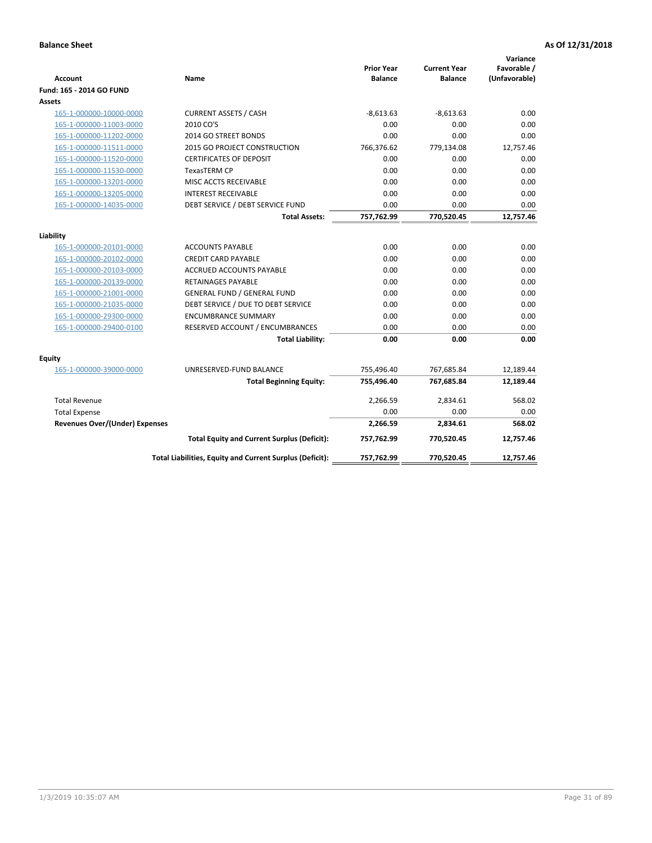| <b>Account</b>                        | Name                                                     | <b>Prior Year</b><br><b>Balance</b> | <b>Current Year</b><br><b>Balance</b> | Variance<br>Favorable /<br>(Unfavorable) |
|---------------------------------------|----------------------------------------------------------|-------------------------------------|---------------------------------------|------------------------------------------|
| Fund: 165 - 2014 GO FUND              |                                                          |                                     |                                       |                                          |
| Assets                                |                                                          |                                     |                                       |                                          |
| 165-1-000000-10000-0000               | <b>CURRENT ASSETS / CASH</b>                             | $-8,613.63$                         | $-8,613.63$                           | 0.00                                     |
| 165-1-000000-11003-0000               | 2010 CO'S                                                | 0.00                                | 0.00                                  | 0.00                                     |
| 165-1-000000-11202-0000               | 2014 GO STREET BONDS                                     | 0.00                                | 0.00                                  | 0.00                                     |
| 165-1-000000-11511-0000               | 2015 GO PROJECT CONSTRUCTION                             | 766,376.62                          | 779,134.08                            | 12,757.46                                |
| 165-1-000000-11520-0000               | <b>CERTIFICATES OF DEPOSIT</b>                           | 0.00                                | 0.00                                  | 0.00                                     |
| 165-1-000000-11530-0000               | <b>TexasTERM CP</b>                                      | 0.00                                | 0.00                                  | 0.00                                     |
| 165-1-000000-13201-0000               | MISC ACCTS RECEIVABLE                                    | 0.00                                | 0.00                                  | 0.00                                     |
| 165-1-000000-13205-0000               | <b>INTEREST RECEIVABLE</b>                               | 0.00                                | 0.00                                  | 0.00                                     |
| 165-1-000000-14035-0000               | DEBT SERVICE / DEBT SERVICE FUND                         | 0.00                                | 0.00                                  | 0.00                                     |
|                                       | <b>Total Assets:</b>                                     | 757,762.99                          | 770,520.45                            | 12,757.46                                |
| Liability                             |                                                          |                                     |                                       |                                          |
| 165-1-000000-20101-0000               | <b>ACCOUNTS PAYABLE</b>                                  | 0.00                                | 0.00                                  | 0.00                                     |
| 165-1-000000-20102-0000               | <b>CREDIT CARD PAYABLE</b>                               | 0.00                                | 0.00                                  | 0.00                                     |
| 165-1-000000-20103-0000               | <b>ACCRUED ACCOUNTS PAYABLE</b>                          | 0.00                                | 0.00                                  | 0.00                                     |
| 165-1-000000-20139-0000               | <b>RETAINAGES PAYABLE</b>                                | 0.00                                | 0.00                                  | 0.00                                     |
| 165-1-000000-21001-0000               | <b>GENERAL FUND / GENERAL FUND</b>                       | 0.00                                | 0.00                                  | 0.00                                     |
| 165-1-000000-21035-0000               | DEBT SERVICE / DUE TO DEBT SERVICE                       | 0.00                                | 0.00                                  | 0.00                                     |
| 165-1-000000-29300-0000               | <b>ENCUMBRANCE SUMMARY</b>                               | 0.00                                | 0.00                                  | 0.00                                     |
| 165-1-000000-29400-0100               | RESERVED ACCOUNT / ENCUMBRANCES                          | 0.00                                | 0.00                                  | 0.00                                     |
|                                       | <b>Total Liability:</b>                                  | 0.00                                | 0.00                                  | 0.00                                     |
| Equity                                |                                                          |                                     |                                       |                                          |
| 165-1-000000-39000-0000               | UNRESERVED-FUND BALANCE                                  | 755,496.40                          | 767,685.84                            | 12,189.44                                |
|                                       | <b>Total Beginning Equity:</b>                           | 755,496.40                          | 767,685.84                            | 12,189.44                                |
| <b>Total Revenue</b>                  |                                                          | 2,266.59                            | 2,834.61                              | 568.02                                   |
| <b>Total Expense</b>                  |                                                          | 0.00                                | 0.00                                  | 0.00                                     |
| <b>Revenues Over/(Under) Expenses</b> |                                                          | 2,266.59                            | 2,834.61                              | 568.02                                   |
|                                       | <b>Total Equity and Current Surplus (Deficit):</b>       | 757,762.99                          | 770,520.45                            | 12,757.46                                |
|                                       | Total Liabilities, Equity and Current Surplus (Deficit): | 757,762.99                          | 770,520.45                            | 12.757.46                                |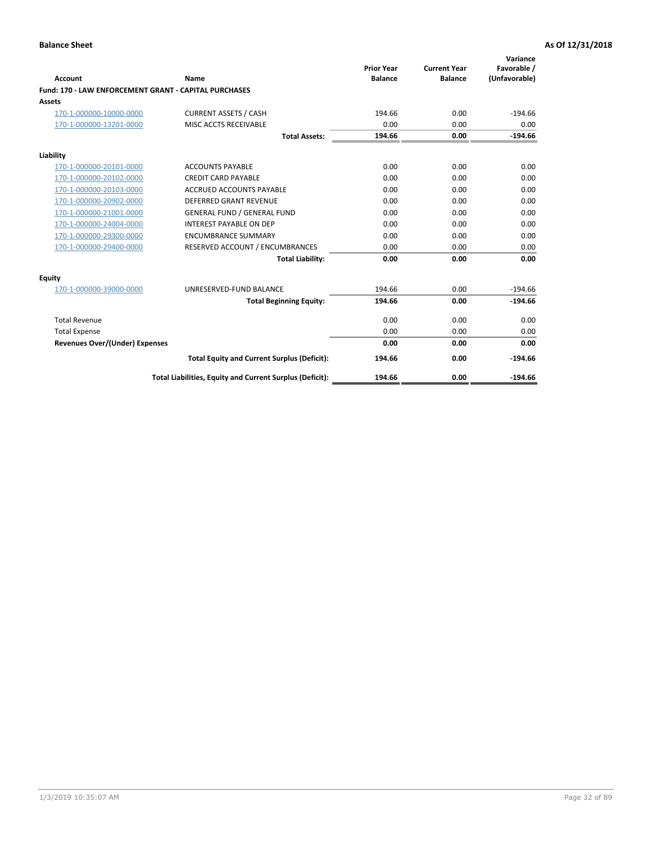|                                                       |                                                          | <b>Prior Year</b> | <b>Current Year</b> | Variance<br>Favorable / |
|-------------------------------------------------------|----------------------------------------------------------|-------------------|---------------------|-------------------------|
| Account                                               | Name                                                     | <b>Balance</b>    | <b>Balance</b>      | (Unfavorable)           |
| Fund: 170 - LAW ENFORCEMENT GRANT - CAPITAL PURCHASES |                                                          |                   |                     |                         |
| <b>Assets</b>                                         |                                                          |                   |                     |                         |
| 170-1-000000-10000-0000                               | <b>CURRENT ASSETS / CASH</b>                             | 194.66            | 0.00                | $-194.66$               |
| 170-1-000000-13201-0000                               | MISC ACCTS RECEIVABLE                                    | 0.00              | 0.00                | 0.00                    |
|                                                       | <b>Total Assets:</b>                                     | 194.66            | 0.00                | $-194.66$               |
| Liability                                             |                                                          |                   |                     |                         |
| 170-1-000000-20101-0000                               | <b>ACCOUNTS PAYABLE</b>                                  | 0.00              | 0.00                | 0.00                    |
| 170-1-000000-20102-0000                               | <b>CREDIT CARD PAYABLE</b>                               | 0.00              | 0.00                | 0.00                    |
| 170-1-000000-20103-0000                               | <b>ACCRUED ACCOUNTS PAYABLE</b>                          | 0.00              | 0.00                | 0.00                    |
| 170-1-000000-20902-0000                               | <b>DEFERRED GRANT REVENUE</b>                            | 0.00              | 0.00                | 0.00                    |
| 170-1-000000-21001-0000                               | <b>GENERAL FUND / GENERAL FUND</b>                       | 0.00              | 0.00                | 0.00                    |
| 170-1-000000-24004-0000                               | <b>INTEREST PAYABLE ON DEP</b>                           | 0.00              | 0.00                | 0.00                    |
| 170-1-000000-29300-0000                               | <b>ENCUMBRANCE SUMMARY</b>                               | 0.00              | 0.00                | 0.00                    |
| 170-1-000000-29400-0000                               | RESERVED ACCOUNT / ENCUMBRANCES                          | 0.00              | 0.00                | 0.00                    |
|                                                       | <b>Total Liability:</b>                                  | 0.00              | 0.00                | 0.00                    |
| <b>Equity</b>                                         |                                                          |                   |                     |                         |
| 170-1-000000-39000-0000                               | UNRESERVED-FUND BALANCE                                  | 194.66            | 0.00                | $-194.66$               |
|                                                       | <b>Total Beginning Equity:</b>                           | 194.66            | 0.00                | $-194.66$               |
| <b>Total Revenue</b>                                  |                                                          | 0.00              | 0.00                | 0.00                    |
| <b>Total Expense</b>                                  |                                                          | 0.00              | 0.00                | 0.00                    |
| <b>Revenues Over/(Under) Expenses</b>                 |                                                          | 0.00              | 0.00                | 0.00                    |
|                                                       | <b>Total Equity and Current Surplus (Deficit):</b>       | 194.66            | 0.00                | $-194.66$               |
|                                                       | Total Liabilities, Equity and Current Surplus (Deficit): | 194.66            | 0.00                | $-194.66$               |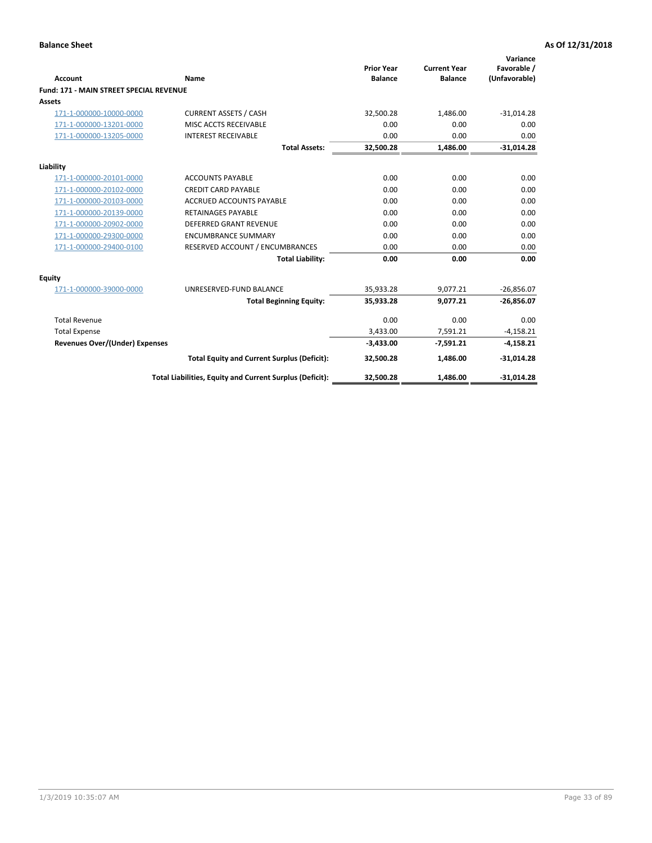|                                                |                                                          | <b>Prior Year</b> | <b>Current Year</b> | Variance<br>Favorable / |
|------------------------------------------------|----------------------------------------------------------|-------------------|---------------------|-------------------------|
| <b>Account</b>                                 | Name                                                     | <b>Balance</b>    | <b>Balance</b>      | (Unfavorable)           |
| <b>Fund: 171 - MAIN STREET SPECIAL REVENUE</b> |                                                          |                   |                     |                         |
| <b>Assets</b>                                  |                                                          |                   |                     |                         |
| 171-1-000000-10000-0000                        | <b>CURRENT ASSETS / CASH</b>                             | 32,500.28         | 1,486.00            | $-31,014.28$            |
| 171-1-000000-13201-0000                        | MISC ACCTS RECEIVABLE                                    | 0.00              | 0.00                | 0.00                    |
| 171-1-000000-13205-0000                        | <b>INTEREST RECEIVABLE</b>                               | 0.00              | 0.00                | 0.00                    |
|                                                | <b>Total Assets:</b>                                     | 32.500.28         | 1.486.00            | $-31,014.28$            |
| Liability                                      |                                                          |                   |                     |                         |
| 171-1-000000-20101-0000                        | <b>ACCOUNTS PAYABLE</b>                                  | 0.00              | 0.00                | 0.00                    |
| 171-1-000000-20102-0000                        | <b>CREDIT CARD PAYABLE</b>                               | 0.00              | 0.00                | 0.00                    |
| 171-1-000000-20103-0000                        | <b>ACCRUED ACCOUNTS PAYABLE</b>                          | 0.00              | 0.00                | 0.00                    |
| 171-1-000000-20139-0000                        | <b>RETAINAGES PAYABLE</b>                                | 0.00              | 0.00                | 0.00                    |
| 171-1-000000-20902-0000                        | DEFERRED GRANT REVENUE                                   | 0.00              | 0.00                | 0.00                    |
| 171-1-000000-29300-0000                        | <b>ENCUMBRANCE SUMMARY</b>                               | 0.00              | 0.00                | 0.00                    |
| 171-1-000000-29400-0100                        | RESERVED ACCOUNT / ENCUMBRANCES                          | 0.00              | 0.00                | 0.00                    |
|                                                | <b>Total Liability:</b>                                  | 0.00              | 0.00                | 0.00                    |
| <b>Equity</b>                                  |                                                          |                   |                     |                         |
| 171-1-000000-39000-0000                        | UNRESERVED-FUND BALANCE                                  | 35,933.28         | 9,077.21            | $-26,856.07$            |
|                                                | <b>Total Beginning Equity:</b>                           | 35,933.28         | 9.077.21            | $-26,856.07$            |
| <b>Total Revenue</b>                           |                                                          | 0.00              | 0.00                | 0.00                    |
| <b>Total Expense</b>                           |                                                          | 3,433.00          | 7,591.21            | $-4,158.21$             |
| <b>Revenues Over/(Under) Expenses</b>          |                                                          | $-3,433.00$       | $-7,591.21$         | $-4,158.21$             |
|                                                | <b>Total Equity and Current Surplus (Deficit):</b>       | 32,500.28         | 1,486.00            | $-31,014.28$            |
|                                                | Total Liabilities, Equity and Current Surplus (Deficit): | 32,500.28         | 1,486.00            | $-31,014.28$            |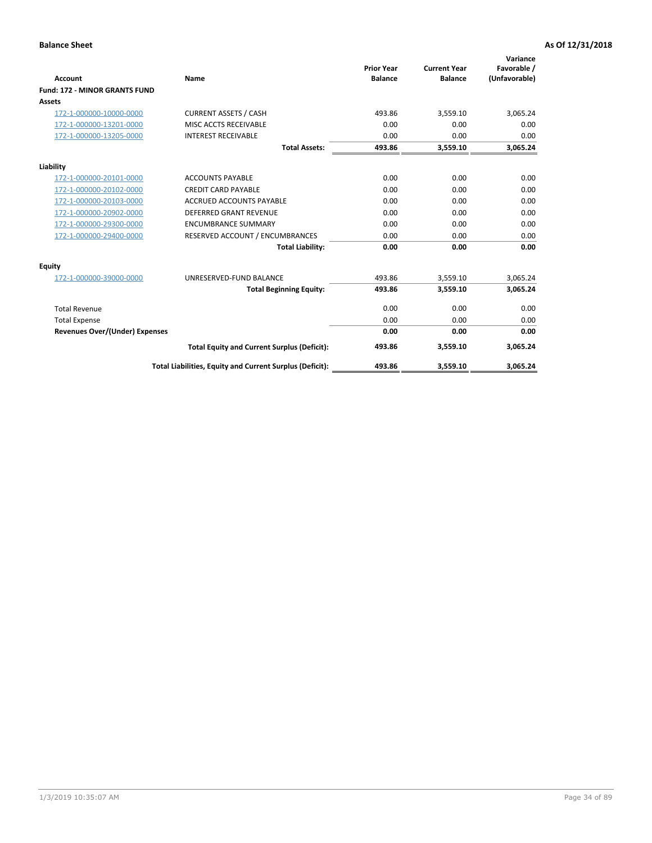|                                      |                                                          |                                     |                                       | Variance                     |
|--------------------------------------|----------------------------------------------------------|-------------------------------------|---------------------------------------|------------------------------|
| <b>Account</b>                       | Name                                                     | <b>Prior Year</b><br><b>Balance</b> | <b>Current Year</b><br><b>Balance</b> | Favorable /<br>(Unfavorable) |
| <b>Fund: 172 - MINOR GRANTS FUND</b> |                                                          |                                     |                                       |                              |
| <b>Assets</b>                        |                                                          |                                     |                                       |                              |
| 172-1-000000-10000-0000              | <b>CURRENT ASSETS / CASH</b>                             | 493.86                              | 3,559.10                              | 3,065.24                     |
| 172-1-000000-13201-0000              | MISC ACCTS RECEIVABLE                                    | 0.00                                | 0.00                                  | 0.00                         |
| 172-1-000000-13205-0000              | <b>INTEREST RECEIVABLE</b>                               | 0.00                                | 0.00                                  | 0.00                         |
|                                      | <b>Total Assets:</b>                                     | 493.86                              | 3,559.10                              | 3,065.24                     |
| Liability                            |                                                          |                                     |                                       |                              |
| 172-1-000000-20101-0000              | <b>ACCOUNTS PAYABLE</b>                                  | 0.00                                | 0.00                                  | 0.00                         |
| 172-1-000000-20102-0000              | <b>CREDIT CARD PAYABLE</b>                               | 0.00                                | 0.00                                  | 0.00                         |
| 172-1-000000-20103-0000              | <b>ACCRUED ACCOUNTS PAYABLE</b>                          | 0.00                                | 0.00                                  | 0.00                         |
| 172-1-000000-20902-0000              | DEFERRED GRANT REVENUE                                   | 0.00                                | 0.00                                  | 0.00                         |
| 172-1-000000-29300-0000              | <b>ENCUMBRANCE SUMMARY</b>                               | 0.00                                | 0.00                                  | 0.00                         |
| 172-1-000000-29400-0000              | RESERVED ACCOUNT / ENCUMBRANCES                          | 0.00                                | 0.00                                  | 0.00                         |
|                                      | <b>Total Liability:</b>                                  | 0.00                                | 0.00                                  | 0.00                         |
| Equity                               |                                                          |                                     |                                       |                              |
| 172-1-000000-39000-0000              | UNRESERVED-FUND BALANCE                                  | 493.86                              | 3,559.10                              | 3,065.24                     |
|                                      | <b>Total Beginning Equity:</b>                           | 493.86                              | 3,559.10                              | 3,065.24                     |
| <b>Total Revenue</b>                 |                                                          | 0.00                                | 0.00                                  | 0.00                         |
| <b>Total Expense</b>                 |                                                          | 0.00                                | 0.00                                  | 0.00                         |
| Revenues Over/(Under) Expenses       |                                                          | 0.00                                | 0.00                                  | 0.00                         |
|                                      | <b>Total Equity and Current Surplus (Deficit):</b>       | 493.86                              | 3,559.10                              | 3,065.24                     |
|                                      | Total Liabilities, Equity and Current Surplus (Deficit): | 493.86                              | 3,559.10                              | 3,065.24                     |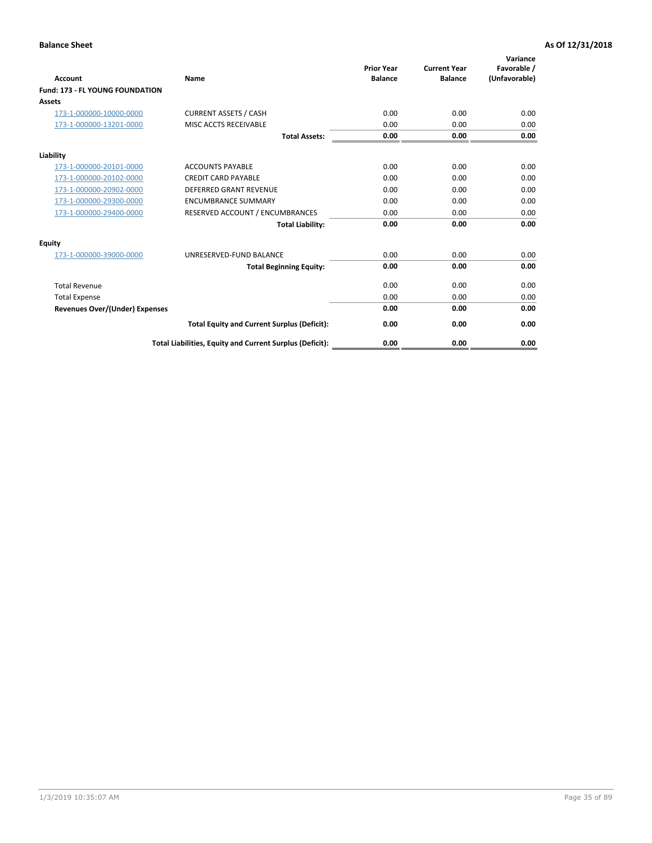| <b>Account</b>                         | <b>Name</b>                                              | <b>Prior Year</b><br><b>Balance</b> | <b>Current Year</b><br><b>Balance</b> | Variance<br>Favorable /<br>(Unfavorable) |
|----------------------------------------|----------------------------------------------------------|-------------------------------------|---------------------------------------|------------------------------------------|
| <b>Fund: 173 - FL YOUNG FOUNDATION</b> |                                                          |                                     |                                       |                                          |
| Assets                                 |                                                          |                                     |                                       |                                          |
| 173-1-000000-10000-0000                | <b>CURRENT ASSETS / CASH</b>                             | 0.00                                | 0.00                                  | 0.00                                     |
| 173-1-000000-13201-0000                | MISC ACCTS RECEIVABLE                                    | 0.00                                | 0.00                                  | 0.00                                     |
|                                        | <b>Total Assets:</b>                                     | 0.00                                | 0.00                                  | 0.00                                     |
| Liability                              |                                                          |                                     |                                       |                                          |
| 173-1-000000-20101-0000                | <b>ACCOUNTS PAYABLE</b>                                  | 0.00                                | 0.00                                  | 0.00                                     |
| 173-1-000000-20102-0000                | <b>CREDIT CARD PAYABLE</b>                               | 0.00                                | 0.00                                  | 0.00                                     |
| 173-1-000000-20902-0000                | <b>DEFERRED GRANT REVENUE</b>                            | 0.00                                | 0.00                                  | 0.00                                     |
| 173-1-000000-29300-0000                | <b>ENCUMBRANCE SUMMARY</b>                               | 0.00                                | 0.00                                  | 0.00                                     |
| 173-1-000000-29400-0000                | RESERVED ACCOUNT / ENCUMBRANCES                          | 0.00                                | 0.00                                  | 0.00                                     |
|                                        | <b>Total Liability:</b>                                  | 0.00                                | 0.00                                  | 0.00                                     |
| Equity                                 |                                                          |                                     |                                       |                                          |
| 173-1-000000-39000-0000                | UNRESERVED-FUND BALANCE                                  | 0.00                                | 0.00                                  | 0.00                                     |
|                                        | <b>Total Beginning Equity:</b>                           | 0.00                                | 0.00                                  | 0.00                                     |
| <b>Total Revenue</b>                   |                                                          | 0.00                                | 0.00                                  | 0.00                                     |
| <b>Total Expense</b>                   |                                                          | 0.00                                | 0.00                                  | 0.00                                     |
| <b>Revenues Over/(Under) Expenses</b>  |                                                          | 0.00                                | 0.00                                  | 0.00                                     |
|                                        | <b>Total Equity and Current Surplus (Deficit):</b>       | 0.00                                | 0.00                                  | 0.00                                     |
|                                        | Total Liabilities, Equity and Current Surplus (Deficit): | 0.00                                | 0.00                                  | 0.00                                     |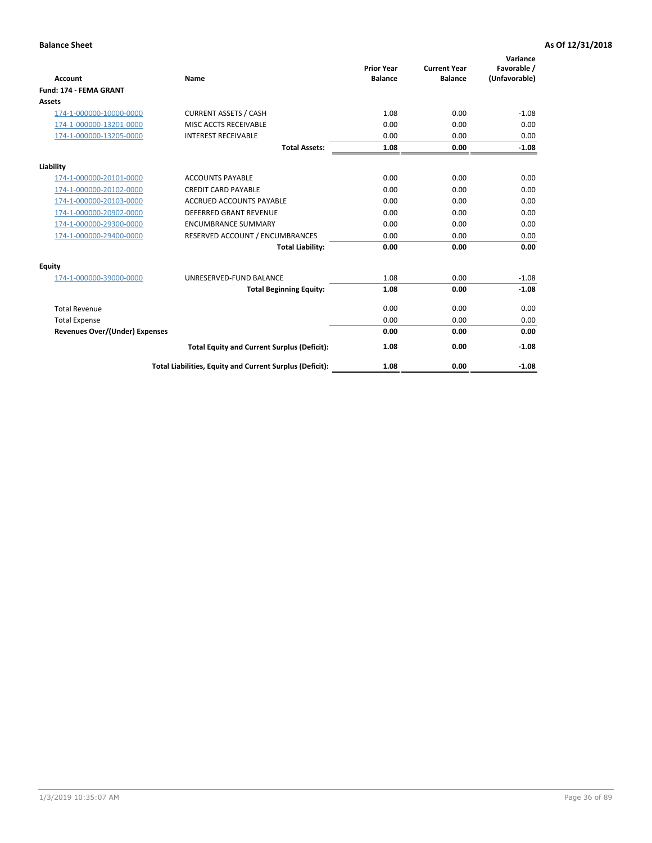| <b>Account</b>                        | Name                                                     | <b>Prior Year</b><br><b>Balance</b> | <b>Current Year</b><br><b>Balance</b> | Variance<br>Favorable /<br>(Unfavorable) |
|---------------------------------------|----------------------------------------------------------|-------------------------------------|---------------------------------------|------------------------------------------|
| <b>Fund: 174 - FEMA GRANT</b>         |                                                          |                                     |                                       |                                          |
| Assets                                |                                                          |                                     |                                       |                                          |
| 174-1-000000-10000-0000               | <b>CURRENT ASSETS / CASH</b>                             | 1.08                                | 0.00                                  | $-1.08$                                  |
| 174-1-000000-13201-0000               | MISC ACCTS RECEIVABLE                                    | 0.00                                | 0.00                                  | 0.00                                     |
| 174-1-000000-13205-0000               | <b>INTEREST RECEIVABLE</b>                               | 0.00                                | 0.00                                  | 0.00                                     |
|                                       | <b>Total Assets:</b>                                     | 1.08                                | 0.00                                  | $-1.08$                                  |
| Liability                             |                                                          |                                     |                                       |                                          |
| 174-1-000000-20101-0000               | <b>ACCOUNTS PAYABLE</b>                                  | 0.00                                | 0.00                                  | 0.00                                     |
| 174-1-000000-20102-0000               | <b>CREDIT CARD PAYABLE</b>                               | 0.00                                | 0.00                                  | 0.00                                     |
| 174-1-000000-20103-0000               | <b>ACCRUED ACCOUNTS PAYABLE</b>                          | 0.00                                | 0.00                                  | 0.00                                     |
| 174-1-000000-20902-0000               | <b>DEFERRED GRANT REVENUE</b>                            | 0.00                                | 0.00                                  | 0.00                                     |
| 174-1-000000-29300-0000               | <b>ENCUMBRANCE SUMMARY</b>                               | 0.00                                | 0.00                                  | 0.00                                     |
| 174-1-000000-29400-0000               | RESERVED ACCOUNT / ENCUMBRANCES                          | 0.00                                | 0.00                                  | 0.00                                     |
|                                       | <b>Total Liability:</b>                                  | 0.00                                | 0.00                                  | 0.00                                     |
| <b>Equity</b>                         |                                                          |                                     |                                       |                                          |
| 174-1-000000-39000-0000               | UNRESERVED-FUND BALANCE                                  | 1.08                                | 0.00                                  | $-1.08$                                  |
|                                       | <b>Total Beginning Equity:</b>                           | 1.08                                | 0.00                                  | $-1.08$                                  |
| <b>Total Revenue</b>                  |                                                          | 0.00                                | 0.00                                  | 0.00                                     |
| <b>Total Expense</b>                  |                                                          | 0.00                                | 0.00                                  | 0.00                                     |
| <b>Revenues Over/(Under) Expenses</b> |                                                          | 0.00                                | 0.00                                  | 0.00                                     |
|                                       | <b>Total Equity and Current Surplus (Deficit):</b>       | 1.08                                | 0.00                                  | $-1.08$                                  |
|                                       | Total Liabilities, Equity and Current Surplus (Deficit): | 1.08                                | 0.00                                  | $-1.08$                                  |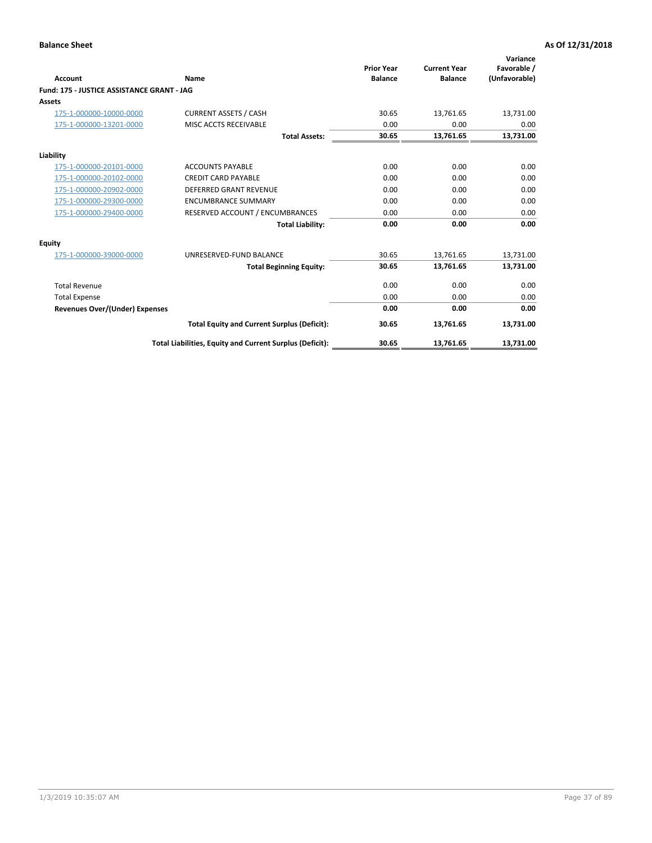| <b>Account</b>                             | Name                                                     | <b>Prior Year</b><br><b>Balance</b> | <b>Current Year</b><br><b>Balance</b> | Variance<br>Favorable /<br>(Unfavorable) |
|--------------------------------------------|----------------------------------------------------------|-------------------------------------|---------------------------------------|------------------------------------------|
| Fund: 175 - JUSTICE ASSISTANCE GRANT - JAG |                                                          |                                     |                                       |                                          |
| <b>Assets</b>                              |                                                          |                                     |                                       |                                          |
| 175-1-000000-10000-0000                    | <b>CURRENT ASSETS / CASH</b>                             | 30.65                               | 13,761.65                             | 13,731.00                                |
| 175-1-000000-13201-0000                    | MISC ACCTS RECEIVABLE                                    | 0.00                                | 0.00                                  | 0.00                                     |
|                                            | <b>Total Assets:</b>                                     | 30.65                               | 13,761.65                             | 13,731.00                                |
| Liability                                  |                                                          |                                     |                                       |                                          |
| 175-1-000000-20101-0000                    | <b>ACCOUNTS PAYABLE</b>                                  | 0.00                                | 0.00                                  | 0.00                                     |
| 175-1-000000-20102-0000                    | <b>CREDIT CARD PAYABLE</b>                               | 0.00                                | 0.00                                  | 0.00                                     |
| 175-1-000000-20902-0000                    | <b>DEFERRED GRANT REVENUE</b>                            | 0.00                                | 0.00                                  | 0.00                                     |
| 175-1-000000-29300-0000                    | <b>ENCUMBRANCE SUMMARY</b>                               | 0.00                                | 0.00                                  | 0.00                                     |
| 175-1-000000-29400-0000                    | RESERVED ACCOUNT / ENCUMBRANCES                          | 0.00                                | 0.00                                  | 0.00                                     |
|                                            | <b>Total Liability:</b>                                  | 0.00                                | 0.00                                  | 0.00                                     |
| Equity                                     |                                                          |                                     |                                       |                                          |
| 175-1-000000-39000-0000                    | UNRESERVED-FUND BALANCE                                  | 30.65                               | 13,761.65                             | 13,731.00                                |
|                                            | <b>Total Beginning Equity:</b>                           | 30.65                               | 13,761.65                             | 13,731.00                                |
| <b>Total Revenue</b>                       |                                                          | 0.00                                | 0.00                                  | 0.00                                     |
| <b>Total Expense</b>                       |                                                          | 0.00                                | 0.00                                  | 0.00                                     |
| <b>Revenues Over/(Under) Expenses</b>      |                                                          | 0.00                                | 0.00                                  | 0.00                                     |
|                                            | <b>Total Equity and Current Surplus (Deficit):</b>       | 30.65                               | 13,761.65                             | 13,731.00                                |
|                                            | Total Liabilities, Equity and Current Surplus (Deficit): | 30.65                               | 13,761.65                             | 13,731.00                                |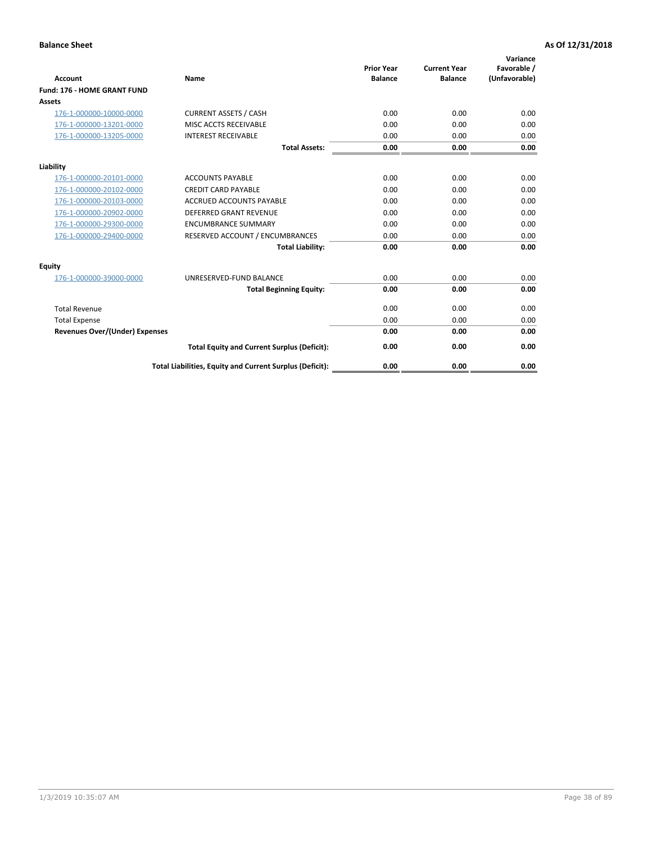| <b>Account</b>                        | Name                                                     | <b>Prior Year</b><br><b>Balance</b> | <b>Current Year</b><br><b>Balance</b> | Variance<br>Favorable /<br>(Unfavorable) |
|---------------------------------------|----------------------------------------------------------|-------------------------------------|---------------------------------------|------------------------------------------|
| Fund: 176 - HOME GRANT FUND           |                                                          |                                     |                                       |                                          |
| <b>Assets</b>                         |                                                          |                                     |                                       |                                          |
| 176-1-000000-10000-0000               | <b>CURRENT ASSETS / CASH</b>                             | 0.00                                | 0.00                                  | 0.00                                     |
| 176-1-000000-13201-0000               | MISC ACCTS RECEIVABLE                                    | 0.00                                | 0.00                                  | 0.00                                     |
| 176-1-000000-13205-0000               | <b>INTEREST RECEIVABLE</b>                               | 0.00                                | 0.00                                  | 0.00                                     |
|                                       | <b>Total Assets:</b>                                     | 0.00                                | 0.00                                  | 0.00                                     |
| Liability                             |                                                          |                                     |                                       |                                          |
| 176-1-000000-20101-0000               | <b>ACCOUNTS PAYABLE</b>                                  | 0.00                                | 0.00                                  | 0.00                                     |
| 176-1-000000-20102-0000               | <b>CREDIT CARD PAYABLE</b>                               | 0.00                                | 0.00                                  | 0.00                                     |
| 176-1-000000-20103-0000               | <b>ACCRUED ACCOUNTS PAYABLE</b>                          | 0.00                                | 0.00                                  | 0.00                                     |
| 176-1-000000-20902-0000               | <b>DEFERRED GRANT REVENUE</b>                            | 0.00                                | 0.00                                  | 0.00                                     |
| 176-1-000000-29300-0000               | <b>ENCUMBRANCE SUMMARY</b>                               | 0.00                                | 0.00                                  | 0.00                                     |
| 176-1-000000-29400-0000               | RESERVED ACCOUNT / ENCUMBRANCES                          | 0.00                                | 0.00                                  | 0.00                                     |
|                                       | <b>Total Liability:</b>                                  | 0.00                                | 0.00                                  | 0.00                                     |
| <b>Equity</b>                         |                                                          |                                     |                                       |                                          |
| 176-1-000000-39000-0000               | UNRESERVED-FUND BALANCE                                  | 0.00                                | 0.00                                  | 0.00                                     |
|                                       | <b>Total Beginning Equity:</b>                           | 0.00                                | 0.00                                  | 0.00                                     |
| <b>Total Revenue</b>                  |                                                          | 0.00                                | 0.00                                  | 0.00                                     |
| <b>Total Expense</b>                  |                                                          | 0.00                                | 0.00                                  | 0.00                                     |
| <b>Revenues Over/(Under) Expenses</b> |                                                          | 0.00                                | 0.00                                  | 0.00                                     |
|                                       | <b>Total Equity and Current Surplus (Deficit):</b>       | 0.00                                | 0.00                                  | 0.00                                     |
|                                       | Total Liabilities, Equity and Current Surplus (Deficit): | 0.00                                | 0.00                                  | 0.00                                     |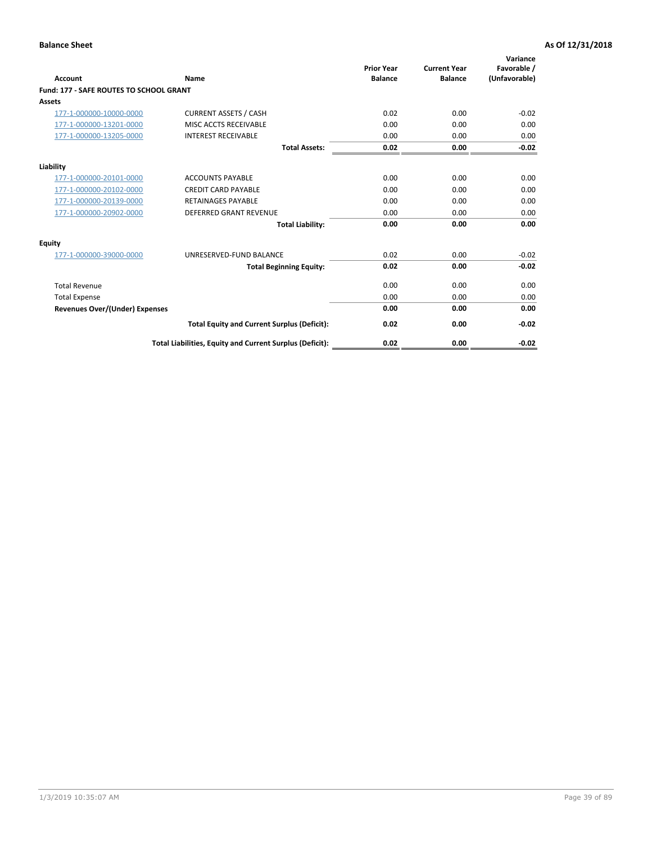| Account                                        | Name                                                     | <b>Prior Year</b><br><b>Balance</b> | <b>Current Year</b><br><b>Balance</b> | Variance<br>Favorable /<br>(Unfavorable) |
|------------------------------------------------|----------------------------------------------------------|-------------------------------------|---------------------------------------|------------------------------------------|
| <b>Fund: 177 - SAFE ROUTES TO SCHOOL GRANT</b> |                                                          |                                     |                                       |                                          |
| <b>Assets</b>                                  |                                                          |                                     |                                       |                                          |
| 177-1-000000-10000-0000                        | <b>CURRENT ASSETS / CASH</b>                             | 0.02                                | 0.00                                  | $-0.02$                                  |
| 177-1-000000-13201-0000                        | MISC ACCTS RECEIVABLE                                    | 0.00                                | 0.00                                  | 0.00                                     |
| 177-1-000000-13205-0000                        | <b>INTEREST RECEIVABLE</b>                               | 0.00                                | 0.00                                  | 0.00                                     |
|                                                | <b>Total Assets:</b>                                     | 0.02                                | 0.00                                  | $-0.02$                                  |
| Liability                                      |                                                          |                                     |                                       |                                          |
| 177-1-000000-20101-0000                        | <b>ACCOUNTS PAYABLE</b>                                  | 0.00                                | 0.00                                  | 0.00                                     |
| 177-1-000000-20102-0000                        | <b>CREDIT CARD PAYABLE</b>                               | 0.00                                | 0.00                                  | 0.00                                     |
| 177-1-000000-20139-0000                        | <b>RETAINAGES PAYABLE</b>                                | 0.00                                | 0.00                                  | 0.00                                     |
| 177-1-000000-20902-0000                        | <b>DEFERRED GRANT REVENUE</b>                            | 0.00                                | 0.00                                  | 0.00                                     |
|                                                | <b>Total Liability:</b>                                  | 0.00                                | 0.00                                  | 0.00                                     |
| Equity                                         |                                                          |                                     |                                       |                                          |
| 177-1-000000-39000-0000                        | UNRESERVED-FUND BALANCE                                  | 0.02                                | 0.00                                  | $-0.02$                                  |
|                                                | <b>Total Beginning Equity:</b>                           | 0.02                                | 0.00                                  | $-0.02$                                  |
| <b>Total Revenue</b>                           |                                                          | 0.00                                | 0.00                                  | 0.00                                     |
| <b>Total Expense</b>                           |                                                          | 0.00                                | 0.00                                  | 0.00                                     |
| Revenues Over/(Under) Expenses                 |                                                          | 0.00                                | 0.00                                  | 0.00                                     |
|                                                | <b>Total Equity and Current Surplus (Deficit):</b>       | 0.02                                | 0.00                                  | $-0.02$                                  |
|                                                | Total Liabilities, Equity and Current Surplus (Deficit): | 0.02                                | 0.00                                  | $-0.02$                                  |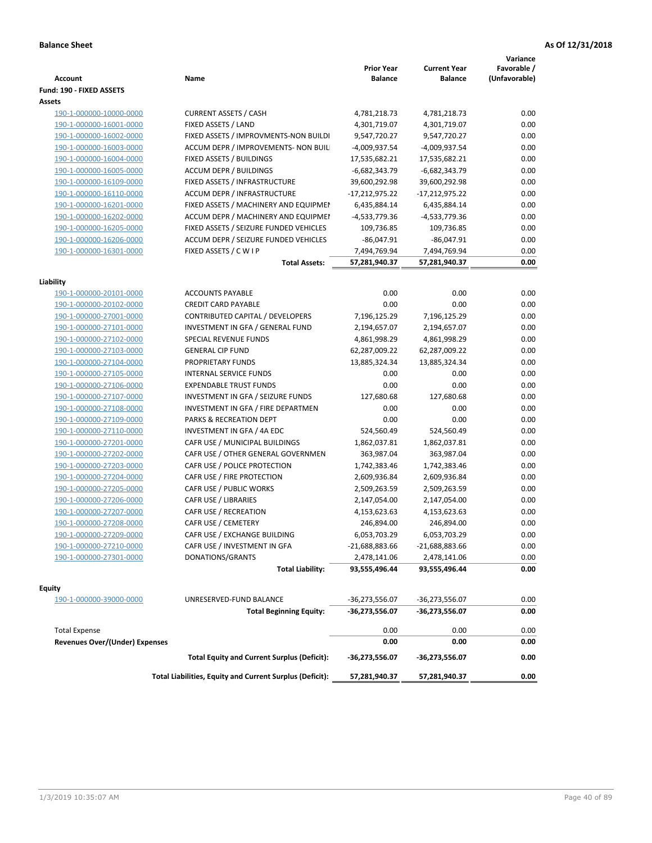| Fund: 190 - FIXED ASSETS<br>Assets<br><b>CURRENT ASSETS / CASH</b><br>4,781,218.73<br>0.00<br>190-1-000000-10000-0000<br>4,781,218.73<br>190-1-000000-16001-0000<br>FIXED ASSETS / LAND<br>4,301,719.07<br>4,301,719.07<br>0.00<br>0.00<br>190-1-000000-16002-0000<br>FIXED ASSETS / IMPROVMENTS-NON BUILDI<br>9,547,720.27<br>9,547,720.27<br>0.00<br>190-1-000000-16003-0000<br>ACCUM DEPR / IMPROVEMENTS- NON BUIL<br>-4,009,937.54<br>-4,009,937.54<br>0.00<br>FIXED ASSETS / BUILDINGS<br>17,535,682.21<br>190-1-000000-16004-0000<br>17,535,682.21<br><b>ACCUM DEPR / BUILDINGS</b><br>$-6,682,343.79$<br>$-6,682,343.79$<br>0.00<br>190-1-000000-16005-0000<br>190-1-000000-16109-0000<br>FIXED ASSETS / INFRASTRUCTURE<br>39,600,292.98<br>39,600,292.98<br>0.00<br>0.00<br>190-1-000000-16110-0000<br><b>ACCUM DEPR / INFRASTRUCTURE</b><br>$-17,212,975.22$<br>-17,212,975.22<br>0.00<br>190-1-000000-16201-0000<br>FIXED ASSETS / MACHINERY AND EQUIPMEN<br>6,435,884.14<br>6,435,884.14<br>ACCUM DEPR / MACHINERY AND EQUIPMEI<br>-4,533,779.36<br>-4,533,779.36<br>0.00<br>190-1-000000-16202-0000<br>FIXED ASSETS / SEIZURE FUNDED VEHICLES<br>109,736.85<br>0.00<br>190-1-000000-16205-0000<br>109,736.85<br>190-1-000000-16206-0000<br>ACCUM DEPR / SEIZURE FUNDED VEHICLES<br>$-86,047.91$<br>$-86,047.91$<br>0.00<br>190-1-000000-16301-0000<br>0.00<br>FIXED ASSETS / C W I P<br>7,494,769.94<br>7,494,769.94<br>0.00<br><b>Total Assets:</b><br>57,281,940.37<br>57,281,940.37<br>Liability<br><b>ACCOUNTS PAYABLE</b><br>0.00<br>0.00<br>0.00<br>190-1-000000-20101-0000<br><b>CREDIT CARD PAYABLE</b><br>0.00<br>0.00<br>0.00<br>190-1-000000-20102-0000<br>190-1-000000-27001-0000<br>CONTRIBUTED CAPITAL / DEVELOPERS<br>7,196,125.29<br>7,196,125.29<br>0.00<br>2,194,657.07<br>0.00<br>190-1-000000-27101-0000<br>INVESTMENT IN GFA / GENERAL FUND<br>2,194,657.07<br>0.00<br>190-1-000000-27102-0000<br><b>SPECIAL REVENUE FUNDS</b><br>4,861,998.29<br>4,861,998.29<br>0.00<br><b>GENERAL CIP FUND</b><br>190-1-000000-27103-0000<br>62,287,009.22<br>62,287,009.22<br>190-1-000000-27104-0000<br>PROPRIETARY FUNDS<br>13,885,324.34<br>13,885,324.34<br>0.00<br>190-1-000000-27105-0000<br><b>INTERNAL SERVICE FUNDS</b><br>0.00<br>0.00<br>0.00<br>0.00<br>190-1-000000-27106-0000<br><b>EXPENDABLE TRUST FUNDS</b><br>0.00<br>0.00<br>0.00<br>190-1-000000-27107-0000<br>INVESTMENT IN GFA / SEIZURE FUNDS<br>127,680.68<br>127,680.68<br>INVESTMENT IN GFA / FIRE DEPARTMEN<br>0.00<br>0.00<br>0.00<br>190-1-000000-27108-0000<br>PARKS & RECREATION DEPT<br>0.00<br>0.00<br>0.00<br>190-1-000000-27109-0000<br>190-1-000000-27110-0000<br>INVESTMENT IN GFA / 4A EDC<br>524,560.49<br>524,560.49<br>0.00<br>0.00<br>190-1-000000-27201-0000<br>CAFR USE / MUNICIPAL BUILDINGS<br>1,862,037.81<br>1,862,037.81<br>CAFR USE / OTHER GENERAL GOVERNMEN<br>0.00<br>190-1-000000-27202-0000<br>363,987.04<br>363,987.04<br>0.00<br>CAFR USE / POLICE PROTECTION<br>190-1-000000-27203-0000<br>1,742,383.46<br>1,742,383.46<br>190-1-000000-27204-0000<br>CAFR USE / FIRE PROTECTION<br>2,609,936.84<br>0.00<br>2,609,936.84<br>190-1-000000-27205-0000<br>CAFR USE / PUBLIC WORKS<br>2,509,263.59<br>0.00<br>2,509,263.59<br>0.00<br>190-1-000000-27206-0000<br>CAFR USE / LIBRARIES<br>2,147,054.00<br>2,147,054.00<br>0.00<br>190-1-000000-27207-0000<br>CAFR USE / RECREATION<br>4,153,623.63<br>4,153,623.63<br>CAFR USE / CEMETERY<br>0.00<br>190-1-000000-27208-0000<br>246,894.00<br>246,894.00<br>6,053,703.29<br>6,053,703.29<br>0.00<br>190-1-000000-27209-0000<br>CAFR USE / EXCHANGE BUILDING<br>190-1-000000-27210-0000<br>CAFR USE / INVESTMENT IN GFA<br>$-21,688,883.66$<br>-21,688,883.66<br>0.00<br>190-1-000000-27301-0000<br>DONATIONS/GRANTS<br>2,478,141.06<br>2,478,141.06<br>0.00<br>0.00<br><b>Total Liability:</b><br>93,555,496.44<br>93,555,496.44<br><b>Equity</b><br>UNRESERVED-FUND BALANCE<br>$-36,273,556.07$<br>0.00<br>190-1-000000-39000-0000<br>-36,273,556.07<br><b>Total Beginning Equity:</b><br>-36,273,556.07<br>-36,273,556.07<br>0.00<br><b>Total Expense</b><br>0.00<br>0.00<br>0.00<br><b>Revenues Over/(Under) Expenses</b><br>0.00<br>0.00<br>0.00<br>0.00<br><b>Total Equity and Current Surplus (Deficit):</b><br>-36,273,556.07<br>-36,273,556.07<br>Total Liabilities, Equity and Current Surplus (Deficit):<br>0.00<br>57,281,940.37<br>57,281,940.37 | <b>Account</b> | Name | <b>Prior Year</b><br><b>Balance</b> | <b>Current Year</b><br><b>Balance</b> | Variance<br>Favorable /<br>(Unfavorable) |
|----------------------------------------------------------------------------------------------------------------------------------------------------------------------------------------------------------------------------------------------------------------------------------------------------------------------------------------------------------------------------------------------------------------------------------------------------------------------------------------------------------------------------------------------------------------------------------------------------------------------------------------------------------------------------------------------------------------------------------------------------------------------------------------------------------------------------------------------------------------------------------------------------------------------------------------------------------------------------------------------------------------------------------------------------------------------------------------------------------------------------------------------------------------------------------------------------------------------------------------------------------------------------------------------------------------------------------------------------------------------------------------------------------------------------------------------------------------------------------------------------------------------------------------------------------------------------------------------------------------------------------------------------------------------------------------------------------------------------------------------------------------------------------------------------------------------------------------------------------------------------------------------------------------------------------------------------------------------------------------------------------------------------------------------------------------------------------------------------------------------------------------------------------------------------------------------------------------------------------------------------------------------------------------------------------------------------------------------------------------------------------------------------------------------------------------------------------------------------------------------------------------------------------------------------------------------------------------------------------------------------------------------------------------------------------------------------------------------------------------------------------------------------------------------------------------------------------------------------------------------------------------------------------------------------------------------------------------------------------------------------------------------------------------------------------------------------------------------------------------------------------------------------------------------------------------------------------------------------------------------------------------------------------------------------------------------------------------------------------------------------------------------------------------------------------------------------------------------------------------------------------------------------------------------------------------------------------------------------------------------------------------------------------------------------------------------------------------------------------------------------------------------------------------------------------------------------------------------------------------------------------------------------------------------------------------------------------------------------------------------------------------------------------------------------------------------------------------------------------------------------------------------------------------------------------------------------------------------------------------------------------------------------------------------------------------------------------------------------------------------------------------------------------------------------------------|----------------|------|-------------------------------------|---------------------------------------|------------------------------------------|
|                                                                                                                                                                                                                                                                                                                                                                                                                                                                                                                                                                                                                                                                                                                                                                                                                                                                                                                                                                                                                                                                                                                                                                                                                                                                                                                                                                                                                                                                                                                                                                                                                                                                                                                                                                                                                                                                                                                                                                                                                                                                                                                                                                                                                                                                                                                                                                                                                                                                                                                                                                                                                                                                                                                                                                                                                                                                                                                                                                                                                                                                                                                                                                                                                                                                                                                                                                                                                                                                                                                                                                                                                                                                                                                                                                                                                                                                                                                                                                                                                                                                                                                                                                                                                                                                                                                                                                                                                                        |                |      |                                     |                                       |                                          |
|                                                                                                                                                                                                                                                                                                                                                                                                                                                                                                                                                                                                                                                                                                                                                                                                                                                                                                                                                                                                                                                                                                                                                                                                                                                                                                                                                                                                                                                                                                                                                                                                                                                                                                                                                                                                                                                                                                                                                                                                                                                                                                                                                                                                                                                                                                                                                                                                                                                                                                                                                                                                                                                                                                                                                                                                                                                                                                                                                                                                                                                                                                                                                                                                                                                                                                                                                                                                                                                                                                                                                                                                                                                                                                                                                                                                                                                                                                                                                                                                                                                                                                                                                                                                                                                                                                                                                                                                                                        |                |      |                                     |                                       |                                          |
|                                                                                                                                                                                                                                                                                                                                                                                                                                                                                                                                                                                                                                                                                                                                                                                                                                                                                                                                                                                                                                                                                                                                                                                                                                                                                                                                                                                                                                                                                                                                                                                                                                                                                                                                                                                                                                                                                                                                                                                                                                                                                                                                                                                                                                                                                                                                                                                                                                                                                                                                                                                                                                                                                                                                                                                                                                                                                                                                                                                                                                                                                                                                                                                                                                                                                                                                                                                                                                                                                                                                                                                                                                                                                                                                                                                                                                                                                                                                                                                                                                                                                                                                                                                                                                                                                                                                                                                                                                        |                |      |                                     |                                       |                                          |
|                                                                                                                                                                                                                                                                                                                                                                                                                                                                                                                                                                                                                                                                                                                                                                                                                                                                                                                                                                                                                                                                                                                                                                                                                                                                                                                                                                                                                                                                                                                                                                                                                                                                                                                                                                                                                                                                                                                                                                                                                                                                                                                                                                                                                                                                                                                                                                                                                                                                                                                                                                                                                                                                                                                                                                                                                                                                                                                                                                                                                                                                                                                                                                                                                                                                                                                                                                                                                                                                                                                                                                                                                                                                                                                                                                                                                                                                                                                                                                                                                                                                                                                                                                                                                                                                                                                                                                                                                                        |                |      |                                     |                                       |                                          |
|                                                                                                                                                                                                                                                                                                                                                                                                                                                                                                                                                                                                                                                                                                                                                                                                                                                                                                                                                                                                                                                                                                                                                                                                                                                                                                                                                                                                                                                                                                                                                                                                                                                                                                                                                                                                                                                                                                                                                                                                                                                                                                                                                                                                                                                                                                                                                                                                                                                                                                                                                                                                                                                                                                                                                                                                                                                                                                                                                                                                                                                                                                                                                                                                                                                                                                                                                                                                                                                                                                                                                                                                                                                                                                                                                                                                                                                                                                                                                                                                                                                                                                                                                                                                                                                                                                                                                                                                                                        |                |      |                                     |                                       |                                          |
|                                                                                                                                                                                                                                                                                                                                                                                                                                                                                                                                                                                                                                                                                                                                                                                                                                                                                                                                                                                                                                                                                                                                                                                                                                                                                                                                                                                                                                                                                                                                                                                                                                                                                                                                                                                                                                                                                                                                                                                                                                                                                                                                                                                                                                                                                                                                                                                                                                                                                                                                                                                                                                                                                                                                                                                                                                                                                                                                                                                                                                                                                                                                                                                                                                                                                                                                                                                                                                                                                                                                                                                                                                                                                                                                                                                                                                                                                                                                                                                                                                                                                                                                                                                                                                                                                                                                                                                                                                        |                |      |                                     |                                       |                                          |
|                                                                                                                                                                                                                                                                                                                                                                                                                                                                                                                                                                                                                                                                                                                                                                                                                                                                                                                                                                                                                                                                                                                                                                                                                                                                                                                                                                                                                                                                                                                                                                                                                                                                                                                                                                                                                                                                                                                                                                                                                                                                                                                                                                                                                                                                                                                                                                                                                                                                                                                                                                                                                                                                                                                                                                                                                                                                                                                                                                                                                                                                                                                                                                                                                                                                                                                                                                                                                                                                                                                                                                                                                                                                                                                                                                                                                                                                                                                                                                                                                                                                                                                                                                                                                                                                                                                                                                                                                                        |                |      |                                     |                                       |                                          |
|                                                                                                                                                                                                                                                                                                                                                                                                                                                                                                                                                                                                                                                                                                                                                                                                                                                                                                                                                                                                                                                                                                                                                                                                                                                                                                                                                                                                                                                                                                                                                                                                                                                                                                                                                                                                                                                                                                                                                                                                                                                                                                                                                                                                                                                                                                                                                                                                                                                                                                                                                                                                                                                                                                                                                                                                                                                                                                                                                                                                                                                                                                                                                                                                                                                                                                                                                                                                                                                                                                                                                                                                                                                                                                                                                                                                                                                                                                                                                                                                                                                                                                                                                                                                                                                                                                                                                                                                                                        |                |      |                                     |                                       |                                          |
|                                                                                                                                                                                                                                                                                                                                                                                                                                                                                                                                                                                                                                                                                                                                                                                                                                                                                                                                                                                                                                                                                                                                                                                                                                                                                                                                                                                                                                                                                                                                                                                                                                                                                                                                                                                                                                                                                                                                                                                                                                                                                                                                                                                                                                                                                                                                                                                                                                                                                                                                                                                                                                                                                                                                                                                                                                                                                                                                                                                                                                                                                                                                                                                                                                                                                                                                                                                                                                                                                                                                                                                                                                                                                                                                                                                                                                                                                                                                                                                                                                                                                                                                                                                                                                                                                                                                                                                                                                        |                |      |                                     |                                       |                                          |
|                                                                                                                                                                                                                                                                                                                                                                                                                                                                                                                                                                                                                                                                                                                                                                                                                                                                                                                                                                                                                                                                                                                                                                                                                                                                                                                                                                                                                                                                                                                                                                                                                                                                                                                                                                                                                                                                                                                                                                                                                                                                                                                                                                                                                                                                                                                                                                                                                                                                                                                                                                                                                                                                                                                                                                                                                                                                                                                                                                                                                                                                                                                                                                                                                                                                                                                                                                                                                                                                                                                                                                                                                                                                                                                                                                                                                                                                                                                                                                                                                                                                                                                                                                                                                                                                                                                                                                                                                                        |                |      |                                     |                                       |                                          |
|                                                                                                                                                                                                                                                                                                                                                                                                                                                                                                                                                                                                                                                                                                                                                                                                                                                                                                                                                                                                                                                                                                                                                                                                                                                                                                                                                                                                                                                                                                                                                                                                                                                                                                                                                                                                                                                                                                                                                                                                                                                                                                                                                                                                                                                                                                                                                                                                                                                                                                                                                                                                                                                                                                                                                                                                                                                                                                                                                                                                                                                                                                                                                                                                                                                                                                                                                                                                                                                                                                                                                                                                                                                                                                                                                                                                                                                                                                                                                                                                                                                                                                                                                                                                                                                                                                                                                                                                                                        |                |      |                                     |                                       |                                          |
|                                                                                                                                                                                                                                                                                                                                                                                                                                                                                                                                                                                                                                                                                                                                                                                                                                                                                                                                                                                                                                                                                                                                                                                                                                                                                                                                                                                                                                                                                                                                                                                                                                                                                                                                                                                                                                                                                                                                                                                                                                                                                                                                                                                                                                                                                                                                                                                                                                                                                                                                                                                                                                                                                                                                                                                                                                                                                                                                                                                                                                                                                                                                                                                                                                                                                                                                                                                                                                                                                                                                                                                                                                                                                                                                                                                                                                                                                                                                                                                                                                                                                                                                                                                                                                                                                                                                                                                                                                        |                |      |                                     |                                       |                                          |
|                                                                                                                                                                                                                                                                                                                                                                                                                                                                                                                                                                                                                                                                                                                                                                                                                                                                                                                                                                                                                                                                                                                                                                                                                                                                                                                                                                                                                                                                                                                                                                                                                                                                                                                                                                                                                                                                                                                                                                                                                                                                                                                                                                                                                                                                                                                                                                                                                                                                                                                                                                                                                                                                                                                                                                                                                                                                                                                                                                                                                                                                                                                                                                                                                                                                                                                                                                                                                                                                                                                                                                                                                                                                                                                                                                                                                                                                                                                                                                                                                                                                                                                                                                                                                                                                                                                                                                                                                                        |                |      |                                     |                                       |                                          |
|                                                                                                                                                                                                                                                                                                                                                                                                                                                                                                                                                                                                                                                                                                                                                                                                                                                                                                                                                                                                                                                                                                                                                                                                                                                                                                                                                                                                                                                                                                                                                                                                                                                                                                                                                                                                                                                                                                                                                                                                                                                                                                                                                                                                                                                                                                                                                                                                                                                                                                                                                                                                                                                                                                                                                                                                                                                                                                                                                                                                                                                                                                                                                                                                                                                                                                                                                                                                                                                                                                                                                                                                                                                                                                                                                                                                                                                                                                                                                                                                                                                                                                                                                                                                                                                                                                                                                                                                                                        |                |      |                                     |                                       |                                          |
|                                                                                                                                                                                                                                                                                                                                                                                                                                                                                                                                                                                                                                                                                                                                                                                                                                                                                                                                                                                                                                                                                                                                                                                                                                                                                                                                                                                                                                                                                                                                                                                                                                                                                                                                                                                                                                                                                                                                                                                                                                                                                                                                                                                                                                                                                                                                                                                                                                                                                                                                                                                                                                                                                                                                                                                                                                                                                                                                                                                                                                                                                                                                                                                                                                                                                                                                                                                                                                                                                                                                                                                                                                                                                                                                                                                                                                                                                                                                                                                                                                                                                                                                                                                                                                                                                                                                                                                                                                        |                |      |                                     |                                       |                                          |
|                                                                                                                                                                                                                                                                                                                                                                                                                                                                                                                                                                                                                                                                                                                                                                                                                                                                                                                                                                                                                                                                                                                                                                                                                                                                                                                                                                                                                                                                                                                                                                                                                                                                                                                                                                                                                                                                                                                                                                                                                                                                                                                                                                                                                                                                                                                                                                                                                                                                                                                                                                                                                                                                                                                                                                                                                                                                                                                                                                                                                                                                                                                                                                                                                                                                                                                                                                                                                                                                                                                                                                                                                                                                                                                                                                                                                                                                                                                                                                                                                                                                                                                                                                                                                                                                                                                                                                                                                                        |                |      |                                     |                                       |                                          |
|                                                                                                                                                                                                                                                                                                                                                                                                                                                                                                                                                                                                                                                                                                                                                                                                                                                                                                                                                                                                                                                                                                                                                                                                                                                                                                                                                                                                                                                                                                                                                                                                                                                                                                                                                                                                                                                                                                                                                                                                                                                                                                                                                                                                                                                                                                                                                                                                                                                                                                                                                                                                                                                                                                                                                                                                                                                                                                                                                                                                                                                                                                                                                                                                                                                                                                                                                                                                                                                                                                                                                                                                                                                                                                                                                                                                                                                                                                                                                                                                                                                                                                                                                                                                                                                                                                                                                                                                                                        |                |      |                                     |                                       |                                          |
|                                                                                                                                                                                                                                                                                                                                                                                                                                                                                                                                                                                                                                                                                                                                                                                                                                                                                                                                                                                                                                                                                                                                                                                                                                                                                                                                                                                                                                                                                                                                                                                                                                                                                                                                                                                                                                                                                                                                                                                                                                                                                                                                                                                                                                                                                                                                                                                                                                                                                                                                                                                                                                                                                                                                                                                                                                                                                                                                                                                                                                                                                                                                                                                                                                                                                                                                                                                                                                                                                                                                                                                                                                                                                                                                                                                                                                                                                                                                                                                                                                                                                                                                                                                                                                                                                                                                                                                                                                        |                |      |                                     |                                       |                                          |
|                                                                                                                                                                                                                                                                                                                                                                                                                                                                                                                                                                                                                                                                                                                                                                                                                                                                                                                                                                                                                                                                                                                                                                                                                                                                                                                                                                                                                                                                                                                                                                                                                                                                                                                                                                                                                                                                                                                                                                                                                                                                                                                                                                                                                                                                                                                                                                                                                                                                                                                                                                                                                                                                                                                                                                                                                                                                                                                                                                                                                                                                                                                                                                                                                                                                                                                                                                                                                                                                                                                                                                                                                                                                                                                                                                                                                                                                                                                                                                                                                                                                                                                                                                                                                                                                                                                                                                                                                                        |                |      |                                     |                                       |                                          |
|                                                                                                                                                                                                                                                                                                                                                                                                                                                                                                                                                                                                                                                                                                                                                                                                                                                                                                                                                                                                                                                                                                                                                                                                                                                                                                                                                                                                                                                                                                                                                                                                                                                                                                                                                                                                                                                                                                                                                                                                                                                                                                                                                                                                                                                                                                                                                                                                                                                                                                                                                                                                                                                                                                                                                                                                                                                                                                                                                                                                                                                                                                                                                                                                                                                                                                                                                                                                                                                                                                                                                                                                                                                                                                                                                                                                                                                                                                                                                                                                                                                                                                                                                                                                                                                                                                                                                                                                                                        |                |      |                                     |                                       |                                          |
|                                                                                                                                                                                                                                                                                                                                                                                                                                                                                                                                                                                                                                                                                                                                                                                                                                                                                                                                                                                                                                                                                                                                                                                                                                                                                                                                                                                                                                                                                                                                                                                                                                                                                                                                                                                                                                                                                                                                                                                                                                                                                                                                                                                                                                                                                                                                                                                                                                                                                                                                                                                                                                                                                                                                                                                                                                                                                                                                                                                                                                                                                                                                                                                                                                                                                                                                                                                                                                                                                                                                                                                                                                                                                                                                                                                                                                                                                                                                                                                                                                                                                                                                                                                                                                                                                                                                                                                                                                        |                |      |                                     |                                       |                                          |
|                                                                                                                                                                                                                                                                                                                                                                                                                                                                                                                                                                                                                                                                                                                                                                                                                                                                                                                                                                                                                                                                                                                                                                                                                                                                                                                                                                                                                                                                                                                                                                                                                                                                                                                                                                                                                                                                                                                                                                                                                                                                                                                                                                                                                                                                                                                                                                                                                                                                                                                                                                                                                                                                                                                                                                                                                                                                                                                                                                                                                                                                                                                                                                                                                                                                                                                                                                                                                                                                                                                                                                                                                                                                                                                                                                                                                                                                                                                                                                                                                                                                                                                                                                                                                                                                                                                                                                                                                                        |                |      |                                     |                                       |                                          |
|                                                                                                                                                                                                                                                                                                                                                                                                                                                                                                                                                                                                                                                                                                                                                                                                                                                                                                                                                                                                                                                                                                                                                                                                                                                                                                                                                                                                                                                                                                                                                                                                                                                                                                                                                                                                                                                                                                                                                                                                                                                                                                                                                                                                                                                                                                                                                                                                                                                                                                                                                                                                                                                                                                                                                                                                                                                                                                                                                                                                                                                                                                                                                                                                                                                                                                                                                                                                                                                                                                                                                                                                                                                                                                                                                                                                                                                                                                                                                                                                                                                                                                                                                                                                                                                                                                                                                                                                                                        |                |      |                                     |                                       |                                          |
|                                                                                                                                                                                                                                                                                                                                                                                                                                                                                                                                                                                                                                                                                                                                                                                                                                                                                                                                                                                                                                                                                                                                                                                                                                                                                                                                                                                                                                                                                                                                                                                                                                                                                                                                                                                                                                                                                                                                                                                                                                                                                                                                                                                                                                                                                                                                                                                                                                                                                                                                                                                                                                                                                                                                                                                                                                                                                                                                                                                                                                                                                                                                                                                                                                                                                                                                                                                                                                                                                                                                                                                                                                                                                                                                                                                                                                                                                                                                                                                                                                                                                                                                                                                                                                                                                                                                                                                                                                        |                |      |                                     |                                       |                                          |
|                                                                                                                                                                                                                                                                                                                                                                                                                                                                                                                                                                                                                                                                                                                                                                                                                                                                                                                                                                                                                                                                                                                                                                                                                                                                                                                                                                                                                                                                                                                                                                                                                                                                                                                                                                                                                                                                                                                                                                                                                                                                                                                                                                                                                                                                                                                                                                                                                                                                                                                                                                                                                                                                                                                                                                                                                                                                                                                                                                                                                                                                                                                                                                                                                                                                                                                                                                                                                                                                                                                                                                                                                                                                                                                                                                                                                                                                                                                                                                                                                                                                                                                                                                                                                                                                                                                                                                                                                                        |                |      |                                     |                                       |                                          |
|                                                                                                                                                                                                                                                                                                                                                                                                                                                                                                                                                                                                                                                                                                                                                                                                                                                                                                                                                                                                                                                                                                                                                                                                                                                                                                                                                                                                                                                                                                                                                                                                                                                                                                                                                                                                                                                                                                                                                                                                                                                                                                                                                                                                                                                                                                                                                                                                                                                                                                                                                                                                                                                                                                                                                                                                                                                                                                                                                                                                                                                                                                                                                                                                                                                                                                                                                                                                                                                                                                                                                                                                                                                                                                                                                                                                                                                                                                                                                                                                                                                                                                                                                                                                                                                                                                                                                                                                                                        |                |      |                                     |                                       |                                          |
|                                                                                                                                                                                                                                                                                                                                                                                                                                                                                                                                                                                                                                                                                                                                                                                                                                                                                                                                                                                                                                                                                                                                                                                                                                                                                                                                                                                                                                                                                                                                                                                                                                                                                                                                                                                                                                                                                                                                                                                                                                                                                                                                                                                                                                                                                                                                                                                                                                                                                                                                                                                                                                                                                                                                                                                                                                                                                                                                                                                                                                                                                                                                                                                                                                                                                                                                                                                                                                                                                                                                                                                                                                                                                                                                                                                                                                                                                                                                                                                                                                                                                                                                                                                                                                                                                                                                                                                                                                        |                |      |                                     |                                       |                                          |
|                                                                                                                                                                                                                                                                                                                                                                                                                                                                                                                                                                                                                                                                                                                                                                                                                                                                                                                                                                                                                                                                                                                                                                                                                                                                                                                                                                                                                                                                                                                                                                                                                                                                                                                                                                                                                                                                                                                                                                                                                                                                                                                                                                                                                                                                                                                                                                                                                                                                                                                                                                                                                                                                                                                                                                                                                                                                                                                                                                                                                                                                                                                                                                                                                                                                                                                                                                                                                                                                                                                                                                                                                                                                                                                                                                                                                                                                                                                                                                                                                                                                                                                                                                                                                                                                                                                                                                                                                                        |                |      |                                     |                                       |                                          |
|                                                                                                                                                                                                                                                                                                                                                                                                                                                                                                                                                                                                                                                                                                                                                                                                                                                                                                                                                                                                                                                                                                                                                                                                                                                                                                                                                                                                                                                                                                                                                                                                                                                                                                                                                                                                                                                                                                                                                                                                                                                                                                                                                                                                                                                                                                                                                                                                                                                                                                                                                                                                                                                                                                                                                                                                                                                                                                                                                                                                                                                                                                                                                                                                                                                                                                                                                                                                                                                                                                                                                                                                                                                                                                                                                                                                                                                                                                                                                                                                                                                                                                                                                                                                                                                                                                                                                                                                                                        |                |      |                                     |                                       |                                          |
|                                                                                                                                                                                                                                                                                                                                                                                                                                                                                                                                                                                                                                                                                                                                                                                                                                                                                                                                                                                                                                                                                                                                                                                                                                                                                                                                                                                                                                                                                                                                                                                                                                                                                                                                                                                                                                                                                                                                                                                                                                                                                                                                                                                                                                                                                                                                                                                                                                                                                                                                                                                                                                                                                                                                                                                                                                                                                                                                                                                                                                                                                                                                                                                                                                                                                                                                                                                                                                                                                                                                                                                                                                                                                                                                                                                                                                                                                                                                                                                                                                                                                                                                                                                                                                                                                                                                                                                                                                        |                |      |                                     |                                       |                                          |
|                                                                                                                                                                                                                                                                                                                                                                                                                                                                                                                                                                                                                                                                                                                                                                                                                                                                                                                                                                                                                                                                                                                                                                                                                                                                                                                                                                                                                                                                                                                                                                                                                                                                                                                                                                                                                                                                                                                                                                                                                                                                                                                                                                                                                                                                                                                                                                                                                                                                                                                                                                                                                                                                                                                                                                                                                                                                                                                                                                                                                                                                                                                                                                                                                                                                                                                                                                                                                                                                                                                                                                                                                                                                                                                                                                                                                                                                                                                                                                                                                                                                                                                                                                                                                                                                                                                                                                                                                                        |                |      |                                     |                                       |                                          |
|                                                                                                                                                                                                                                                                                                                                                                                                                                                                                                                                                                                                                                                                                                                                                                                                                                                                                                                                                                                                                                                                                                                                                                                                                                                                                                                                                                                                                                                                                                                                                                                                                                                                                                                                                                                                                                                                                                                                                                                                                                                                                                                                                                                                                                                                                                                                                                                                                                                                                                                                                                                                                                                                                                                                                                                                                                                                                                                                                                                                                                                                                                                                                                                                                                                                                                                                                                                                                                                                                                                                                                                                                                                                                                                                                                                                                                                                                                                                                                                                                                                                                                                                                                                                                                                                                                                                                                                                                                        |                |      |                                     |                                       |                                          |
|                                                                                                                                                                                                                                                                                                                                                                                                                                                                                                                                                                                                                                                                                                                                                                                                                                                                                                                                                                                                                                                                                                                                                                                                                                                                                                                                                                                                                                                                                                                                                                                                                                                                                                                                                                                                                                                                                                                                                                                                                                                                                                                                                                                                                                                                                                                                                                                                                                                                                                                                                                                                                                                                                                                                                                                                                                                                                                                                                                                                                                                                                                                                                                                                                                                                                                                                                                                                                                                                                                                                                                                                                                                                                                                                                                                                                                                                                                                                                                                                                                                                                                                                                                                                                                                                                                                                                                                                                                        |                |      |                                     |                                       |                                          |
|                                                                                                                                                                                                                                                                                                                                                                                                                                                                                                                                                                                                                                                                                                                                                                                                                                                                                                                                                                                                                                                                                                                                                                                                                                                                                                                                                                                                                                                                                                                                                                                                                                                                                                                                                                                                                                                                                                                                                                                                                                                                                                                                                                                                                                                                                                                                                                                                                                                                                                                                                                                                                                                                                                                                                                                                                                                                                                                                                                                                                                                                                                                                                                                                                                                                                                                                                                                                                                                                                                                                                                                                                                                                                                                                                                                                                                                                                                                                                                                                                                                                                                                                                                                                                                                                                                                                                                                                                                        |                |      |                                     |                                       |                                          |
|                                                                                                                                                                                                                                                                                                                                                                                                                                                                                                                                                                                                                                                                                                                                                                                                                                                                                                                                                                                                                                                                                                                                                                                                                                                                                                                                                                                                                                                                                                                                                                                                                                                                                                                                                                                                                                                                                                                                                                                                                                                                                                                                                                                                                                                                                                                                                                                                                                                                                                                                                                                                                                                                                                                                                                                                                                                                                                                                                                                                                                                                                                                                                                                                                                                                                                                                                                                                                                                                                                                                                                                                                                                                                                                                                                                                                                                                                                                                                                                                                                                                                                                                                                                                                                                                                                                                                                                                                                        |                |      |                                     |                                       |                                          |
|                                                                                                                                                                                                                                                                                                                                                                                                                                                                                                                                                                                                                                                                                                                                                                                                                                                                                                                                                                                                                                                                                                                                                                                                                                                                                                                                                                                                                                                                                                                                                                                                                                                                                                                                                                                                                                                                                                                                                                                                                                                                                                                                                                                                                                                                                                                                                                                                                                                                                                                                                                                                                                                                                                                                                                                                                                                                                                                                                                                                                                                                                                                                                                                                                                                                                                                                                                                                                                                                                                                                                                                                                                                                                                                                                                                                                                                                                                                                                                                                                                                                                                                                                                                                                                                                                                                                                                                                                                        |                |      |                                     |                                       |                                          |
|                                                                                                                                                                                                                                                                                                                                                                                                                                                                                                                                                                                                                                                                                                                                                                                                                                                                                                                                                                                                                                                                                                                                                                                                                                                                                                                                                                                                                                                                                                                                                                                                                                                                                                                                                                                                                                                                                                                                                                                                                                                                                                                                                                                                                                                                                                                                                                                                                                                                                                                                                                                                                                                                                                                                                                                                                                                                                                                                                                                                                                                                                                                                                                                                                                                                                                                                                                                                                                                                                                                                                                                                                                                                                                                                                                                                                                                                                                                                                                                                                                                                                                                                                                                                                                                                                                                                                                                                                                        |                |      |                                     |                                       |                                          |
|                                                                                                                                                                                                                                                                                                                                                                                                                                                                                                                                                                                                                                                                                                                                                                                                                                                                                                                                                                                                                                                                                                                                                                                                                                                                                                                                                                                                                                                                                                                                                                                                                                                                                                                                                                                                                                                                                                                                                                                                                                                                                                                                                                                                                                                                                                                                                                                                                                                                                                                                                                                                                                                                                                                                                                                                                                                                                                                                                                                                                                                                                                                                                                                                                                                                                                                                                                                                                                                                                                                                                                                                                                                                                                                                                                                                                                                                                                                                                                                                                                                                                                                                                                                                                                                                                                                                                                                                                                        |                |      |                                     |                                       |                                          |
|                                                                                                                                                                                                                                                                                                                                                                                                                                                                                                                                                                                                                                                                                                                                                                                                                                                                                                                                                                                                                                                                                                                                                                                                                                                                                                                                                                                                                                                                                                                                                                                                                                                                                                                                                                                                                                                                                                                                                                                                                                                                                                                                                                                                                                                                                                                                                                                                                                                                                                                                                                                                                                                                                                                                                                                                                                                                                                                                                                                                                                                                                                                                                                                                                                                                                                                                                                                                                                                                                                                                                                                                                                                                                                                                                                                                                                                                                                                                                                                                                                                                                                                                                                                                                                                                                                                                                                                                                                        |                |      |                                     |                                       |                                          |
|                                                                                                                                                                                                                                                                                                                                                                                                                                                                                                                                                                                                                                                                                                                                                                                                                                                                                                                                                                                                                                                                                                                                                                                                                                                                                                                                                                                                                                                                                                                                                                                                                                                                                                                                                                                                                                                                                                                                                                                                                                                                                                                                                                                                                                                                                                                                                                                                                                                                                                                                                                                                                                                                                                                                                                                                                                                                                                                                                                                                                                                                                                                                                                                                                                                                                                                                                                                                                                                                                                                                                                                                                                                                                                                                                                                                                                                                                                                                                                                                                                                                                                                                                                                                                                                                                                                                                                                                                                        |                |      |                                     |                                       |                                          |
|                                                                                                                                                                                                                                                                                                                                                                                                                                                                                                                                                                                                                                                                                                                                                                                                                                                                                                                                                                                                                                                                                                                                                                                                                                                                                                                                                                                                                                                                                                                                                                                                                                                                                                                                                                                                                                                                                                                                                                                                                                                                                                                                                                                                                                                                                                                                                                                                                                                                                                                                                                                                                                                                                                                                                                                                                                                                                                                                                                                                                                                                                                                                                                                                                                                                                                                                                                                                                                                                                                                                                                                                                                                                                                                                                                                                                                                                                                                                                                                                                                                                                                                                                                                                                                                                                                                                                                                                                                        |                |      |                                     |                                       |                                          |
|                                                                                                                                                                                                                                                                                                                                                                                                                                                                                                                                                                                                                                                                                                                                                                                                                                                                                                                                                                                                                                                                                                                                                                                                                                                                                                                                                                                                                                                                                                                                                                                                                                                                                                                                                                                                                                                                                                                                                                                                                                                                                                                                                                                                                                                                                                                                                                                                                                                                                                                                                                                                                                                                                                                                                                                                                                                                                                                                                                                                                                                                                                                                                                                                                                                                                                                                                                                                                                                                                                                                                                                                                                                                                                                                                                                                                                                                                                                                                                                                                                                                                                                                                                                                                                                                                                                                                                                                                                        |                |      |                                     |                                       |                                          |
|                                                                                                                                                                                                                                                                                                                                                                                                                                                                                                                                                                                                                                                                                                                                                                                                                                                                                                                                                                                                                                                                                                                                                                                                                                                                                                                                                                                                                                                                                                                                                                                                                                                                                                                                                                                                                                                                                                                                                                                                                                                                                                                                                                                                                                                                                                                                                                                                                                                                                                                                                                                                                                                                                                                                                                                                                                                                                                                                                                                                                                                                                                                                                                                                                                                                                                                                                                                                                                                                                                                                                                                                                                                                                                                                                                                                                                                                                                                                                                                                                                                                                                                                                                                                                                                                                                                                                                                                                                        |                |      |                                     |                                       |                                          |
|                                                                                                                                                                                                                                                                                                                                                                                                                                                                                                                                                                                                                                                                                                                                                                                                                                                                                                                                                                                                                                                                                                                                                                                                                                                                                                                                                                                                                                                                                                                                                                                                                                                                                                                                                                                                                                                                                                                                                                                                                                                                                                                                                                                                                                                                                                                                                                                                                                                                                                                                                                                                                                                                                                                                                                                                                                                                                                                                                                                                                                                                                                                                                                                                                                                                                                                                                                                                                                                                                                                                                                                                                                                                                                                                                                                                                                                                                                                                                                                                                                                                                                                                                                                                                                                                                                                                                                                                                                        |                |      |                                     |                                       |                                          |
|                                                                                                                                                                                                                                                                                                                                                                                                                                                                                                                                                                                                                                                                                                                                                                                                                                                                                                                                                                                                                                                                                                                                                                                                                                                                                                                                                                                                                                                                                                                                                                                                                                                                                                                                                                                                                                                                                                                                                                                                                                                                                                                                                                                                                                                                                                                                                                                                                                                                                                                                                                                                                                                                                                                                                                                                                                                                                                                                                                                                                                                                                                                                                                                                                                                                                                                                                                                                                                                                                                                                                                                                                                                                                                                                                                                                                                                                                                                                                                                                                                                                                                                                                                                                                                                                                                                                                                                                                                        |                |      |                                     |                                       |                                          |
|                                                                                                                                                                                                                                                                                                                                                                                                                                                                                                                                                                                                                                                                                                                                                                                                                                                                                                                                                                                                                                                                                                                                                                                                                                                                                                                                                                                                                                                                                                                                                                                                                                                                                                                                                                                                                                                                                                                                                                                                                                                                                                                                                                                                                                                                                                                                                                                                                                                                                                                                                                                                                                                                                                                                                                                                                                                                                                                                                                                                                                                                                                                                                                                                                                                                                                                                                                                                                                                                                                                                                                                                                                                                                                                                                                                                                                                                                                                                                                                                                                                                                                                                                                                                                                                                                                                                                                                                                                        |                |      |                                     |                                       |                                          |
|                                                                                                                                                                                                                                                                                                                                                                                                                                                                                                                                                                                                                                                                                                                                                                                                                                                                                                                                                                                                                                                                                                                                                                                                                                                                                                                                                                                                                                                                                                                                                                                                                                                                                                                                                                                                                                                                                                                                                                                                                                                                                                                                                                                                                                                                                                                                                                                                                                                                                                                                                                                                                                                                                                                                                                                                                                                                                                                                                                                                                                                                                                                                                                                                                                                                                                                                                                                                                                                                                                                                                                                                                                                                                                                                                                                                                                                                                                                                                                                                                                                                                                                                                                                                                                                                                                                                                                                                                                        |                |      |                                     |                                       |                                          |
|                                                                                                                                                                                                                                                                                                                                                                                                                                                                                                                                                                                                                                                                                                                                                                                                                                                                                                                                                                                                                                                                                                                                                                                                                                                                                                                                                                                                                                                                                                                                                                                                                                                                                                                                                                                                                                                                                                                                                                                                                                                                                                                                                                                                                                                                                                                                                                                                                                                                                                                                                                                                                                                                                                                                                                                                                                                                                                                                                                                                                                                                                                                                                                                                                                                                                                                                                                                                                                                                                                                                                                                                                                                                                                                                                                                                                                                                                                                                                                                                                                                                                                                                                                                                                                                                                                                                                                                                                                        |                |      |                                     |                                       |                                          |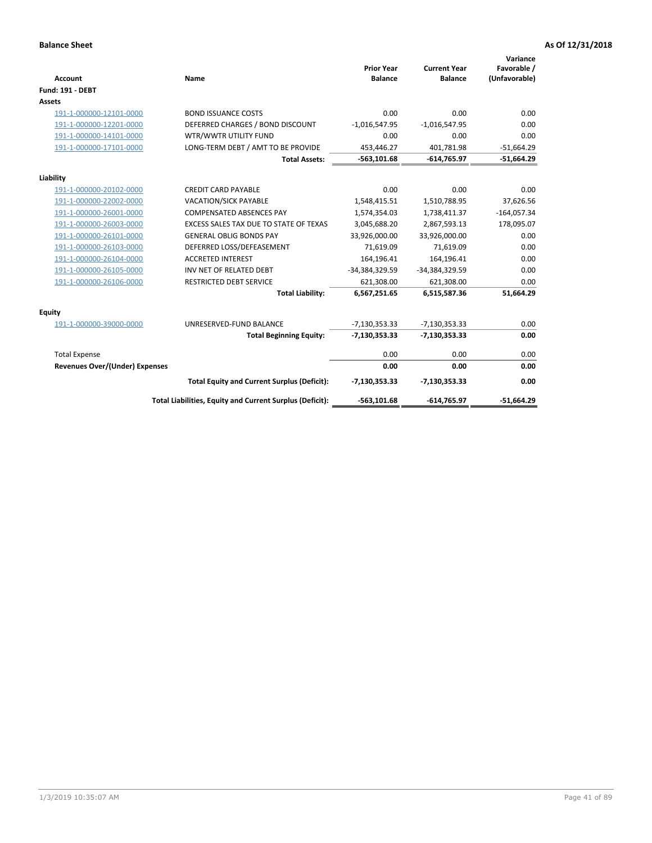| <b>Account</b>                 | Name                                                     | <b>Prior Year</b><br><b>Balance</b> | <b>Current Year</b><br><b>Balance</b> | Variance<br>Favorable /<br>(Unfavorable) |
|--------------------------------|----------------------------------------------------------|-------------------------------------|---------------------------------------|------------------------------------------|
| <b>Fund: 191 - DEBT</b>        |                                                          |                                     |                                       |                                          |
| <b>Assets</b>                  |                                                          |                                     |                                       |                                          |
| 191-1-000000-12101-0000        | <b>BOND ISSUANCE COSTS</b>                               | 0.00                                | 0.00                                  | 0.00                                     |
| 191-1-000000-12201-0000        | DEFERRED CHARGES / BOND DISCOUNT                         | $-1,016,547.95$                     | $-1,016,547.95$                       | 0.00                                     |
| 191-1-000000-14101-0000        | WTR/WWTR UTILITY FUND                                    | 0.00                                | 0.00                                  | 0.00                                     |
| 191-1-000000-17101-0000        | LONG-TERM DEBT / AMT TO BE PROVIDE                       | 453,446.27                          | 401,781.98                            | $-51,664.29$                             |
|                                | <b>Total Assets:</b>                                     | $-563, 101.68$                      | $-614,765.97$                         | $-51,664.29$                             |
| Liability                      |                                                          |                                     |                                       |                                          |
| 191-1-000000-20102-0000        | <b>CREDIT CARD PAYABLE</b>                               | 0.00                                | 0.00                                  | 0.00                                     |
| 191-1-000000-22002-0000        | VACATION/SICK PAYABLE                                    | 1,548,415.51                        | 1,510,788.95                          | 37,626.56                                |
| 191-1-000000-26001-0000        | <b>COMPENSATED ABSENCES PAY</b>                          | 1,574,354.03                        | 1,738,411.37                          | $-164,057.34$                            |
| 191-1-000000-26003-0000        | EXCESS SALES TAX DUE TO STATE OF TEXAS                   | 3,045,688.20                        | 2,867,593.13                          | 178,095.07                               |
| 191-1-000000-26101-0000        | <b>GENERAL OBLIG BONDS PAY</b>                           | 33,926,000.00                       | 33,926,000.00                         | 0.00                                     |
| 191-1-000000-26103-0000        | DEFERRED LOSS/DEFEASEMENT                                | 71,619.09                           | 71,619.09                             | 0.00                                     |
| 191-1-000000-26104-0000        | <b>ACCRETED INTEREST</b>                                 | 164,196.41                          | 164,196.41                            | 0.00                                     |
| 191-1-000000-26105-0000        | INV NET OF RELATED DEBT                                  | -34,384,329.59                      | -34,384,329.59                        | 0.00                                     |
| 191-1-000000-26106-0000        | <b>RESTRICTED DEBT SERVICE</b>                           | 621,308.00                          | 621,308.00                            | 0.00                                     |
|                                | <b>Total Liability:</b>                                  | 6,567,251.65                        | 6,515,587.36                          | 51,664.29                                |
| Equity                         |                                                          |                                     |                                       |                                          |
| 191-1-000000-39000-0000        | UNRESERVED-FUND BALANCE                                  | $-7,130,353.33$                     | $-7,130,353.33$                       | 0.00                                     |
|                                | <b>Total Beginning Equity:</b>                           | $-7,130,353.33$                     | $-7,130,353.33$                       | 0.00                                     |
| <b>Total Expense</b>           |                                                          | 0.00                                | 0.00                                  | 0.00                                     |
| Revenues Over/(Under) Expenses |                                                          | 0.00                                | 0.00                                  | 0.00                                     |
|                                | <b>Total Equity and Current Surplus (Deficit):</b>       | $-7,130,353.33$                     | $-7,130,353.33$                       | 0.00                                     |
|                                | Total Liabilities, Equity and Current Surplus (Deficit): | $-563, 101.68$                      | $-614,765.97$                         | $-51.664.29$                             |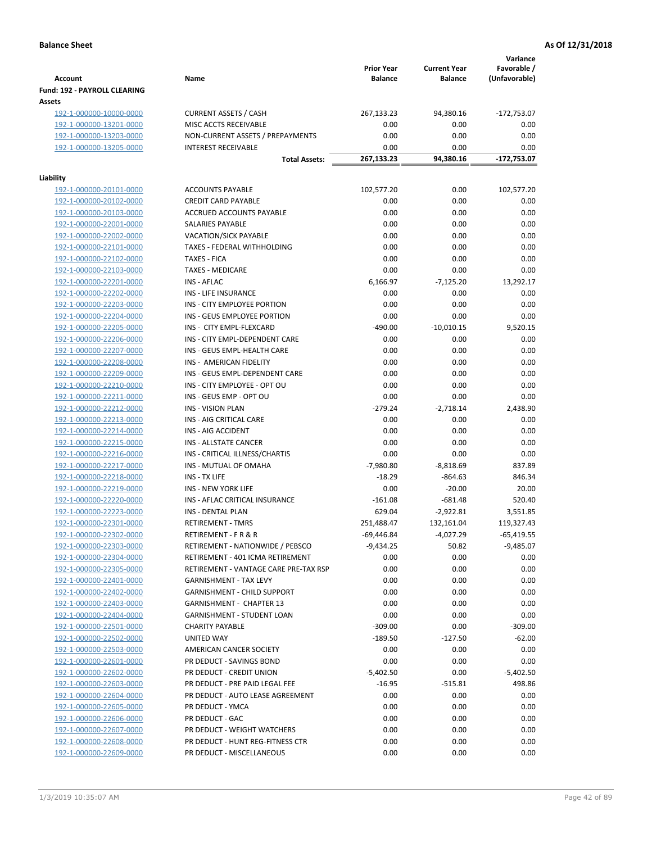|                                                    |                                        |                                     |                                       | Variance                     |
|----------------------------------------------------|----------------------------------------|-------------------------------------|---------------------------------------|------------------------------|
| <b>Account</b>                                     | Name                                   | <b>Prior Year</b><br><b>Balance</b> | <b>Current Year</b><br><b>Balance</b> | Favorable /<br>(Unfavorable) |
| Fund: 192 - PAYROLL CLEARING                       |                                        |                                     |                                       |                              |
| Assets                                             |                                        |                                     |                                       |                              |
| 192-1-000000-10000-0000                            | <b>CURRENT ASSETS / CASH</b>           | 267,133.23                          | 94,380.16                             | -172,753.07                  |
| 192-1-000000-13201-0000                            | MISC ACCTS RECEIVABLE                  | 0.00                                | 0.00                                  | 0.00                         |
| 192-1-000000-13203-0000                            | NON-CURRENT ASSETS / PREPAYMENTS       | 0.00                                | 0.00                                  | 0.00                         |
| 192-1-000000-13205-0000                            | <b>INTEREST RECEIVABLE</b>             | 0.00                                | 0.00                                  | 0.00                         |
|                                                    | <b>Total Assets:</b>                   | 267,133.23                          | 94,380.16                             | -172,753.07                  |
| Liability                                          |                                        |                                     |                                       |                              |
| 192-1-000000-20101-0000                            | <b>ACCOUNTS PAYABLE</b>                | 102,577.20                          | 0.00                                  | 102,577.20                   |
| 192-1-000000-20102-0000                            | <b>CREDIT CARD PAYABLE</b>             | 0.00                                | 0.00                                  | 0.00                         |
| 192-1-000000-20103-0000                            | ACCRUED ACCOUNTS PAYABLE               | 0.00                                | 0.00                                  | 0.00                         |
| 192-1-000000-22001-0000                            | SALARIES PAYABLE                       | 0.00                                | 0.00                                  | 0.00                         |
| 192-1-000000-22002-0000                            | <b>VACATION/SICK PAYABLE</b>           | 0.00                                | 0.00                                  | 0.00                         |
| 192-1-000000-22101-0000                            | TAXES - FEDERAL WITHHOLDING            | 0.00                                | 0.00                                  | 0.00                         |
| 192-1-000000-22102-0000                            | <b>TAXES - FICA</b>                    | 0.00                                | 0.00                                  | 0.00                         |
| 192-1-000000-22103-0000                            | <b>TAXES - MEDICARE</b>                | 0.00                                | 0.00                                  | 0.00                         |
| 192-1-000000-22201-0000                            | <b>INS - AFLAC</b>                     | 6,166.97                            | $-7,125.20$                           | 13,292.17                    |
| 192-1-000000-22202-0000                            | INS - LIFE INSURANCE                   | 0.00                                | 0.00                                  | 0.00                         |
| 192-1-000000-22203-0000                            | INS - CITY EMPLOYEE PORTION            | 0.00                                | 0.00                                  | 0.00                         |
| 192-1-000000-22204-0000                            | INS - GEUS EMPLOYEE PORTION            | 0.00                                | 0.00                                  | 0.00                         |
| 192-1-000000-22205-0000                            | INS - CITY EMPL-FLEXCARD               | $-490.00$                           | $-10,010.15$                          | 9,520.15                     |
| 192-1-000000-22206-0000                            | INS - CITY EMPL-DEPENDENT CARE         | 0.00                                | 0.00                                  | 0.00                         |
| 192-1-000000-22207-0000                            | INS - GEUS EMPL-HEALTH CARE            | 0.00                                | 0.00                                  | 0.00                         |
| 192-1-000000-22208-0000                            | INS - AMERICAN FIDELITY                | 0.00                                | 0.00                                  | 0.00                         |
| 192-1-000000-22209-0000                            | INS - GEUS EMPL-DEPENDENT CARE         | 0.00                                | 0.00                                  | 0.00                         |
| 192-1-000000-22210-0000                            | INS - CITY EMPLOYEE - OPT OU           | 0.00                                | 0.00                                  | 0.00                         |
| 192-1-000000-22211-0000                            | INS - GEUS EMP - OPT OU                | 0.00                                | 0.00                                  | 0.00                         |
| 192-1-000000-22212-0000                            | <b>INS - VISION PLAN</b>               | $-279.24$                           | $-2,718.14$                           | 2,438.90                     |
| 192-1-000000-22213-0000                            | INS - AIG CRITICAL CARE                | 0.00                                | 0.00                                  | 0.00                         |
| 192-1-000000-22214-0000                            | INS - AIG ACCIDENT                     | 0.00                                | 0.00                                  | 0.00                         |
| 192-1-000000-22215-0000                            | INS - ALLSTATE CANCER                  | 0.00                                | 0.00                                  | 0.00                         |
| 192-1-000000-22216-0000                            | INS - CRITICAL ILLNESS/CHARTIS         | 0.00                                | 0.00                                  | 0.00                         |
| 192-1-000000-22217-0000                            | INS - MUTUAL OF OMAHA<br>INS - TX LIFE | $-7,980.80$<br>$-18.29$             | $-8,818.69$<br>$-864.63$              | 837.89<br>846.34             |
| 192-1-000000-22218-0000<br>192-1-000000-22219-0000 | <b>INS - NEW YORK LIFE</b>             | 0.00                                | $-20.00$                              | 20.00                        |
| 192-1-000000-22220-0000                            | INS - AFLAC CRITICAL INSURANCE         | $-161.08$                           | $-681.48$                             | 520.40                       |
| 192-1-000000-22223-0000                            | <b>INS - DENTAL PLAN</b>               | 629.04                              | $-2,922.81$                           | 3,551.85                     |
| <u>192-1-000000-22301-0000</u>                     | <b>RETIREMENT - TMRS</b>               | 251,488.47                          | 132,161.04                            | 119,327.43                   |
| 192-1-000000-22302-0000                            | RETIREMENT - F R & R                   | -69,446.84                          | -4,027.29                             | $-65,419.55$                 |
| 192-1-000000-22303-0000                            | RETIREMENT - NATIONWIDE / PEBSCO       | $-9,434.25$                         | 50.82                                 | $-9,485.07$                  |
| 192-1-000000-22304-0000                            | RETIREMENT - 401 ICMA RETIREMENT       | 0.00                                | 0.00                                  | 0.00                         |
| 192-1-000000-22305-0000                            | RETIREMENT - VANTAGE CARE PRE-TAX RSP  | 0.00                                | 0.00                                  | 0.00                         |
| 192-1-000000-22401-0000                            | <b>GARNISHMENT - TAX LEVY</b>          | 0.00                                | 0.00                                  | 0.00                         |
| 192-1-000000-22402-0000                            | <b>GARNISHMENT - CHILD SUPPORT</b>     | 0.00                                | 0.00                                  | 0.00                         |
| 192-1-000000-22403-0000                            | <b>GARNISHMENT - CHAPTER 13</b>        | 0.00                                | 0.00                                  | 0.00                         |
| 192-1-000000-22404-0000                            | <b>GARNISHMENT - STUDENT LOAN</b>      | 0.00                                | 0.00                                  | 0.00                         |
| 192-1-000000-22501-0000                            | <b>CHARITY PAYABLE</b>                 | $-309.00$                           | 0.00                                  | $-309.00$                    |
| 192-1-000000-22502-0000                            | UNITED WAY                             | $-189.50$                           | $-127.50$                             | $-62.00$                     |
| 192-1-000000-22503-0000                            | AMERICAN CANCER SOCIETY                | 0.00                                | 0.00                                  | 0.00                         |
| 192-1-000000-22601-0000                            | PR DEDUCT - SAVINGS BOND               | 0.00                                | 0.00                                  | 0.00                         |
| 192-1-000000-22602-0000                            | PR DEDUCT - CREDIT UNION               | $-5,402.50$                         | 0.00                                  | $-5,402.50$                  |
| 192-1-000000-22603-0000                            | PR DEDUCT - PRE PAID LEGAL FEE         | $-16.95$                            | $-515.81$                             | 498.86                       |
| 192-1-000000-22604-0000                            | PR DEDUCT - AUTO LEASE AGREEMENT       | 0.00                                | 0.00                                  | 0.00                         |
| 192-1-000000-22605-0000                            | PR DEDUCT - YMCA                       | 0.00                                | 0.00                                  | 0.00                         |
| 192-1-000000-22606-0000                            | PR DEDUCT - GAC                        | 0.00                                | 0.00                                  | 0.00                         |
| 192-1-000000-22607-0000                            | PR DEDUCT - WEIGHT WATCHERS            | 0.00                                | 0.00                                  | 0.00                         |
| 192-1-000000-22608-0000                            | PR DEDUCT - HUNT REG-FITNESS CTR       | 0.00                                | 0.00                                  | 0.00                         |
| 192-1-000000-22609-0000                            | PR DEDUCT - MISCELLANEOUS              | 0.00                                | 0.00                                  | 0.00                         |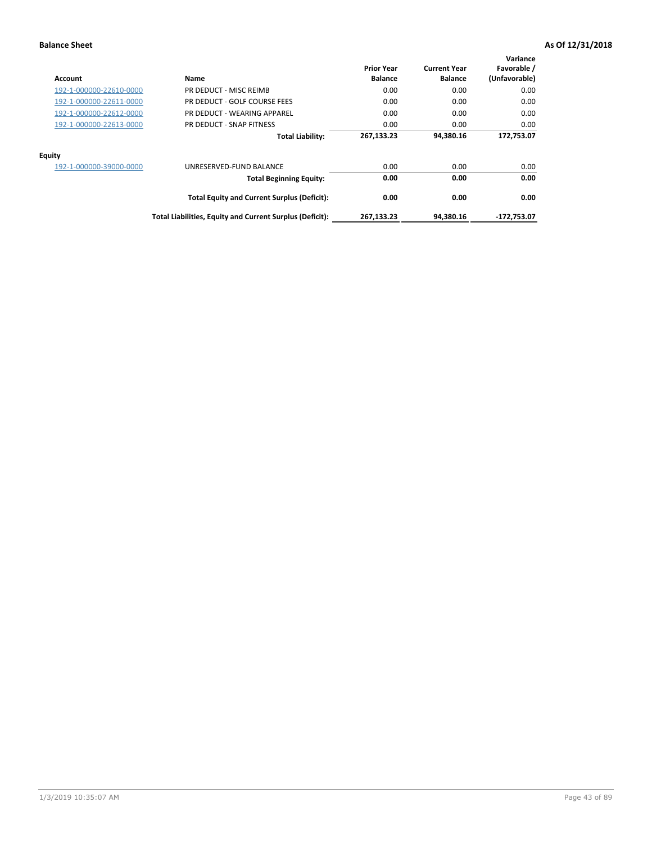| Account                 | Name                                                     | <b>Prior Year</b><br><b>Balance</b> | <b>Current Year</b><br><b>Balance</b> | Variance<br>Favorable /<br>(Unfavorable) |
|-------------------------|----------------------------------------------------------|-------------------------------------|---------------------------------------|------------------------------------------|
| 192-1-000000-22610-0000 | PR DEDUCT - MISC REIMB                                   | 0.00                                | 0.00                                  | 0.00                                     |
| 192-1-000000-22611-0000 | PR DEDUCT - GOLF COURSE FEES                             | 0.00                                | 0.00                                  | 0.00                                     |
| 192-1-000000-22612-0000 | PR DEDUCT - WEARING APPAREL                              | 0.00                                | 0.00                                  | 0.00                                     |
| 192-1-000000-22613-0000 | PR DEDUCT - SNAP FITNESS                                 | 0.00                                | 0.00                                  | 0.00                                     |
|                         | <b>Total Liability:</b>                                  | 267,133.23                          | 94,380.16                             | 172,753.07                               |
| <b>Equity</b>           |                                                          |                                     |                                       |                                          |
| 192-1-000000-39000-0000 | UNRESERVED-FUND BALANCE                                  | 0.00                                | 0.00                                  | 0.00                                     |
|                         | <b>Total Beginning Equity:</b>                           | 0.00                                | 0.00                                  | 0.00                                     |
|                         | <b>Total Equity and Current Surplus (Deficit):</b>       | 0.00                                | 0.00                                  | 0.00                                     |
|                         | Total Liabilities, Equity and Current Surplus (Deficit): | 267,133.23                          | 94.380.16                             | -172,753.07                              |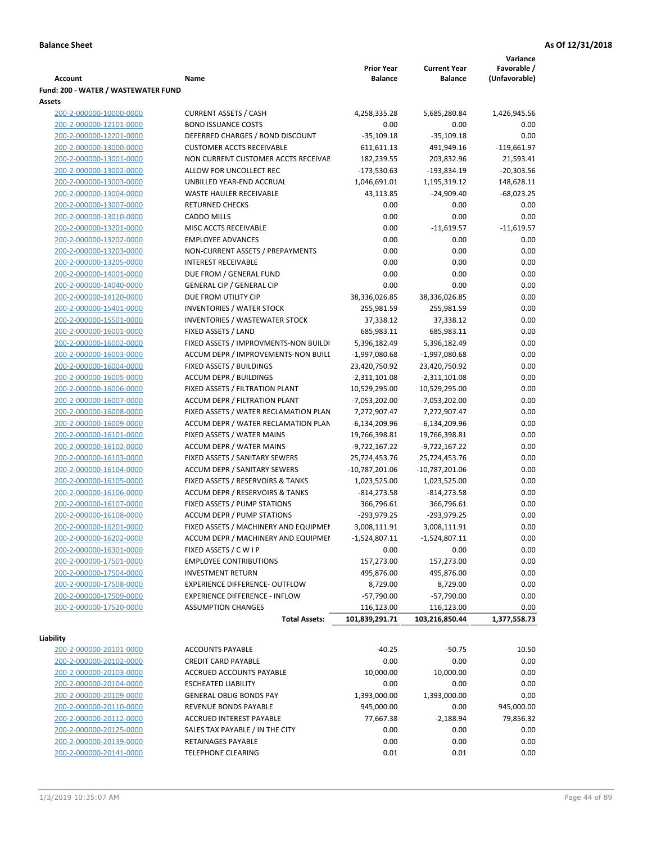|                                     |                                       |                   |                     | Variance      |
|-------------------------------------|---------------------------------------|-------------------|---------------------|---------------|
|                                     |                                       | <b>Prior Year</b> | <b>Current Year</b> | Favorable /   |
| <b>Account</b>                      | Name                                  | <b>Balance</b>    | <b>Balance</b>      | (Unfavorable) |
| Fund: 200 - WATER / WASTEWATER FUND |                                       |                   |                     |               |
| Assets                              |                                       |                   |                     |               |
| 200-2-000000-10000-0000             | <b>CURRENT ASSETS / CASH</b>          | 4,258,335.28      | 5,685,280.84        | 1,426,945.56  |
| 200-2-000000-12101-0000             | <b>BOND ISSUANCE COSTS</b>            | 0.00              | 0.00                | 0.00          |
| 200-2-000000-12201-0000             | DEFERRED CHARGES / BOND DISCOUNT      | $-35,109.18$      | $-35,109.18$        | 0.00          |
| 200-2-000000-13000-0000             | <b>CUSTOMER ACCTS RECEIVABLE</b>      | 611,611.13        | 491,949.16          | $-119,661.97$ |
| 200-2-000000-13001-0000             | NON CURRENT CUSTOMER ACCTS RECEIVAE   | 182,239.55        | 203,832.96          | 21,593.41     |
| 200-2-000000-13002-0000             | ALLOW FOR UNCOLLECT REC               | $-173,530.63$     | -193,834.19         | $-20,303.56$  |
| 200-2-000000-13003-0000             | UNBILLED YEAR-END ACCRUAL             | 1,046,691.01      | 1,195,319.12        | 148,628.11    |
| 200-2-000000-13004-0000             | <b>WASTE HAULER RECEIVABLE</b>        | 43,113.85         | $-24,909.40$        | $-68,023.25$  |
| 200-2-000000-13007-0000             | <b>RETURNED CHECKS</b>                | 0.00              | 0.00                | 0.00          |
| 200-2-000000-13010-0000             | <b>CADDO MILLS</b>                    | 0.00              | 0.00                | 0.00          |
| 200-2-000000-13201-0000             | MISC ACCTS RECEIVABLE                 | 0.00              | $-11,619.57$        | $-11,619.57$  |
| 200-2-000000-13202-0000             | <b>EMPLOYEE ADVANCES</b>              | 0.00              | 0.00                | 0.00          |
| 200-2-000000-13203-0000             | NON-CURRENT ASSETS / PREPAYMENTS      | 0.00              | 0.00                | 0.00          |
| 200-2-000000-13205-0000             | <b>INTEREST RECEIVABLE</b>            | 0.00              | 0.00                | 0.00          |
| 200-2-000000-14001-0000             | DUE FROM / GENERAL FUND               | 0.00              | 0.00                | 0.00          |
| 200-2-000000-14040-0000             | <b>GENERAL CIP / GENERAL CIP</b>      | 0.00              | 0.00                | 0.00          |
| 200-2-000000-14120-0000             | DUE FROM UTILITY CIP                  | 38,336,026.85     | 38,336,026.85       | 0.00          |
| 200-2-000000-15401-0000             | <b>INVENTORIES / WATER STOCK</b>      | 255,981.59        | 255,981.59          | 0.00          |
| 200-2-000000-15501-0000             | <b>INVENTORIES / WASTEWATER STOCK</b> | 37,338.12         | 37,338.12           | 0.00          |
| 200-2-000000-16001-0000             | FIXED ASSETS / LAND                   | 685,983.11        | 685,983.11          | 0.00          |
| 200-2-000000-16002-0000             | FIXED ASSETS / IMPROVMENTS-NON BUILDI | 5,396,182.49      | 5,396,182.49        | 0.00          |
| 200-2-000000-16003-0000             | ACCUM DEPR / IMPROVEMENTS-NON BUILL   | $-1,997,080.68$   | -1,997,080.68       | 0.00          |
| 200-2-000000-16004-0000             | FIXED ASSETS / BUILDINGS              | 23,420,750.92     | 23,420,750.92       | 0.00          |
| 200-2-000000-16005-0000             | <b>ACCUM DEPR / BUILDINGS</b>         | $-2,311,101.08$   | $-2,311,101.08$     | 0.00          |
| 200-2-000000-16006-0000             | FIXED ASSETS / FILTRATION PLANT       | 10,529,295.00     | 10,529,295.00       | 0.00          |
| 200-2-000000-16007-0000             | ACCUM DEPR / FILTRATION PLANT         | -7,053,202.00     | $-7,053,202.00$     | 0.00          |
| 200-2-000000-16008-0000             | FIXED ASSETS / WATER RECLAMATION PLAN | 7,272,907.47      | 7,272,907.47        | 0.00          |
| 200-2-000000-16009-0000             | ACCUM DEPR / WATER RECLAMATION PLAN   | $-6,134,209.96$   | $-6,134,209.96$     | 0.00          |
| 200-2-000000-16101-0000             | FIXED ASSETS / WATER MAINS            | 19,766,398.81     | 19,766,398.81       | 0.00          |
| 200-2-000000-16102-0000             | <b>ACCUM DEPR / WATER MAINS</b>       | -9,722,167.22     | -9,722,167.22       | 0.00          |
| 200-2-000000-16103-0000             | FIXED ASSETS / SANITARY SEWERS        | 25,724,453.76     | 25,724,453.76       | 0.00          |
| 200-2-000000-16104-0000             | <b>ACCUM DEPR / SANITARY SEWERS</b>   | $-10,787,201.06$  | $-10,787,201.06$    | 0.00          |
| 200-2-000000-16105-0000             | FIXED ASSETS / RESERVOIRS & TANKS     | 1,023,525.00      | 1,023,525.00        | 0.00          |
| 200-2-000000-16106-0000             | ACCUM DEPR / RESERVOIRS & TANKS       | $-814, 273.58$    | $-814,273.58$       | 0.00          |
| 200-2-000000-16107-0000             | FIXED ASSETS / PUMP STATIONS          | 366,796.61        | 366,796.61          | 0.00          |
| 200-2-000000-16108-0000             | <b>ACCUM DEPR / PUMP STATIONS</b>     | -293,979.25       | $-293,979.25$       | 0.00          |
| 200-2-000000-16201-0000             | FIXED ASSETS / MACHINERY AND EQUIPMEN | 3,008,111.91      | 3,008,111.91        | 0.00          |
| 200-2-000000-16202-0000             | ACCUM DEPR / MACHINERY AND EQUIPMEI   | $-1,524,807.11$   | $-1,524,807.11$     | 0.00          |
| 200-2-000000-16301-0000             | FIXED ASSETS / C W I P                | 0.00              | 0.00                | 0.00          |
| 200-2-000000-17501-0000             | <b>EMPLOYEE CONTRIBUTIONS</b>         | 157,273.00        | 157,273.00          | 0.00          |
| 200-2-000000-17504-0000             | <b>INVESTMENT RETURN</b>              | 495,876.00        | 495,876.00          | 0.00          |
| 200-2-000000-17508-0000             | EXPERIENCE DIFFERENCE- OUTFLOW        | 8,729.00          | 8,729.00            | 0.00          |
| 200-2-000000-17509-0000             | <b>EXPERIENCE DIFFERENCE - INFLOW</b> | $-57,790.00$      | $-57,790.00$        | 0.00          |
| 200-2-000000-17520-0000             | <b>ASSUMPTION CHANGES</b>             | 116,123.00        | 116,123.00          | 0.00          |
|                                     | <b>Total Assets:</b>                  | 101,839,291.71    | 103,216,850.44      | 1,377,558.73  |
|                                     |                                       |                   |                     |               |
| Liability                           |                                       |                   |                     |               |
| 200-2-000000-20101-0000             | <b>ACCOUNTS PAYABLE</b>               | $-40.25$          | $-50.75$            | 10.50         |
| 200-2-000000-20102-0000             | <b>CREDIT CARD PAYABLE</b>            | 0.00              | 0.00                | 0.00          |
| 200-2-000000-20103-0000             | ACCRUED ACCOUNTS PAYABLE              | 10,000.00         | 10,000.00           | 0.00          |
| 200-2-000000-20104-0000             | <b>ESCHEATED LIABILITY</b>            | 0.00              | 0.00                | 0.00          |
| 200-2-000000-20109-0000             | <b>GENERAL OBLIG BONDS PAY</b>        | 1,393,000.00      | 1,393,000.00        | 0.00          |
| 200-2-000000-20110-0000             | REVENUE BONDS PAYABLE                 | 945,000.00        | 0.00                | 945,000.00    |
| 200-2-000000-20112-0000             | ACCRUED INTEREST PAYABLE              | 77,667.38         | $-2,188.94$         | 79,856.32     |
| 200-2-000000-20125-0000             | SALES TAX PAYABLE / IN THE CITY       | 0.00              | 0.00                | 0.00          |
| 200-2-000000-20139-0000             | RETAINAGES PAYABLE                    | 0.00              | 0.00                | 0.00          |
| 200-2-000000-20141-0000             | <b>TELEPHONE CLEARING</b>             | 0.01              | 0.01                | 0.00          |
|                                     |                                       |                   |                     |               |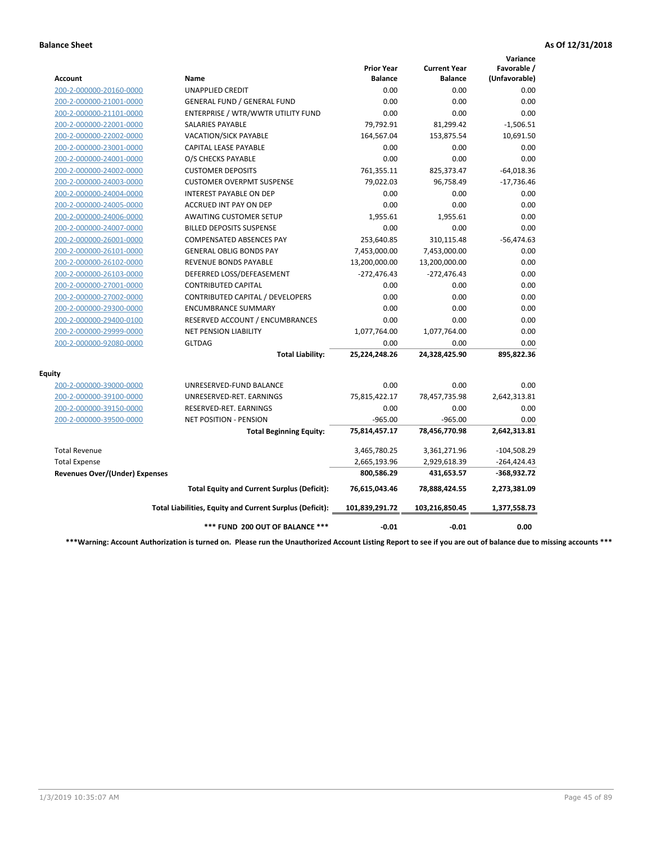|                                       |                                                          |                                     |                                       | Variance                     |
|---------------------------------------|----------------------------------------------------------|-------------------------------------|---------------------------------------|------------------------------|
| Account                               | <b>Name</b>                                              | <b>Prior Year</b><br><b>Balance</b> | <b>Current Year</b><br><b>Balance</b> | Favorable /<br>(Unfavorable) |
| 200-2-000000-20160-0000               | <b>UNAPPLIED CREDIT</b>                                  | 0.00                                | 0.00                                  | 0.00                         |
| 200-2-000000-21001-0000               | <b>GENERAL FUND / GENERAL FUND</b>                       | 0.00                                | 0.00                                  | 0.00                         |
| 200-2-000000-21101-0000               | ENTERPRISE / WTR/WWTR UTILITY FUND                       | 0.00                                | 0.00                                  | 0.00                         |
| 200-2-000000-22001-0000               | <b>SALARIES PAYABLE</b>                                  | 79,792.91                           | 81,299.42                             | $-1,506.51$                  |
| 200-2-000000-22002-0000               | <b>VACATION/SICK PAYABLE</b>                             | 164,567.04                          | 153,875.54                            | 10,691.50                    |
| 200-2-000000-23001-0000               | CAPITAL LEASE PAYABLE                                    | 0.00                                | 0.00                                  | 0.00                         |
| 200-2-000000-24001-0000               | O/S CHECKS PAYABLE                                       | 0.00                                | 0.00                                  | 0.00                         |
| 200-2-000000-24002-0000               | <b>CUSTOMER DEPOSITS</b>                                 | 761,355.11                          | 825,373.47                            | $-64,018.36$                 |
| 200-2-000000-24003-0000               | <b>CUSTOMER OVERPMT SUSPENSE</b>                         | 79,022.03                           | 96,758.49                             | $-17,736.46$                 |
| 200-2-000000-24004-0000               | <b>INTEREST PAYABLE ON DEP</b>                           | 0.00                                | 0.00                                  | 0.00                         |
| 200-2-000000-24005-0000               | <b>ACCRUED INT PAY ON DEP</b>                            | 0.00                                | 0.00                                  | 0.00                         |
| 200-2-000000-24006-0000               | <b>AWAITING CUSTOMER SETUP</b>                           | 1,955.61                            | 1,955.61                              | 0.00                         |
| 200-2-000000-24007-0000               | <b>BILLED DEPOSITS SUSPENSE</b>                          | 0.00                                | 0.00                                  | 0.00                         |
| 200-2-000000-26001-0000               | <b>COMPENSATED ABSENCES PAY</b>                          | 253,640.85                          | 310,115.48                            | $-56,474.63$                 |
| 200-2-000000-26101-0000               | <b>GENERAL OBLIG BONDS PAY</b>                           | 7,453,000.00                        | 7,453,000.00                          | 0.00                         |
| 200-2-000000-26102-0000               | <b>REVENUE BONDS PAYABLE</b>                             | 13,200,000.00                       | 13,200,000.00                         | 0.00                         |
| 200-2-000000-26103-0000               | DEFERRED LOSS/DEFEASEMENT                                | $-272,476.43$                       | $-272,476.43$                         | 0.00                         |
| 200-2-000000-27001-0000               | <b>CONTRIBUTED CAPITAL</b>                               | 0.00                                | 0.00                                  | 0.00                         |
| 200-2-000000-27002-0000               | CONTRIBUTED CAPITAL / DEVELOPERS                         | 0.00                                | 0.00                                  | 0.00                         |
| 200-2-000000-29300-0000               | <b>ENCUMBRANCE SUMMARY</b>                               | 0.00                                | 0.00                                  | 0.00                         |
| 200-2-000000-29400-0100               | RESERVED ACCOUNT / ENCUMBRANCES                          | 0.00                                | 0.00                                  | 0.00                         |
| 200-2-000000-29999-0000               | <b>NET PENSION LIABILITY</b>                             | 1,077,764.00                        | 1,077,764.00                          | 0.00                         |
| 200-2-000000-92080-0000               | <b>GLTDAG</b>                                            | 0.00                                | 0.00                                  | 0.00                         |
|                                       | <b>Total Liability:</b>                                  | 25,224,248.26                       | 24,328,425.90                         | 895,822.36                   |
| <b>Equity</b>                         |                                                          |                                     |                                       |                              |
| 200-2-000000-39000-0000               | UNRESERVED-FUND BALANCE                                  | 0.00                                | 0.00                                  | 0.00                         |
| 200-2-000000-39100-0000               | UNRESERVED-RET. EARNINGS                                 | 75,815,422.17                       | 78,457,735.98                         | 2,642,313.81                 |
| 200-2-000000-39150-0000               | RESERVED-RET. EARNINGS                                   | 0.00                                | 0.00                                  | 0.00                         |
| 200-2-000000-39500-0000               | NET POSITION - PENSION                                   | $-965.00$                           | $-965.00$                             | 0.00                         |
|                                       | <b>Total Beginning Equity:</b>                           | 75,814,457.17                       | 78,456,770.98                         | 2,642,313.81                 |
| <b>Total Revenue</b>                  |                                                          | 3,465,780.25                        | 3,361,271.96                          | $-104,508.29$                |
| <b>Total Expense</b>                  |                                                          | 2,665,193.96                        | 2,929,618.39                          | $-264,424.43$                |
| <b>Revenues Over/(Under) Expenses</b> |                                                          | 800,586.29                          | 431,653.57                            | $-368,932.72$                |
|                                       | <b>Total Equity and Current Surplus (Deficit):</b>       | 76,615,043.46                       | 78,888,424.55                         | 2,273,381.09                 |
|                                       | Total Liabilities, Equity and Current Surplus (Deficit): | 101,839,291.72                      | 103,216,850.45                        | 1,377,558.73                 |
|                                       | *** FUND 200 OUT OF BALANCE ***                          | $-0.01$                             | $-0.01$                               | 0.00                         |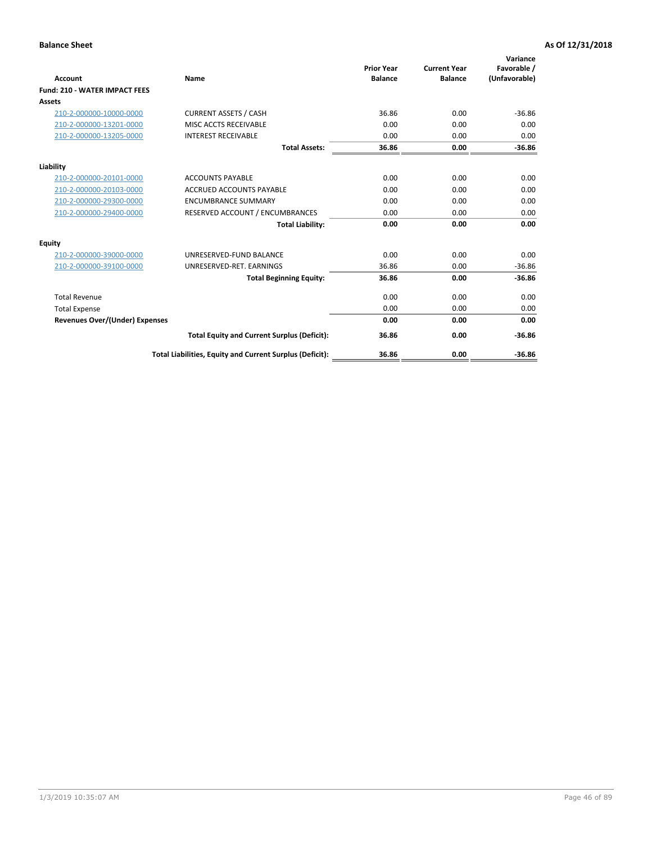| <b>Account</b>                        | Name                                                     | <b>Prior Year</b><br><b>Balance</b> | <b>Current Year</b><br><b>Balance</b> | Variance<br>Favorable /<br>(Unfavorable) |
|---------------------------------------|----------------------------------------------------------|-------------------------------------|---------------------------------------|------------------------------------------|
| <b>Fund: 210 - WATER IMPACT FEES</b>  |                                                          |                                     |                                       |                                          |
| <b>Assets</b>                         |                                                          |                                     |                                       |                                          |
| 210-2-000000-10000-0000               | <b>CURRENT ASSETS / CASH</b>                             | 36.86                               | 0.00                                  | $-36.86$                                 |
| 210-2-000000-13201-0000               | MISC ACCTS RECEIVABLE                                    | 0.00                                | 0.00                                  | 0.00                                     |
| 210-2-000000-13205-0000               | <b>INTEREST RECEIVABLE</b>                               | 0.00                                | 0.00                                  | 0.00                                     |
|                                       | <b>Total Assets:</b>                                     | 36.86                               | 0.00                                  | $-36.86$                                 |
| Liability                             |                                                          |                                     |                                       |                                          |
| 210-2-000000-20101-0000               | <b>ACCOUNTS PAYABLE</b>                                  | 0.00                                | 0.00                                  | 0.00                                     |
| 210-2-000000-20103-0000               | <b>ACCRUED ACCOUNTS PAYABLE</b>                          | 0.00                                | 0.00                                  | 0.00                                     |
| 210-2-000000-29300-0000               | <b>ENCUMBRANCE SUMMARY</b>                               | 0.00                                | 0.00                                  | 0.00                                     |
| 210-2-000000-29400-0000               | RESERVED ACCOUNT / ENCUMBRANCES                          | 0.00                                | 0.00                                  | 0.00                                     |
|                                       | <b>Total Liability:</b>                                  | 0.00                                | 0.00                                  | 0.00                                     |
| <b>Equity</b>                         |                                                          |                                     |                                       |                                          |
| 210-2-000000-39000-0000               | UNRESERVED-FUND BALANCE                                  | 0.00                                | 0.00                                  | 0.00                                     |
| 210-2-000000-39100-0000               | UNRESERVED-RET. EARNINGS                                 | 36.86                               | 0.00                                  | $-36.86$                                 |
|                                       | <b>Total Beginning Equity:</b>                           | 36.86                               | 0.00                                  | $-36.86$                                 |
| <b>Total Revenue</b>                  |                                                          | 0.00                                | 0.00                                  | 0.00                                     |
| <b>Total Expense</b>                  |                                                          | 0.00                                | 0.00                                  | 0.00                                     |
| <b>Revenues Over/(Under) Expenses</b> |                                                          | 0.00                                | 0.00                                  | 0.00                                     |
|                                       | <b>Total Equity and Current Surplus (Deficit):</b>       | 36.86                               | 0.00                                  | $-36.86$                                 |
|                                       | Total Liabilities, Equity and Current Surplus (Deficit): | 36.86                               | 0.00                                  | $-36.86$                                 |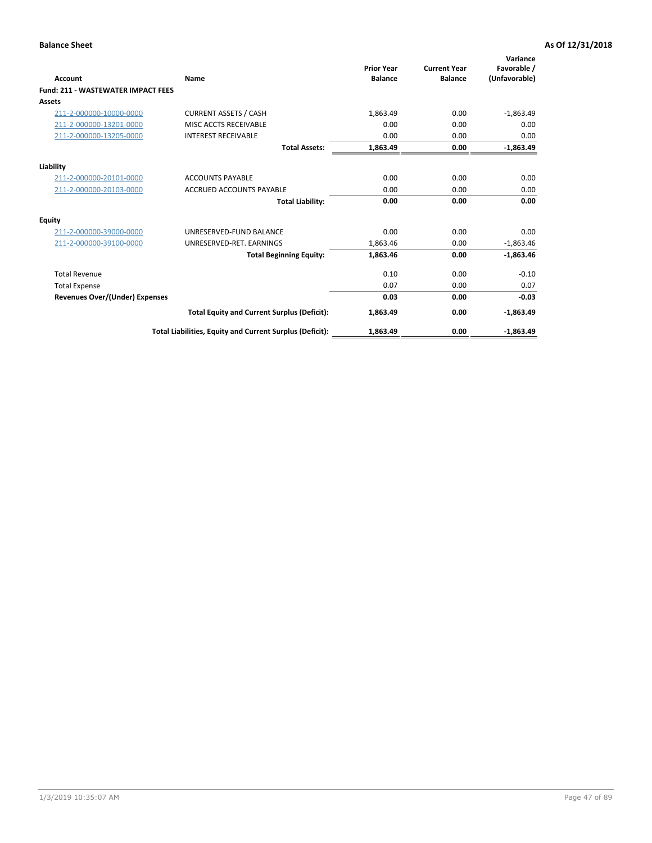| <b>Account</b>                        | Name                                                     | <b>Prior Year</b><br><b>Balance</b> | <b>Current Year</b><br><b>Balance</b> | Variance<br>Favorable /<br>(Unfavorable) |
|---------------------------------------|----------------------------------------------------------|-------------------------------------|---------------------------------------|------------------------------------------|
| Fund: 211 - WASTEWATER IMPACT FEES    |                                                          |                                     |                                       |                                          |
| <b>Assets</b>                         |                                                          |                                     |                                       |                                          |
| 211-2-000000-10000-0000               | <b>CURRENT ASSETS / CASH</b>                             | 1.863.49                            | 0.00                                  | $-1,863.49$                              |
| 211-2-000000-13201-0000               | MISC ACCTS RECEIVABLE                                    | 0.00                                | 0.00                                  | 0.00                                     |
| 211-2-000000-13205-0000               | <b>INTEREST RECEIVABLE</b>                               | 0.00                                | 0.00                                  | 0.00                                     |
|                                       | <b>Total Assets:</b>                                     | 1,863.49                            | 0.00                                  | $-1,863.49$                              |
| Liability                             |                                                          |                                     |                                       |                                          |
| 211-2-000000-20101-0000               | <b>ACCOUNTS PAYABLE</b>                                  | 0.00                                | 0.00                                  | 0.00                                     |
| 211-2-000000-20103-0000               | <b>ACCRUED ACCOUNTS PAYABLE</b>                          | 0.00                                | 0.00                                  | 0.00                                     |
|                                       | <b>Total Liability:</b>                                  | 0.00                                | 0.00                                  | 0.00                                     |
| Equity                                |                                                          |                                     |                                       |                                          |
| 211-2-000000-39000-0000               | UNRESERVED-FUND BALANCE                                  | 0.00                                | 0.00                                  | 0.00                                     |
| 211-2-000000-39100-0000               | UNRESERVED-RET. EARNINGS                                 | 1,863.46                            | 0.00                                  | $-1,863.46$                              |
|                                       | <b>Total Beginning Equity:</b>                           | 1,863.46                            | 0.00                                  | $-1,863.46$                              |
| <b>Total Revenue</b>                  |                                                          | 0.10                                | 0.00                                  | $-0.10$                                  |
| <b>Total Expense</b>                  |                                                          | 0.07                                | 0.00                                  | 0.07                                     |
| <b>Revenues Over/(Under) Expenses</b> |                                                          | 0.03                                | 0.00                                  | $-0.03$                                  |
|                                       | <b>Total Equity and Current Surplus (Deficit):</b>       | 1,863.49                            | 0.00                                  | $-1,863.49$                              |
|                                       | Total Liabilities, Equity and Current Surplus (Deficit): | 1,863.49                            | 0.00                                  | $-1,863.49$                              |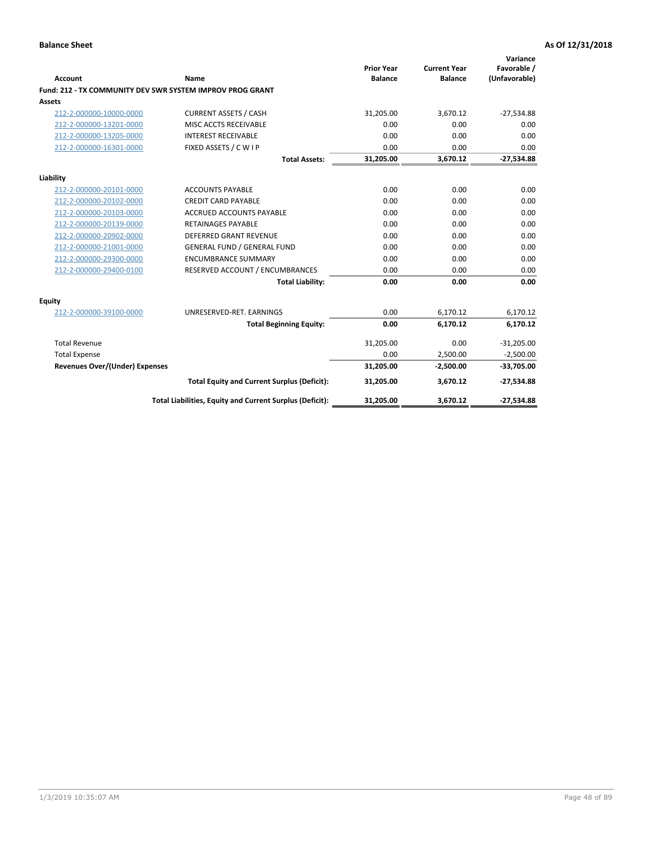| <b>Account</b>                        | Name                                                      | <b>Prior Year</b><br><b>Balance</b> | <b>Current Year</b><br><b>Balance</b> | Variance<br>Favorable /<br>(Unfavorable) |
|---------------------------------------|-----------------------------------------------------------|-------------------------------------|---------------------------------------|------------------------------------------|
|                                       | Fund: 212 - TX COMMUNITY DEV SWR SYSTEM IMPROV PROG GRANT |                                     |                                       |                                          |
| <b>Assets</b>                         |                                                           |                                     |                                       |                                          |
| 212-2-000000-10000-0000               | <b>CURRENT ASSETS / CASH</b>                              | 31,205.00                           | 3,670.12                              | $-27,534.88$                             |
| 212-2-000000-13201-0000               | MISC ACCTS RECEIVABLE                                     | 0.00                                | 0.00                                  | 0.00                                     |
| 212-2-000000-13205-0000               | <b>INTEREST RECEIVABLE</b>                                | 0.00                                | 0.00                                  | 0.00                                     |
| 212-2-000000-16301-0000               | FIXED ASSETS / C W I P                                    | 0.00                                | 0.00                                  | 0.00                                     |
|                                       | <b>Total Assets:</b>                                      | 31,205.00                           | 3,670.12                              | $-27,534.88$                             |
| Liability                             |                                                           |                                     |                                       |                                          |
| 212-2-000000-20101-0000               | <b>ACCOUNTS PAYABLE</b>                                   | 0.00                                | 0.00                                  | 0.00                                     |
| 212-2-000000-20102-0000               | <b>CREDIT CARD PAYABLE</b>                                | 0.00                                | 0.00                                  | 0.00                                     |
| 212-2-000000-20103-0000               | <b>ACCRUED ACCOUNTS PAYABLE</b>                           | 0.00                                | 0.00                                  | 0.00                                     |
| 212-2-000000-20139-0000               | <b>RETAINAGES PAYABLE</b>                                 | 0.00                                | 0.00                                  | 0.00                                     |
| 212-2-000000-20902-0000               | <b>DEFERRED GRANT REVENUE</b>                             | 0.00                                | 0.00                                  | 0.00                                     |
| 212-2-000000-21001-0000               | <b>GENERAL FUND / GENERAL FUND</b>                        | 0.00                                | 0.00                                  | 0.00                                     |
| 212-2-000000-29300-0000               | <b>ENCUMBRANCE SUMMARY</b>                                | 0.00                                | 0.00                                  | 0.00                                     |
| 212-2-000000-29400-0100               | RESERVED ACCOUNT / ENCUMBRANCES                           | 0.00                                | 0.00                                  | 0.00                                     |
|                                       | <b>Total Liability:</b>                                   | 0.00                                | 0.00                                  | 0.00                                     |
| <b>Equity</b>                         |                                                           |                                     |                                       |                                          |
| 212-2-000000-39100-0000               | UNRESERVED-RET. EARNINGS                                  | 0.00                                | 6,170.12                              | 6,170.12                                 |
|                                       | <b>Total Beginning Equity:</b>                            | 0.00                                | 6,170.12                              | 6,170.12                                 |
| <b>Total Revenue</b>                  |                                                           | 31,205.00                           | 0.00                                  | $-31,205.00$                             |
| <b>Total Expense</b>                  |                                                           | 0.00                                | 2,500.00                              | $-2,500.00$                              |
| <b>Revenues Over/(Under) Expenses</b> |                                                           | 31,205.00                           | $-2,500.00$                           | $-33,705.00$                             |
|                                       | <b>Total Equity and Current Surplus (Deficit):</b>        | 31,205.00                           | 3,670.12                              | $-27,534.88$                             |
|                                       | Total Liabilities, Equity and Current Surplus (Deficit):  | 31,205.00                           | 3,670.12                              | $-27,534.88$                             |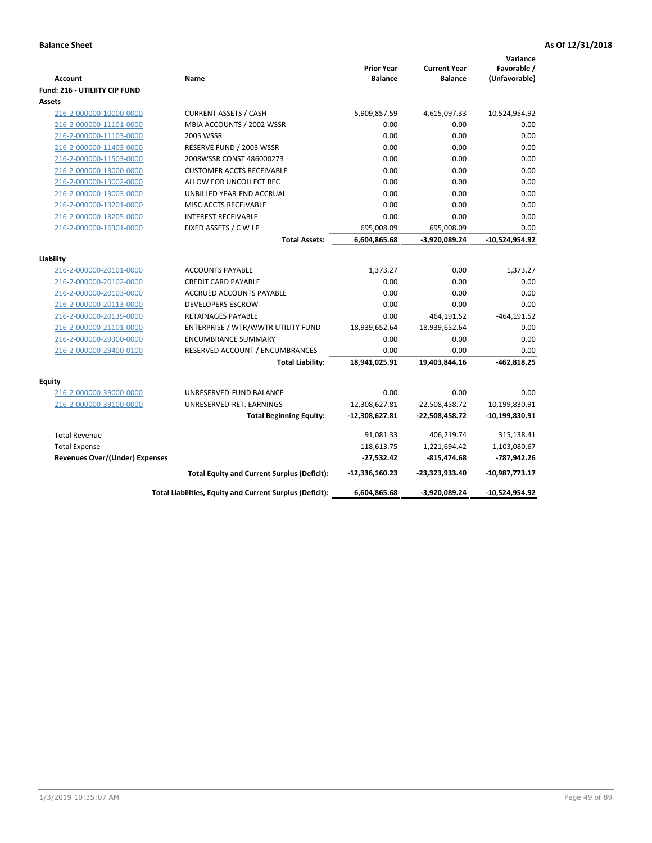|                                                    |                                                          |                                     |                                       | Variance                     |
|----------------------------------------------------|----------------------------------------------------------|-------------------------------------|---------------------------------------|------------------------------|
| <b>Account</b>                                     | Name                                                     | <b>Prior Year</b><br><b>Balance</b> | <b>Current Year</b><br><b>Balance</b> | Favorable /<br>(Unfavorable) |
| Fund: 216 - UTILIITY CIP FUND                      |                                                          |                                     |                                       |                              |
| Assets                                             |                                                          |                                     |                                       |                              |
|                                                    | <b>CURRENT ASSETS / CASH</b>                             | 5,909,857.59                        | $-4,615,097.33$                       | $-10,524,954.92$             |
| 216-2-000000-10000-0000<br>216-2-000000-11101-0000 | MBIA ACCOUNTS / 2002 WSSR                                | 0.00                                | 0.00                                  | 0.00                         |
| 216-2-000000-11103-0000                            | <b>2005 WSSR</b>                                         | 0.00                                | 0.00                                  | 0.00                         |
| 216-2-000000-11403-0000                            | RESERVE FUND / 2003 WSSR                                 | 0.00                                | 0.00                                  | 0.00                         |
| 216-2-000000-11503-0000                            | 2008WSSR CONST 486000273                                 | 0.00                                | 0.00                                  | 0.00                         |
|                                                    | <b>CUSTOMER ACCTS RECEIVABLE</b>                         | 0.00                                | 0.00                                  | 0.00                         |
| 216-2-000000-13000-0000                            |                                                          | 0.00                                | 0.00                                  | 0.00                         |
| 216-2-000000-13002-0000                            | ALLOW FOR UNCOLLECT REC                                  | 0.00                                | 0.00                                  |                              |
| 216-2-000000-13003-0000                            | UNBILLED YEAR-END ACCRUAL                                |                                     |                                       | 0.00<br>0.00                 |
| 216-2-000000-13201-0000                            | MISC ACCTS RECEIVABLE                                    | 0.00                                | 0.00                                  |                              |
| 216-2-000000-13205-0000                            | <b>INTEREST RECEIVABLE</b>                               | 0.00                                | 0.00                                  | 0.00                         |
| 216-2-000000-16301-0000                            | FIXED ASSETS / C W I P                                   | 695,008.09                          | 695,008.09                            | 0.00                         |
|                                                    | <b>Total Assets:</b>                                     | 6,604,865.68                        | -3,920,089.24                         | $-10,524,954.92$             |
| Liability                                          |                                                          |                                     |                                       |                              |
| 216-2-000000-20101-0000                            | <b>ACCOUNTS PAYABLE</b>                                  | 1,373.27                            | 0.00                                  | 1,373.27                     |
| 216-2-000000-20102-0000                            | <b>CREDIT CARD PAYABLE</b>                               | 0.00                                | 0.00                                  | 0.00                         |
| 216-2-000000-20103-0000                            | <b>ACCRUED ACCOUNTS PAYABLE</b>                          | 0.00                                | 0.00                                  | 0.00                         |
| 216-2-000000-20113-0000                            | <b>DEVELOPERS ESCROW</b>                                 | 0.00                                | 0.00                                  | 0.00                         |
| 216-2-000000-20139-0000                            | <b>RETAINAGES PAYABLE</b>                                | 0.00                                | 464,191.52                            | $-464, 191.52$               |
| 216-2-000000-21101-0000                            | ENTERPRISE / WTR/WWTR UTILITY FUND                       | 18,939,652.64                       | 18,939,652.64                         | 0.00                         |
| 216-2-000000-29300-0000                            | <b>ENCUMBRANCE SUMMARY</b>                               | 0.00                                | 0.00                                  | 0.00                         |
| 216-2-000000-29400-0100                            | RESERVED ACCOUNT / ENCUMBRANCES                          | 0.00                                | 0.00                                  | 0.00                         |
|                                                    | <b>Total Liability:</b>                                  | 18,941,025.91                       | 19,403,844.16                         | $-462,818.25$                |
|                                                    |                                                          |                                     |                                       |                              |
| <b>Equity</b>                                      |                                                          |                                     |                                       |                              |
| 216-2-000000-39000-0000                            | UNRESERVED-FUND BALANCE                                  | 0.00                                | 0.00                                  | 0.00                         |
| 216-2-000000-39100-0000                            | UNRESERVED-RET. EARNINGS                                 | $-12,308,627.81$                    | $-22,508,458.72$                      | $-10,199,830.91$             |
|                                                    | <b>Total Beginning Equity:</b>                           | $-12,308,627.81$                    | $-22,508,458.72$                      | $-10,199,830.91$             |
| <b>Total Revenue</b>                               |                                                          | 91,081.33                           | 406,219.74                            | 315,138.41                   |
| <b>Total Expense</b>                               |                                                          | 118,613.75                          | 1,221,694.42                          | $-1,103,080.67$              |
| <b>Revenues Over/(Under) Expenses</b>              |                                                          | $-27,532.42$                        | $-815,474.68$                         | -787,942.26                  |
|                                                    | <b>Total Equity and Current Surplus (Deficit):</b>       | $-12,336,160.23$                    | -23,323,933.40                        | $-10,987,773.17$             |
|                                                    | Total Liabilities, Equity and Current Surplus (Deficit): | 6,604,865.68                        | -3,920,089.24                         | -10,524,954.92               |
|                                                    |                                                          |                                     |                                       |                              |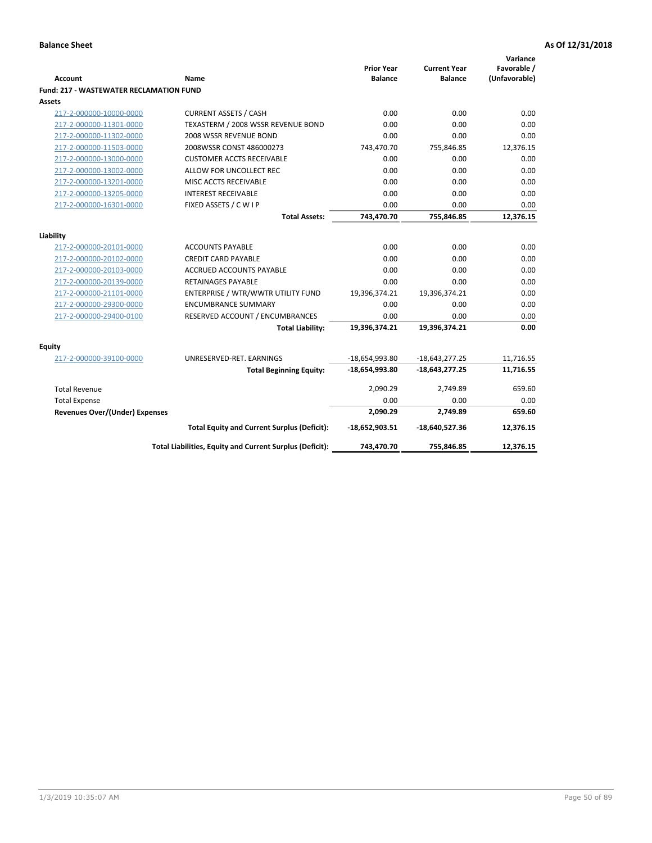| <b>Account</b>                                 | <b>Name</b>                                              | <b>Prior Year</b><br><b>Balance</b> | <b>Current Year</b><br><b>Balance</b> | Variance<br>Favorable /<br>(Unfavorable) |
|------------------------------------------------|----------------------------------------------------------|-------------------------------------|---------------------------------------|------------------------------------------|
| <b>Fund: 217 - WASTEWATER RECLAMATION FUND</b> |                                                          |                                     |                                       |                                          |
| Assets                                         |                                                          |                                     |                                       |                                          |
| 217-2-000000-10000-0000                        | <b>CURRENT ASSETS / CASH</b>                             | 0.00                                | 0.00                                  | 0.00                                     |
| 217-2-000000-11301-0000                        | TEXASTERM / 2008 WSSR REVENUE BOND                       | 0.00                                | 0.00                                  | 0.00                                     |
| 217-2-000000-11302-0000                        | 2008 WSSR REVENUE BOND                                   | 0.00                                | 0.00                                  | 0.00                                     |
| 217-2-000000-11503-0000                        | 2008WSSR CONST 486000273                                 | 743,470.70                          | 755,846.85                            | 12,376.15                                |
| 217-2-000000-13000-0000                        | <b>CUSTOMER ACCTS RECEIVABLE</b>                         | 0.00                                | 0.00                                  | 0.00                                     |
| 217-2-000000-13002-0000                        | ALLOW FOR UNCOLLECT REC                                  | 0.00                                | 0.00                                  | 0.00                                     |
| 217-2-000000-13201-0000                        | MISC ACCTS RECEIVABLE                                    | 0.00                                | 0.00                                  | 0.00                                     |
| 217-2-000000-13205-0000                        | <b>INTEREST RECEIVABLE</b>                               | 0.00                                | 0.00                                  | 0.00                                     |
| 217-2-000000-16301-0000                        | FIXED ASSETS / C W I P                                   | 0.00                                | 0.00                                  | 0.00                                     |
|                                                | <b>Total Assets:</b>                                     | 743,470.70                          | 755,846.85                            | 12,376.15                                |
|                                                |                                                          |                                     |                                       |                                          |
| Liability                                      |                                                          |                                     |                                       |                                          |
| 217-2-000000-20101-0000                        | <b>ACCOUNTS PAYABLE</b>                                  | 0.00                                | 0.00                                  | 0.00                                     |
| 217-2-000000-20102-0000                        | <b>CREDIT CARD PAYABLE</b>                               | 0.00                                | 0.00                                  | 0.00                                     |
| 217-2-000000-20103-0000                        | <b>ACCRUED ACCOUNTS PAYABLE</b>                          | 0.00                                | 0.00                                  | 0.00                                     |
| 217-2-000000-20139-0000                        | <b>RETAINAGES PAYABLE</b>                                | 0.00                                | 0.00                                  | 0.00                                     |
| 217-2-000000-21101-0000                        | ENTERPRISE / WTR/WWTR UTILITY FUND                       | 19,396,374.21                       | 19,396,374.21                         | 0.00                                     |
| 217-2-000000-29300-0000                        | <b>ENCUMBRANCE SUMMARY</b>                               | 0.00                                | 0.00                                  | 0.00                                     |
| 217-2-000000-29400-0100                        | RESERVED ACCOUNT / ENCUMBRANCES                          | 0.00                                | 0.00                                  | 0.00                                     |
|                                                | <b>Total Liability:</b>                                  | 19,396,374.21                       | 19,396,374.21                         | 0.00                                     |
| <b>Equity</b>                                  |                                                          |                                     |                                       |                                          |
| 217-2-000000-39100-0000                        | UNRESERVED-RET. EARNINGS                                 | $-18,654,993.80$                    | $-18,643,277.25$                      | 11,716.55                                |
|                                                | <b>Total Beginning Equity:</b>                           | $-18,654,993.80$                    | $-18,643,277.25$                      | 11,716.55                                |
| <b>Total Revenue</b>                           |                                                          | 2,090.29                            | 2,749.89                              | 659.60                                   |
| <b>Total Expense</b>                           |                                                          | 0.00                                | 0.00                                  | 0.00                                     |
| Revenues Over/(Under) Expenses                 |                                                          | 2,090.29                            | 2,749.89                              | 659.60                                   |
|                                                | <b>Total Equity and Current Surplus (Deficit):</b>       | $-18,652,903.51$                    | $-18,640,527.36$                      | 12,376.15                                |
|                                                | Total Liabilities, Equity and Current Surplus (Deficit): | 743,470.70                          | 755,846.85                            | 12.376.15                                |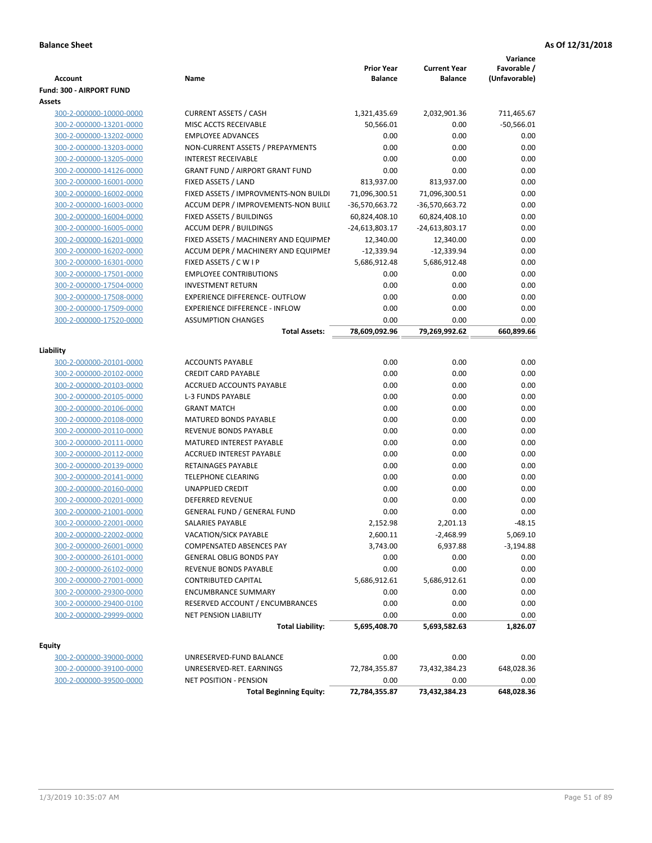|                                    |                                        | <b>Prior Year</b>         | <b>Current Year</b>  | Variance<br>Favorable /<br>(Unfavorable) |
|------------------------------------|----------------------------------------|---------------------------|----------------------|------------------------------------------|
| Account                            | Name                                   | <b>Balance</b>            | <b>Balance</b>       |                                          |
| Fund: 300 - AIRPORT FUND<br>Assets |                                        |                           |                      |                                          |
| 300-2-000000-10000-0000            | <b>CURRENT ASSETS / CASH</b>           |                           |                      |                                          |
| 300-2-000000-13201-0000            | MISC ACCTS RECEIVABLE                  | 1,321,435.69<br>50,566.01 | 2,032,901.36<br>0.00 | 711,465.67<br>$-50,566.01$               |
| 300-2-000000-13202-0000            | <b>EMPLOYEE ADVANCES</b>               | 0.00                      | 0.00                 | 0.00                                     |
| 300-2-000000-13203-0000            | NON-CURRENT ASSETS / PREPAYMENTS       | 0.00                      | 0.00                 | 0.00                                     |
| 300-2-000000-13205-0000            | <b>INTEREST RECEIVABLE</b>             | 0.00                      | 0.00                 | 0.00                                     |
| 300-2-000000-14126-0000            | <b>GRANT FUND / AIRPORT GRANT FUND</b> | 0.00                      | 0.00                 | 0.00                                     |
| 300-2-000000-16001-0000            | FIXED ASSETS / LAND                    | 813,937.00                | 813,937.00           | 0.00                                     |
| 300-2-000000-16002-0000            | FIXED ASSETS / IMPROVMENTS-NON BUILDI  | 71,096,300.51             | 71,096,300.51        | 0.00                                     |
| 300-2-000000-16003-0000            | ACCUM DEPR / IMPROVEMENTS-NON BUILL    | -36,570,663.72            | -36,570,663.72       | 0.00                                     |
| 300-2-000000-16004-0000            | FIXED ASSETS / BUILDINGS               | 60,824,408.10             | 60,824,408.10        | 0.00                                     |
| 300-2-000000-16005-0000            | <b>ACCUM DEPR / BUILDINGS</b>          | $-24,613,803.17$          | -24,613,803.17       | 0.00                                     |
| 300-2-000000-16201-0000            | FIXED ASSETS / MACHINERY AND EQUIPMEN  | 12,340.00                 | 12,340.00            | 0.00                                     |
| 300-2-000000-16202-0000            | ACCUM DEPR / MACHINERY AND EQUIPMEI    | $-12,339.94$              | $-12,339.94$         | 0.00                                     |
| 300-2-000000-16301-0000            | FIXED ASSETS / C W I P                 | 5,686,912.48              | 5,686,912.48         | 0.00                                     |
| 300-2-000000-17501-0000            | <b>EMPLOYEE CONTRIBUTIONS</b>          | 0.00                      | 0.00                 | 0.00                                     |
| 300-2-000000-17504-0000            | <b>INVESTMENT RETURN</b>               | 0.00                      | 0.00                 | 0.00                                     |
| 300-2-000000-17508-0000            | EXPERIENCE DIFFERENCE- OUTFLOW         | 0.00                      | 0.00                 | 0.00                                     |
| 300-2-000000-17509-0000            | <b>EXPERIENCE DIFFERENCE - INFLOW</b>  | 0.00                      | 0.00                 | 0.00                                     |
| 300-2-000000-17520-0000            | <b>ASSUMPTION CHANGES</b>              | 0.00                      | 0.00                 | 0.00                                     |
|                                    | <b>Total Assets:</b>                   | 78,609,092.96             | 79,269,992.62        | 660,899.66                               |
|                                    |                                        |                           |                      |                                          |
| Liability                          |                                        |                           |                      |                                          |
| 300-2-000000-20101-0000            | <b>ACCOUNTS PAYABLE</b>                | 0.00                      | 0.00                 | 0.00                                     |
| 300-2-000000-20102-0000            | <b>CREDIT CARD PAYABLE</b>             | 0.00                      | 0.00                 | 0.00                                     |
| 300-2-000000-20103-0000            | ACCRUED ACCOUNTS PAYABLE               | 0.00                      | 0.00                 | 0.00                                     |
| 300-2-000000-20105-0000            | <b>L-3 FUNDS PAYABLE</b>               | 0.00                      | 0.00                 | 0.00                                     |
| 300-2-000000-20106-0000            | <b>GRANT MATCH</b>                     | 0.00                      | 0.00                 | 0.00                                     |
| 300-2-000000-20108-0000            | MATURED BONDS PAYABLE                  | 0.00                      | 0.00                 | 0.00                                     |
| 300-2-000000-20110-0000            | REVENUE BONDS PAYABLE                  | 0.00                      | 0.00                 | 0.00                                     |
| 300-2-000000-20111-0000            | MATURED INTEREST PAYABLE               | 0.00                      | 0.00                 | 0.00                                     |
| 300-2-000000-20112-0000            | <b>ACCRUED INTEREST PAYABLE</b>        | 0.00                      | 0.00                 | 0.00                                     |
| 300-2-000000-20139-0000            | RETAINAGES PAYABLE                     | 0.00                      | 0.00                 | 0.00                                     |
| 300-2-000000-20141-0000            | <b>TELEPHONE CLEARING</b>              | 0.00                      | 0.00                 | 0.00                                     |
| 300-2-000000-20160-0000            | <b>UNAPPLIED CREDIT</b>                | 0.00                      | 0.00                 | 0.00                                     |
| 300-2-000000-20201-0000            | <b>DEFERRED REVENUE</b>                | 0.00                      | 0.00                 | 0.00                                     |
| 300-2-000000-21001-0000            | <b>GENERAL FUND / GENERAL FUND</b>     | 0.00                      | 0.00                 | 0.00                                     |
| 300-2-000000-22001-0000            | SALARIES PAYABLE                       | 2,152.98                  | 2,201.13             | $-48.15$                                 |
| 300-2-000000-22002-0000            | VACATION/SICK PAYABLE                  | 2,600.11                  | $-2,468.99$          | 5,069.10                                 |
| 300-2-000000-26001-0000            | <b>COMPENSATED ABSENCES PAY</b>        | 3,743.00                  | 6,937.88             | $-3,194.88$                              |
| 300-2-000000-26101-0000            | <b>GENERAL OBLIG BONDS PAY</b>         | 0.00                      | 0.00                 | 0.00                                     |
| 300-2-000000-26102-0000            | REVENUE BONDS PAYABLE                  | 0.00                      | 0.00                 | 0.00                                     |
| 300-2-000000-27001-0000            | <b>CONTRIBUTED CAPITAL</b>             | 5,686,912.61              | 5,686,912.61         | 0.00                                     |
| 300-2-000000-29300-0000            | <b>ENCUMBRANCE SUMMARY</b>             | 0.00                      | 0.00                 | 0.00                                     |
| 300-2-000000-29400-0100            | RESERVED ACCOUNT / ENCUMBRANCES        | 0.00                      | 0.00                 | 0.00                                     |
| 300-2-000000-29999-0000            | NET PENSION LIABILITY                  | 0.00                      | 0.00                 | 0.00                                     |
|                                    | <b>Total Liability:</b>                | 5,695,408.70              | 5,693,582.63         | 1,826.07                                 |
| Equity                             |                                        |                           |                      |                                          |
| 300-2-000000-39000-0000            | UNRESERVED-FUND BALANCE                | 0.00                      | 0.00                 | 0.00                                     |
| 300-2-000000-39100-0000            | UNRESERVED-RET. EARNINGS               | 72,784,355.87             | 73,432,384.23        | 648,028.36                               |
| 300-2-000000-39500-0000            | NET POSITION - PENSION                 | 0.00                      | 0.00                 | 0.00                                     |
|                                    | <b>Total Beginning Equity:</b>         | 72,784,355.87             | 73,432,384.23        | 648,028.36                               |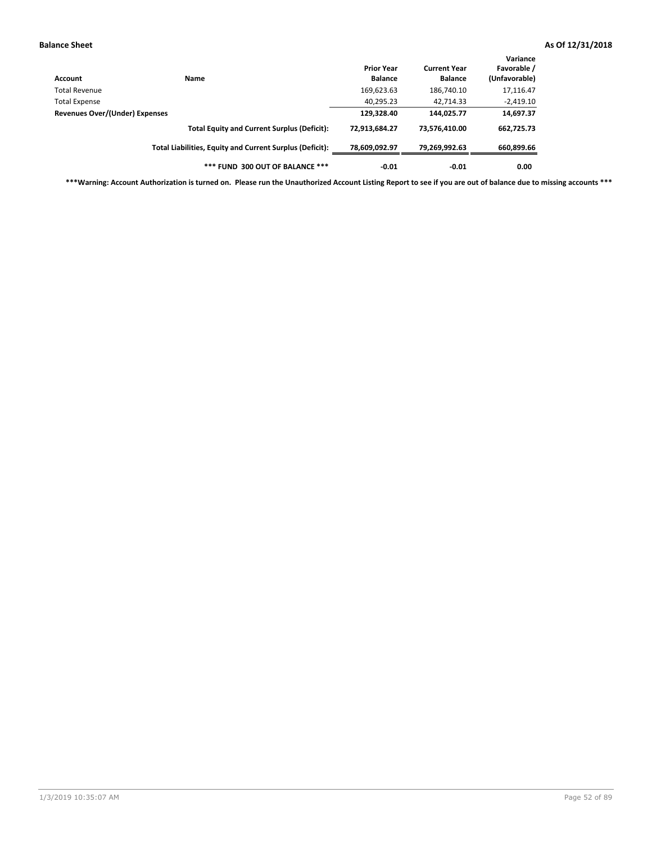| Account                        | <b>Name</b>                                              | <b>Prior Year</b><br><b>Balance</b> | <b>Current Year</b><br><b>Balance</b> | Variance<br>Favorable /<br>(Unfavorable) |
|--------------------------------|----------------------------------------------------------|-------------------------------------|---------------------------------------|------------------------------------------|
| Total Revenue                  |                                                          | 169,623.63                          | 186,740.10                            | 17,116.47                                |
| <b>Total Expense</b>           |                                                          | 40,295.23                           | 42.714.33                             | $-2,419.10$                              |
| Revenues Over/(Under) Expenses |                                                          | 129,328.40                          | 144,025.77                            | 14,697.37                                |
|                                | <b>Total Equity and Current Surplus (Deficit):</b>       | 72,913,684.27                       | 73,576,410.00                         | 662,725.73                               |
|                                | Total Liabilities, Equity and Current Surplus (Deficit): | 78,609,092.97                       | 79,269,992.63                         | 660,899.66                               |
|                                | *** FUND 300 OUT OF BALANCE ***                          | $-0.01$                             | $-0.01$                               | 0.00                                     |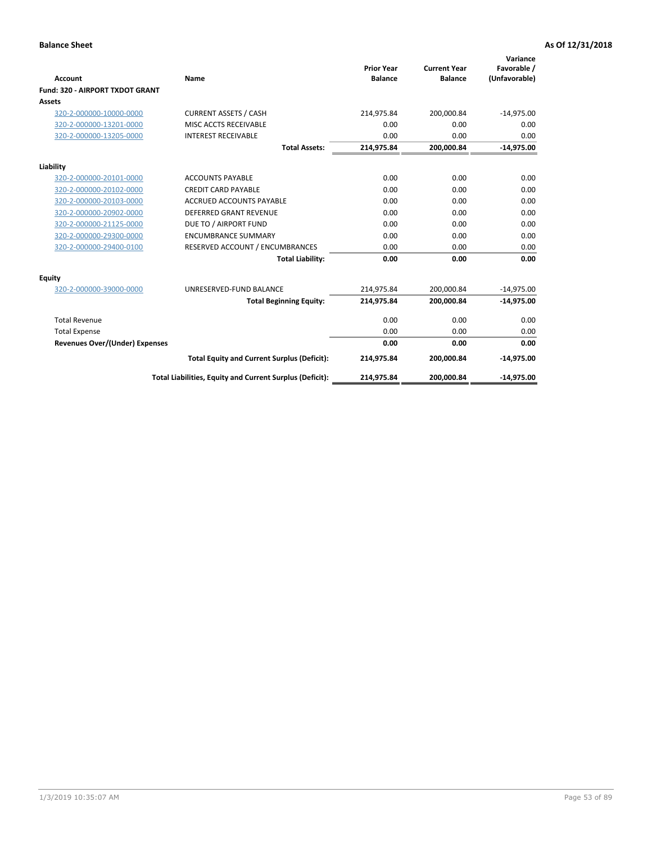|                                       |                                                          |                                     |                                       | Variance                     |
|---------------------------------------|----------------------------------------------------------|-------------------------------------|---------------------------------------|------------------------------|
| Account                               | Name                                                     | <b>Prior Year</b><br><b>Balance</b> | <b>Current Year</b><br><b>Balance</b> | Favorable /<br>(Unfavorable) |
| Fund: 320 - AIRPORT TXDOT GRANT       |                                                          |                                     |                                       |                              |
| <b>Assets</b>                         |                                                          |                                     |                                       |                              |
| 320-2-000000-10000-0000               | <b>CURRENT ASSETS / CASH</b>                             | 214,975.84                          | 200,000.84                            | $-14,975.00$                 |
| 320-2-000000-13201-0000               | MISC ACCTS RECEIVABLE                                    | 0.00                                | 0.00                                  | 0.00                         |
| 320-2-000000-13205-0000               | <b>INTEREST RECEIVABLE</b>                               | 0.00                                | 0.00                                  | 0.00                         |
|                                       | <b>Total Assets:</b>                                     | 214,975.84                          | 200,000.84                            | $-14,975.00$                 |
| Liability                             |                                                          |                                     |                                       |                              |
| 320-2-000000-20101-0000               | <b>ACCOUNTS PAYABLE</b>                                  | 0.00                                | 0.00                                  | 0.00                         |
| 320-2-000000-20102-0000               | <b>CREDIT CARD PAYABLE</b>                               | 0.00                                | 0.00                                  | 0.00                         |
| 320-2-000000-20103-0000               | <b>ACCRUED ACCOUNTS PAYABLE</b>                          | 0.00                                | 0.00                                  | 0.00                         |
| 320-2-000000-20902-0000               | <b>DEFERRED GRANT REVENUE</b>                            | 0.00                                | 0.00                                  | 0.00                         |
| 320-2-000000-21125-0000               | DUE TO / AIRPORT FUND                                    | 0.00                                | 0.00                                  | 0.00                         |
| 320-2-000000-29300-0000               | <b>ENCUMBRANCE SUMMARY</b>                               | 0.00                                | 0.00                                  | 0.00                         |
| 320-2-000000-29400-0100               | RESERVED ACCOUNT / ENCUMBRANCES                          | 0.00                                | 0.00                                  | 0.00                         |
|                                       | <b>Total Liability:</b>                                  | 0.00                                | 0.00                                  | 0.00                         |
| <b>Equity</b>                         |                                                          |                                     |                                       |                              |
| 320-2-000000-39000-0000               | UNRESERVED-FUND BALANCE                                  | 214,975.84                          | 200,000.84                            | $-14,975.00$                 |
|                                       | <b>Total Beginning Equity:</b>                           | 214,975.84                          | 200,000.84                            | $-14,975.00$                 |
| <b>Total Revenue</b>                  |                                                          | 0.00                                | 0.00                                  | 0.00                         |
| <b>Total Expense</b>                  |                                                          | 0.00                                | 0.00                                  | 0.00                         |
| <b>Revenues Over/(Under) Expenses</b> |                                                          | 0.00                                | 0.00                                  | 0.00                         |
|                                       | <b>Total Equity and Current Surplus (Deficit):</b>       | 214,975.84                          | 200,000.84                            | $-14,975.00$                 |
|                                       | Total Liabilities, Equity and Current Surplus (Deficit): | 214,975.84                          | 200,000.84                            | $-14,975.00$                 |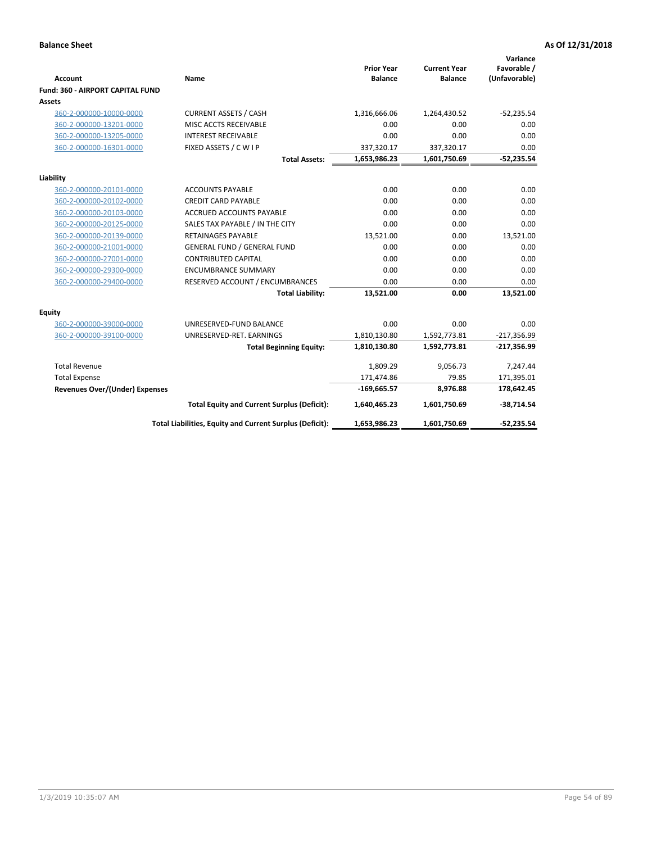| <b>Account</b>                   | <b>Name</b>                                              | <b>Prior Year</b><br><b>Balance</b> | <b>Current Year</b><br><b>Balance</b> | Variance<br>Favorable /<br>(Unfavorable) |
|----------------------------------|----------------------------------------------------------|-------------------------------------|---------------------------------------|------------------------------------------|
| Fund: 360 - AIRPORT CAPITAL FUND |                                                          |                                     |                                       |                                          |
| Assets                           |                                                          |                                     |                                       |                                          |
| 360-2-000000-10000-0000          | <b>CURRENT ASSETS / CASH</b>                             | 1,316,666.06                        | 1,264,430.52                          | $-52,235.54$                             |
| 360-2-000000-13201-0000          | MISC ACCTS RECEIVABLE                                    | 0.00                                | 0.00                                  | 0.00                                     |
| 360-2-000000-13205-0000          | <b>INTEREST RECEIVABLE</b>                               | 0.00                                | 0.00                                  | 0.00                                     |
| 360-2-000000-16301-0000          | FIXED ASSETS / C W I P                                   | 337,320.17                          | 337,320.17                            | 0.00                                     |
|                                  | <b>Total Assets:</b>                                     | 1,653,986.23                        | 1,601,750.69                          | $-52,235.54$                             |
| Liability                        |                                                          |                                     |                                       |                                          |
| 360-2-000000-20101-0000          | <b>ACCOUNTS PAYABLE</b>                                  | 0.00                                | 0.00                                  | 0.00                                     |
| 360-2-000000-20102-0000          | <b>CREDIT CARD PAYABLE</b>                               | 0.00                                | 0.00                                  | 0.00                                     |
| 360-2-000000-20103-0000          | ACCRUED ACCOUNTS PAYABLE                                 | 0.00                                | 0.00                                  | 0.00                                     |
| 360-2-000000-20125-0000          | SALES TAX PAYABLE / IN THE CITY                          | 0.00                                | 0.00                                  | 0.00                                     |
| 360-2-000000-20139-0000          | <b>RETAINAGES PAYABLE</b>                                | 13,521.00                           | 0.00                                  | 13,521.00                                |
| 360-2-000000-21001-0000          | <b>GENERAL FUND / GENERAL FUND</b>                       | 0.00                                | 0.00                                  | 0.00                                     |
| 360-2-000000-27001-0000          | <b>CONTRIBUTED CAPITAL</b>                               | 0.00                                | 0.00                                  | 0.00                                     |
| 360-2-000000-29300-0000          | <b>ENCUMBRANCE SUMMARY</b>                               | 0.00                                | 0.00                                  | 0.00                                     |
| 360-2-000000-29400-0000          | RESERVED ACCOUNT / ENCUMBRANCES                          | 0.00                                | 0.00                                  | 0.00                                     |
|                                  | <b>Total Liability:</b>                                  | 13,521.00                           | 0.00                                  | 13,521.00                                |
| Equity                           |                                                          |                                     |                                       |                                          |
| 360-2-000000-39000-0000          | UNRESERVED-FUND BALANCE                                  | 0.00                                | 0.00                                  | 0.00                                     |
| 360-2-000000-39100-0000          | UNRESERVED-RET. EARNINGS                                 | 1,810,130.80                        | 1,592,773.81                          | $-217,356.99$                            |
|                                  | <b>Total Beginning Equity:</b>                           | 1,810,130.80                        | 1,592,773.81                          | $-217,356.99$                            |
| <b>Total Revenue</b>             |                                                          | 1,809.29                            | 9,056.73                              | 7,247.44                                 |
| <b>Total Expense</b>             |                                                          | 171,474.86                          | 79.85                                 | 171,395.01                               |
| Revenues Over/(Under) Expenses   |                                                          | $-169,665.57$                       | 8,976.88                              | 178,642.45                               |
|                                  | <b>Total Equity and Current Surplus (Deficit):</b>       | 1,640,465.23                        | 1,601,750.69                          | $-38,714.54$                             |
|                                  | Total Liabilities, Equity and Current Surplus (Deficit): | 1,653,986.23                        | 1,601,750.69                          | $-52,235.54$                             |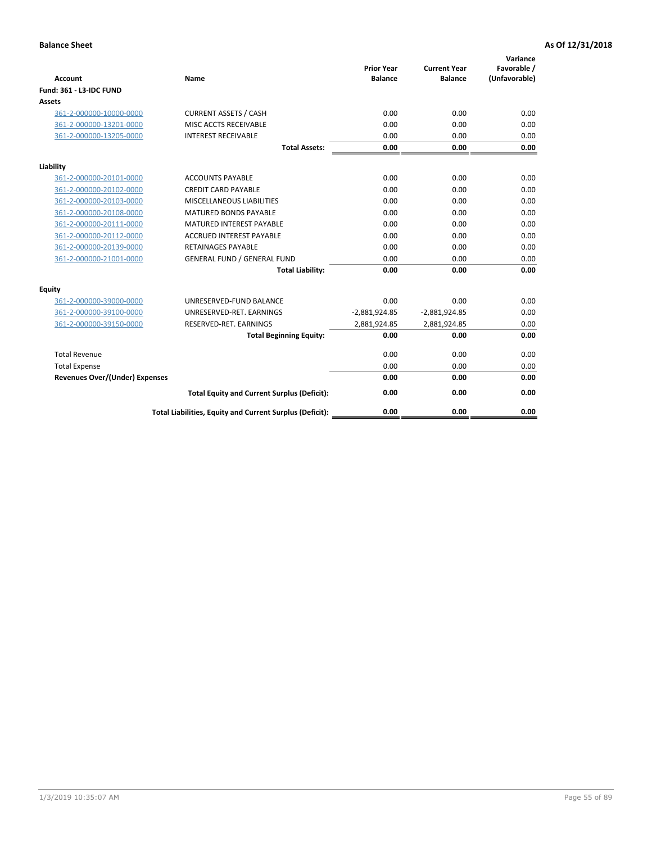| <b>Account</b>                        | <b>Name</b>                                              | <b>Prior Year</b><br><b>Balance</b> | <b>Current Year</b><br><b>Balance</b> | Variance<br>Favorable /<br>(Unfavorable) |
|---------------------------------------|----------------------------------------------------------|-------------------------------------|---------------------------------------|------------------------------------------|
| <b>Fund: 361 - L3-IDC FUND</b>        |                                                          |                                     |                                       |                                          |
| Assets                                |                                                          |                                     |                                       |                                          |
| 361-2-000000-10000-0000               | <b>CURRENT ASSETS / CASH</b>                             | 0.00                                | 0.00                                  | 0.00                                     |
| 361-2-000000-13201-0000               | MISC ACCTS RECEIVABLE                                    | 0.00                                | 0.00                                  | 0.00                                     |
| 361-2-000000-13205-0000               | <b>INTEREST RECEIVABLE</b>                               | 0.00                                | 0.00                                  | 0.00                                     |
|                                       | <b>Total Assets:</b>                                     | 0.00                                | 0.00                                  | 0.00                                     |
| Liability                             |                                                          |                                     |                                       |                                          |
| 361-2-000000-20101-0000               | <b>ACCOUNTS PAYABLE</b>                                  | 0.00                                | 0.00                                  | 0.00                                     |
| 361-2-000000-20102-0000               | <b>CREDIT CARD PAYABLE</b>                               | 0.00                                | 0.00                                  | 0.00                                     |
| 361-2-000000-20103-0000               | MISCELLANEOUS LIABILITIES                                | 0.00                                | 0.00                                  | 0.00                                     |
| 361-2-000000-20108-0000               | <b>MATURED BONDS PAYABLE</b>                             | 0.00                                | 0.00                                  | 0.00                                     |
| 361-2-000000-20111-0000               | <b>MATURED INTEREST PAYABLE</b>                          | 0.00                                | 0.00                                  | 0.00                                     |
| 361-2-000000-20112-0000               | <b>ACCRUED INTEREST PAYABLE</b>                          | 0.00                                | 0.00                                  | 0.00                                     |
| 361-2-000000-20139-0000               | <b>RETAINAGES PAYABLE</b>                                | 0.00                                | 0.00                                  | 0.00                                     |
| 361-2-000000-21001-0000               | <b>GENERAL FUND / GENERAL FUND</b>                       | 0.00                                | 0.00                                  | 0.00                                     |
|                                       | <b>Total Liability:</b>                                  | 0.00                                | 0.00                                  | 0.00                                     |
| Equity                                |                                                          |                                     |                                       |                                          |
| 361-2-000000-39000-0000               | UNRESERVED-FUND BALANCE                                  | 0.00                                | 0.00                                  | 0.00                                     |
| 361-2-000000-39100-0000               | UNRESERVED-RET. EARNINGS                                 | $-2,881,924.85$                     | $-2,881,924.85$                       | 0.00                                     |
| 361-2-000000-39150-0000               | RESERVED-RET. EARNINGS                                   | 2,881,924.85                        | 2,881,924.85                          | 0.00                                     |
|                                       | <b>Total Beginning Equity:</b>                           | 0.00                                | 0.00                                  | 0.00                                     |
| <b>Total Revenue</b>                  |                                                          | 0.00                                | 0.00                                  | 0.00                                     |
| <b>Total Expense</b>                  |                                                          | 0.00                                | 0.00                                  | 0.00                                     |
| <b>Revenues Over/(Under) Expenses</b> |                                                          | 0.00                                | 0.00                                  | 0.00                                     |
|                                       | <b>Total Equity and Current Surplus (Deficit):</b>       | 0.00                                | 0.00                                  | 0.00                                     |
|                                       | Total Liabilities, Equity and Current Surplus (Deficit): | 0.00                                | 0.00                                  | 0.00                                     |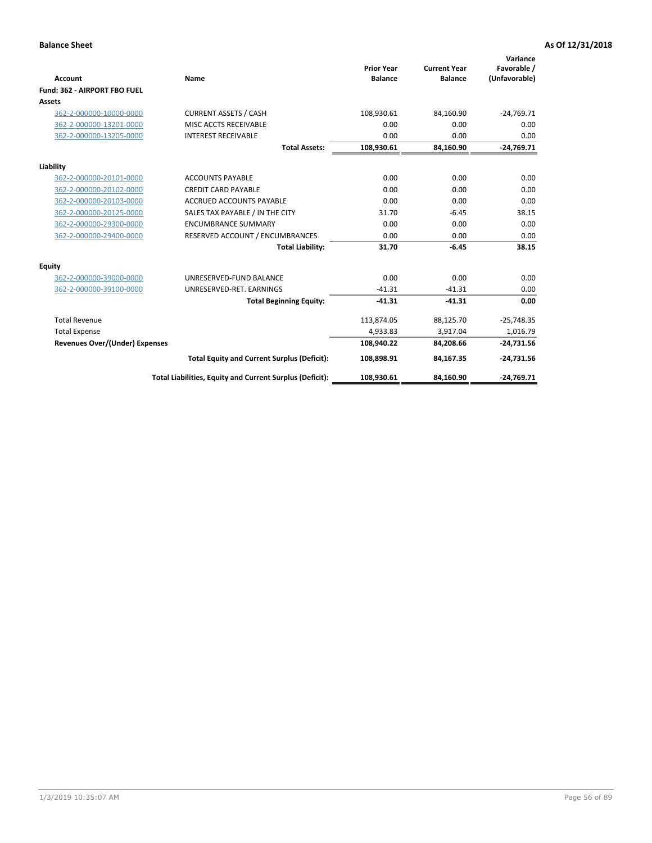|                                       |                                                          |                                     |                                       | Variance                     |
|---------------------------------------|----------------------------------------------------------|-------------------------------------|---------------------------------------|------------------------------|
| <b>Account</b>                        | Name                                                     | <b>Prior Year</b><br><b>Balance</b> | <b>Current Year</b><br><b>Balance</b> | Favorable /<br>(Unfavorable) |
| Fund: 362 - AIRPORT FBO FUEL          |                                                          |                                     |                                       |                              |
| <b>Assets</b>                         |                                                          |                                     |                                       |                              |
| 362-2-000000-10000-0000               | <b>CURRENT ASSETS / CASH</b>                             | 108,930.61                          | 84.160.90                             | $-24,769.71$                 |
| 362-2-000000-13201-0000               | MISC ACCTS RECEIVABLE                                    | 0.00                                | 0.00                                  | 0.00                         |
| 362-2-000000-13205-0000               | <b>INTEREST RECEIVABLE</b>                               | 0.00                                | 0.00                                  | 0.00                         |
|                                       | <b>Total Assets:</b>                                     | 108,930.61                          | 84,160.90                             | $-24,769.71$                 |
| Liability                             |                                                          |                                     |                                       |                              |
| 362-2-000000-20101-0000               | <b>ACCOUNTS PAYABLE</b>                                  | 0.00                                | 0.00                                  | 0.00                         |
| 362-2-000000-20102-0000               | <b>CREDIT CARD PAYABLE</b>                               | 0.00                                | 0.00                                  | 0.00                         |
| 362-2-000000-20103-0000               | <b>ACCRUED ACCOUNTS PAYABLE</b>                          | 0.00                                | 0.00                                  | 0.00                         |
| 362-2-000000-20125-0000               | SALES TAX PAYABLE / IN THE CITY                          | 31.70                               | $-6.45$                               | 38.15                        |
| 362-2-000000-29300-0000               | <b>ENCUMBRANCE SUMMARY</b>                               | 0.00                                | 0.00                                  | 0.00                         |
| 362-2-000000-29400-0000               | RESERVED ACCOUNT / ENCUMBRANCES                          | 0.00                                | 0.00                                  | 0.00                         |
|                                       | <b>Total Liability:</b>                                  | 31.70                               | $-6.45$                               | 38.15                        |
| <b>Equity</b>                         |                                                          |                                     |                                       |                              |
| 362-2-000000-39000-0000               | UNRESERVED-FUND BALANCE                                  | 0.00                                | 0.00                                  | 0.00                         |
| 362-2-000000-39100-0000               | UNRESERVED-RET. EARNINGS                                 | $-41.31$                            | $-41.31$                              | 0.00                         |
|                                       | <b>Total Beginning Equity:</b>                           | $-41.31$                            | $-41.31$                              | 0.00                         |
| <b>Total Revenue</b>                  |                                                          | 113,874.05                          | 88,125.70                             | $-25,748.35$                 |
| <b>Total Expense</b>                  |                                                          | 4,933.83                            | 3,917.04                              | 1,016.79                     |
| <b>Revenues Over/(Under) Expenses</b> |                                                          | 108,940.22                          | 84,208.66                             | $-24,731.56$                 |
|                                       | <b>Total Equity and Current Surplus (Deficit):</b>       | 108,898.91                          | 84,167.35                             | $-24,731.56$                 |
|                                       | Total Liabilities, Equity and Current Surplus (Deficit): | 108,930.61                          | 84,160.90                             | $-24,769.71$                 |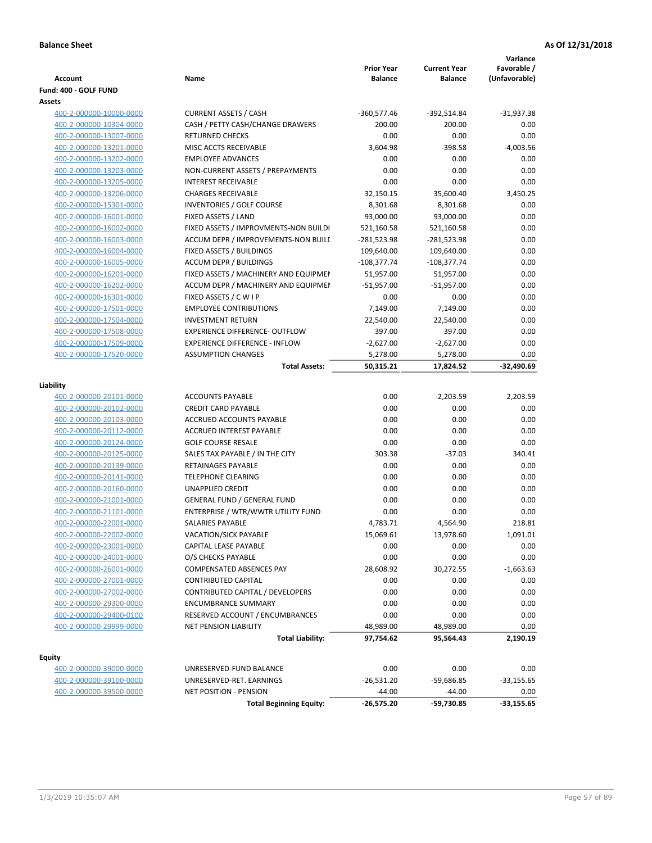| Account                 | Name                                  | <b>Prior Year</b><br><b>Balance</b> | <b>Current Year</b><br><b>Balance</b> | Variance<br>Favorable /<br>(Unfavorable) |
|-------------------------|---------------------------------------|-------------------------------------|---------------------------------------|------------------------------------------|
| Fund: 400 - GOLF FUND   |                                       |                                     |                                       |                                          |
| Assets                  |                                       |                                     |                                       |                                          |
| 400-2-000000-10000-0000 | <b>CURRENT ASSETS / CASH</b>          | $-360,577.46$                       | -392,514.84                           | $-31,937.38$                             |
| 400-2-000000-10304-0000 | CASH / PETTY CASH/CHANGE DRAWERS      | 200.00                              | 200.00                                | 0.00                                     |
| 400-2-000000-13007-0000 | <b>RETURNED CHECKS</b>                | 0.00                                | 0.00                                  | 0.00                                     |
| 400-2-000000-13201-0000 | MISC ACCTS RECEIVABLE                 | 3,604.98                            | $-398.58$                             | $-4,003.56$                              |
| 400-2-000000-13202-0000 | <b>EMPLOYEE ADVANCES</b>              | 0.00                                | 0.00                                  | 0.00                                     |
| 400-2-000000-13203-0000 | NON-CURRENT ASSETS / PREPAYMENTS      | 0.00                                | 0.00                                  | 0.00                                     |
| 400-2-000000-13205-0000 | <b>INTEREST RECEIVABLE</b>            | 0.00                                | 0.00                                  | 0.00                                     |
| 400-2-000000-13206-0000 | <b>CHARGES RECEIVABLE</b>             | 32,150.15                           | 35,600.40                             | 3,450.25                                 |
| 400-2-000000-15301-0000 | <b>INVENTORIES / GOLF COURSE</b>      | 8,301.68                            | 8,301.68                              | 0.00                                     |
| 400-2-000000-16001-0000 | FIXED ASSETS / LAND                   | 93,000.00                           | 93,000.00                             | 0.00                                     |
| 400-2-000000-16002-0000 | FIXED ASSETS / IMPROVMENTS-NON BUILDI | 521,160.58                          | 521,160.58                            | 0.00                                     |
| 400-2-000000-16003-0000 | ACCUM DEPR / IMPROVEMENTS-NON BUILI   | -281,523.98                         | -281,523.98                           | 0.00                                     |
| 400-2-000000-16004-0000 | FIXED ASSETS / BUILDINGS              | 109,640.00                          | 109,640.00                            | 0.00                                     |
| 400-2-000000-16005-0000 | <b>ACCUM DEPR / BUILDINGS</b>         | $-108,377.74$                       | $-108,377.74$                         | 0.00                                     |
| 400-2-000000-16201-0000 | FIXED ASSETS / MACHINERY AND EQUIPMEN | 51,957.00                           | 51,957.00                             | 0.00                                     |
| 400-2-000000-16202-0000 | ACCUM DEPR / MACHINERY AND EQUIPMEI   | $-51,957.00$                        | $-51,957.00$                          | 0.00                                     |
| 400-2-000000-16301-0000 | FIXED ASSETS / C W I P                | 0.00                                | 0.00                                  | 0.00                                     |
| 400-2-000000-17501-0000 | <b>EMPLOYEE CONTRIBUTIONS</b>         | 7,149.00                            | 7,149.00                              | 0.00                                     |
| 400-2-000000-17504-0000 | <b>INVESTMENT RETURN</b>              | 22,540.00                           | 22,540.00                             | 0.00                                     |
| 400-2-000000-17508-0000 | <b>EXPERIENCE DIFFERENCE- OUTFLOW</b> | 397.00                              | 397.00                                | 0.00                                     |
| 400-2-000000-17509-0000 | <b>EXPERIENCE DIFFERENCE - INFLOW</b> | $-2,627.00$                         | $-2,627.00$                           | 0.00                                     |
| 400-2-000000-17520-0000 | <b>ASSUMPTION CHANGES</b>             | 5,278.00                            | 5,278.00                              | 0.00                                     |
|                         | <b>Total Assets:</b>                  | 50,315.21                           | 17,824.52                             | -32,490.69                               |
|                         |                                       |                                     |                                       |                                          |
| Liability               |                                       |                                     |                                       |                                          |
| 400-2-000000-20101-0000 | <b>ACCOUNTS PAYABLE</b>               | 0.00                                | $-2,203.59$                           | 2,203.59                                 |
| 400-2-000000-20102-0000 | <b>CREDIT CARD PAYABLE</b>            | 0.00                                | 0.00                                  | 0.00                                     |
| 400-2-000000-20103-0000 | ACCRUED ACCOUNTS PAYABLE              | 0.00                                | 0.00                                  | 0.00                                     |
| 400-2-000000-20112-0000 | <b>ACCRUED INTEREST PAYABLE</b>       | 0.00                                | 0.00                                  | 0.00                                     |
| 400-2-000000-20124-0000 | <b>GOLF COURSE RESALE</b>             | 0.00                                | 0.00                                  | 0.00                                     |
| 400-2-000000-20125-0000 | SALES TAX PAYABLE / IN THE CITY       | 303.38                              | $-37.03$                              | 340.41                                   |
| 400-2-000000-20139-0000 | <b>RETAINAGES PAYABLE</b>             | 0.00                                | 0.00                                  | 0.00                                     |
| 400-2-000000-20141-0000 | <b>TELEPHONE CLEARING</b>             | 0.00                                | 0.00                                  | 0.00                                     |
| 400-2-000000-20160-0000 | <b>UNAPPLIED CREDIT</b>               | 0.00                                | 0.00                                  | 0.00                                     |
| 400-2-000000-21001-0000 | <b>GENERAL FUND / GENERAL FUND</b>    | 0.00                                | 0.00                                  | 0.00                                     |
| 400-2-000000-21101-0000 | ENTERPRISE / WTR/WWTR UTILITY FUND    | 0.00                                | 0.00                                  | 0.00                                     |
| 400-2-000000-22001-0000 | SALARIES PAYABLE                      | 4,783.71                            | 4,564.90                              | 218.81                                   |
| 400-2-000000-22002-0000 | <b>VACATION/SICK PAYABLE</b>          | 15,069.61                           | 13,978.60                             | 1,091.01                                 |
| 400-2-000000-23001-0000 | CAPITAL LEASE PAYABLE                 | 0.00                                | 0.00                                  | 0.00                                     |
| 400-2-000000-24001-0000 | O/S CHECKS PAYABLE                    | 0.00                                | 0.00                                  | 0.00                                     |
| 400-2-000000-26001-0000 | COMPENSATED ABSENCES PAY              | 28,608.92                           | 30,272.55                             | $-1,663.63$                              |
| 400-2-000000-27001-0000 | <b>CONTRIBUTED CAPITAL</b>            | 0.00                                | 0.00                                  | 0.00                                     |
| 400-2-000000-27002-0000 | CONTRIBUTED CAPITAL / DEVELOPERS      | 0.00                                | 0.00                                  | 0.00                                     |
| 400-2-000000-29300-0000 | <b>ENCUMBRANCE SUMMARY</b>            | 0.00                                | 0.00                                  | 0.00                                     |
| 400-2-000000-29400-0100 | RESERVED ACCOUNT / ENCUMBRANCES       | 0.00                                | 0.00                                  | 0.00                                     |
| 400-2-000000-29999-0000 | <b>NET PENSION LIABILITY</b>          | 48,989.00                           | 48,989.00                             | 0.00                                     |
|                         | <b>Total Liability:</b>               | 97,754.62                           | 95,564.43                             | 2,190.19                                 |
| <b>Equity</b>           |                                       |                                     |                                       |                                          |
| 400-2-000000-39000-0000 | UNRESERVED-FUND BALANCE               | 0.00                                | 0.00                                  | 0.00                                     |
| 400-2-000000-39100-0000 | UNRESERVED-RET. EARNINGS              | $-26,531.20$                        | $-59,686.85$                          | $-33,155.65$                             |
| 400-2-000000-39500-0000 | <b>NET POSITION - PENSION</b>         | $-44.00$                            | $-44.00$                              | 0.00                                     |
|                         | <b>Total Beginning Equity:</b>        | $-26,575.20$                        | -59,730.85                            | $-33,155.65$                             |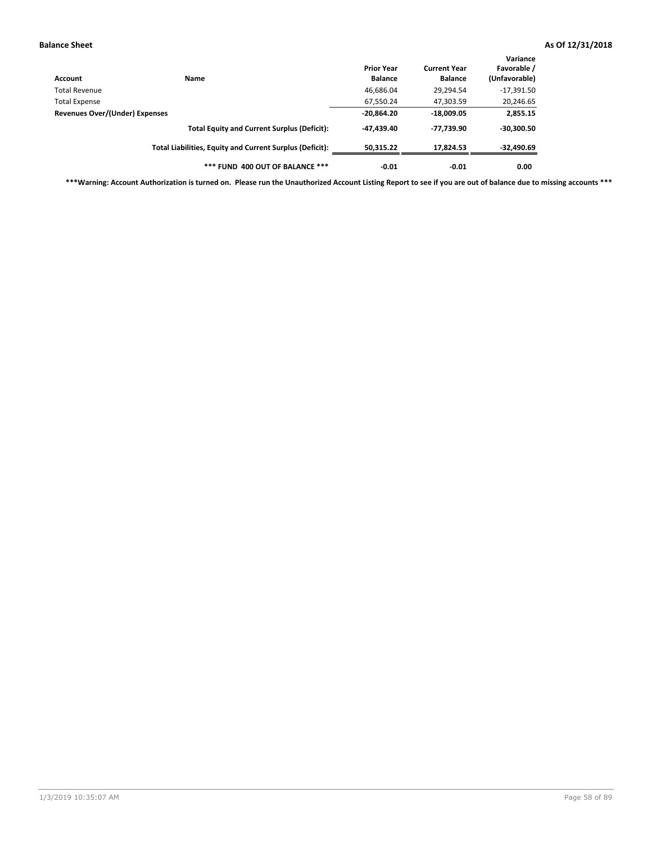| Account                        | Name                                                     | <b>Prior Year</b><br><b>Balance</b> | <b>Current Year</b><br><b>Balance</b> | Variance<br>Favorable /<br>(Unfavorable) |
|--------------------------------|----------------------------------------------------------|-------------------------------------|---------------------------------------|------------------------------------------|
| <b>Total Revenue</b>           |                                                          | 46,686.04                           | 29,294.54                             | $-17,391.50$                             |
| <b>Total Expense</b>           |                                                          | 67,550.24                           | 47,303.59                             | 20,246.65                                |
| Revenues Over/(Under) Expenses |                                                          | $-20,864.20$                        | $-18,009.05$                          | 2,855.15                                 |
|                                | <b>Total Equity and Current Surplus (Deficit):</b>       | $-47,439.40$                        | -77,739.90                            | $-30,300.50$                             |
|                                | Total Liabilities, Equity and Current Surplus (Deficit): | 50.315.22                           | 17,824.53                             | -32,490.69                               |
|                                | *** FUND 400 OUT OF BALANCE ***                          | $-0.01$                             | $-0.01$                               | 0.00                                     |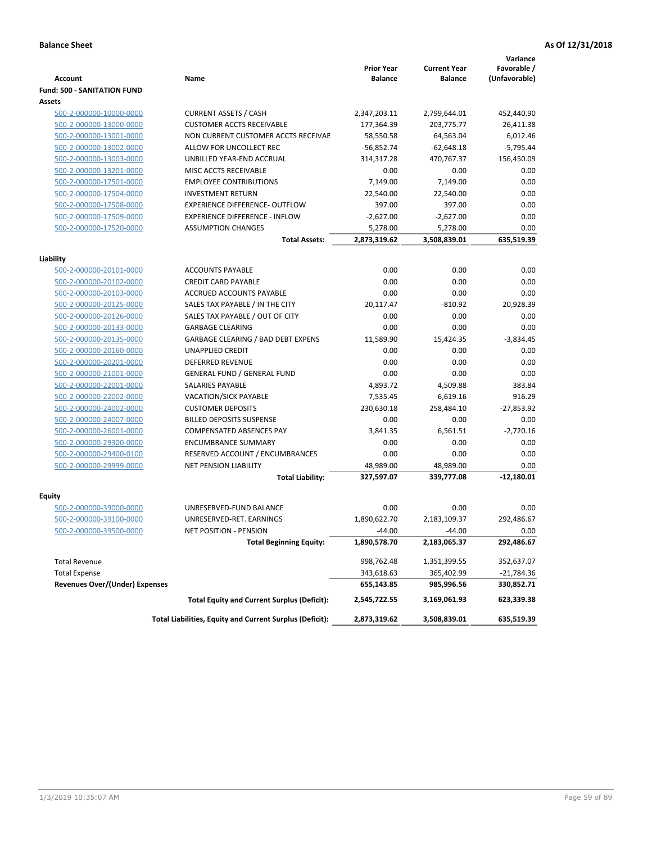|                                                    |                                                          | <b>Prior Year</b> | <b>Current Year</b> | Variance<br>Favorable / |
|----------------------------------------------------|----------------------------------------------------------|-------------------|---------------------|-------------------------|
| <b>Account</b>                                     | Name                                                     | <b>Balance</b>    | <b>Balance</b>      | (Unfavorable)           |
| <b>Fund: 500 - SANITATION FUND</b>                 |                                                          |                   |                     |                         |
| Assets                                             |                                                          |                   |                     |                         |
| 500-2-000000-10000-0000                            | <b>CURRENT ASSETS / CASH</b>                             | 2,347,203.11      | 2,799,644.01        | 452,440.90              |
| 500-2-000000-13000-0000                            | <b>CUSTOMER ACCTS RECEIVABLE</b>                         | 177,364.39        | 203,775.77          | 26,411.38               |
| 500-2-000000-13001-0000                            | NON CURRENT CUSTOMER ACCTS RECEIVAE                      | 58,550.58         | 64,563.04           | 6,012.46                |
| 500-2-000000-13002-0000                            | ALLOW FOR UNCOLLECT REC                                  | $-56,852.74$      | $-62,648.18$        | $-5,795.44$             |
| 500-2-000000-13003-0000                            | UNBILLED YEAR-END ACCRUAL                                | 314,317.28        | 470.767.37          | 156,450.09              |
| 500-2-000000-13201-0000                            | MISC ACCTS RECEIVABLE                                    | 0.00              | 0.00                | 0.00                    |
| 500-2-000000-17501-0000                            | <b>EMPLOYEE CONTRIBUTIONS</b>                            | 7,149.00          | 7,149.00            | 0.00                    |
| 500-2-000000-17504-0000                            | <b>INVESTMENT RETURN</b>                                 | 22,540.00         | 22,540.00           | 0.00                    |
| 500-2-000000-17508-0000                            | <b>EXPERIENCE DIFFERENCE- OUTFLOW</b>                    | 397.00            | 397.00              | 0.00                    |
| 500-2-000000-17509-0000                            | <b>EXPERIENCE DIFFERENCE - INFLOW</b>                    | $-2,627.00$       | $-2,627.00$         | 0.00                    |
| 500-2-000000-17520-0000                            | <b>ASSUMPTION CHANGES</b>                                | 5,278.00          | 5,278.00            | 0.00                    |
|                                                    | <b>Total Assets:</b>                                     | 2,873,319.62      | 3,508,839.01        | 635,519.39              |
|                                                    |                                                          |                   |                     |                         |
| Liability                                          | <b>ACCOUNTS PAYABLE</b>                                  | 0.00              | 0.00                | 0.00                    |
| 500-2-000000-20101-0000<br>500-2-000000-20102-0000 | <b>CREDIT CARD PAYABLE</b>                               | 0.00              | 0.00                | 0.00                    |
| 500-2-000000-20103-0000                            | <b>ACCRUED ACCOUNTS PAYABLE</b>                          | 0.00              | 0.00                | 0.00                    |
| 500-2-000000-20125-0000                            | SALES TAX PAYABLE / IN THE CITY                          | 20,117.47         | $-810.92$           | 20,928.39               |
| 500-2-000000-20126-0000                            | SALES TAX PAYABLE / OUT OF CITY                          | 0.00              | 0.00                | 0.00                    |
| 500-2-000000-20133-0000                            | <b>GARBAGE CLEARING</b>                                  | 0.00              | 0.00                | 0.00                    |
| 500-2-000000-20135-0000                            | GARBAGE CLEARING / BAD DEBT EXPENS                       | 11.589.90         | 15,424.35           | $-3,834.45$             |
| 500-2-000000-20160-0000                            | <b>UNAPPLIED CREDIT</b>                                  | 0.00              | 0.00                | 0.00                    |
| 500-2-000000-20201-0000                            | <b>DEFERRED REVENUE</b>                                  | 0.00              | 0.00                | 0.00                    |
| 500-2-000000-21001-0000                            | <b>GENERAL FUND / GENERAL FUND</b>                       | 0.00              | 0.00                | 0.00                    |
| 500-2-000000-22001-0000                            | <b>SALARIES PAYABLE</b>                                  | 4,893.72          | 4,509.88            | 383.84                  |
| 500-2-000000-22002-0000                            | <b>VACATION/SICK PAYABLE</b>                             | 7,535.45          | 6,619.16            | 916.29                  |
| 500-2-000000-24002-0000                            | <b>CUSTOMER DEPOSITS</b>                                 | 230,630.18        | 258,484.10          | $-27,853.92$            |
| 500-2-000000-24007-0000                            | <b>BILLED DEPOSITS SUSPENSE</b>                          | 0.00              | 0.00                | 0.00                    |
| 500-2-000000-26001-0000                            | <b>COMPENSATED ABSENCES PAY</b>                          | 3,841.35          | 6,561.51            | $-2,720.16$             |
| 500-2-000000-29300-0000                            | <b>ENCUMBRANCE SUMMARY</b>                               | 0.00              | 0.00                | 0.00                    |
| 500-2-000000-29400-0100                            | RESERVED ACCOUNT / ENCUMBRANCES                          | 0.00              | 0.00                | 0.00                    |
| 500-2-000000-29999-0000                            | <b>NET PENSION LIABILITY</b>                             | 48,989.00         | 48,989.00           | 0.00                    |
|                                                    | <b>Total Liability:</b>                                  | 327,597.07        | 339,777.08          | $-12,180.01$            |
|                                                    |                                                          |                   |                     |                         |
| Equity                                             |                                                          |                   |                     |                         |
| 500-2-000000-39000-0000                            | UNRESERVED-FUND BALANCE                                  | 0.00              | 0.00                | 0.00                    |
| 500-2-000000-39100-0000                            | UNRESERVED-RET. EARNINGS                                 | 1,890,622.70      | 2,183,109.37        | 292,486.67              |
| 500-2-000000-39500-0000                            | NET POSITION - PENSION                                   | $-44.00$          | $-44.00$            | 0.00                    |
|                                                    | <b>Total Beginning Equity:</b>                           | 1,890,578.70      | 2,183,065.37        | 292,486.67              |
| <b>Total Revenue</b>                               |                                                          | 998,762.48        | 1,351,399.55        | 352,637.07              |
| <b>Total Expense</b>                               |                                                          | 343,618.63        | 365,402.99          | -21,784.36              |
| <b>Revenues Over/(Under) Expenses</b>              |                                                          | 655,143.85        | 985,996.56          | 330,852.71              |
|                                                    | <b>Total Equity and Current Surplus (Deficit):</b>       | 2,545,722.55      | 3,169,061.93        | 623,339.38              |
|                                                    | Total Liabilities, Equity and Current Surplus (Deficit): | 2,873,319.62      | 3,508,839.01        | 635,519.39              |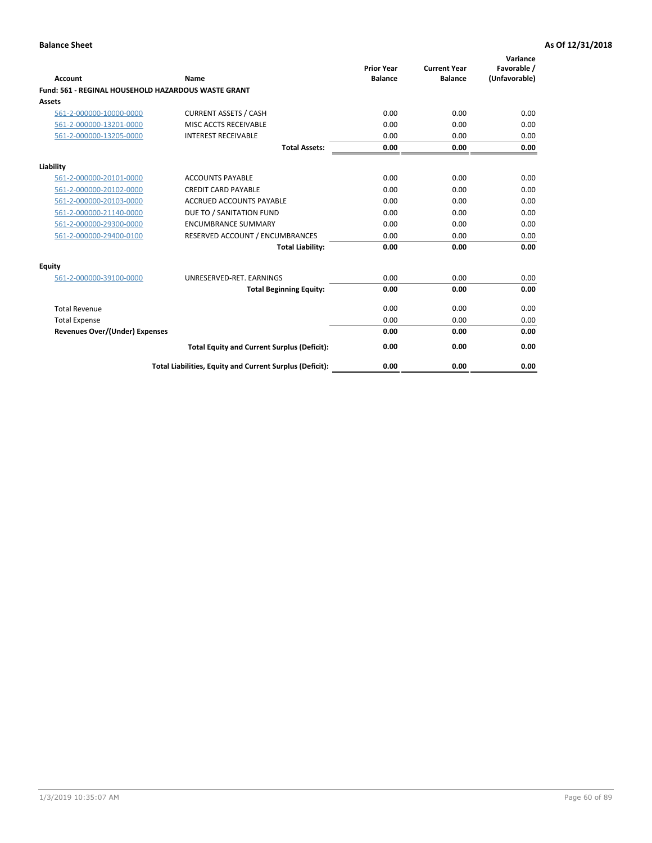| <b>Account</b>                        | Name                                                       | <b>Prior Year</b><br><b>Balance</b> | <b>Current Year</b><br><b>Balance</b> | Variance<br>Favorable /<br>(Unfavorable) |
|---------------------------------------|------------------------------------------------------------|-------------------------------------|---------------------------------------|------------------------------------------|
|                                       | <b>Fund: 561 - REGINAL HOUSEHOLD HAZARDOUS WASTE GRANT</b> |                                     |                                       |                                          |
| <b>Assets</b>                         |                                                            |                                     |                                       |                                          |
| 561-2-000000-10000-0000               | <b>CURRENT ASSETS / CASH</b>                               | 0.00                                | 0.00                                  | 0.00                                     |
| 561-2-000000-13201-0000               | MISC ACCTS RECEIVABLE                                      | 0.00                                | 0.00                                  | 0.00                                     |
| 561-2-000000-13205-0000               | <b>INTEREST RECEIVABLE</b>                                 | 0.00                                | 0.00                                  | 0.00                                     |
|                                       | <b>Total Assets:</b>                                       | 0.00                                | 0.00                                  | 0.00                                     |
| Liability                             |                                                            |                                     |                                       |                                          |
| 561-2-000000-20101-0000               | <b>ACCOUNTS PAYABLE</b>                                    | 0.00                                | 0.00                                  | 0.00                                     |
| 561-2-000000-20102-0000               | <b>CREDIT CARD PAYABLE</b>                                 | 0.00                                | 0.00                                  | 0.00                                     |
| 561-2-000000-20103-0000               | <b>ACCRUED ACCOUNTS PAYABLE</b>                            | 0.00                                | 0.00                                  | 0.00                                     |
| 561-2-000000-21140-0000               | DUE TO / SANITATION FUND                                   | 0.00                                | 0.00                                  | 0.00                                     |
| 561-2-000000-29300-0000               | <b>ENCUMBRANCE SUMMARY</b>                                 | 0.00                                | 0.00                                  | 0.00                                     |
| 561-2-000000-29400-0100               | RESERVED ACCOUNT / ENCUMBRANCES                            | 0.00                                | 0.00                                  | 0.00                                     |
|                                       | <b>Total Liability:</b>                                    | 0.00                                | 0.00                                  | 0.00                                     |
| <b>Equity</b>                         |                                                            |                                     |                                       |                                          |
| 561-2-000000-39100-0000               | UNRESERVED-RET. EARNINGS                                   | 0.00                                | 0.00                                  | 0.00                                     |
|                                       | <b>Total Beginning Equity:</b>                             | 0.00                                | 0.00                                  | 0.00                                     |
| <b>Total Revenue</b>                  |                                                            | 0.00                                | 0.00                                  | 0.00                                     |
| <b>Total Expense</b>                  |                                                            | 0.00                                | 0.00                                  | 0.00                                     |
| <b>Revenues Over/(Under) Expenses</b> |                                                            | 0.00                                | 0.00                                  | 0.00                                     |
|                                       | <b>Total Equity and Current Surplus (Deficit):</b>         | 0.00                                | 0.00                                  | 0.00                                     |
|                                       | Total Liabilities, Equity and Current Surplus (Deficit):   | 0.00                                | 0.00                                  | 0.00                                     |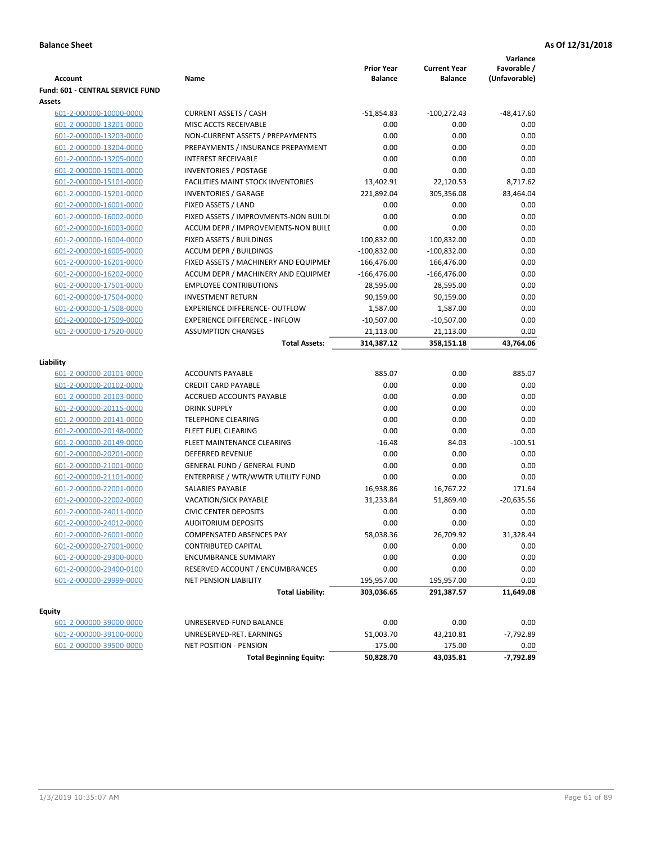|                                  |                                           |                                     |                                       | Variance                     |
|----------------------------------|-------------------------------------------|-------------------------------------|---------------------------------------|------------------------------|
| <b>Account</b>                   | Name                                      | <b>Prior Year</b><br><b>Balance</b> | <b>Current Year</b><br><b>Balance</b> | Favorable /<br>(Unfavorable) |
| Fund: 601 - CENTRAL SERVICE FUND |                                           |                                     |                                       |                              |
| Assets                           |                                           |                                     |                                       |                              |
| 601-2-000000-10000-0000          | <b>CURRENT ASSETS / CASH</b>              | $-51,854.83$                        | $-100,272.43$                         | $-48,417.60$                 |
| 601-2-000000-13201-0000          | MISC ACCTS RECEIVABLE                     | 0.00                                | 0.00                                  | 0.00                         |
| 601-2-000000-13203-0000          | NON-CURRENT ASSETS / PREPAYMENTS          | 0.00                                | 0.00                                  | 0.00                         |
| 601-2-000000-13204-0000          | PREPAYMENTS / INSURANCE PREPAYMENT        | 0.00                                | 0.00                                  | 0.00                         |
| 601-2-000000-13205-0000          | <b>INTEREST RECEIVABLE</b>                | 0.00                                | 0.00                                  | 0.00                         |
| 601-2-000000-15001-0000          | <b>INVENTORIES / POSTAGE</b>              | 0.00                                | 0.00                                  | 0.00                         |
| 601-2-000000-15101-0000          | <b>FACILITIES MAINT STOCK INVENTORIES</b> | 13,402.91                           | 22,120.53                             | 8,717.62                     |
| 601-2-000000-15201-0000          | <b>INVENTORIES / GARAGE</b>               | 221,892.04                          | 305,356.08                            | 83,464.04                    |
| 601-2-000000-16001-0000          | FIXED ASSETS / LAND                       | 0.00                                | 0.00                                  | 0.00                         |
| 601-2-000000-16002-0000          | FIXED ASSETS / IMPROVMENTS-NON BUILDI     | 0.00                                | 0.00                                  | 0.00                         |
| 601-2-000000-16003-0000          | ACCUM DEPR / IMPROVEMENTS-NON BUILI       | 0.00                                | 0.00                                  | 0.00                         |
| 601-2-000000-16004-0000          | FIXED ASSETS / BUILDINGS                  | 100,832.00                          | 100,832.00                            | 0.00                         |
| 601-2-000000-16005-0000          | <b>ACCUM DEPR / BUILDINGS</b>             | $-100,832.00$                       | $-100,832.00$                         | 0.00                         |
| 601-2-000000-16201-0000          | FIXED ASSETS / MACHINERY AND EQUIPMEN     | 166,476.00                          | 166,476.00                            | 0.00                         |
| 601-2-000000-16202-0000          | ACCUM DEPR / MACHINERY AND EQUIPMEI       | $-166,476.00$                       | $-166,476.00$                         | 0.00                         |
| 601-2-000000-17501-0000          | <b>EMPLOYEE CONTRIBUTIONS</b>             | 28,595.00                           | 28,595.00                             | 0.00                         |
| 601-2-000000-17504-0000          | <b>INVESTMENT RETURN</b>                  | 90,159.00                           | 90,159.00                             | 0.00                         |
| 601-2-000000-17508-0000          | <b>EXPERIENCE DIFFERENCE- OUTFLOW</b>     | 1,587.00                            | 1,587.00                              | 0.00                         |
| 601-2-000000-17509-0000          | <b>EXPERIENCE DIFFERENCE - INFLOW</b>     | $-10,507.00$                        | $-10,507.00$                          | 0.00                         |
| 601-2-000000-17520-0000          | <b>ASSUMPTION CHANGES</b>                 | 21,113.00                           | 21,113.00                             | 0.00                         |
|                                  | <b>Total Assets:</b>                      | 314,387.12                          | 358,151.18                            | 43,764.06                    |
|                                  |                                           |                                     |                                       |                              |
| Liability                        |                                           |                                     |                                       |                              |
| 601-2-000000-20101-0000          | <b>ACCOUNTS PAYABLE</b>                   | 885.07                              | 0.00                                  | 885.07                       |
| 601-2-000000-20102-0000          | <b>CREDIT CARD PAYABLE</b>                | 0.00                                | 0.00                                  | 0.00                         |
| 601-2-000000-20103-0000          | ACCRUED ACCOUNTS PAYABLE                  | 0.00                                | 0.00                                  | 0.00                         |
| 601-2-000000-20115-0000          | <b>DRINK SUPPLY</b>                       | 0.00                                | 0.00                                  | 0.00                         |
| 601-2-000000-20141-0000          | <b>TELEPHONE CLEARING</b>                 | 0.00                                | 0.00                                  | 0.00                         |
| 601-2-000000-20148-0000          | FLEET FUEL CLEARING                       | 0.00                                | 0.00                                  | 0.00                         |
| 601-2-000000-20149-0000          | FLEET MAINTENANCE CLEARING                | $-16.48$                            | 84.03                                 | $-100.51$                    |
| 601-2-000000-20201-0000          | <b>DEFERRED REVENUE</b>                   | 0.00                                | 0.00                                  | 0.00                         |
| 601-2-000000-21001-0000          | <b>GENERAL FUND / GENERAL FUND</b>        | 0.00                                | 0.00                                  | 0.00                         |
| 601-2-000000-21101-0000          | ENTERPRISE / WTR/WWTR UTILITY FUND        | 0.00                                | 0.00                                  | 0.00                         |
| 601-2-000000-22001-0000          | SALARIES PAYABLE                          | 16,938.86                           | 16,767.22                             | 171.64                       |
| 601-2-000000-22002-0000          | VACATION/SICK PAYABLE                     | 31,233.84                           | 51,869.40                             | $-20,635.56$                 |
| 601-2-000000-24011-0000          | <b>CIVIC CENTER DEPOSITS</b>              | 0.00                                | 0.00                                  | 0.00                         |
| 601-2-000000-24012-0000          | <b>AUDITORIUM DEPOSITS</b>                | 0.00                                | 0.00                                  | 0.00                         |
| 601-2-000000-26001-0000          | COMPENSATED ABSENCES PAY                  | 58,038.36                           | 26,709.92                             | 31,328.44                    |
| 601-2-000000-27001-0000          | CONTRIBUTED CAPITAL                       | 0.00                                | 0.00                                  | 0.00                         |
| 601-2-000000-29300-0000          | <b>ENCUMBRANCE SUMMARY</b>                | 0.00                                | 0.00                                  | 0.00                         |
| 601-2-000000-29400-0100          | RESERVED ACCOUNT / ENCUMBRANCES           | 0.00                                | 0.00                                  | 0.00                         |
| 601-2-000000-29999-0000          | NET PENSION LIABILITY                     | 195,957.00                          | 195,957.00                            | 0.00                         |
|                                  | <b>Total Liability:</b>                   | 303,036.65                          | 291,387.57                            | 11,649.08                    |
|                                  |                                           |                                     |                                       |                              |
| <b>Equity</b>                    |                                           |                                     |                                       |                              |
| 601-2-000000-39000-0000          | UNRESERVED-FUND BALANCE                   | 0.00                                | 0.00                                  | 0.00                         |
| 601-2-000000-39100-0000          | UNRESERVED-RET. EARNINGS                  | 51,003.70                           | 43,210.81                             | -7,792.89                    |
| 601-2-000000-39500-0000          | NET POSITION - PENSION                    | $-175.00$                           | $-175.00$                             | 0.00                         |
|                                  | <b>Total Beginning Equity:</b>            | 50,828.70                           | 43,035.81                             | $-7,792.89$                  |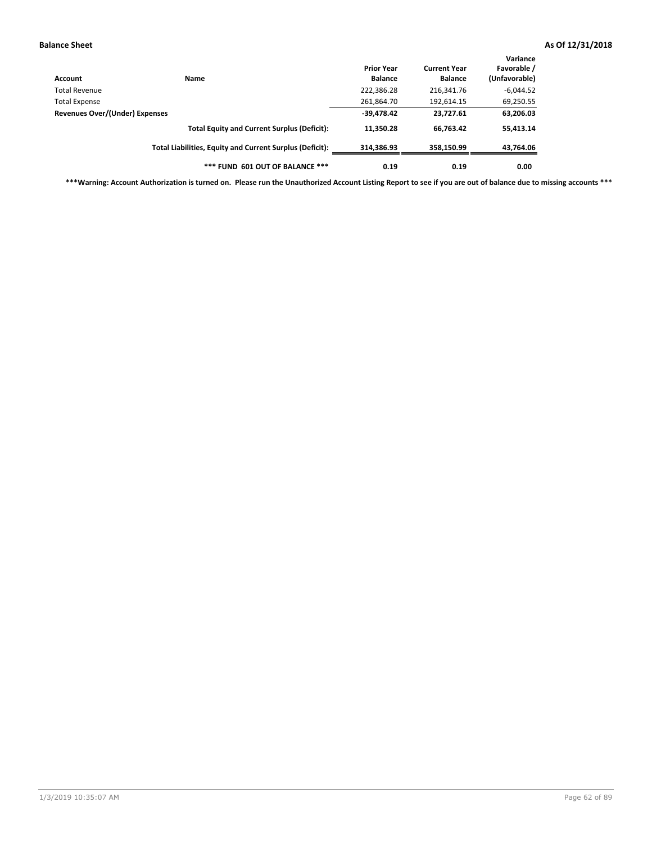| Account                        | <b>Name</b>                                              | <b>Prior Year</b><br><b>Balance</b> | <b>Current Year</b><br><b>Balance</b> | Variance<br>Favorable /<br>(Unfavorable) |
|--------------------------------|----------------------------------------------------------|-------------------------------------|---------------------------------------|------------------------------------------|
| Total Revenue                  |                                                          | 222,386.28                          | 216,341.76                            | $-6,044.52$                              |
| <b>Total Expense</b>           |                                                          | 261,864.70                          | 192,614.15                            | 69,250.55                                |
| Revenues Over/(Under) Expenses | $-39,478.42$                                             | 23,727.61                           | 63,206.03                             |                                          |
|                                | <b>Total Equity and Current Surplus (Deficit):</b>       | 11.350.28                           | 66.763.42                             | 55,413.14                                |
|                                | Total Liabilities, Equity and Current Surplus (Deficit): | 314,386.93                          | 358,150.99                            | 43,764.06                                |
|                                | *** FUND 601 OUT OF BALANCE ***                          | 0.19                                | 0.19                                  | 0.00                                     |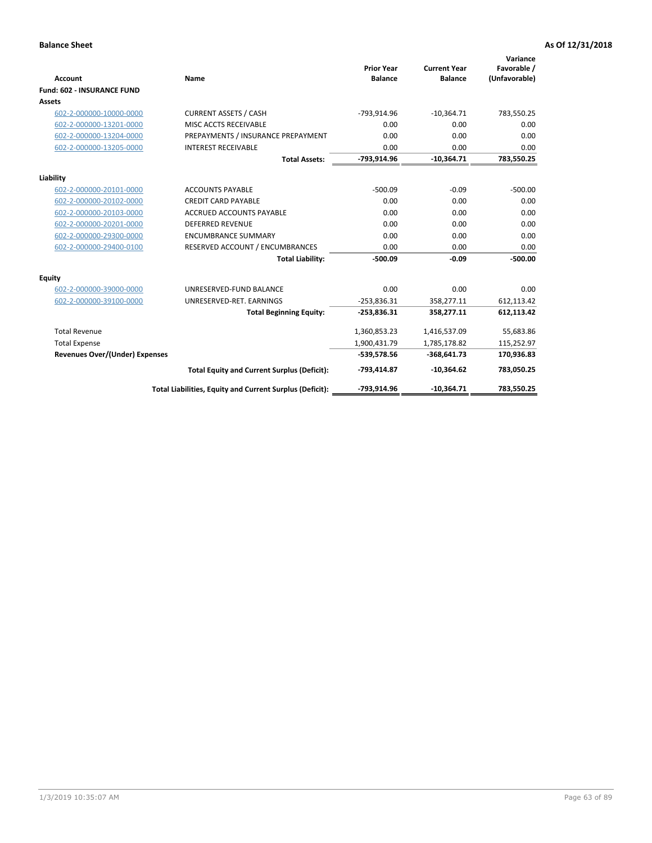|                                       |                                                          |                                     |                                       | Variance                     |
|---------------------------------------|----------------------------------------------------------|-------------------------------------|---------------------------------------|------------------------------|
| <b>Account</b>                        | <b>Name</b>                                              | <b>Prior Year</b><br><b>Balance</b> | <b>Current Year</b><br><b>Balance</b> | Favorable /<br>(Unfavorable) |
| <b>Fund: 602 - INSURANCE FUND</b>     |                                                          |                                     |                                       |                              |
| <b>Assets</b>                         |                                                          |                                     |                                       |                              |
| 602-2-000000-10000-0000               | <b>CURRENT ASSETS / CASH</b>                             | -793,914.96                         | $-10,364.71$                          | 783,550.25                   |
| 602-2-000000-13201-0000               | MISC ACCTS RECEIVABLE                                    | 0.00                                | 0.00                                  | 0.00                         |
| 602-2-000000-13204-0000               | PREPAYMENTS / INSURANCE PREPAYMENT                       | 0.00                                | 0.00                                  | 0.00                         |
| 602-2-000000-13205-0000               | <b>INTEREST RECEIVABLE</b>                               | 0.00                                | 0.00                                  | 0.00                         |
|                                       | <b>Total Assets:</b>                                     | -793,914.96                         | $-10,364.71$                          | 783,550.25                   |
| Liability                             |                                                          |                                     |                                       |                              |
| 602-2-000000-20101-0000               | <b>ACCOUNTS PAYABLE</b>                                  | $-500.09$                           | $-0.09$                               | $-500.00$                    |
| 602-2-000000-20102-0000               | <b>CREDIT CARD PAYABLE</b>                               | 0.00                                | 0.00                                  | 0.00                         |
| 602-2-000000-20103-0000               | <b>ACCRUED ACCOUNTS PAYABLE</b>                          | 0.00                                | 0.00                                  | 0.00                         |
| 602-2-000000-20201-0000               | <b>DEFERRED REVENUE</b>                                  | 0.00                                | 0.00                                  | 0.00                         |
| 602-2-000000-29300-0000               | <b>ENCUMBRANCE SUMMARY</b>                               | 0.00                                | 0.00                                  | 0.00                         |
| 602-2-000000-29400-0100               | RESERVED ACCOUNT / ENCUMBRANCES                          | 0.00                                | 0.00                                  | 0.00                         |
|                                       | <b>Total Liability:</b>                                  | $-500.09$                           | $-0.09$                               | $-500.00$                    |
| <b>Equity</b>                         |                                                          |                                     |                                       |                              |
| 602-2-000000-39000-0000               | UNRESERVED-FUND BALANCE                                  | 0.00                                | 0.00                                  | 0.00                         |
| 602-2-000000-39100-0000               | UNRESERVED-RET. EARNINGS                                 | $-253,836.31$                       | 358,277.11                            | 612,113.42                   |
|                                       | <b>Total Beginning Equity:</b>                           | $-253,836.31$                       | 358,277.11                            | 612,113.42                   |
| <b>Total Revenue</b>                  |                                                          | 1,360,853.23                        | 1,416,537.09                          | 55,683.86                    |
| <b>Total Expense</b>                  |                                                          | 1,900,431.79                        | 1,785,178.82                          | 115,252.97                   |
| <b>Revenues Over/(Under) Expenses</b> |                                                          | -539,578.56                         | $-368,641.73$                         | 170,936.83                   |
|                                       | <b>Total Equity and Current Surplus (Deficit):</b>       | -793,414.87                         | $-10,364.62$                          | 783,050.25                   |
|                                       | Total Liabilities, Equity and Current Surplus (Deficit): | -793,914.96                         | $-10.364.71$                          | 783.550.25                   |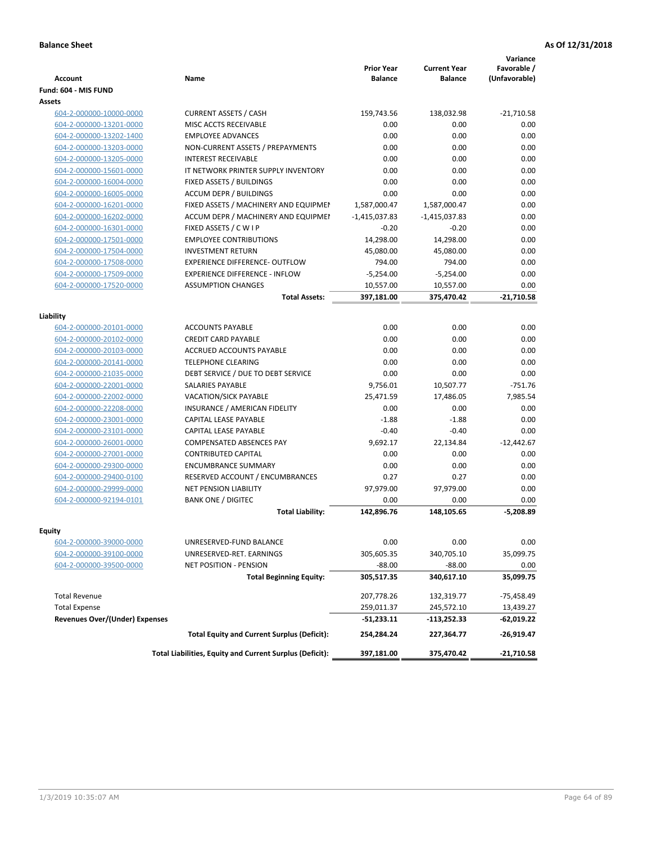| <b>Account</b>                                     | Name                                                     | <b>Prior Year</b><br><b>Balance</b> | <b>Current Year</b><br><b>Balance</b> | Variance<br>Favorable /<br>(Unfavorable) |
|----------------------------------------------------|----------------------------------------------------------|-------------------------------------|---------------------------------------|------------------------------------------|
| Fund: 604 - MIS FUND                               |                                                          |                                     |                                       |                                          |
| Assets                                             |                                                          |                                     |                                       |                                          |
| 604-2-000000-10000-0000                            | <b>CURRENT ASSETS / CASH</b>                             | 159,743.56                          | 138,032.98                            | $-21,710.58$                             |
| 604-2-000000-13201-0000                            | MISC ACCTS RECEIVABLE                                    | 0.00                                | 0.00                                  | 0.00                                     |
| 604-2-000000-13202-1400                            | <b>EMPLOYEE ADVANCES</b>                                 | 0.00                                | 0.00                                  | 0.00                                     |
| 604-2-000000-13203-0000                            | NON-CURRENT ASSETS / PREPAYMENTS                         | 0.00                                | 0.00                                  | 0.00                                     |
| 604-2-000000-13205-0000                            | <b>INTEREST RECEIVABLE</b>                               | 0.00                                | 0.00                                  | 0.00                                     |
| 604-2-000000-15601-0000                            | IT NETWORK PRINTER SUPPLY INVENTORY                      | 0.00                                | 0.00                                  | 0.00                                     |
| 604-2-000000-16004-0000                            | FIXED ASSETS / BUILDINGS                                 | 0.00                                | 0.00                                  | 0.00                                     |
| 604-2-000000-16005-0000                            | <b>ACCUM DEPR / BUILDINGS</b>                            | 0.00                                | 0.00                                  | 0.00                                     |
| 604-2-000000-16201-0000                            | FIXED ASSETS / MACHINERY AND EQUIPMEN                    | 1,587,000.47                        | 1,587,000.47                          | 0.00                                     |
| 604-2-000000-16202-0000                            | ACCUM DEPR / MACHINERY AND EQUIPMEI                      | $-1,415,037.83$                     | $-1,415,037.83$                       | 0.00                                     |
| 604-2-000000-16301-0000                            | FIXED ASSETS / C W I P                                   | $-0.20$                             | $-0.20$                               | 0.00                                     |
| 604-2-000000-17501-0000                            | <b>EMPLOYEE CONTRIBUTIONS</b>                            | 14,298.00                           | 14,298.00                             | 0.00                                     |
| 604-2-000000-17504-0000                            | <b>INVESTMENT RETURN</b>                                 | 45,080.00                           | 45,080.00                             | 0.00                                     |
| 604-2-000000-17508-0000                            | <b>EXPERIENCE DIFFERENCE- OUTFLOW</b>                    | 794.00                              | 794.00                                | 0.00                                     |
| 604-2-000000-17509-0000                            | <b>EXPERIENCE DIFFERENCE - INFLOW</b>                    | $-5,254.00$                         | $-5,254.00$                           | 0.00                                     |
| 604-2-000000-17520-0000                            | <b>ASSUMPTION CHANGES</b>                                | 10,557.00                           | 10,557.00                             | 0.00                                     |
|                                                    | <b>Total Assets:</b>                                     | 397,181.00                          | 375,470.42                            | $-21,710.58$                             |
|                                                    |                                                          |                                     |                                       |                                          |
| Liability                                          |                                                          |                                     |                                       |                                          |
| 604-2-000000-20101-0000                            | <b>ACCOUNTS PAYABLE</b>                                  | 0.00                                | 0.00                                  | 0.00                                     |
| 604-2-000000-20102-0000                            | <b>CREDIT CARD PAYABLE</b>                               | 0.00                                | 0.00                                  | 0.00                                     |
| 604-2-000000-20103-0000                            | <b>ACCRUED ACCOUNTS PAYABLE</b>                          | 0.00                                | 0.00                                  | 0.00                                     |
| 604-2-000000-20141-0000                            | <b>TELEPHONE CLEARING</b>                                | 0.00                                | 0.00                                  | 0.00                                     |
| 604-2-000000-21035-0000                            | DEBT SERVICE / DUE TO DEBT SERVICE                       | 0.00                                | 0.00                                  | 0.00                                     |
| 604-2-000000-22001-0000                            | <b>SALARIES PAYABLE</b>                                  | 9,756.01                            | 10,507.77                             | $-751.76$                                |
| 604-2-000000-22002-0000                            | <b>VACATION/SICK PAYABLE</b>                             | 25,471.59                           | 17,486.05                             | 7,985.54                                 |
| 604-2-000000-22208-0000                            | INSURANCE / AMERICAN FIDELITY                            | 0.00                                | 0.00                                  | 0.00                                     |
| 604-2-000000-23001-0000                            | CAPITAL LEASE PAYABLE                                    | $-1.88$                             | $-1.88$                               | 0.00                                     |
| 604-2-000000-23101-0000                            | CAPITAL LEASE PAYABLE                                    | $-0.40$                             | $-0.40$                               | 0.00                                     |
| 604-2-000000-26001-0000                            | <b>COMPENSATED ABSENCES PAY</b>                          | 9,692.17                            | 22,134.84                             | $-12,442.67$                             |
| 604-2-000000-27001-0000                            | <b>CONTRIBUTED CAPITAL</b>                               | 0.00                                | 0.00                                  | 0.00                                     |
| 604-2-000000-29300-0000                            | <b>ENCUMBRANCE SUMMARY</b>                               | 0.00                                | 0.00                                  | 0.00                                     |
| 604-2-000000-29400-0100                            | RESERVED ACCOUNT / ENCUMBRANCES                          | 0.27                                | 0.27                                  | 0.00                                     |
| 604-2-000000-29999-0000                            | <b>NET PENSION LIABILITY</b>                             | 97,979.00                           | 97,979.00                             | 0.00                                     |
| 604-2-000000-92194-0101                            | <b>BANK ONE / DIGITEC</b>                                | 0.00                                | 0.00                                  | 0.00                                     |
|                                                    | <b>Total Liability:</b>                                  | 142,896.76                          | 148,105.65                            | $-5,208.89$                              |
|                                                    |                                                          |                                     |                                       |                                          |
| Equity<br>604-2-000000-39000-0000                  |                                                          | 0.00                                | 0.00                                  |                                          |
|                                                    | UNRESERVED-FUND BALANCE                                  | 305,605.35                          | 340,705.10                            | 0.00                                     |
| 604-2-000000-39100-0000<br>604-2-000000-39500-0000 | UNRESERVED-RET. EARNINGS<br>NET POSITION - PENSION       | $-88.00$                            | $-88.00$                              | 35,099.75                                |
|                                                    |                                                          |                                     |                                       | 0.00                                     |
|                                                    | <b>Total Beginning Equity:</b>                           | 305,517.35                          | 340,617.10                            | 35,099.75                                |
| <b>Total Revenue</b>                               |                                                          | 207,778.26                          | 132,319.77                            | $-75,458.49$                             |
| <b>Total Expense</b>                               |                                                          | 259,011.37                          | 245,572.10                            | 13,439.27                                |
| <b>Revenues Over/(Under) Expenses</b>              |                                                          | $-51,233.11$                        | -113,252.33                           | $-62,019.22$                             |
|                                                    | <b>Total Equity and Current Surplus (Deficit):</b>       | 254,284.24                          | 227,364.77                            | -26,919.47                               |
|                                                    | Total Liabilities, Equity and Current Surplus (Deficit): | 397,181.00                          | 375,470.42                            | -21,710.58                               |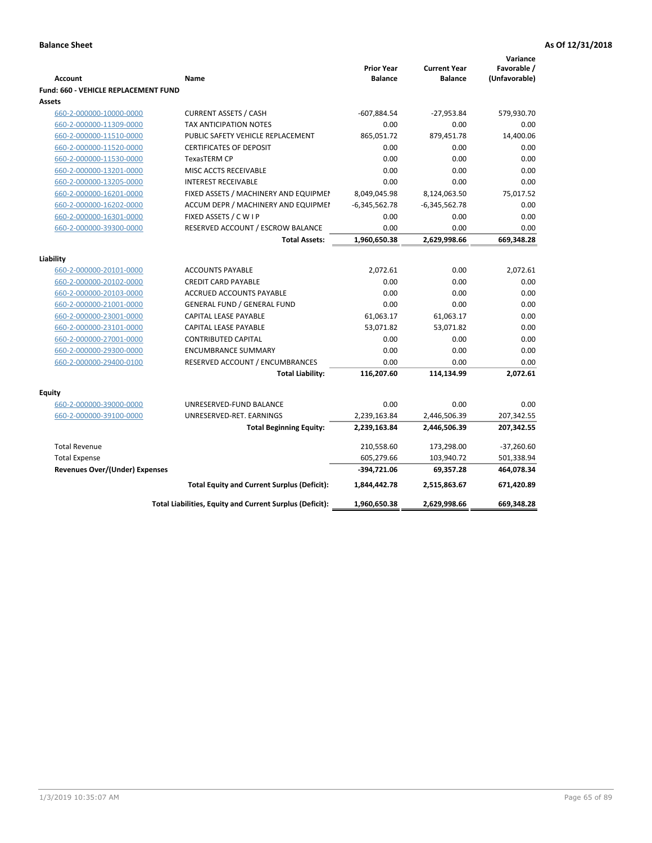|                                                    |                                                          |                                     |                                       | Variance                     |
|----------------------------------------------------|----------------------------------------------------------|-------------------------------------|---------------------------------------|------------------------------|
| <b>Account</b>                                     | Name                                                     | <b>Prior Year</b><br><b>Balance</b> | <b>Current Year</b><br><b>Balance</b> | Favorable /<br>(Unfavorable) |
| <b>Fund: 660 - VEHICLE REPLACEMENT FUND</b>        |                                                          |                                     |                                       |                              |
| Assets                                             |                                                          |                                     |                                       |                              |
| 660-2-000000-10000-0000                            | <b>CURRENT ASSETS / CASH</b>                             | $-607,884.54$                       | $-27,953.84$                          | 579,930.70                   |
| 660-2-000000-11309-0000                            | TAX ANTICIPATION NOTES                                   | 0.00                                | 0.00                                  | 0.00                         |
| 660-2-000000-11510-0000                            | PUBLIC SAFETY VEHICLE REPLACEMENT                        | 865,051.72                          | 879,451.78                            | 14,400.06                    |
| 660-2-000000-11520-0000                            | <b>CERTIFICATES OF DEPOSIT</b>                           | 0.00                                | 0.00                                  | 0.00                         |
| 660-2-000000-11530-0000                            | TexasTERM CP                                             | 0.00                                | 0.00                                  | 0.00                         |
| 660-2-000000-13201-0000                            | MISC ACCTS RECEIVABLE                                    | 0.00                                | 0.00                                  | 0.00                         |
| 660-2-000000-13205-0000                            | <b>INTEREST RECEIVABLE</b>                               | 0.00                                | 0.00                                  | 0.00                         |
| 660-2-000000-16201-0000                            | FIXED ASSETS / MACHINERY AND EQUIPMEN                    | 8,049,045.98                        | 8,124,063.50                          | 75,017.52                    |
| 660-2-000000-16202-0000                            | ACCUM DEPR / MACHINERY AND EQUIPMEI                      | $-6,345,562.78$                     | $-6,345,562.78$                       | 0.00                         |
| 660-2-000000-16301-0000                            | FIXED ASSETS / C W I P                                   | 0.00                                | 0.00                                  | 0.00                         |
| 660-2-000000-39300-0000                            | RESERVED ACCOUNT / ESCROW BALANCE                        | 0.00                                | 0.00                                  | 0.00                         |
|                                                    | <b>Total Assets:</b>                                     | 1,960,650.38                        | 2,629,998.66                          | 669,348.28                   |
|                                                    |                                                          |                                     |                                       |                              |
| Liability                                          |                                                          |                                     | 0.00                                  |                              |
| 660-2-000000-20101-0000                            | <b>ACCOUNTS PAYABLE</b><br><b>CREDIT CARD PAYABLE</b>    | 2,072.61<br>0.00                    | 0.00                                  | 2,072.61                     |
| 660-2-000000-20102-0000                            | <b>ACCRUED ACCOUNTS PAYABLE</b>                          | 0.00                                | 0.00                                  | 0.00<br>0.00                 |
| 660-2-000000-20103-0000                            | <b>GENERAL FUND / GENERAL FUND</b>                       | 0.00                                | 0.00                                  | 0.00                         |
| 660-2-000000-21001-0000                            |                                                          |                                     |                                       |                              |
| 660-2-000000-23001-0000                            | <b>CAPITAL LEASE PAYABLE</b>                             | 61,063.17                           | 61,063.17                             | 0.00                         |
| 660-2-000000-23101-0000                            | <b>CAPITAL LEASE PAYABLE</b>                             | 53,071.82                           | 53,071.82                             | 0.00                         |
| 660-2-000000-27001-0000<br>660-2-000000-29300-0000 | <b>CONTRIBUTED CAPITAL</b><br><b>ENCUMBRANCE SUMMARY</b> | 0.00<br>0.00                        | 0.00<br>0.00                          | 0.00<br>0.00                 |
| 660-2-000000-29400-0100                            |                                                          | 0.00                                | 0.00                                  | 0.00                         |
|                                                    | RESERVED ACCOUNT / ENCUMBRANCES                          |                                     |                                       | 2,072.61                     |
|                                                    | <b>Total Liability:</b>                                  | 116,207.60                          | 114,134.99                            |                              |
| <b>Equity</b>                                      |                                                          |                                     |                                       |                              |
| 660-2-000000-39000-0000                            | UNRESERVED-FUND BALANCE                                  | 0.00                                | 0.00                                  | 0.00                         |
| 660-2-000000-39100-0000                            | UNRESERVED-RET. EARNINGS                                 | 2,239,163.84                        | 2,446,506.39                          | 207,342.55                   |
|                                                    | <b>Total Beginning Equity:</b>                           | 2,239,163.84                        | 2,446,506.39                          | 207,342.55                   |
| <b>Total Revenue</b>                               |                                                          | 210,558.60                          | 173,298.00                            | $-37,260.60$                 |
| <b>Total Expense</b>                               |                                                          | 605,279.66                          | 103,940.72                            | 501,338.94                   |
| <b>Revenues Over/(Under) Expenses</b>              |                                                          | $-394,721.06$                       | 69,357.28                             | 464,078.34                   |
|                                                    | <b>Total Equity and Current Surplus (Deficit):</b>       | 1,844,442.78                        | 2,515,863.67                          | 671,420.89                   |
|                                                    | Total Liabilities, Equity and Current Surplus (Deficit): | 1,960,650.38                        | 2,629,998.66                          | 669,348.28                   |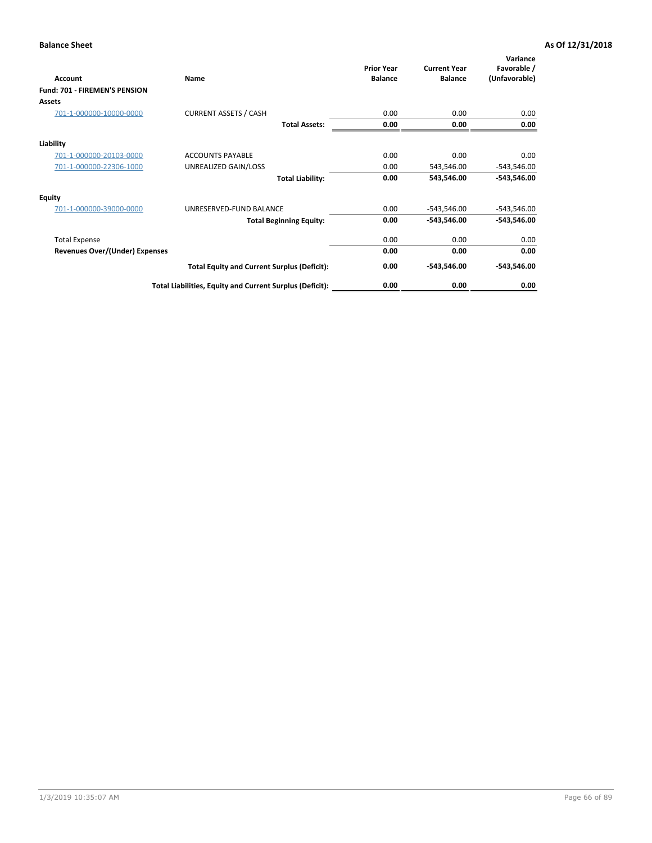| Account                        | Name                                                     | <b>Prior Year</b><br><b>Balance</b> | <b>Current Year</b><br><b>Balance</b> | Variance<br>Favorable /<br>(Unfavorable) |
|--------------------------------|----------------------------------------------------------|-------------------------------------|---------------------------------------|------------------------------------------|
| Fund: 701 - FIREMEN'S PENSION  |                                                          |                                     |                                       |                                          |
| <b>Assets</b>                  |                                                          |                                     |                                       |                                          |
| 701-1-000000-10000-0000        | <b>CURRENT ASSETS / CASH</b>                             | 0.00                                | 0.00                                  | 0.00                                     |
|                                | <b>Total Assets:</b>                                     | 0.00                                | 0.00                                  | 0.00                                     |
| Liability                      |                                                          |                                     |                                       |                                          |
| 701-1-000000-20103-0000        | <b>ACCOUNTS PAYABLE</b>                                  | 0.00                                | 0.00                                  | 0.00                                     |
| 701-1-000000-22306-1000        | UNREALIZED GAIN/LOSS                                     | 0.00                                | 543,546.00                            | $-543,546.00$                            |
|                                | <b>Total Liability:</b>                                  | 0.00                                | 543,546.00                            | $-543,546.00$                            |
| <b>Equity</b>                  |                                                          |                                     |                                       |                                          |
| 701-1-000000-39000-0000        | UNRESERVED-FUND BALANCE                                  | 0.00                                | -543,546.00                           | $-543,546.00$                            |
|                                | <b>Total Beginning Equity:</b>                           | 0.00                                | $-543,546.00$                         | $-543,546.00$                            |
| <b>Total Expense</b>           |                                                          | 0.00                                | 0.00                                  | 0.00                                     |
| Revenues Over/(Under) Expenses |                                                          | 0.00                                | 0.00                                  | 0.00                                     |
|                                | <b>Total Equity and Current Surplus (Deficit):</b>       | 0.00                                | -543,546.00                           | $-543,546.00$                            |
|                                | Total Liabilities, Equity and Current Surplus (Deficit): | 0.00                                | 0.00                                  | 0.00                                     |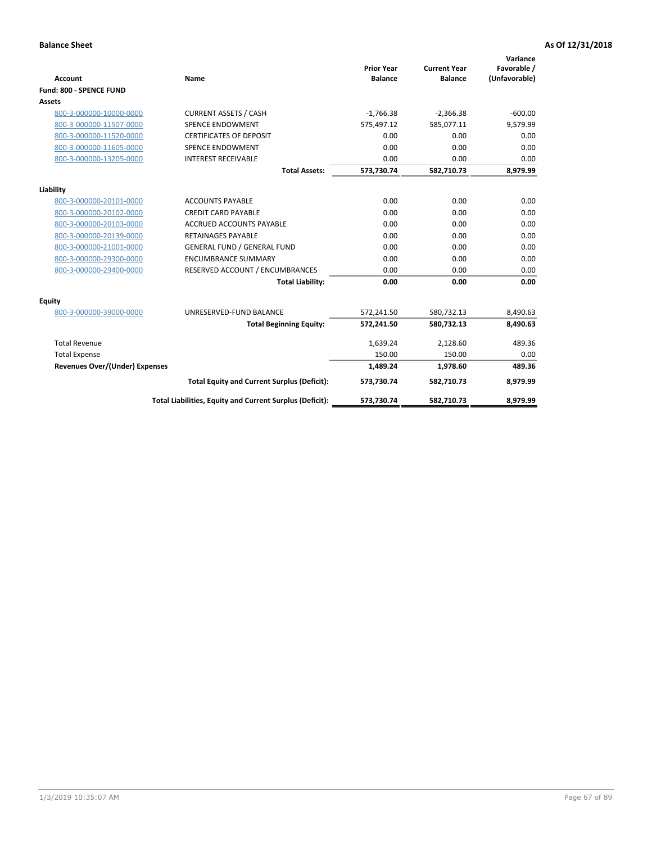|                                       |                                                          |                                     |                                       | Variance                     |
|---------------------------------------|----------------------------------------------------------|-------------------------------------|---------------------------------------|------------------------------|
| <b>Account</b>                        | <b>Name</b>                                              | <b>Prior Year</b><br><b>Balance</b> | <b>Current Year</b><br><b>Balance</b> | Favorable /<br>(Unfavorable) |
| Fund: 800 - SPENCE FUND               |                                                          |                                     |                                       |                              |
| Assets                                |                                                          |                                     |                                       |                              |
| 800-3-000000-10000-0000               | <b>CURRENT ASSETS / CASH</b>                             | $-1,766.38$                         | $-2,366.38$                           | $-600.00$                    |
| 800-3-000000-11507-0000               | <b>SPENCE ENDOWMENT</b>                                  | 575,497.12                          | 585,077.11                            | 9,579.99                     |
| 800-3-000000-11520-0000               | <b>CERTIFICATES OF DEPOSIT</b>                           | 0.00                                | 0.00                                  | 0.00                         |
| 800-3-000000-11605-0000               | <b>SPENCE ENDOWMENT</b>                                  | 0.00                                | 0.00                                  | 0.00                         |
| 800-3-000000-13205-0000               | <b>INTEREST RECEIVABLE</b>                               | 0.00                                | 0.00                                  | 0.00                         |
|                                       | <b>Total Assets:</b>                                     | 573,730.74                          | 582,710.73                            | 8,979.99                     |
| Liability                             |                                                          |                                     |                                       |                              |
| 800-3-000000-20101-0000               | <b>ACCOUNTS PAYABLE</b>                                  | 0.00                                | 0.00                                  | 0.00                         |
| 800-3-000000-20102-0000               | <b>CREDIT CARD PAYABLE</b>                               | 0.00                                | 0.00                                  | 0.00                         |
| 800-3-000000-20103-0000               | <b>ACCRUED ACCOUNTS PAYABLE</b>                          | 0.00                                | 0.00                                  | 0.00                         |
| 800-3-000000-20139-0000               | <b>RETAINAGES PAYABLE</b>                                | 0.00                                | 0.00                                  | 0.00                         |
| 800-3-000000-21001-0000               | <b>GENERAL FUND / GENERAL FUND</b>                       | 0.00                                | 0.00                                  | 0.00                         |
| 800-3-000000-29300-0000               | <b>ENCUMBRANCE SUMMARY</b>                               | 0.00                                | 0.00                                  | 0.00                         |
| 800-3-000000-29400-0000               | RESERVED ACCOUNT / ENCUMBRANCES                          | 0.00                                | 0.00                                  | 0.00                         |
|                                       | <b>Total Liability:</b>                                  | 0.00                                | 0.00                                  | 0.00                         |
| <b>Equity</b>                         |                                                          |                                     |                                       |                              |
| 800-3-000000-39000-0000               | UNRESERVED-FUND BALANCE                                  | 572,241.50                          | 580,732.13                            | 8,490.63                     |
|                                       | <b>Total Beginning Equity:</b>                           | 572,241.50                          | 580,732.13                            | 8,490.63                     |
| <b>Total Revenue</b>                  |                                                          | 1,639.24                            | 2,128.60                              | 489.36                       |
| <b>Total Expense</b>                  |                                                          | 150.00                              | 150.00                                | 0.00                         |
| <b>Revenues Over/(Under) Expenses</b> |                                                          | 1,489.24                            | 1,978.60                              | 489.36                       |
|                                       | <b>Total Equity and Current Surplus (Deficit):</b>       | 573,730.74                          | 582,710.73                            | 8,979.99                     |
|                                       | Total Liabilities, Equity and Current Surplus (Deficit): | 573,730.74                          | 582,710.73                            | 8,979.99                     |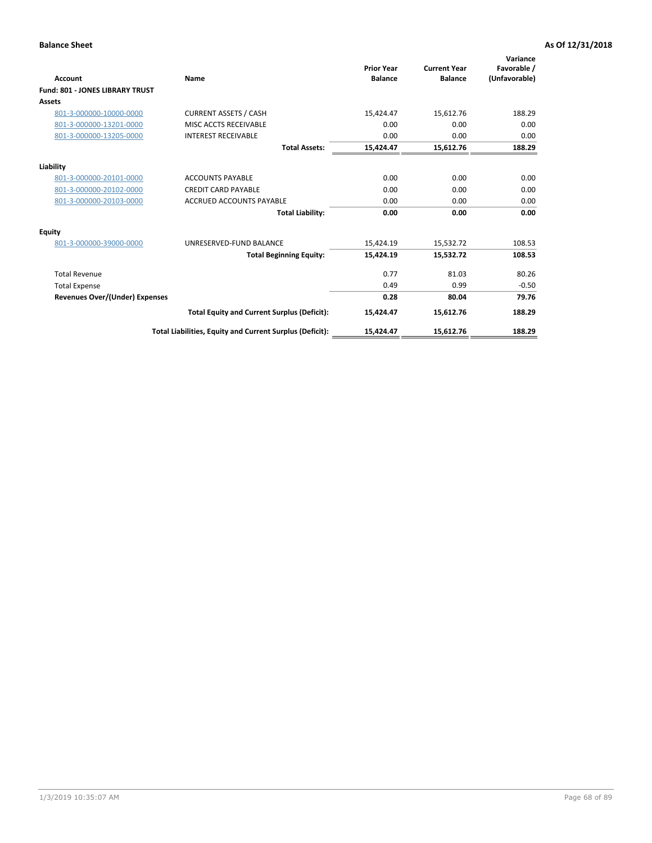| <b>Account</b>                         | Name                                                     | <b>Prior Year</b><br><b>Balance</b> | <b>Current Year</b><br><b>Balance</b> | Variance<br>Favorable /<br>(Unfavorable) |
|----------------------------------------|----------------------------------------------------------|-------------------------------------|---------------------------------------|------------------------------------------|
| <b>Fund: 801 - JONES LIBRARY TRUST</b> |                                                          |                                     |                                       |                                          |
| Assets                                 |                                                          |                                     |                                       |                                          |
| 801-3-000000-10000-0000                | <b>CURRENT ASSETS / CASH</b>                             | 15,424.47                           | 15,612.76                             | 188.29                                   |
| 801-3-000000-13201-0000                | MISC ACCTS RECEIVABLE                                    | 0.00                                | 0.00                                  | 0.00                                     |
| 801-3-000000-13205-0000                | <b>INTEREST RECEIVABLE</b>                               | 0.00                                | 0.00                                  | 0.00                                     |
|                                        | <b>Total Assets:</b>                                     | 15,424.47                           | 15,612.76                             | 188.29                                   |
| Liability                              |                                                          |                                     |                                       |                                          |
| 801-3-000000-20101-0000                | <b>ACCOUNTS PAYABLE</b>                                  | 0.00                                | 0.00                                  | 0.00                                     |
| 801-3-000000-20102-0000                | <b>CREDIT CARD PAYABLE</b>                               | 0.00                                | 0.00                                  | 0.00                                     |
| 801-3-000000-20103-0000                | <b>ACCRUED ACCOUNTS PAYABLE</b>                          | 0.00                                | 0.00                                  | 0.00                                     |
|                                        | <b>Total Liability:</b>                                  | 0.00                                | 0.00                                  | 0.00                                     |
| Equity                                 |                                                          |                                     |                                       |                                          |
| 801-3-000000-39000-0000                | UNRESERVED-FUND BALANCE                                  | 15,424.19                           | 15,532.72                             | 108.53                                   |
|                                        | <b>Total Beginning Equity:</b>                           | 15,424.19                           | 15,532.72                             | 108.53                                   |
| <b>Total Revenue</b>                   |                                                          | 0.77                                | 81.03                                 | 80.26                                    |
| <b>Total Expense</b>                   |                                                          | 0.49                                | 0.99                                  | $-0.50$                                  |
| <b>Revenues Over/(Under) Expenses</b>  |                                                          | 0.28                                | 80.04                                 | 79.76                                    |
|                                        | <b>Total Equity and Current Surplus (Deficit):</b>       | 15,424.47                           | 15,612.76                             | 188.29                                   |
|                                        | Total Liabilities, Equity and Current Surplus (Deficit): | 15,424.47                           | 15,612.76                             | 188.29                                   |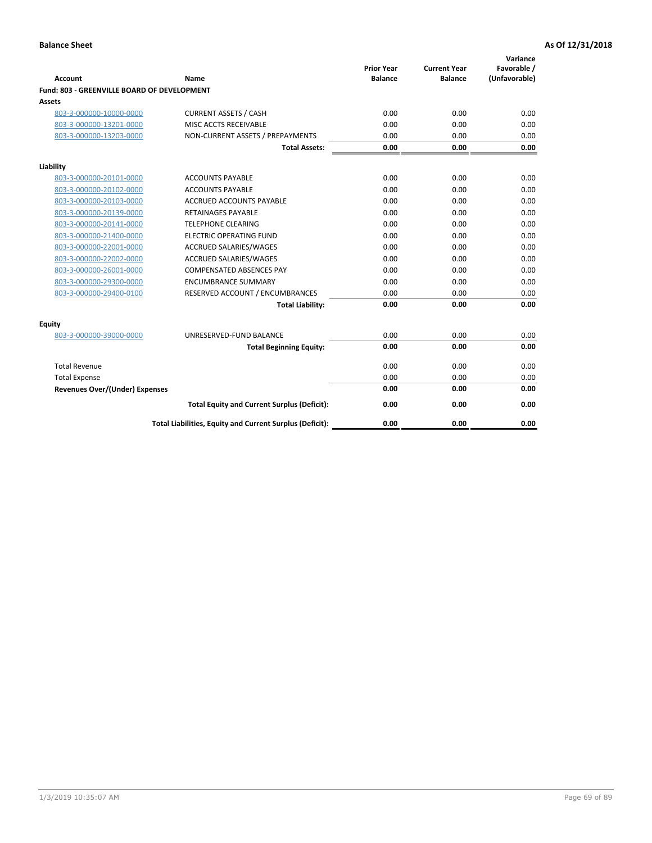| <b>Account</b>                              | Name                                                     | <b>Prior Year</b><br><b>Balance</b> | <b>Current Year</b><br><b>Balance</b> | Variance<br>Favorable /<br>(Unfavorable) |
|---------------------------------------------|----------------------------------------------------------|-------------------------------------|---------------------------------------|------------------------------------------|
| Fund: 803 - GREENVILLE BOARD OF DEVELOPMENT |                                                          |                                     |                                       |                                          |
| Assets                                      |                                                          |                                     |                                       |                                          |
| 803-3-000000-10000-0000                     | <b>CURRENT ASSETS / CASH</b>                             | 0.00                                | 0.00                                  | 0.00                                     |
| 803-3-000000-13201-0000                     | MISC ACCTS RECEIVABLE                                    | 0.00                                | 0.00                                  | 0.00                                     |
| 803-3-000000-13203-0000                     | NON-CURRENT ASSETS / PREPAYMENTS                         | 0.00                                | 0.00                                  | 0.00                                     |
|                                             | <b>Total Assets:</b>                                     | 0.00                                | 0.00                                  | 0.00                                     |
| Liability                                   |                                                          |                                     |                                       |                                          |
| 803-3-000000-20101-0000                     | <b>ACCOUNTS PAYABLE</b>                                  | 0.00                                | 0.00                                  | 0.00                                     |
| 803-3-000000-20102-0000                     | <b>ACCOUNTS PAYABLE</b>                                  | 0.00                                | 0.00                                  | 0.00                                     |
| 803-3-000000-20103-0000                     | <b>ACCRUED ACCOUNTS PAYABLE</b>                          | 0.00                                | 0.00                                  | 0.00                                     |
| 803-3-000000-20139-0000                     | <b>RETAINAGES PAYABLE</b>                                | 0.00                                | 0.00                                  | 0.00                                     |
| 803-3-000000-20141-0000                     | <b>TELEPHONE CLEARING</b>                                | 0.00                                | 0.00                                  | 0.00                                     |
| 803-3-000000-21400-0000                     | <b>ELECTRIC OPERATING FUND</b>                           | 0.00                                | 0.00                                  | 0.00                                     |
| 803-3-000000-22001-0000                     | <b>ACCRUED SALARIES/WAGES</b>                            | 0.00                                | 0.00                                  | 0.00                                     |
| 803-3-000000-22002-0000                     | <b>ACCRUED SALARIES/WAGES</b>                            | 0.00                                | 0.00                                  | 0.00                                     |
| 803-3-000000-26001-0000                     | <b>COMPENSATED ABSENCES PAY</b>                          | 0.00                                | 0.00                                  | 0.00                                     |
| 803-3-000000-29300-0000                     | <b>ENCUMBRANCE SUMMARY</b>                               | 0.00                                | 0.00                                  | 0.00                                     |
| 803-3-000000-29400-0100                     | RESERVED ACCOUNT / ENCUMBRANCES                          | 0.00                                | 0.00                                  | 0.00                                     |
|                                             | <b>Total Liability:</b>                                  | 0.00                                | 0.00                                  | 0.00                                     |
| Equity                                      |                                                          |                                     |                                       |                                          |
| 803-3-000000-39000-0000                     | UNRESERVED-FUND BALANCE                                  | 0.00                                | 0.00                                  | 0.00                                     |
|                                             | <b>Total Beginning Equity:</b>                           | 0.00                                | 0.00                                  | 0.00                                     |
| <b>Total Revenue</b>                        |                                                          | 0.00                                | 0.00                                  | 0.00                                     |
| <b>Total Expense</b>                        |                                                          | 0.00                                | 0.00                                  | 0.00                                     |
| <b>Revenues Over/(Under) Expenses</b>       |                                                          | 0.00                                | 0.00                                  | 0.00                                     |
|                                             | <b>Total Equity and Current Surplus (Deficit):</b>       | 0.00                                | 0.00                                  | 0.00                                     |
|                                             | Total Liabilities, Equity and Current Surplus (Deficit): | 0.00                                | 0.00                                  | 0.00                                     |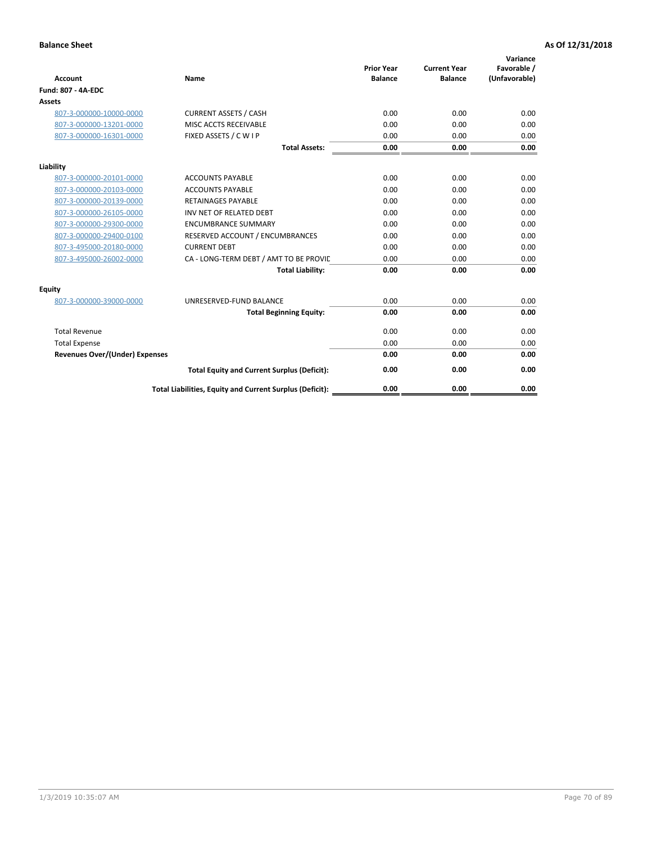|                                       |                                                          |                                     |                                       | Variance                     |
|---------------------------------------|----------------------------------------------------------|-------------------------------------|---------------------------------------|------------------------------|
| <b>Account</b>                        | <b>Name</b>                                              | <b>Prior Year</b><br><b>Balance</b> | <b>Current Year</b><br><b>Balance</b> | Favorable /<br>(Unfavorable) |
| <b>Fund: 807 - 4A-EDC</b>             |                                                          |                                     |                                       |                              |
| <b>Assets</b>                         |                                                          |                                     |                                       |                              |
| 807-3-000000-10000-0000               | <b>CURRENT ASSETS / CASH</b>                             | 0.00                                | 0.00                                  | 0.00                         |
| 807-3-000000-13201-0000               | MISC ACCTS RECEIVABLE                                    | 0.00                                | 0.00                                  | 0.00                         |
| 807-3-000000-16301-0000               | FIXED ASSETS / C W I P                                   | 0.00                                | 0.00                                  | 0.00                         |
|                                       | <b>Total Assets:</b>                                     | 0.00                                | 0.00                                  | 0.00                         |
| Liability                             |                                                          |                                     |                                       |                              |
| 807-3-000000-20101-0000               | <b>ACCOUNTS PAYABLE</b>                                  | 0.00                                | 0.00                                  | 0.00                         |
| 807-3-000000-20103-0000               | <b>ACCOUNTS PAYABLE</b>                                  | 0.00                                | 0.00                                  | 0.00                         |
| 807-3-000000-20139-0000               | <b>RETAINAGES PAYABLE</b>                                | 0.00                                | 0.00                                  | 0.00                         |
| 807-3-000000-26105-0000               | INV NET OF RELATED DEBT                                  | 0.00                                | 0.00                                  | 0.00                         |
| 807-3-000000-29300-0000               | <b>ENCUMBRANCE SUMMARY</b>                               | 0.00                                | 0.00                                  | 0.00                         |
| 807-3-000000-29400-0100               | RESERVED ACCOUNT / ENCUMBRANCES                          | 0.00                                | 0.00                                  | 0.00                         |
| 807-3-495000-20180-0000               | <b>CURRENT DEBT</b>                                      | 0.00                                | 0.00                                  | 0.00                         |
| 807-3-495000-26002-0000               | CA - LONG-TERM DEBT / AMT TO BE PROVIL                   | 0.00                                | 0.00                                  | 0.00                         |
|                                       | <b>Total Liability:</b>                                  | 0.00                                | 0.00                                  | 0.00                         |
| <b>Equity</b>                         |                                                          |                                     |                                       |                              |
| 807-3-000000-39000-0000               | UNRESERVED-FUND BALANCE                                  | 0.00                                | 0.00                                  | 0.00                         |
|                                       | <b>Total Beginning Equity:</b>                           | 0.00                                | 0.00                                  | 0.00                         |
| <b>Total Revenue</b>                  |                                                          | 0.00                                | 0.00                                  | 0.00                         |
| <b>Total Expense</b>                  |                                                          | 0.00                                | 0.00                                  | 0.00                         |
| <b>Revenues Over/(Under) Expenses</b> |                                                          | 0.00                                | 0.00                                  | 0.00                         |
|                                       | <b>Total Equity and Current Surplus (Deficit):</b>       | 0.00                                | 0.00                                  | 0.00                         |
|                                       | Total Liabilities, Equity and Current Surplus (Deficit): | 0.00                                | 0.00                                  | 0.00                         |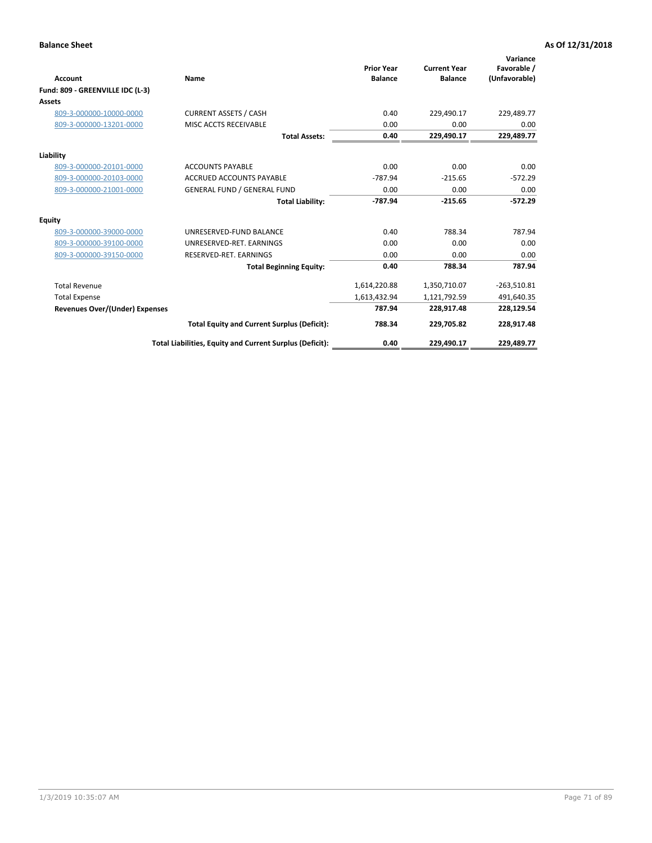| <b>Account</b>                   | Name                                                     | <b>Prior Year</b><br><b>Balance</b> | <b>Current Year</b><br><b>Balance</b> | Variance<br>Favorable /<br>(Unfavorable) |
|----------------------------------|----------------------------------------------------------|-------------------------------------|---------------------------------------|------------------------------------------|
| Fund: 809 - GREENVILLE IDC (L-3) |                                                          |                                     |                                       |                                          |
| <b>Assets</b>                    |                                                          |                                     |                                       |                                          |
| 809-3-000000-10000-0000          | <b>CURRENT ASSETS / CASH</b>                             | 0.40                                | 229,490.17                            | 229,489.77                               |
| 809-3-000000-13201-0000          | MISC ACCTS RECEIVABLE                                    | 0.00                                | 0.00                                  | 0.00                                     |
|                                  | <b>Total Assets:</b>                                     | 0.40                                | 229,490.17                            | 229,489.77                               |
| Liability                        |                                                          |                                     |                                       |                                          |
| 809-3-000000-20101-0000          | <b>ACCOUNTS PAYABLE</b>                                  | 0.00                                | 0.00                                  | 0.00                                     |
| 809-3-000000-20103-0000          | <b>ACCRUED ACCOUNTS PAYABLE</b>                          | $-787.94$                           | $-215.65$                             | $-572.29$                                |
| 809-3-000000-21001-0000          | <b>GENERAL FUND / GENERAL FUND</b>                       | 0.00                                | 0.00                                  | 0.00                                     |
|                                  | <b>Total Liability:</b>                                  | $-787.94$                           | $-215.65$                             | $-572.29$                                |
| <b>Equity</b>                    |                                                          |                                     |                                       |                                          |
| 809-3-000000-39000-0000          | UNRESERVED-FUND BALANCE                                  | 0.40                                | 788.34                                | 787.94                                   |
| 809-3-000000-39100-0000          | UNRESERVED-RET, EARNINGS                                 | 0.00                                | 0.00                                  | 0.00                                     |
| 809-3-000000-39150-0000          | RESERVED-RET. EARNINGS                                   | 0.00                                | 0.00                                  | 0.00                                     |
|                                  | <b>Total Beginning Equity:</b>                           | 0.40                                | 788.34                                | 787.94                                   |
| <b>Total Revenue</b>             |                                                          | 1,614,220.88                        | 1,350,710.07                          | $-263,510.81$                            |
| <b>Total Expense</b>             |                                                          | 1,613,432.94                        | 1,121,792.59                          | 491,640.35                               |
| Revenues Over/(Under) Expenses   |                                                          | 787.94                              | 228,917.48                            | 228,129.54                               |
|                                  | <b>Total Equity and Current Surplus (Deficit):</b>       | 788.34                              | 229,705.82                            | 228,917.48                               |
|                                  | Total Liabilities, Equity and Current Surplus (Deficit): | 0.40                                | 229,490.17                            | 229,489.77                               |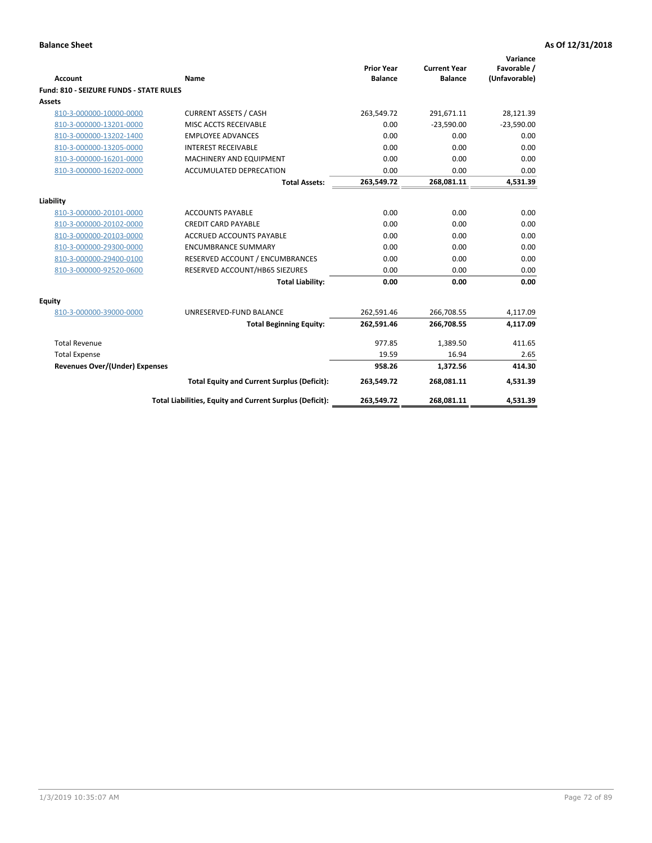| <b>Account</b>                                 | Name                                                     | <b>Prior Year</b><br><b>Balance</b> | <b>Current Year</b><br><b>Balance</b> | Variance<br>Favorable /<br>(Unfavorable) |
|------------------------------------------------|----------------------------------------------------------|-------------------------------------|---------------------------------------|------------------------------------------|
| <b>Fund: 810 - SEIZURE FUNDS - STATE RULES</b> |                                                          |                                     |                                       |                                          |
| <b>Assets</b>                                  |                                                          |                                     |                                       |                                          |
| 810-3-000000-10000-0000                        | <b>CURRENT ASSETS / CASH</b>                             | 263,549.72                          | 291,671.11                            | 28,121.39                                |
| 810-3-000000-13201-0000                        | MISC ACCTS RECEIVABLE                                    | 0.00                                | $-23,590.00$                          | $-23,590.00$                             |
| 810-3-000000-13202-1400                        | <b>EMPLOYEE ADVANCES</b>                                 | 0.00                                | 0.00                                  | 0.00                                     |
| 810-3-000000-13205-0000                        | <b>INTEREST RECEIVABLE</b>                               | 0.00                                | 0.00                                  | 0.00                                     |
| 810-3-000000-16201-0000                        | MACHINERY AND EQUIPMENT                                  | 0.00                                | 0.00                                  | 0.00                                     |
| 810-3-000000-16202-0000                        | ACCUMULATED DEPRECATION                                  | 0.00                                | 0.00                                  | 0.00                                     |
|                                                | <b>Total Assets:</b>                                     | 263,549.72                          | 268,081.11                            | 4,531.39                                 |
|                                                |                                                          |                                     |                                       |                                          |
| Liability                                      |                                                          |                                     |                                       |                                          |
| 810-3-000000-20101-0000                        | <b>ACCOUNTS PAYABLE</b>                                  | 0.00                                | 0.00                                  | 0.00                                     |
| 810-3-000000-20102-0000                        | <b>CREDIT CARD PAYABLE</b>                               | 0.00                                | 0.00                                  | 0.00                                     |
| 810-3-000000-20103-0000                        | <b>ACCRUED ACCOUNTS PAYABLE</b>                          | 0.00                                | 0.00                                  | 0.00                                     |
| 810-3-000000-29300-0000                        | <b>ENCUMBRANCE SUMMARY</b>                               | 0.00                                | 0.00                                  | 0.00                                     |
| 810-3-000000-29400-0100                        | RESERVED ACCOUNT / ENCUMBRANCES                          | 0.00                                | 0.00                                  | 0.00                                     |
| 810-3-000000-92520-0600                        | RESERVED ACCOUNT/HB65 SIEZURES                           | 0.00                                | 0.00                                  | 0.00                                     |
|                                                | <b>Total Liability:</b>                                  | 0.00                                | 0.00                                  | 0.00                                     |
| Equity                                         |                                                          |                                     |                                       |                                          |
| 810-3-000000-39000-0000                        | UNRESERVED-FUND BALANCE                                  | 262,591.46                          | 266,708.55                            | 4,117.09                                 |
|                                                | <b>Total Beginning Equity:</b>                           | 262,591.46                          | 266,708.55                            | 4,117.09                                 |
| <b>Total Revenue</b>                           |                                                          | 977.85                              | 1.389.50                              | 411.65                                   |
| <b>Total Expense</b>                           |                                                          | 19.59                               | 16.94                                 | 2.65                                     |
| Revenues Over/(Under) Expenses                 |                                                          | 958.26                              | 1,372.56                              | 414.30                                   |
|                                                | <b>Total Equity and Current Surplus (Deficit):</b>       | 263,549.72                          | 268,081.11                            | 4,531.39                                 |
|                                                | Total Liabilities, Equity and Current Surplus (Deficit): | 263,549.72                          | 268,081.11                            | 4,531.39                                 |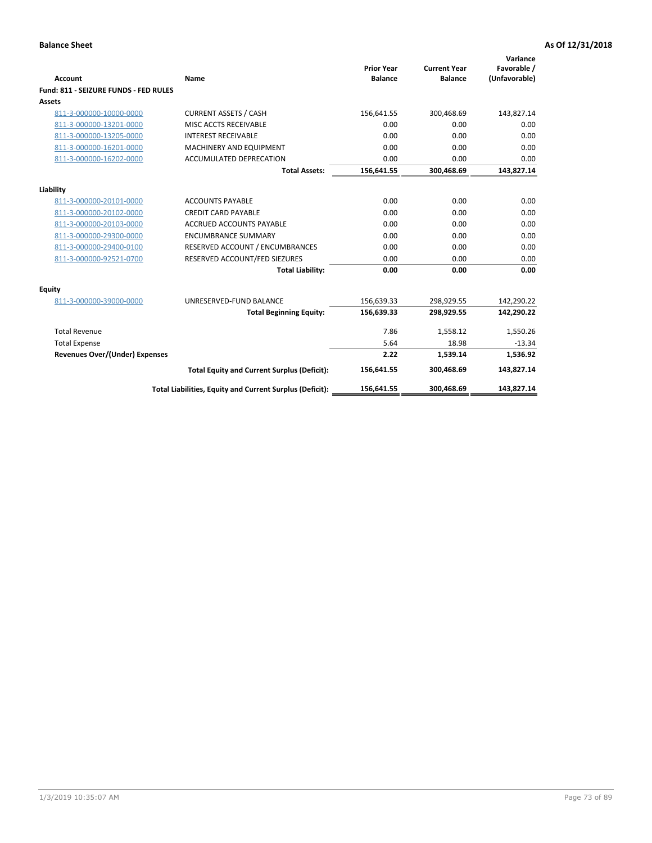| Account                               | Name                                                     | <b>Prior Year</b><br><b>Balance</b> | <b>Current Year</b><br><b>Balance</b> | Variance<br>Favorable /<br>(Unfavorable) |
|---------------------------------------|----------------------------------------------------------|-------------------------------------|---------------------------------------|------------------------------------------|
| Fund: 811 - SEIZURE FUNDS - FED RULES |                                                          |                                     |                                       |                                          |
| <b>Assets</b>                         |                                                          |                                     |                                       |                                          |
| 811-3-000000-10000-0000               | <b>CURRENT ASSETS / CASH</b>                             | 156,641.55                          | 300,468.69                            | 143,827.14                               |
| 811-3-000000-13201-0000               | MISC ACCTS RECEIVABLE                                    | 0.00                                | 0.00                                  | 0.00                                     |
| 811-3-000000-13205-0000               | <b>INTEREST RECEIVABLE</b>                               | 0.00                                | 0.00                                  | 0.00                                     |
| 811-3-000000-16201-0000               | <b>MACHINERY AND EQUIPMENT</b>                           | 0.00                                | 0.00                                  | 0.00                                     |
| 811-3-000000-16202-0000               | ACCUMULATED DEPRECATION                                  | 0.00                                | 0.00                                  | 0.00                                     |
|                                       | <b>Total Assets:</b>                                     | 156,641.55                          | 300,468.69                            | 143,827.14                               |
| Liability                             |                                                          |                                     |                                       |                                          |
| 811-3-000000-20101-0000               | <b>ACCOUNTS PAYABLE</b>                                  | 0.00                                | 0.00                                  | 0.00                                     |
| 811-3-000000-20102-0000               | <b>CREDIT CARD PAYABLE</b>                               | 0.00                                | 0.00                                  | 0.00                                     |
| 811-3-000000-20103-0000               | <b>ACCRUED ACCOUNTS PAYABLE</b>                          | 0.00                                | 0.00                                  | 0.00                                     |
| 811-3-000000-29300-0000               | <b>ENCUMBRANCE SUMMARY</b>                               | 0.00                                | 0.00                                  | 0.00                                     |
| 811-3-000000-29400-0100               | RESERVED ACCOUNT / ENCUMBRANCES                          | 0.00                                | 0.00                                  | 0.00                                     |
| 811-3-000000-92521-0700               | RESERVED ACCOUNT/FED SIEZURES                            | 0.00                                | 0.00                                  | 0.00                                     |
|                                       | <b>Total Liability:</b>                                  | 0.00                                | 0.00                                  | 0.00                                     |
| Equity                                |                                                          |                                     |                                       |                                          |
| 811-3-000000-39000-0000               | UNRESERVED-FUND BALANCE                                  | 156,639.33                          | 298,929.55                            | 142,290.22                               |
|                                       | <b>Total Beginning Equity:</b>                           | 156,639.33                          | 298,929.55                            | 142,290.22                               |
| <b>Total Revenue</b>                  |                                                          | 7.86                                | 1.558.12                              | 1,550.26                                 |
| <b>Total Expense</b>                  |                                                          | 5.64                                | 18.98                                 | $-13.34$                                 |
| Revenues Over/(Under) Expenses        |                                                          | 2.22                                | 1,539.14                              | 1,536.92                                 |
|                                       | <b>Total Equity and Current Surplus (Deficit):</b>       | 156,641.55                          | 300,468.69                            | 143,827.14                               |
|                                       | Total Liabilities, Equity and Current Surplus (Deficit): | 156,641.55                          | 300,468.69                            | 143,827.14                               |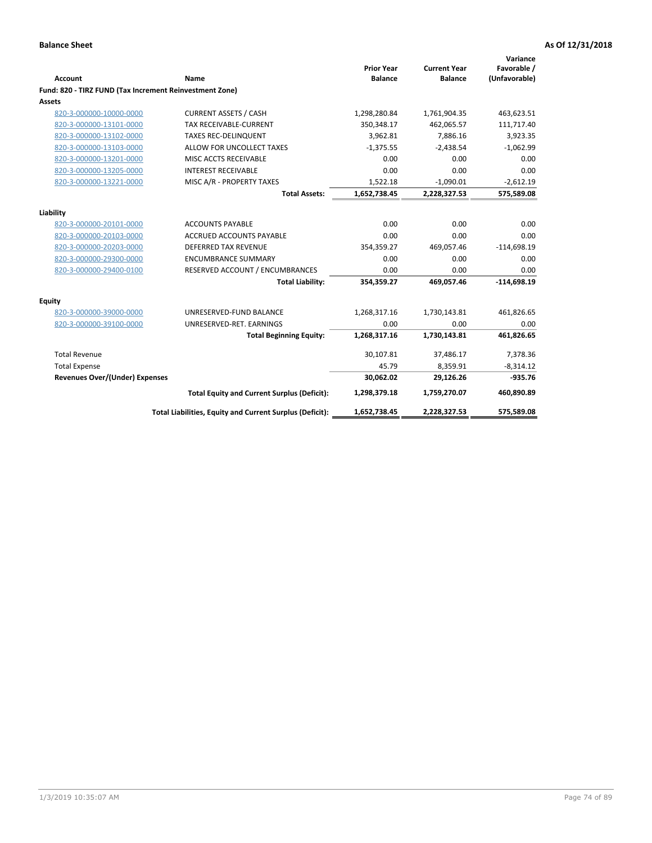|                                                         |                                                          | <b>Prior Year</b> | <b>Current Year</b> | Variance<br>Favorable / |
|---------------------------------------------------------|----------------------------------------------------------|-------------------|---------------------|-------------------------|
| <b>Account</b>                                          | <b>Name</b>                                              | <b>Balance</b>    | <b>Balance</b>      | (Unfavorable)           |
| Fund: 820 - TIRZ FUND (Tax Increment Reinvestment Zone) |                                                          |                   |                     |                         |
| Assets                                                  |                                                          |                   |                     |                         |
| 820-3-000000-10000-0000                                 | <b>CURRENT ASSETS / CASH</b>                             | 1,298,280.84      | 1,761,904.35        | 463,623.51              |
| 820-3-000000-13101-0000                                 | TAX RECEIVABLE-CURRENT                                   | 350,348.17        | 462,065.57          | 111,717.40              |
| 820-3-000000-13102-0000                                 | <b>TAXES REC-DELINQUENT</b>                              | 3,962.81          | 7,886.16            | 3,923.35                |
| 820-3-000000-13103-0000                                 | ALLOW FOR UNCOLLECT TAXES                                | $-1,375.55$       | $-2,438.54$         | $-1,062.99$             |
| 820-3-000000-13201-0000                                 | MISC ACCTS RECEIVABLE                                    | 0.00              | 0.00                | 0.00                    |
| 820-3-000000-13205-0000                                 | <b>INTEREST RECEIVABLE</b>                               | 0.00              | 0.00                | 0.00                    |
| 820-3-000000-13221-0000                                 | MISC A/R - PROPERTY TAXES                                | 1,522.18          | $-1,090.01$         | $-2,612.19$             |
|                                                         | <b>Total Assets:</b>                                     | 1,652,738.45      | 2,228,327.53        | 575,589.08              |
| Liability                                               |                                                          |                   |                     |                         |
| 820-3-000000-20101-0000                                 | <b>ACCOUNTS PAYABLE</b>                                  | 0.00              | 0.00                | 0.00                    |
| 820-3-000000-20103-0000                                 | <b>ACCRUED ACCOUNTS PAYABLE</b>                          | 0.00              | 0.00                | 0.00                    |
| 820-3-000000-20203-0000                                 | <b>DEFERRED TAX REVENUE</b>                              | 354,359.27        | 469,057.46          | $-114,698.19$           |
| 820-3-000000-29300-0000                                 | <b>ENCUMBRANCE SUMMARY</b>                               | 0.00              | 0.00                | 0.00                    |
| 820-3-000000-29400-0100                                 | RESERVED ACCOUNT / ENCUMBRANCES                          | 0.00              | 0.00                | 0.00                    |
|                                                         | <b>Total Liability:</b>                                  | 354,359.27        | 469,057.46          | $-114,698.19$           |
| <b>Equity</b>                                           |                                                          |                   |                     |                         |
| 820-3-000000-39000-0000                                 | UNRESERVED-FUND BALANCE                                  | 1,268,317.16      | 1,730,143.81        | 461,826.65              |
| 820-3-000000-39100-0000                                 | UNRESERVED-RET. EARNINGS                                 | 0.00              | 0.00                | 0.00                    |
|                                                         | <b>Total Beginning Equity:</b>                           | 1,268,317.16      | 1,730,143.81        | 461,826.65              |
| <b>Total Revenue</b>                                    |                                                          | 30,107.81         | 37,486.17           | 7,378.36                |
| <b>Total Expense</b>                                    |                                                          | 45.79             | 8,359.91            | $-8,314.12$             |
| <b>Revenues Over/(Under) Expenses</b>                   |                                                          | 30,062.02         | 29,126.26           | $-935.76$               |
|                                                         | <b>Total Equity and Current Surplus (Deficit):</b>       | 1,298,379.18      | 1,759,270.07        | 460,890.89              |
|                                                         | Total Liabilities, Equity and Current Surplus (Deficit): | 1,652,738.45      | 2,228,327.53        | 575,589.08              |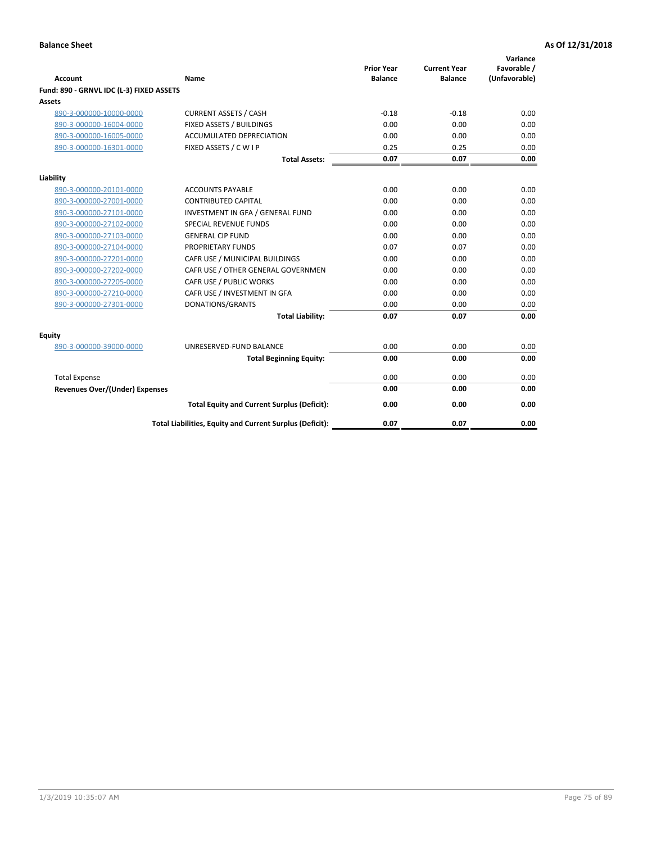| <b>Account</b>                           | Name                                                     | <b>Prior Year</b><br><b>Balance</b> | <b>Current Year</b><br><b>Balance</b> | Variance<br>Favorable /<br>(Unfavorable) |
|------------------------------------------|----------------------------------------------------------|-------------------------------------|---------------------------------------|------------------------------------------|
| Fund: 890 - GRNVL IDC (L-3) FIXED ASSETS |                                                          |                                     |                                       |                                          |
| <b>Assets</b>                            |                                                          |                                     |                                       |                                          |
| 890-3-000000-10000-0000                  | <b>CURRENT ASSETS / CASH</b>                             | $-0.18$                             | $-0.18$                               | 0.00                                     |
| 890-3-000000-16004-0000                  | FIXED ASSETS / BUILDINGS                                 | 0.00                                | 0.00                                  | 0.00                                     |
| 890-3-000000-16005-0000                  | <b>ACCUMULATED DEPRECIATION</b>                          | 0.00                                | 0.00                                  | 0.00                                     |
| 890-3-000000-16301-0000                  | FIXED ASSETS / C W I P                                   | 0.25                                | 0.25                                  | 0.00                                     |
|                                          | <b>Total Assets:</b>                                     | 0.07                                | 0.07                                  | 0.00                                     |
| Liability                                |                                                          |                                     |                                       |                                          |
| 890-3-000000-20101-0000                  | <b>ACCOUNTS PAYABLE</b>                                  | 0.00                                | 0.00                                  | 0.00                                     |
| 890-3-000000-27001-0000                  | <b>CONTRIBUTED CAPITAL</b>                               | 0.00                                | 0.00                                  | 0.00                                     |
| 890-3-000000-27101-0000                  | INVESTMENT IN GFA / GENERAL FUND                         | 0.00                                | 0.00                                  | 0.00                                     |
| 890-3-000000-27102-0000                  | SPECIAL REVENUE FUNDS                                    | 0.00                                | 0.00                                  | 0.00                                     |
| 890-3-000000-27103-0000                  | <b>GENERAL CIP FUND</b>                                  | 0.00                                | 0.00                                  | 0.00                                     |
| 890-3-000000-27104-0000                  | PROPRIETARY FUNDS                                        | 0.07                                | 0.07                                  | 0.00                                     |
| 890-3-000000-27201-0000                  | CAFR USE / MUNICIPAL BUILDINGS                           | 0.00                                | 0.00                                  | 0.00                                     |
| 890-3-000000-27202-0000                  | CAFR USE / OTHER GENERAL GOVERNMEN                       | 0.00                                | 0.00                                  | 0.00                                     |
| 890-3-000000-27205-0000                  | CAFR USE / PUBLIC WORKS                                  | 0.00                                | 0.00                                  | 0.00                                     |
| 890-3-000000-27210-0000                  | CAFR USE / INVESTMENT IN GFA                             | 0.00                                | 0.00                                  | 0.00                                     |
| 890-3-000000-27301-0000                  | DONATIONS/GRANTS                                         | 0.00                                | 0.00                                  | 0.00                                     |
|                                          | <b>Total Liability:</b>                                  | 0.07                                | 0.07                                  | 0.00                                     |
| Equity                                   |                                                          |                                     |                                       |                                          |
| 890-3-000000-39000-0000                  | UNRESERVED-FUND BALANCE                                  | 0.00                                | 0.00                                  | 0.00                                     |
|                                          | <b>Total Beginning Equity:</b>                           | 0.00                                | 0.00                                  | 0.00                                     |
| <b>Total Expense</b>                     |                                                          | 0.00                                | 0.00                                  | 0.00                                     |
| Revenues Over/(Under) Expenses           |                                                          | 0.00                                | 0.00                                  | 0.00                                     |
|                                          | <b>Total Equity and Current Surplus (Deficit):</b>       | 0.00                                | 0.00                                  | 0.00                                     |
|                                          | Total Liabilities, Equity and Current Surplus (Deficit): | 0.07                                | 0.07                                  | 0.00                                     |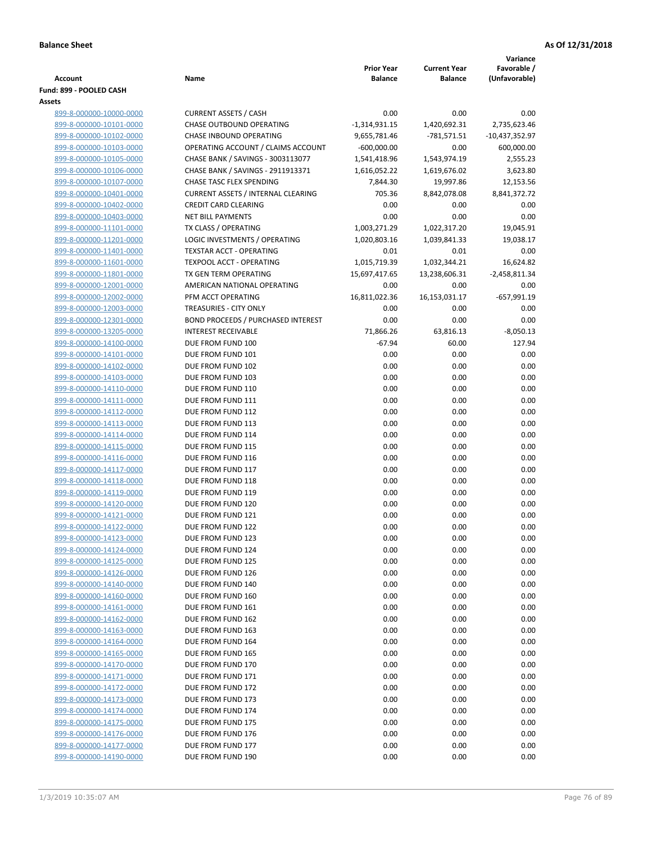|                                                    |                                           |                   |                     | Variance         |
|----------------------------------------------------|-------------------------------------------|-------------------|---------------------|------------------|
|                                                    |                                           | <b>Prior Year</b> | <b>Current Year</b> | Favorable /      |
| <b>Account</b>                                     | Name                                      | <b>Balance</b>    | <b>Balance</b>      | (Unfavorable)    |
| Fund: 899 - POOLED CASH                            |                                           |                   |                     |                  |
| Assets                                             |                                           |                   |                     |                  |
| 899-8-000000-10000-0000                            | <b>CURRENT ASSETS / CASH</b>              | 0.00              | 0.00                | 0.00             |
| 899-8-000000-10101-0000                            | CHASE OUTBOUND OPERATING                  | $-1,314,931.15$   | 1,420,692.31        | 2,735,623.46     |
| 899-8-000000-10102-0000                            | CHASE INBOUND OPERATING                   | 9,655,781.46      | $-781,571.51$       | $-10,437,352.97$ |
| 899-8-000000-10103-0000                            | OPERATING ACCOUNT / CLAIMS ACCOUNT        | $-600,000.00$     | 0.00                | 600,000.00       |
| 899-8-000000-10105-0000                            | CHASE BANK / SAVINGS - 3003113077         | 1,541,418.96      | 1,543,974.19        | 2,555.23         |
| 899-8-000000-10106-0000                            | CHASE BANK / SAVINGS - 2911913371         | 1,616,052.22      | 1,619,676.02        | 3,623.80         |
| 899-8-000000-10107-0000                            | CHASE TASC FLEX SPENDING                  | 7,844.30          | 19,997.86           | 12,153.56        |
| 899-8-000000-10401-0000                            | <b>CURRENT ASSETS / INTERNAL CLEARING</b> | 705.36            | 8,842,078.08        | 8,841,372.72     |
| 899-8-000000-10402-0000                            | <b>CREDIT CARD CLEARING</b>               | 0.00              | 0.00                | 0.00             |
| 899-8-000000-10403-0000                            | <b>NET BILL PAYMENTS</b>                  | 0.00              | 0.00                | 0.00             |
| 899-8-000000-11101-0000                            | TX CLASS / OPERATING                      | 1,003,271.29      | 1,022,317.20        | 19,045.91        |
| 899-8-000000-11201-0000                            | LOGIC INVESTMENTS / OPERATING             | 1,020,803.16      | 1,039,841.33        | 19,038.17        |
| 899-8-000000-11401-0000                            | <b>TEXSTAR ACCT - OPERATING</b>           | 0.01              | 0.01                | 0.00             |
| 899-8-000000-11601-0000                            | <b>TEXPOOL ACCT - OPERATING</b>           | 1,015,719.39      | 1,032,344.21        | 16,624.82        |
| 899-8-000000-11801-0000                            | TX GEN TERM OPERATING                     | 15,697,417.65     | 13,238,606.31       | -2,458,811.34    |
| 899-8-000000-12001-0000                            | AMERICAN NATIONAL OPERATING               | 0.00              | 0.00                | 0.00             |
| 899-8-000000-12002-0000                            | PFM ACCT OPERATING                        | 16,811,022.36     | 16,153,031.17       | $-657,991.19$    |
| 899-8-000000-12003-0000                            | TREASURIES - CITY ONLY                    | 0.00              | 0.00                | 0.00             |
| 899-8-000000-12301-0000                            | <b>BOND PROCEEDS / PURCHASED INTEREST</b> | 0.00              | 0.00                | 0.00             |
| 899-8-000000-13205-0000                            | <b>INTEREST RECEIVABLE</b>                | 71,866.26         | 63,816.13           | $-8,050.13$      |
| 899-8-000000-14100-0000                            | DUE FROM FUND 100                         | $-67.94$          | 60.00               | 127.94           |
| 899-8-000000-14101-0000                            | DUE FROM FUND 101                         | 0.00              | 0.00                | 0.00             |
| 899-8-000000-14102-0000                            | DUE FROM FUND 102                         | 0.00              | 0.00                | 0.00             |
| 899-8-000000-14103-0000                            | DUE FROM FUND 103                         | 0.00              | 0.00                | 0.00             |
| 899-8-000000-14110-0000                            | DUE FROM FUND 110                         | 0.00              | 0.00                | 0.00             |
| 899-8-000000-14111-0000                            | DUE FROM FUND 111                         | 0.00              | 0.00                | 0.00             |
| 899-8-000000-14112-0000                            | DUE FROM FUND 112                         | 0.00              | 0.00                | 0.00             |
| 899-8-000000-14113-0000                            | DUE FROM FUND 113                         | 0.00              | 0.00                | 0.00             |
| 899-8-000000-14114-0000                            | DUE FROM FUND 114                         | 0.00              | 0.00                | 0.00             |
| 899-8-000000-14115-0000                            | DUE FROM FUND 115                         | 0.00              | 0.00                | 0.00             |
| 899-8-000000-14116-0000                            | DUE FROM FUND 116                         | 0.00              | 0.00                | 0.00             |
| 899-8-000000-14117-0000                            | DUE FROM FUND 117                         | 0.00              | 0.00                | 0.00             |
| 899-8-000000-14118-0000                            | DUE FROM FUND 118                         | 0.00              | 0.00                | 0.00             |
| 899-8-000000-14119-0000                            | DUE FROM FUND 119                         | 0.00              | 0.00                | 0.00             |
| 899-8-000000-14120-0000                            | DUE FROM FUND 120                         | 0.00              | 0.00                | 0.00             |
| 899-8-000000-14121-0000                            | DUE FROM FUND 121                         | 0.00              | 0.00                | 0.00             |
| 899-8-000000-14122-0000                            | DUE FROM FUND 122                         | 0.00              | 0.00                | 0.00             |
| 899-8-000000-14123-0000                            | DUE FROM FUND 123                         | 0.00              | 0.00                | 0.00             |
| 899-8-000000-14124-0000                            | DUE FROM FUND 124                         | 0.00              | 0.00                | 0.00             |
| 899-8-000000-14125-0000                            | DUE FROM FUND 125                         | 0.00              | 0.00                | 0.00             |
| 899-8-000000-14126-0000                            | DUE FROM FUND 126                         | 0.00              | 0.00                | 0.00             |
| 899-8-000000-14140-0000                            | DUE FROM FUND 140                         | 0.00              | 0.00                | 0.00             |
| 899-8-000000-14160-0000                            | DUE FROM FUND 160                         | 0.00              | 0.00                | 0.00             |
| 899-8-000000-14161-0000                            | DUE FROM FUND 161                         | 0.00              | 0.00                | 0.00             |
| 899-8-000000-14162-0000                            | DUE FROM FUND 162                         | 0.00              | 0.00                | 0.00             |
| 899-8-000000-14163-0000                            | DUE FROM FUND 163                         | 0.00              | 0.00                | 0.00             |
| 899-8-000000-14164-0000                            | DUE FROM FUND 164                         | 0.00              | 0.00                | 0.00             |
| 899-8-000000-14165-0000                            | DUE FROM FUND 165                         | 0.00              | 0.00                | 0.00             |
|                                                    | DUE FROM FUND 170                         |                   |                     |                  |
| 899-8-000000-14170-0000<br>899-8-000000-14171-0000 | DUE FROM FUND 171                         | 0.00<br>0.00      | 0.00<br>0.00        | 0.00<br>0.00     |
|                                                    |                                           |                   |                     |                  |
| 899-8-000000-14172-0000                            | DUE FROM FUND 172                         | 0.00              | 0.00                | 0.00             |
| 899-8-000000-14173-0000                            | DUE FROM FUND 173                         | 0.00              | 0.00                | 0.00             |
| 899-8-000000-14174-0000                            | DUE FROM FUND 174                         | 0.00              | 0.00                | 0.00             |
| 899-8-000000-14175-0000                            | DUE FROM FUND 175                         | 0.00              | 0.00                | 0.00             |
| 899-8-000000-14176-0000                            | DUE FROM FUND 176                         | 0.00              | 0.00                | 0.00             |
| 899-8-000000-14177-0000                            | DUE FROM FUND 177                         | 0.00              | 0.00                | 0.00             |
| 899-8-000000-14190-0000                            | DUE FROM FUND 190                         | 0.00              | 0.00                | 0.00             |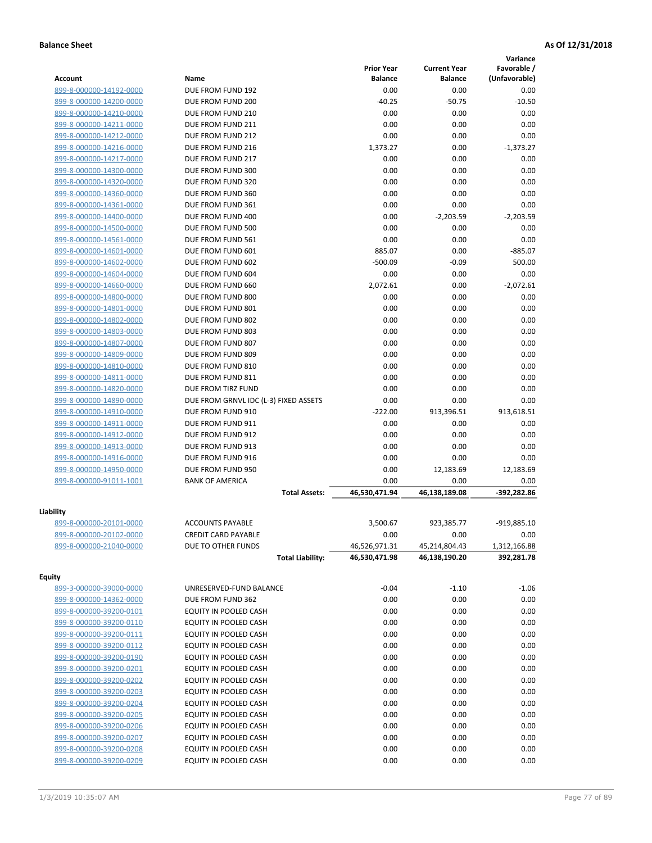|                                          |                                       |                   |                     | Variance      |
|------------------------------------------|---------------------------------------|-------------------|---------------------|---------------|
|                                          |                                       | <b>Prior Year</b> | <b>Current Year</b> | Favorable /   |
| <b>Account</b>                           | Name                                  | <b>Balance</b>    | <b>Balance</b>      | (Unfavorable) |
| 899-8-000000-14192-0000                  | DUE FROM FUND 192                     | 0.00              | 0.00                | 0.00          |
| 899-8-000000-14200-0000                  | DUE FROM FUND 200                     | $-40.25$          | $-50.75$            | $-10.50$      |
| 899-8-000000-14210-0000                  | DUE FROM FUND 210                     | 0.00              | 0.00                | 0.00          |
| 899-8-000000-14211-0000                  | DUE FROM FUND 211                     | 0.00              | 0.00                | 0.00          |
| 899-8-000000-14212-0000                  | DUE FROM FUND 212                     | 0.00              | 0.00                | 0.00          |
| 899-8-000000-14216-0000                  | DUE FROM FUND 216                     | 1,373.27          | 0.00                | $-1,373.27$   |
| 899-8-000000-14217-0000                  | DUE FROM FUND 217                     | 0.00              | 0.00                | 0.00          |
| 899-8-000000-14300-0000                  | DUE FROM FUND 300                     | 0.00              | 0.00                | 0.00          |
| 899-8-000000-14320-0000                  | DUE FROM FUND 320                     | 0.00              | 0.00                | 0.00          |
| 899-8-000000-14360-0000                  | DUE FROM FUND 360                     | 0.00              | 0.00                | 0.00          |
| 899-8-000000-14361-0000                  | DUE FROM FUND 361                     | 0.00              | 0.00                | 0.00          |
| 899-8-000000-14400-0000                  | DUE FROM FUND 400                     | 0.00              | $-2,203.59$         | $-2,203.59$   |
| 899-8-000000-14500-0000                  | DUE FROM FUND 500                     | 0.00              | 0.00                | 0.00          |
| 899-8-000000-14561-0000                  | DUE FROM FUND 561                     | 0.00              | 0.00                | 0.00          |
| 899-8-000000-14601-0000                  | DUE FROM FUND 601                     | 885.07            | 0.00                | $-885.07$     |
| 899-8-000000-14602-0000                  | DUE FROM FUND 602                     | $-500.09$         | $-0.09$             | 500.00        |
| 899-8-000000-14604-0000                  | DUE FROM FUND 604                     | 0.00              | 0.00                | 0.00          |
| 899-8-000000-14660-0000                  | DUE FROM FUND 660                     | 2,072.61          | 0.00                | $-2,072.61$   |
| 899-8-000000-14800-0000                  | DUE FROM FUND 800                     | 0.00              | 0.00                | 0.00          |
| 899-8-000000-14801-0000                  | DUE FROM FUND 801                     | 0.00              | 0.00                | 0.00          |
| 899-8-000000-14802-0000                  | DUE FROM FUND 802                     | 0.00              | 0.00                | 0.00          |
| 899-8-000000-14803-0000                  | DUE FROM FUND 803                     | 0.00              | 0.00                | 0.00          |
| 899-8-000000-14807-0000                  | DUE FROM FUND 807                     | 0.00              | 0.00                | 0.00          |
| 899-8-000000-14809-0000                  | DUE FROM FUND 809                     | 0.00              | 0.00                | 0.00          |
| 899-8-000000-14810-0000                  | DUE FROM FUND 810                     | 0.00              | 0.00                | 0.00          |
| 899-8-000000-14811-0000                  | DUE FROM FUND 811                     | 0.00              | 0.00                | 0.00          |
| 899-8-000000-14820-0000                  | DUE FROM TIRZ FUND                    | 0.00              | 0.00                | 0.00          |
| 899-8-000000-14890-0000                  | DUE FROM GRNVL IDC (L-3) FIXED ASSETS | 0.00              | 0.00                | 0.00          |
| 899-8-000000-14910-0000                  | DUE FROM FUND 910                     | $-222.00$         | 913,396.51          | 913,618.51    |
| 899-8-000000-14911-0000                  | DUE FROM FUND 911                     | 0.00              | 0.00                | 0.00          |
| 899-8-000000-14912-0000                  | DUE FROM FUND 912                     | 0.00              | 0.00                | 0.00          |
| 899-8-000000-14913-0000                  | DUE FROM FUND 913                     | 0.00              | 0.00                | 0.00          |
| 899-8-000000-14916-0000                  | DUE FROM FUND 916                     | 0.00              | 0.00                | 0.00          |
| 899-8-000000-14950-0000                  | DUE FROM FUND 950                     | 0.00              | 12,183.69           | 12,183.69     |
| 899-8-000000-91011-1001                  | <b>BANK OF AMERICA</b>                | 0.00              | 0.00                | 0.00          |
|                                          | <b>Total Assets:</b>                  | 46,530,471.94     | 46,138,189.08       | $-392,282.86$ |
|                                          |                                       |                   |                     |               |
| Liability                                |                                       |                   |                     |               |
| 899-8-000000-20101-0000                  | <b>ACCOUNTS PAYABLE</b>               | 3,500.67          | 923,385.77          | $-919,885.10$ |
| 899-8-000000-20102-0000                  | <b>CREDIT CARD PAYABLE</b>            | 0.00              | 0.00                | 0.00          |
| 899-8-000000-21040-0000                  | DUE TO OTHER FUNDS                    | 46,526,971.31     | 45,214,804.43       | 1,312,166.88  |
|                                          | <b>Total Liability:</b>               | 46,530,471.98     | 46,138,190.20       | 392,281.78    |
|                                          |                                       |                   |                     |               |
| <b>Equity</b><br>899-3-000000-39000-0000 | UNRESERVED-FUND BALANCE               | $-0.04$           | $-1.10$             | $-1.06$       |
| 899-8-000000-14362-0000                  |                                       | 0.00              | 0.00                | 0.00          |
|                                          | DUE FROM FUND 362                     |                   |                     |               |
| 899-8-000000-39200-0101                  | EQUITY IN POOLED CASH                 | 0.00              | 0.00                | 0.00          |
| 899-8-000000-39200-0110                  | EQUITY IN POOLED CASH                 | 0.00              | 0.00                | 0.00          |
| 899-8-000000-39200-0111                  | EQUITY IN POOLED CASH                 | 0.00              | 0.00                | 0.00          |
| 899-8-000000-39200-0112                  | EQUITY IN POOLED CASH                 | 0.00              | 0.00                | 0.00          |
| 899-8-000000-39200-0190                  | EQUITY IN POOLED CASH                 | 0.00              | 0.00                | 0.00          |
| 899-8-000000-39200-0201                  | EQUITY IN POOLED CASH                 | 0.00              | 0.00                | 0.00          |
| 899-8-000000-39200-0202                  | EQUITY IN POOLED CASH                 | 0.00              | 0.00                | 0.00          |
| 899-8-000000-39200-0203                  | EQUITY IN POOLED CASH                 | 0.00              | 0.00                | 0.00          |
| 899-8-000000-39200-0204                  | EQUITY IN POOLED CASH                 | 0.00              | 0.00                | 0.00          |
| 899-8-000000-39200-0205                  | EQUITY IN POOLED CASH                 | 0.00              | 0.00                | 0.00          |
| 899-8-000000-39200-0206                  | EQUITY IN POOLED CASH                 | 0.00              | 0.00                | 0.00          |
| 899-8-000000-39200-0207                  | EQUITY IN POOLED CASH                 | 0.00              | 0.00                | 0.00          |
| 899-8-000000-39200-0208                  | EQUITY IN POOLED CASH                 | 0.00              | 0.00                | 0.00          |
| 899-8-000000-39200-0209                  | EQUITY IN POOLED CASH                 | 0.00              | 0.00                | 0.00          |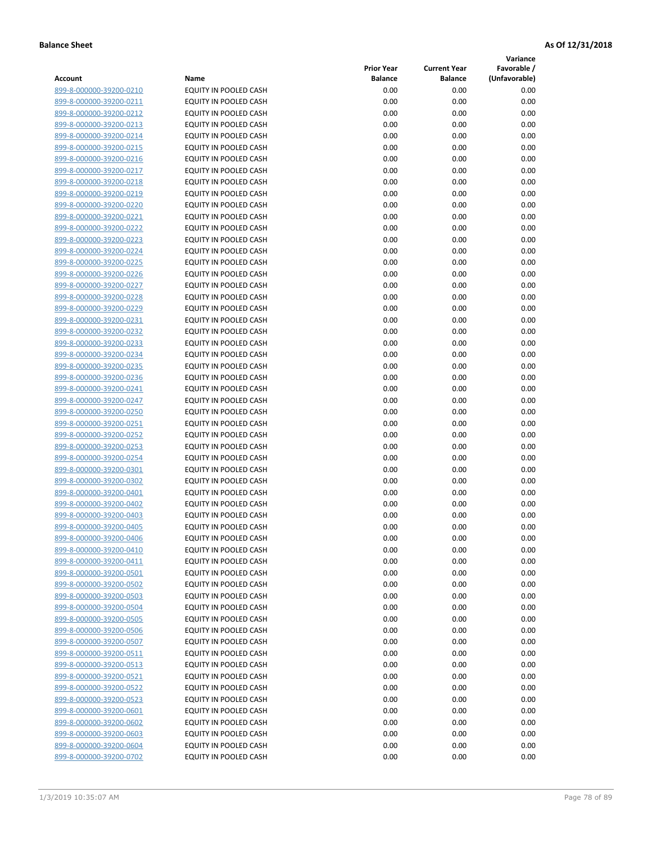**Variance**

| Account                                            | Name                                           | <b>Prior Year</b><br><b>Balance</b> | <b>Current Year</b><br><b>Balance</b> | Favorable /<br>(Unfavorable) |
|----------------------------------------------------|------------------------------------------------|-------------------------------------|---------------------------------------|------------------------------|
| 899-8-000000-39200-0210                            | EQUITY IN POOLED CASH                          | 0.00                                | 0.00                                  | 0.00                         |
| 899-8-000000-39200-0211                            | EQUITY IN POOLED CASH                          | 0.00                                | 0.00                                  | 0.00                         |
| 899-8-000000-39200-0212                            | EQUITY IN POOLED CASH                          | 0.00                                | 0.00                                  | 0.00                         |
| 899-8-000000-39200-0213                            | EQUITY IN POOLED CASH                          | 0.00                                | 0.00                                  | 0.00                         |
| 899-8-000000-39200-0214                            | EQUITY IN POOLED CASH                          | 0.00                                | 0.00                                  | 0.00                         |
| 899-8-000000-39200-0215                            | EQUITY IN POOLED CASH                          | 0.00                                | 0.00                                  | 0.00                         |
| 899-8-000000-39200-0216                            | EQUITY IN POOLED CASH                          | 0.00                                | 0.00                                  | 0.00                         |
| 899-8-000000-39200-0217                            | EQUITY IN POOLED CASH                          | 0.00                                | 0.00                                  | 0.00                         |
| 899-8-000000-39200-0218                            | EQUITY IN POOLED CASH                          | 0.00                                | 0.00                                  | 0.00                         |
| 899-8-000000-39200-0219                            | <b>EQUITY IN POOLED CASH</b>                   | 0.00                                | 0.00                                  | 0.00                         |
| 899-8-000000-39200-0220                            | EQUITY IN POOLED CASH                          | 0.00                                | 0.00                                  | 0.00                         |
| 899-8-000000-39200-0221                            | EQUITY IN POOLED CASH                          | 0.00                                | 0.00                                  | 0.00                         |
| 899-8-000000-39200-0222                            | EQUITY IN POOLED CASH                          | 0.00                                | 0.00                                  | 0.00                         |
| 899-8-000000-39200-0223                            | EQUITY IN POOLED CASH                          | 0.00                                | 0.00                                  | 0.00                         |
| 899-8-000000-39200-0224                            | EQUITY IN POOLED CASH                          | 0.00                                | 0.00                                  | 0.00                         |
| 899-8-000000-39200-0225                            | EQUITY IN POOLED CASH                          | 0.00                                | 0.00                                  | 0.00                         |
| 899-8-000000-39200-0226                            | EQUITY IN POOLED CASH                          | 0.00                                | 0.00                                  | 0.00                         |
| 899-8-000000-39200-0227                            | EQUITY IN POOLED CASH                          | 0.00                                | 0.00                                  | 0.00                         |
| 899-8-000000-39200-0228                            | EQUITY IN POOLED CASH                          | 0.00                                | 0.00                                  | 0.00                         |
| 899-8-000000-39200-0229                            | <b>EQUITY IN POOLED CASH</b>                   | 0.00                                | 0.00                                  | 0.00                         |
| 899-8-000000-39200-0231                            | EQUITY IN POOLED CASH                          | 0.00                                | 0.00                                  | 0.00                         |
| 899-8-000000-39200-0232                            | EQUITY IN POOLED CASH                          | 0.00                                | 0.00                                  | 0.00                         |
| 899-8-000000-39200-0233                            | <b>EQUITY IN POOLED CASH</b>                   | 0.00                                | 0.00                                  | 0.00                         |
| 899-8-000000-39200-0234                            | EQUITY IN POOLED CASH                          | 0.00                                | 0.00                                  | 0.00                         |
| 899-8-000000-39200-0235                            | EQUITY IN POOLED CASH                          | 0.00                                | 0.00                                  | 0.00                         |
| 899-8-000000-39200-0236                            | EQUITY IN POOLED CASH                          | 0.00                                | 0.00                                  | 0.00                         |
| 899-8-000000-39200-0241                            | EQUITY IN POOLED CASH                          | 0.00                                | 0.00                                  | 0.00                         |
| 899-8-000000-39200-0247                            | EQUITY IN POOLED CASH                          | 0.00                                | 0.00                                  | 0.00                         |
| 899-8-000000-39200-0250                            | EQUITY IN POOLED CASH                          | 0.00                                | 0.00                                  | 0.00                         |
| 899-8-000000-39200-0251                            | EQUITY IN POOLED CASH                          | 0.00                                | 0.00                                  | 0.00                         |
| 899-8-000000-39200-0252                            | EQUITY IN POOLED CASH                          | 0.00<br>0.00                        | 0.00<br>0.00                          | 0.00<br>0.00                 |
| 899-8-000000-39200-0253<br>899-8-000000-39200-0254 | EQUITY IN POOLED CASH<br>EQUITY IN POOLED CASH | 0.00                                | 0.00                                  | 0.00                         |
| <u>899-8-000000-39200-0301</u>                     | EQUITY IN POOLED CASH                          | 0.00                                | 0.00                                  | 0.00                         |
| 899-8-000000-39200-0302                            | EQUITY IN POOLED CASH                          | 0.00                                | 0.00                                  | 0.00                         |
| 899-8-000000-39200-0401                            | EQUITY IN POOLED CASH                          | 0.00                                | 0.00                                  | 0.00                         |
| 899-8-000000-39200-0402                            | EQUITY IN POOLED CASH                          | 0.00                                | 0.00                                  | 0.00                         |
| 899-8-000000-39200-0403                            | EQUITY IN POOLED CASH                          | 0.00                                | 0.00                                  | 0.00                         |
| 899-8-000000-39200-0405                            | EQUITY IN POOLED CASH                          | 0.00                                | 0.00                                  | 0.00                         |
| 899-8-000000-39200-0406                            | EQUITY IN POOLED CASH                          | 0.00                                | 0.00                                  | 0.00                         |
| 899-8-000000-39200-0410                            | EQUITY IN POOLED CASH                          | 0.00                                | 0.00                                  | 0.00                         |
| 899-8-000000-39200-0411                            | EQUITY IN POOLED CASH                          | 0.00                                | 0.00                                  | 0.00                         |
| 899-8-000000-39200-0501                            | EQUITY IN POOLED CASH                          | 0.00                                | 0.00                                  | 0.00                         |
| 899-8-000000-39200-0502                            | EQUITY IN POOLED CASH                          | 0.00                                | 0.00                                  | 0.00                         |
| 899-8-000000-39200-0503                            | EQUITY IN POOLED CASH                          | 0.00                                | 0.00                                  | 0.00                         |
| 899-8-000000-39200-0504                            | <b>EQUITY IN POOLED CASH</b>                   | 0.00                                | 0.00                                  | 0.00                         |
| 899-8-000000-39200-0505                            | EQUITY IN POOLED CASH                          | 0.00                                | 0.00                                  | 0.00                         |
| 899-8-000000-39200-0506                            | EQUITY IN POOLED CASH                          | 0.00                                | 0.00                                  | 0.00                         |
| 899-8-000000-39200-0507                            | EQUITY IN POOLED CASH                          | 0.00                                | 0.00                                  | 0.00                         |
| 899-8-000000-39200-0511                            | <b>EQUITY IN POOLED CASH</b>                   | 0.00                                | 0.00                                  | 0.00                         |
| 899-8-000000-39200-0513                            | <b>EQUITY IN POOLED CASH</b>                   | 0.00                                | 0.00                                  | 0.00                         |
| 899-8-000000-39200-0521                            | EQUITY IN POOLED CASH                          | 0.00                                | 0.00                                  | 0.00                         |
| 899-8-000000-39200-0522                            | EQUITY IN POOLED CASH                          | 0.00                                | 0.00                                  | 0.00                         |
| 899-8-000000-39200-0523                            | EQUITY IN POOLED CASH                          | 0.00                                | 0.00                                  | 0.00                         |
| 899-8-000000-39200-0601                            | EQUITY IN POOLED CASH                          | 0.00                                | 0.00                                  | 0.00                         |
| 899-8-000000-39200-0602                            | EQUITY IN POOLED CASH                          | 0.00                                | 0.00                                  | 0.00                         |
| 899-8-000000-39200-0603<br>899-8-000000-39200-0604 | EQUITY IN POOLED CASH<br>EQUITY IN POOLED CASH | 0.00<br>0.00                        | 0.00<br>0.00                          | 0.00<br>0.00                 |
| 899-8-000000-39200-0702                            | EQUITY IN POOLED CASH                          | 0.00                                | 0.00                                  | 0.00                         |
|                                                    |                                                |                                     |                                       |                              |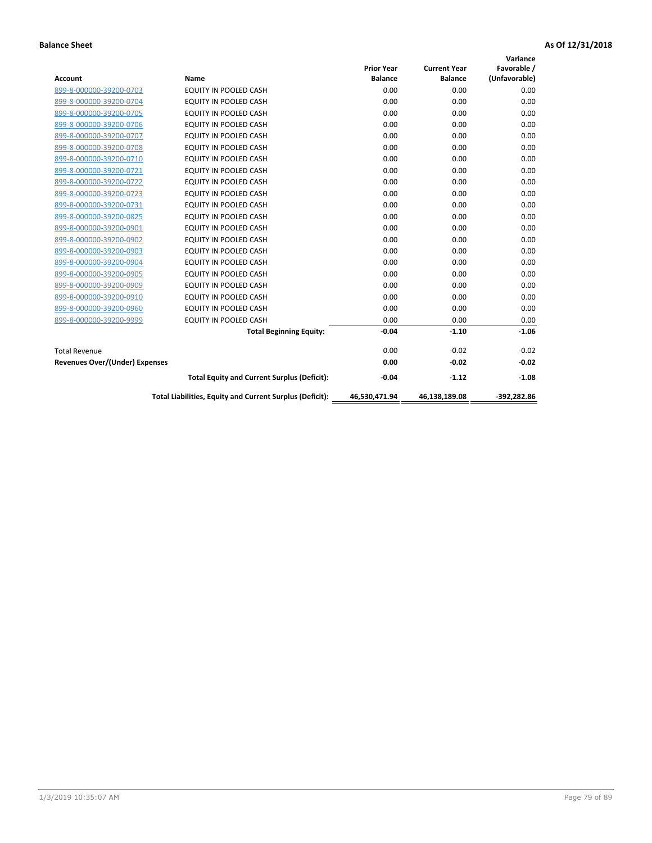| <b>Account</b>                        | Name                                                     | <b>Prior Year</b><br><b>Balance</b> | <b>Current Year</b><br><b>Balance</b> | Variance<br>Favorable /<br>(Unfavorable) |
|---------------------------------------|----------------------------------------------------------|-------------------------------------|---------------------------------------|------------------------------------------|
| 899-8-000000-39200-0703               | <b>EQUITY IN POOLED CASH</b>                             | 0.00                                | 0.00                                  | 0.00                                     |
| 899-8-000000-39200-0704               | EQUITY IN POOLED CASH                                    | 0.00                                | 0.00                                  | 0.00                                     |
| 899-8-000000-39200-0705               | EQUITY IN POOLED CASH                                    | 0.00                                | 0.00                                  | 0.00                                     |
| 899-8-000000-39200-0706               | <b>EQUITY IN POOLED CASH</b>                             | 0.00                                | 0.00                                  | 0.00                                     |
| 899-8-000000-39200-0707               | EQUITY IN POOLED CASH                                    | 0.00                                | 0.00                                  | 0.00                                     |
| 899-8-000000-39200-0708               | <b>EQUITY IN POOLED CASH</b>                             | 0.00                                | 0.00                                  | 0.00                                     |
| 899-8-000000-39200-0710               | <b>EQUITY IN POOLED CASH</b>                             | 0.00                                | 0.00                                  | 0.00                                     |
| 899-8-000000-39200-0721               | EQUITY IN POOLED CASH                                    | 0.00                                | 0.00                                  | 0.00                                     |
| 899-8-000000-39200-0722               | EQUITY IN POOLED CASH                                    | 0.00                                | 0.00                                  | 0.00                                     |
| 899-8-000000-39200-0723               | <b>EQUITY IN POOLED CASH</b>                             | 0.00                                | 0.00                                  | 0.00                                     |
| 899-8-000000-39200-0731               | EQUITY IN POOLED CASH                                    | 0.00                                | 0.00                                  | 0.00                                     |
| 899-8-000000-39200-0825               | <b>EQUITY IN POOLED CASH</b>                             | 0.00                                | 0.00                                  | 0.00                                     |
| 899-8-000000-39200-0901               | <b>EQUITY IN POOLED CASH</b>                             | 0.00                                | 0.00                                  | 0.00                                     |
| 899-8-000000-39200-0902               | EQUITY IN POOLED CASH                                    | 0.00                                | 0.00                                  | 0.00                                     |
| 899-8-000000-39200-0903               | <b>EQUITY IN POOLED CASH</b>                             | 0.00                                | 0.00                                  | 0.00                                     |
| 899-8-000000-39200-0904               | <b>EQUITY IN POOLED CASH</b>                             | 0.00                                | 0.00                                  | 0.00                                     |
| 899-8-000000-39200-0905               | EQUITY IN POOLED CASH                                    | 0.00                                | 0.00                                  | 0.00                                     |
| 899-8-000000-39200-0909               | EQUITY IN POOLED CASH                                    | 0.00                                | 0.00                                  | 0.00                                     |
| 899-8-000000-39200-0910               | <b>EQUITY IN POOLED CASH</b>                             | 0.00                                | 0.00                                  | 0.00                                     |
| 899-8-000000-39200-0960               | <b>EQUITY IN POOLED CASH</b>                             | 0.00                                | 0.00                                  | 0.00                                     |
| 899-8-000000-39200-9999               | EQUITY IN POOLED CASH                                    | 0.00                                | 0.00                                  | 0.00                                     |
|                                       | <b>Total Beginning Equity:</b>                           | $-0.04$                             | $-1.10$                               | $-1.06$                                  |
| <b>Total Revenue</b>                  |                                                          | 0.00                                | $-0.02$                               | $-0.02$                                  |
| <b>Revenues Over/(Under) Expenses</b> |                                                          | 0.00                                | $-0.02$                               | $-0.02$                                  |
|                                       | <b>Total Equity and Current Surplus (Deficit):</b>       | $-0.04$                             | $-1.12$                               | $-1.08$                                  |
|                                       | Total Liabilities, Equity and Current Surplus (Deficit): | 46,530,471.94                       | 46,138,189.08                         | -392.282.86                              |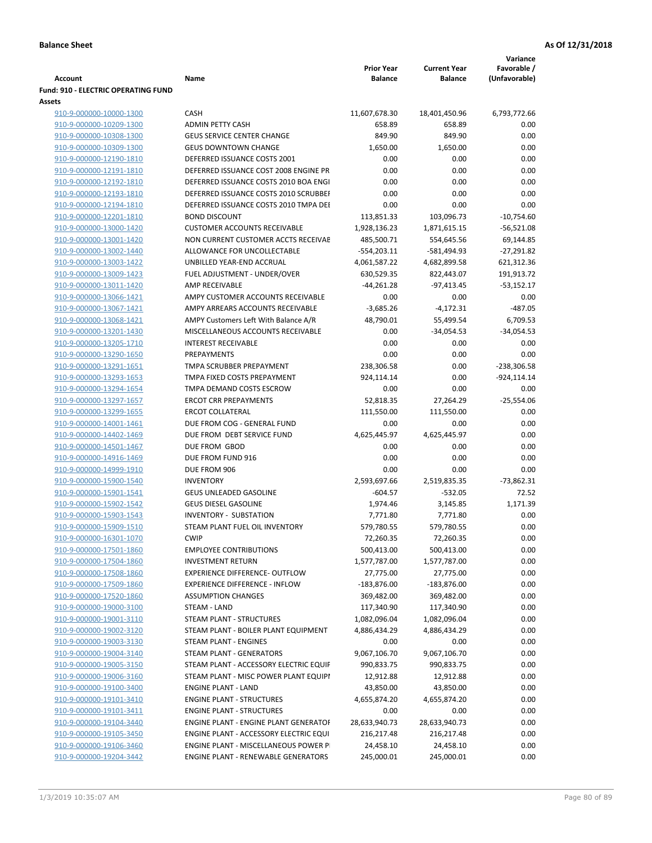|                                                    |                                                                 |                                     |                                       | Variance                     |
|----------------------------------------------------|-----------------------------------------------------------------|-------------------------------------|---------------------------------------|------------------------------|
| <b>Account</b>                                     | Name                                                            | <b>Prior Year</b><br><b>Balance</b> | <b>Current Year</b><br><b>Balance</b> | Favorable /<br>(Unfavorable) |
| <b>Fund: 910 - ELECTRIC OPERATING FUND</b>         |                                                                 |                                     |                                       |                              |
| Assets                                             |                                                                 |                                     |                                       |                              |
| 910-9-000000-10000-1300                            | <b>CASH</b>                                                     | 11,607,678.30                       | 18,401,450.96                         | 6,793,772.66                 |
| 910-9-000000-10209-1300                            | <b>ADMIN PETTY CASH</b>                                         | 658.89                              | 658.89                                | 0.00                         |
| 910-9-000000-10308-1300                            | <b>GEUS SERVICE CENTER CHANGE</b>                               | 849.90                              | 849.90                                | 0.00                         |
| 910-9-000000-10309-1300                            | <b>GEUS DOWNTOWN CHANGE</b>                                     | 1,650.00                            | 1,650.00                              | 0.00                         |
| 910-9-000000-12190-1810                            | DEFERRED ISSUANCE COSTS 2001                                    | 0.00                                | 0.00                                  | 0.00                         |
| 910-9-000000-12191-1810                            | DEFERRED ISSUANCE COST 2008 ENGINE PR                           | 0.00                                | 0.00                                  | 0.00                         |
| 910-9-000000-12192-1810                            | DEFERRED ISSUANCE COSTS 2010 BOA ENGI                           | 0.00                                | 0.00                                  | 0.00                         |
| 910-9-000000-12193-1810                            | DEFERRED ISSUANCE COSTS 2010 SCRUBBEI                           | 0.00                                | 0.00                                  | 0.00                         |
| 910-9-000000-12194-1810                            | DEFERRED ISSUANCE COSTS 2010 TMPA DEI                           | 0.00                                | 0.00                                  | 0.00                         |
| 910-9-000000-12201-1810                            | <b>BOND DISCOUNT</b>                                            | 113,851.33                          | 103,096.73                            | $-10,754.60$                 |
| 910-9-000000-13000-1420                            | <b>CUSTOMER ACCOUNTS RECEIVABLE</b>                             | 1,928,136.23                        | 1,871,615.15                          | $-56,521.08$                 |
| 910-9-000000-13001-1420                            | NON CURRENT CUSTOMER ACCTS RECEIVAE                             | 485,500.71                          | 554,645.56                            | 69,144.85                    |
| 910-9-000000-13002-1440                            | ALLOWANCE FOR UNCOLLECTABLE                                     | $-554,203.11$                       | -581,494.93                           | $-27,291.82$                 |
| 910-9-000000-13003-1422                            | UNBILLED YEAR-END ACCRUAL                                       | 4,061,587.22                        | 4,682,899.58                          | 621,312.36                   |
| 910-9-000000-13009-1423                            | FUEL ADJUSTMENT - UNDER/OVER                                    | 630,529.35                          | 822,443.07                            | 191,913.72                   |
| 910-9-000000-13011-1420                            | AMP RECEIVABLE                                                  | $-44,261.28$                        | $-97,413.45$                          | $-53,152.17$                 |
| 910-9-000000-13066-1421                            | AMPY CUSTOMER ACCOUNTS RECEIVABLE                               | 0.00                                | 0.00                                  | 0.00                         |
| 910-9-000000-13067-1421                            | AMPY ARREARS ACCOUNTS RECEIVABLE                                | $-3,685.26$                         | $-4,172.31$                           | $-487.05$                    |
| 910-9-000000-13068-1421                            | AMPY Customers Left With Balance A/R                            | 48,790.01                           | 55,499.54                             | 6,709.53                     |
| 910-9-000000-13201-1430                            | MISCELLANEOUS ACCOUNTS RECEIVABLE<br><b>INTEREST RECEIVABLE</b> | 0.00<br>0.00                        | $-34,054.53$<br>0.00                  | $-34,054.53$                 |
| 910-9-000000-13205-1710<br>910-9-000000-13290-1650 | PREPAYMENTS                                                     | 0.00                                | 0.00                                  | 0.00<br>0.00                 |
| 910-9-000000-13291-1651                            | TMPA SCRUBBER PREPAYMENT                                        | 238,306.58                          | 0.00                                  | -238,306.58                  |
| 910-9-000000-13293-1653                            | TMPA FIXED COSTS PREPAYMENT                                     | 924,114.14                          | 0.00                                  | $-924, 114.14$               |
| 910-9-000000-13294-1654                            | TMPA DEMAND COSTS ESCROW                                        | 0.00                                | 0.00                                  | 0.00                         |
| 910-9-000000-13297-1657                            | <b>ERCOT CRR PREPAYMENTS</b>                                    | 52,818.35                           | 27,264.29                             | $-25,554.06$                 |
| 910-9-000000-13299-1655                            | <b>ERCOT COLLATERAL</b>                                         | 111,550.00                          | 111,550.00                            | 0.00                         |
| 910-9-000000-14001-1461                            | DUE FROM COG - GENERAL FUND                                     | 0.00                                | 0.00                                  | 0.00                         |
| 910-9-000000-14402-1469                            | DUE FROM DEBT SERVICE FUND                                      | 4,625,445.97                        | 4,625,445.97                          | 0.00                         |
| 910-9-000000-14501-1467                            | DUE FROM GBOD                                                   | 0.00                                | 0.00                                  | 0.00                         |
| 910-9-000000-14916-1469                            | DUE FROM FUND 916                                               | 0.00                                | 0.00                                  | 0.00                         |
| 910-9-000000-14999-1910                            | DUE FROM 906                                                    | 0.00                                | 0.00                                  | 0.00                         |
| 910-9-000000-15900-1540                            | <b>INVENTORY</b>                                                | 2,593,697.66                        | 2,519,835.35                          | $-73,862.31$                 |
| 910-9-000000-15901-1541                            | <b>GEUS UNLEADED GASOLINE</b>                                   | $-604.57$                           | $-532.05$                             | 72.52                        |
| 910-9-000000-15902-1542                            | <b>GEUS DIESEL GASOLINE</b>                                     | 1,974.46                            | 3,145.85                              | 1,171.39                     |
| 910-9-000000-15903-1543                            | <b>INVENTORY - SUBSTATION</b>                                   | 7,771.80                            | 7,771.80                              | 0.00                         |
| 910-9-000000-15909-1510                            | STEAM PLANT FUEL OIL INVENTORY                                  | 579,780.55                          | 579,780.55                            | 0.00                         |
| 910-9-000000-16301-1070                            | <b>CWIP</b>                                                     | 72,260.35                           | 72,260.35                             | 0.00                         |
| 910-9-000000-17501-1860                            | <b>EMPLOYEE CONTRIBUTIONS</b>                                   | 500,413.00                          | 500,413.00                            | 0.00                         |
| 910-9-000000-17504-1860                            | <b>INVESTMENT RETURN</b>                                        | 1,577,787.00                        | 1,577,787.00                          | 0.00                         |
| 910-9-000000-17508-1860                            | <b>EXPERIENCE DIFFERENCE- OUTFLOW</b>                           | 27,775.00                           | 27,775.00                             | 0.00                         |
| 910-9-000000-17509-1860                            | <b>EXPERIENCE DIFFERENCE - INFLOW</b>                           | $-183,876.00$                       | $-183,876.00$                         | 0.00                         |
| 910-9-000000-17520-1860                            | <b>ASSUMPTION CHANGES</b>                                       | 369,482.00                          | 369,482.00                            | 0.00                         |
| 910-9-000000-19000-3100                            | STEAM - LAND                                                    | 117,340.90                          | 117,340.90                            | 0.00                         |
| 910-9-000000-19001-3110                            | <b>STEAM PLANT - STRUCTURES</b>                                 | 1,082,096.04                        | 1,082,096.04                          | 0.00                         |
| 910-9-000000-19002-3120                            | STEAM PLANT - BOILER PLANT EQUIPMENT                            | 4,886,434.29                        | 4,886,434.29                          | 0.00                         |
| 910-9-000000-19003-3130                            | STEAM PLANT - ENGINES                                           | 0.00                                | 0.00                                  | 0.00                         |
| 910-9-000000-19004-3140                            | STEAM PLANT - GENERATORS                                        | 9,067,106.70                        | 9,067,106.70                          | 0.00                         |
| 910-9-000000-19005-3150                            | STEAM PLANT - ACCESSORY ELECTRIC EQUIF                          | 990,833.75                          | 990,833.75                            | 0.00                         |
| 910-9-000000-19006-3160                            | STEAM PLANT - MISC POWER PLANT EQUIPI                           | 12,912.88                           | 12,912.88                             | 0.00                         |
| 910-9-000000-19100-3400                            | <b>ENGINE PLANT - LAND</b>                                      | 43,850.00                           | 43,850.00                             | 0.00                         |
| 910-9-000000-19101-3410                            | <b>ENGINE PLANT - STRUCTURES</b>                                | 4,655,874.20                        | 4,655,874.20                          | 0.00                         |
| 910-9-000000-19101-3411                            | <b>ENGINE PLANT - STRUCTURES</b>                                | 0.00                                | 0.00                                  | 0.00                         |
| 910-9-000000-19104-3440                            | <b>ENGINE PLANT - ENGINE PLANT GENERATOF</b>                    | 28,633,940.73                       | 28,633,940.73                         | 0.00                         |
| 910-9-000000-19105-3450                            | ENGINE PLANT - ACCESSORY ELECTRIC EQUI                          | 216,217.48                          | 216,217.48                            | 0.00                         |
| 910-9-000000-19106-3460                            | ENGINE PLANT - MISCELLANEOUS POWER P                            | 24,458.10                           | 24,458.10                             | 0.00                         |
| 910-9-000000-19204-3442                            | <b>ENGINE PLANT - RENEWABLE GENERATORS</b>                      | 245,000.01                          | 245,000.01                            | 0.00                         |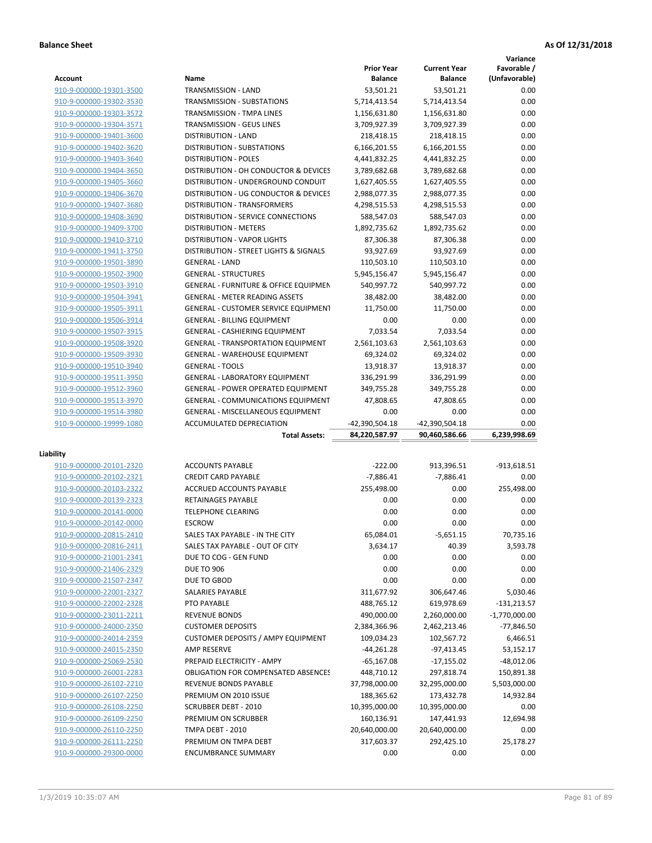**Variance**

|                         |                                                  | <b>Prior Year</b> | <b>Current Year</b> | Favorable /     |
|-------------------------|--------------------------------------------------|-------------------|---------------------|-----------------|
| Account                 | Name                                             | <b>Balance</b>    | <b>Balance</b>      | (Unfavorable)   |
| 910-9-000000-19301-3500 | TRANSMISSION - LAND                              | 53,501.21         | 53,501.21           | 0.00            |
| 910-9-000000-19302-3530 | TRANSMISSION - SUBSTATIONS                       | 5,714,413.54      | 5,714,413.54        | 0.00            |
| 910-9-000000-19303-3572 | <b>TRANSMISSION - TMPA LINES</b>                 | 1,156,631.80      | 1,156,631.80        | 0.00            |
| 910-9-000000-19304-3571 | <b>TRANSMISSION - GEUS LINES</b>                 | 3,709,927.39      | 3,709,927.39        | 0.00            |
| 910-9-000000-19401-3600 | <b>DISTRIBUTION - LAND</b>                       | 218,418.15        | 218,418.15          | 0.00            |
| 910-9-000000-19402-3620 | DISTRIBUTION - SUBSTATIONS                       | 6,166,201.55      | 6,166,201.55        | 0.00            |
| 910-9-000000-19403-3640 | <b>DISTRIBUTION - POLES</b>                      | 4,441,832.25      | 4,441,832.25        | 0.00            |
| 910-9-000000-19404-3650 | DISTRIBUTION - OH CONDUCTOR & DEVICES            | 3,789,682.68      | 3,789,682.68        | 0.00            |
| 910-9-000000-19405-3660 | DISTRIBUTION - UNDERGROUND CONDUIT               | 1,627,405.55      | 1,627,405.55        | 0.00            |
| 910-9-000000-19406-3670 | DISTRIBUTION - UG CONDUCTOR & DEVICES            | 2,988,077.35      | 2,988,077.35        | 0.00            |
| 910-9-000000-19407-3680 | DISTRIBUTION - TRANSFORMERS                      | 4,298,515.53      | 4,298,515.53        | 0.00            |
| 910-9-000000-19408-3690 | DISTRIBUTION - SERVICE CONNECTIONS               | 588,547.03        | 588,547.03          | 0.00            |
| 910-9-000000-19409-3700 | <b>DISTRIBUTION - METERS</b>                     | 1,892,735.62      | 1,892,735.62        | 0.00            |
| 910-9-000000-19410-3710 | <b>DISTRIBUTION - VAPOR LIGHTS</b>               | 87,306.38         | 87,306.38           | 0.00            |
| 910-9-000000-19411-3750 | DISTRIBUTION - STREET LIGHTS & SIGNALS           | 93,927.69         | 93,927.69           | 0.00            |
| 910-9-000000-19501-3890 | <b>GENERAL - LAND</b>                            | 110,503.10        | 110,503.10          | 0.00            |
| 910-9-000000-19502-3900 | <b>GENERAL - STRUCTURES</b>                      | 5,945,156.47      | 5,945,156.47        | 0.00            |
| 910-9-000000-19503-3910 | <b>GENERAL - FURNITURE &amp; OFFICE EQUIPMEN</b> | 540,997.72        | 540,997.72          | 0.00            |
| 910-9-000000-19504-3941 | <b>GENERAL - METER READING ASSETS</b>            | 38,482.00         | 38,482.00           | 0.00            |
| 910-9-000000-19505-3911 | <b>GENERAL - CUSTOMER SERVICE EQUIPMENT</b>      | 11,750.00         | 11,750.00           | 0.00            |
| 910-9-000000-19506-3914 | <b>GENERAL - BILLING EQUIPMENT</b>               | 0.00              | 0.00                | 0.00            |
| 910-9-000000-19507-3915 | GENERAL - CASHIERING EQUIPMENT                   | 7,033.54          | 7,033.54            | 0.00            |
| 910-9-000000-19508-3920 | <b>GENERAL - TRANSPORTATION EQUIPMENT</b>        | 2,561,103.63      | 2,561,103.63        | 0.00            |
| 910-9-000000-19509-3930 | <b>GENERAL - WAREHOUSE EQUIPMENT</b>             | 69,324.02         | 69,324.02           | 0.00            |
| 910-9-000000-19510-3940 | <b>GENERAL - TOOLS</b>                           | 13,918.37         | 13,918.37           | 0.00            |
| 910-9-000000-19511-3950 | <b>GENERAL - LABORATORY EQUIPMENT</b>            | 336,291.99        | 336,291.99          | 0.00            |
| 910-9-000000-19512-3960 | <b>GENERAL - POWER OPERATED EQUIPMENT</b>        | 349,755.28        | 349,755.28          | 0.00            |
|                         |                                                  |                   |                     | 0.00            |
| 910-9-000000-19513-3970 | GENERAL - COMMUNICATIONS EQUIPMENT               | 47,808.65         | 47,808.65           |                 |
| 910-9-000000-19514-3980 | <b>GENERAL - MISCELLANEOUS EQUIPMENT</b>         | 0.00              | 0.00                | 0.00            |
| 910-9-000000-19999-1080 | ACCUMULATED DEPRECIATION                         | -42,390,504.18    | -42,390,504.18      | 0.00            |
|                         | <b>Total Assets:</b>                             | 84,220,587.97     | 90,460,586.66       | 6,239,998.69    |
| Liability               |                                                  |                   |                     |                 |
| 910-9-000000-20101-2320 | <b>ACCOUNTS PAYABLE</b>                          | $-222.00$         | 913,396.51          | -913,618.51     |
| 910-9-000000-20102-2321 | <b>CREDIT CARD PAYABLE</b>                       | $-7,886.41$       | $-7,886.41$         | 0.00            |
| 910-9-000000-20103-2322 | ACCRUED ACCOUNTS PAYABLE                         | 255,498.00        | 0.00                | 255,498.00      |
| 910-9-000000-20139-2323 | <b>RETAINAGES PAYABLE</b>                        | 0.00              | 0.00                | 0.00            |
| 910-9-000000-20141-0000 | <b>TELEPHONE CLEARING</b>                        | 0.00              | 0.00                | 0.00            |
| 910-9-000000-20142-0000 | <b>ESCROW</b>                                    | 0.00              | 0.00                | 0.00            |
| 910-9-000000-20815-2410 | SALES TAX PAYABLE - IN THE CITY                  | 65,084.01         | $-5,651.15$         | 70,735.16       |
| 910-9-000000-20816-2411 | SALES TAX PAYABLE - OUT OF CITY                  | 3,634.17          | 40.39               | 3,593.78        |
| 910-9-000000-21001-2341 | DUE TO COG - GEN FUND                            | 0.00              | 0.00                | 0.00            |
| 910-9-000000-21406-2329 | <b>DUE TO 906</b>                                | 0.00              | 0.00                | 0.00            |
| 910-9-000000-21507-2347 | DUE TO GBOD                                      | 0.00              | 0.00                | 0.00            |
| 910-9-000000-22001-2327 | SALARIES PAYABLE                                 | 311,677.92        | 306,647.46          | 5,030.46        |
| 910-9-000000-22002-2328 | PTO PAYABLE                                      | 488,765.12        | 619,978.69          | $-131,213.57$   |
| 910-9-000000-23011-2211 | <b>REVENUE BONDS</b>                             | 490,000.00        | 2,260,000.00        | $-1,770,000.00$ |
| 910-9-000000-24000-2350 | <b>CUSTOMER DEPOSITS</b>                         | 2,384,366.96      | 2,462,213.46        | $-77,846.50$    |
| 910-9-000000-24014-2359 | <b>CUSTOMER DEPOSITS / AMPY EQUIPMENT</b>        | 109,034.23        | 102,567.72          | 6,466.51        |
|                         |                                                  |                   |                     |                 |
| 910-9-000000-24015-2350 | AMP RESERVE                                      | -44,261.28        | $-97,413.45$        | 53,152.17       |
| 910-9-000000-25069-2530 | PREPAID ELECTRICITY - AMPY                       | $-65,167.08$      | $-17,155.02$        | $-48,012.06$    |
| 910-9-000000-26001-2283 | <b>OBLIGATION FOR COMPENSATED ABSENCES</b>       | 448,710.12        | 297,818.74          | 150,891.38      |
| 910-9-000000-26102-2210 | REVENUE BONDS PAYABLE                            | 37,798,000.00     | 32,295,000.00       | 5,503,000.00    |
| 910-9-000000-26107-2250 | PREMIUM ON 2010 ISSUE                            | 188,365.62        | 173,432.78          | 14,932.84       |
| 910-9-000000-26108-2250 | <b>SCRUBBER DEBT - 2010</b>                      | 10,395,000.00     | 10,395,000.00       | 0.00            |
| 910-9-000000-26109-2250 | PREMIUM ON SCRUBBER                              | 160,136.91        | 147,441.93          | 12,694.98       |
| 910-9-000000-26110-2250 | TMPA DEBT - 2010                                 | 20,640,000.00     | 20,640,000.00       | 0.00            |
| 910-9-000000-26111-2250 | PREMIUM ON TMPA DEBT                             | 317,603.37        | 292,425.10          | 25,178.27       |
| 910-9-000000-29300-0000 | <b>ENCUMBRANCE SUMMARY</b>                       | 0.00              | 0.00                | 0.00            |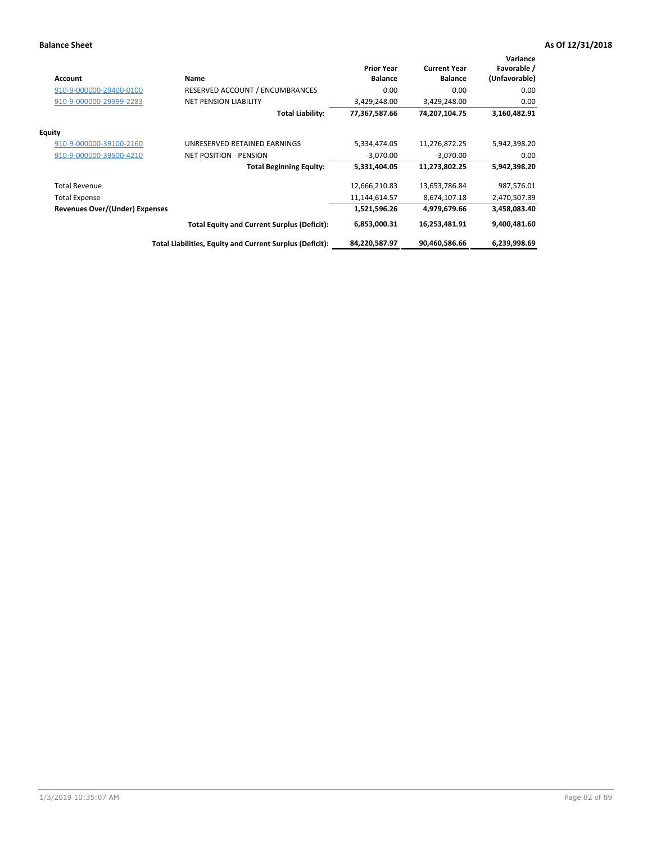| <b>Account</b>                        | Name                                                     | <b>Prior Year</b><br><b>Balance</b> | <b>Current Year</b><br><b>Balance</b> | Variance<br>Favorable /<br>(Unfavorable) |
|---------------------------------------|----------------------------------------------------------|-------------------------------------|---------------------------------------|------------------------------------------|
| 910-9-000000-29400-0100               | RESERVED ACCOUNT / ENCUMBRANCES                          | 0.00                                | 0.00                                  | 0.00                                     |
| 910-9-000000-29999-2283               | <b>NET PENSION LIABILITY</b>                             | 3,429,248.00                        | 3,429,248.00                          | 0.00                                     |
|                                       | Total Liability:                                         | 77,367,587.66                       | 74,207,104.75                         | 3,160,482.91                             |
| <b>Equity</b>                         |                                                          |                                     |                                       |                                          |
| 910-9-000000-39100-2160               | UNRESERVED RETAINED EARNINGS                             | 5,334,474.05                        | 11,276,872.25                         | 5,942,398.20                             |
| 910-9-000000-39500-4210               | <b>NET POSITION - PENSION</b>                            | $-3,070.00$                         | $-3,070.00$                           | 0.00                                     |
|                                       | <b>Total Beginning Equity:</b>                           | 5,331,404.05                        | 11,273,802.25                         | 5,942,398.20                             |
| <b>Total Revenue</b>                  |                                                          | 12,666,210.83                       | 13,653,786.84                         | 987,576.01                               |
| <b>Total Expense</b>                  |                                                          | 11,144,614.57                       | 8,674,107.18                          | 2,470,507.39                             |
| <b>Revenues Over/(Under) Expenses</b> |                                                          | 1,521,596.26                        | 4,979,679.66                          | 3,458,083.40                             |
|                                       | <b>Total Equity and Current Surplus (Deficit):</b>       | 6,853,000.31                        | 16,253,481.91                         | 9,400,481.60                             |
|                                       | Total Liabilities, Equity and Current Surplus (Deficit): | 84,220,587.97                       | 90,460,586.66                         | 6,239,998.69                             |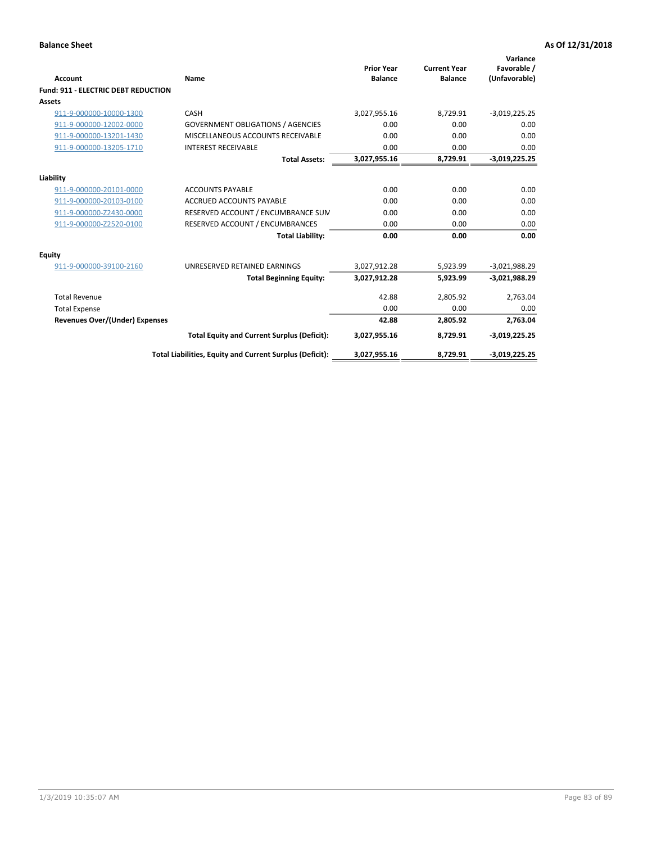| <b>Account</b>                             | Name                                                     | <b>Prior Year</b><br><b>Balance</b> | <b>Current Year</b><br><b>Balance</b> | Variance<br>Favorable /<br>(Unfavorable) |
|--------------------------------------------|----------------------------------------------------------|-------------------------------------|---------------------------------------|------------------------------------------|
| <b>Fund: 911 - ELECTRIC DEBT REDUCTION</b> |                                                          |                                     |                                       |                                          |
| Assets                                     |                                                          |                                     |                                       |                                          |
| 911-9-000000-10000-1300                    | CASH                                                     | 3,027,955.16                        | 8,729.91                              | $-3,019,225.25$                          |
| 911-9-000000-12002-0000                    | <b>GOVERNMENT OBLIGATIONS / AGENCIES</b>                 | 0.00                                | 0.00                                  | 0.00                                     |
| 911-9-000000-13201-1430                    | MISCELLANEOUS ACCOUNTS RECEIVABLE                        | 0.00                                | 0.00                                  | 0.00                                     |
| 911-9-000000-13205-1710                    | <b>INTEREST RECEIVABLE</b>                               | 0.00                                | 0.00                                  | 0.00                                     |
|                                            | <b>Total Assets:</b>                                     | 3,027,955.16                        | 8,729.91                              | $-3,019,225.25$                          |
| Liability                                  |                                                          |                                     |                                       |                                          |
| 911-9-000000-20101-0000                    | <b>ACCOUNTS PAYABLE</b>                                  | 0.00                                | 0.00                                  | 0.00                                     |
| 911-9-000000-20103-0100                    | <b>ACCRUED ACCOUNTS PAYABLE</b>                          | 0.00                                | 0.00                                  | 0.00                                     |
| 911-9-000000-Z2430-0000                    | RESERVED ACCOUNT / ENCUMBRANCE SUM                       | 0.00                                | 0.00                                  | 0.00                                     |
| 911-9-000000-Z2520-0100                    | RESERVED ACCOUNT / ENCUMBRANCES                          | 0.00                                | 0.00                                  | 0.00                                     |
|                                            | <b>Total Liability:</b>                                  | 0.00                                | 0.00                                  | 0.00                                     |
| Equity                                     |                                                          |                                     |                                       |                                          |
| 911-9-000000-39100-2160                    | UNRESERVED RETAINED EARNINGS                             | 3,027,912.28                        | 5,923.99                              | $-3,021,988.29$                          |
|                                            | <b>Total Beginning Equity:</b>                           | 3,027,912.28                        | 5,923.99                              | $-3,021,988.29$                          |
| <b>Total Revenue</b>                       |                                                          | 42.88                               | 2.805.92                              | 2,763.04                                 |
| <b>Total Expense</b>                       |                                                          | 0.00                                | 0.00                                  | 0.00                                     |
| Revenues Over/(Under) Expenses             |                                                          | 42.88                               | 2,805.92                              | 2,763.04                                 |
|                                            | <b>Total Equity and Current Surplus (Deficit):</b>       | 3,027,955.16                        | 8,729.91                              | $-3,019,225.25$                          |
|                                            | Total Liabilities, Equity and Current Surplus (Deficit): | 3,027,955.16                        | 8,729.91                              | $-3,019,225.25$                          |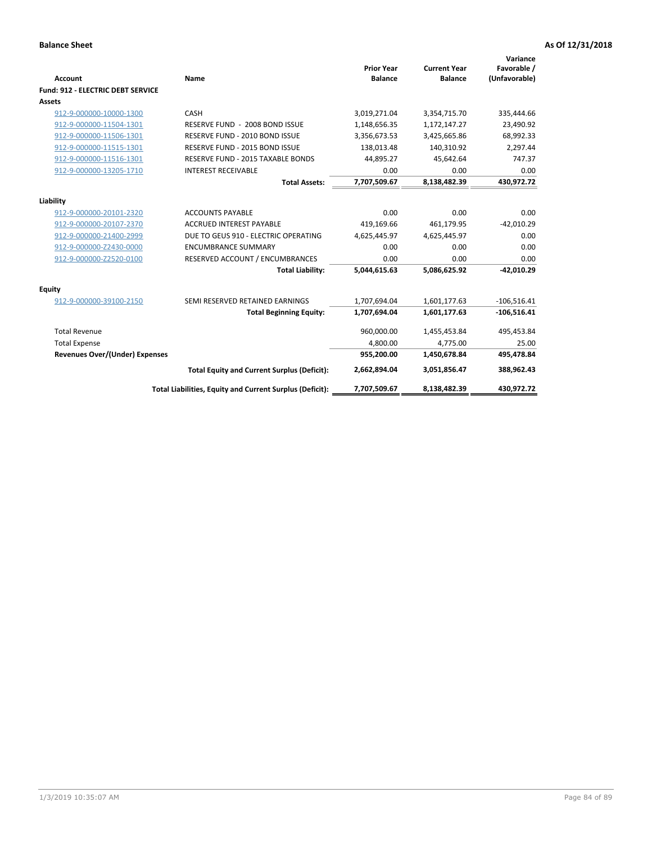| <b>Account</b>                           | Name                                                                    | <b>Prior Year</b><br><b>Balance</b> | <b>Current Year</b><br><b>Balance</b> | Variance<br>Favorable /<br>(Unfavorable) |
|------------------------------------------|-------------------------------------------------------------------------|-------------------------------------|---------------------------------------|------------------------------------------|
| <b>Fund: 912 - ELECTRIC DEBT SERVICE</b> |                                                                         |                                     |                                       |                                          |
| <b>Assets</b>                            |                                                                         |                                     |                                       |                                          |
| 912-9-000000-10000-1300                  | CASH                                                                    | 3,019,271.04                        | 3,354,715.70                          | 335,444.66                               |
| 912-9-000000-11504-1301                  | RESERVE FUND - 2008 BOND ISSUE                                          | 1,148,656.35                        | 1,172,147.27                          | 23,490.92                                |
| 912-9-000000-11506-1301                  | RESERVE FUND - 2010 BOND ISSUE                                          | 3,356,673.53                        | 3,425,665.86                          | 68,992.33                                |
| 912-9-000000-11515-1301                  | RESERVE FUND - 2015 BOND ISSUE                                          | 138.013.48                          | 140.310.92                            | 2,297.44                                 |
| 912-9-000000-11516-1301                  | RESERVE FUND - 2015 TAXABLE BONDS                                       | 44,895.27                           | 45,642.64                             | 747.37                                   |
| 912-9-000000-13205-1710                  | <b>INTEREST RECEIVABLE</b>                                              | 0.00                                | 0.00                                  | 0.00                                     |
|                                          | <b>Total Assets:</b>                                                    | 7,707,509.67                        | 8,138,482.39                          | 430,972.72                               |
| Liability                                |                                                                         |                                     |                                       |                                          |
|                                          | <b>ACCOUNTS PAYABLE</b>                                                 | 0.00                                | 0.00                                  | 0.00                                     |
| 912-9-000000-20101-2320                  |                                                                         |                                     |                                       |                                          |
| 912-9-000000-20107-2370                  | <b>ACCRUED INTEREST PAYABLE</b><br>DUE TO GEUS 910 - ELECTRIC OPERATING | 419,169.66                          | 461,179.95                            | $-42,010.29$<br>0.00                     |
| 912-9-000000-21400-2999                  |                                                                         | 4,625,445.97<br>0.00                | 4,625,445.97                          |                                          |
| 912-9-000000-Z2430-0000                  | <b>ENCUMBRANCE SUMMARY</b>                                              |                                     | 0.00                                  | 0.00                                     |
| 912-9-000000-Z2520-0100                  | RESERVED ACCOUNT / ENCUMBRANCES                                         | 0.00                                | 0.00                                  | 0.00                                     |
|                                          | <b>Total Liability:</b>                                                 | 5,044,615.63                        | 5,086,625.92                          | $-42,010.29$                             |
| Equity                                   |                                                                         |                                     |                                       |                                          |
| 912-9-000000-39100-2150                  | SEMI RESERVED RETAINED EARNINGS                                         | 1,707,694.04                        | 1,601,177.63                          | $-106,516.41$                            |
|                                          | <b>Total Beginning Equity:</b>                                          | 1,707,694.04                        | 1,601,177.63                          | $-106,516.41$                            |
| <b>Total Revenue</b>                     |                                                                         | 960.000.00                          | 1,455,453.84                          | 495,453.84                               |
| <b>Total Expense</b>                     |                                                                         | 4,800.00                            | 4,775.00                              | 25.00                                    |
| <b>Revenues Over/(Under) Expenses</b>    |                                                                         | 955,200.00                          | 1,450,678.84                          | 495,478.84                               |
|                                          | <b>Total Equity and Current Surplus (Deficit):</b>                      | 2,662,894.04                        | 3,051,856.47                          | 388,962.43                               |
|                                          | Total Liabilities, Equity and Current Surplus (Deficit):                | 7,707,509.67                        | 8.138.482.39                          | 430.972.72                               |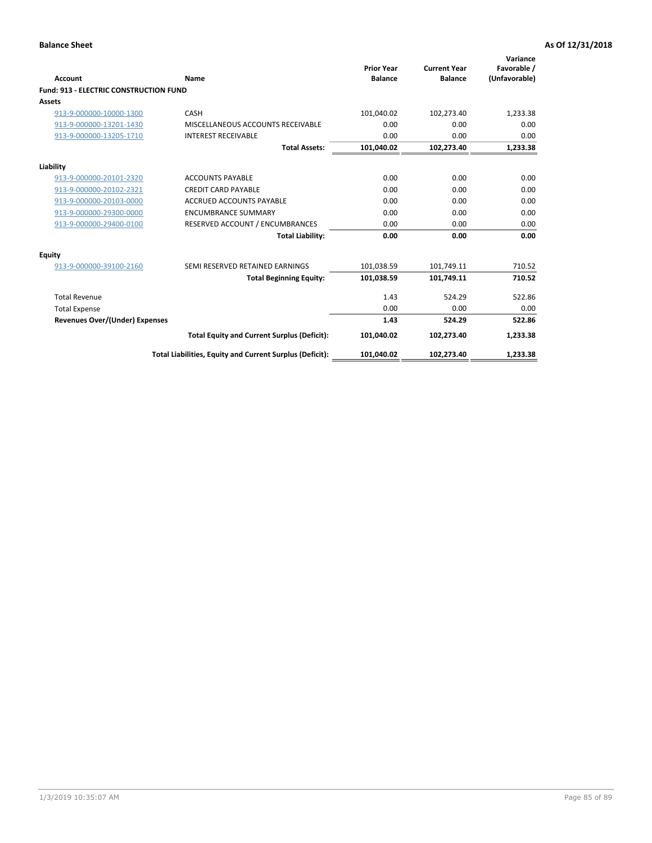| Account                                       | Name                                                     | <b>Prior Year</b><br><b>Balance</b> | <b>Current Year</b><br><b>Balance</b> | Variance<br>Favorable /<br>(Unfavorable) |
|-----------------------------------------------|----------------------------------------------------------|-------------------------------------|---------------------------------------|------------------------------------------|
| <b>Fund: 913 - ELECTRIC CONSTRUCTION FUND</b> |                                                          |                                     |                                       |                                          |
| <b>Assets</b>                                 |                                                          |                                     |                                       |                                          |
| 913-9-000000-10000-1300                       | CASH                                                     | 101,040.02                          | 102,273.40                            | 1,233.38                                 |
| 913-9-000000-13201-1430                       | MISCELLANEOUS ACCOUNTS RECEIVABLE                        | 0.00                                | 0.00                                  | 0.00                                     |
| 913-9-000000-13205-1710                       | <b>INTEREST RECEIVABLE</b>                               | 0.00                                | 0.00                                  | 0.00                                     |
|                                               | <b>Total Assets:</b>                                     | 101,040.02                          | 102,273.40                            | 1,233.38                                 |
| Liability                                     |                                                          |                                     |                                       |                                          |
| 913-9-000000-20101-2320                       | <b>ACCOUNTS PAYABLE</b>                                  | 0.00                                | 0.00                                  | 0.00                                     |
| 913-9-000000-20102-2321                       | <b>CREDIT CARD PAYABLE</b>                               | 0.00                                | 0.00                                  | 0.00                                     |
| 913-9-000000-20103-0000                       | <b>ACCRUED ACCOUNTS PAYABLE</b>                          | 0.00                                | 0.00                                  | 0.00                                     |
| 913-9-000000-29300-0000                       | <b>ENCUMBRANCE SUMMARY</b>                               | 0.00                                | 0.00                                  | 0.00                                     |
| 913-9-000000-29400-0100                       | RESERVED ACCOUNT / ENCUMBRANCES                          | 0.00                                | 0.00                                  | 0.00                                     |
|                                               | <b>Total Liability:</b>                                  | 0.00                                | 0.00                                  | 0.00                                     |
| Equity                                        |                                                          |                                     |                                       |                                          |
| 913-9-000000-39100-2160                       | SEMI RESERVED RETAINED EARNINGS                          | 101,038.59                          | 101,749.11                            | 710.52                                   |
|                                               | <b>Total Beginning Equity:</b>                           | 101,038.59                          | 101,749.11                            | 710.52                                   |
| <b>Total Revenue</b>                          |                                                          | 1.43                                | 524.29                                | 522.86                                   |
| <b>Total Expense</b>                          |                                                          | 0.00                                | 0.00                                  | 0.00                                     |
| Revenues Over/(Under) Expenses                |                                                          | 1.43                                | 524.29                                | 522.86                                   |
|                                               | <b>Total Equity and Current Surplus (Deficit):</b>       | 101,040.02                          | 102,273.40                            | 1,233.38                                 |
|                                               | Total Liabilities, Equity and Current Surplus (Deficit): | 101,040.02                          | 102,273.40                            | 1,233.38                                 |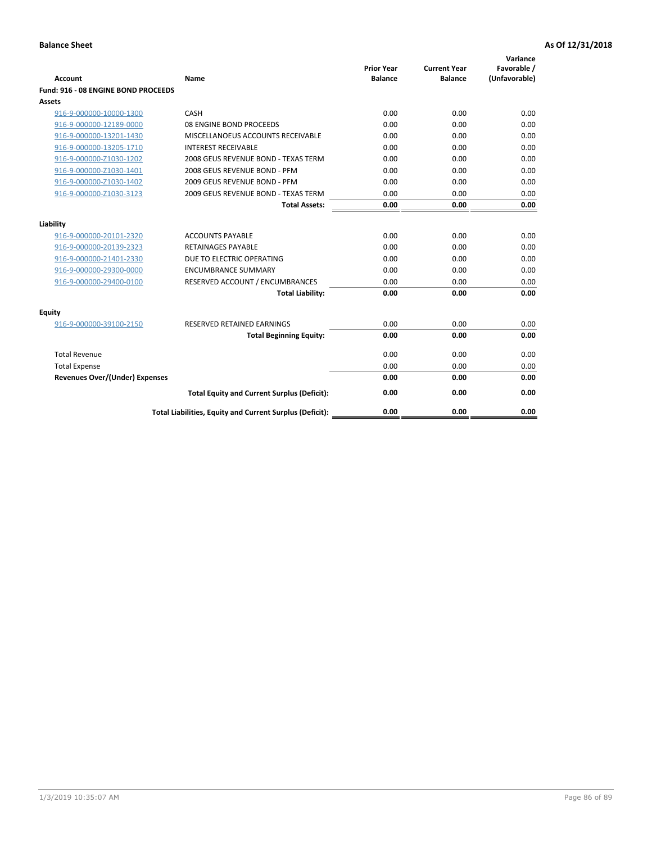| <b>Account</b>                        | Name                                                     | <b>Prior Year</b><br><b>Balance</b> | <b>Current Year</b><br><b>Balance</b> | Variance<br>Favorable /<br>(Unfavorable) |
|---------------------------------------|----------------------------------------------------------|-------------------------------------|---------------------------------------|------------------------------------------|
| Fund: 916 - 08 ENGINE BOND PROCEEDS   |                                                          |                                     |                                       |                                          |
| Assets                                |                                                          |                                     |                                       |                                          |
| 916-9-000000-10000-1300               | CASH                                                     | 0.00                                | 0.00                                  | 0.00                                     |
| 916-9-000000-12189-0000               | 08 ENGINE BOND PROCEEDS                                  | 0.00                                | 0.00                                  | 0.00                                     |
| 916-9-000000-13201-1430               | MISCELLANOEUS ACCOUNTS RECEIVABLE                        | 0.00                                | 0.00                                  | 0.00                                     |
| 916-9-000000-13205-1710               | <b>INTEREST RECEIVABLE</b>                               | 0.00                                | 0.00                                  | 0.00                                     |
| 916-9-000000-Z1030-1202               | 2008 GEUS REVENUE BOND - TEXAS TERM                      | 0.00                                | 0.00                                  | 0.00                                     |
| 916-9-000000-Z1030-1401               | 2008 GEUS REVENUE BOND - PFM                             | 0.00                                | 0.00                                  | 0.00                                     |
| 916-9-000000-Z1030-1402               | 2009 GEUS REVENUE BOND - PFM                             | 0.00                                | 0.00                                  | 0.00                                     |
| 916-9-000000-Z1030-3123               | 2009 GEUS REVENUE BOND - TEXAS TERM                      | 0.00                                | 0.00                                  | 0.00                                     |
|                                       | <b>Total Assets:</b>                                     | 0.00                                | 0.00                                  | 0.00                                     |
| Liability                             |                                                          |                                     |                                       |                                          |
| 916-9-000000-20101-2320               | <b>ACCOUNTS PAYABLE</b>                                  | 0.00                                | 0.00                                  | 0.00                                     |
| 916-9-000000-20139-2323               | <b>RETAINAGES PAYABLE</b>                                | 0.00                                | 0.00                                  | 0.00                                     |
| 916-9-000000-21401-2330               | DUE TO ELECTRIC OPERATING                                | 0.00                                | 0.00                                  | 0.00                                     |
| 916-9-000000-29300-0000               | <b>ENCUMBRANCE SUMMARY</b>                               | 0.00                                | 0.00                                  | 0.00                                     |
| 916-9-000000-29400-0100               | RESERVED ACCOUNT / ENCUMBRANCES                          | 0.00                                | 0.00                                  | 0.00                                     |
|                                       | <b>Total Liability:</b>                                  | 0.00                                | 0.00                                  | 0.00                                     |
| Equity                                |                                                          |                                     |                                       |                                          |
| 916-9-000000-39100-2150               | <b>RESERVED RETAINED EARNINGS</b>                        | 0.00                                | 0.00                                  | 0.00                                     |
|                                       | <b>Total Beginning Equity:</b>                           | 0.00                                | 0.00                                  | 0.00                                     |
| <b>Total Revenue</b>                  |                                                          | 0.00                                | 0.00                                  | 0.00                                     |
| <b>Total Expense</b>                  |                                                          | 0.00                                | 0.00                                  | 0.00                                     |
| <b>Revenues Over/(Under) Expenses</b> |                                                          | 0.00                                | 0.00                                  | 0.00                                     |
|                                       | <b>Total Equity and Current Surplus (Deficit):</b>       | 0.00                                | 0.00                                  | 0.00                                     |
|                                       | Total Liabilities, Equity and Current Surplus (Deficit): | 0.00                                | 0.00                                  | 0.00                                     |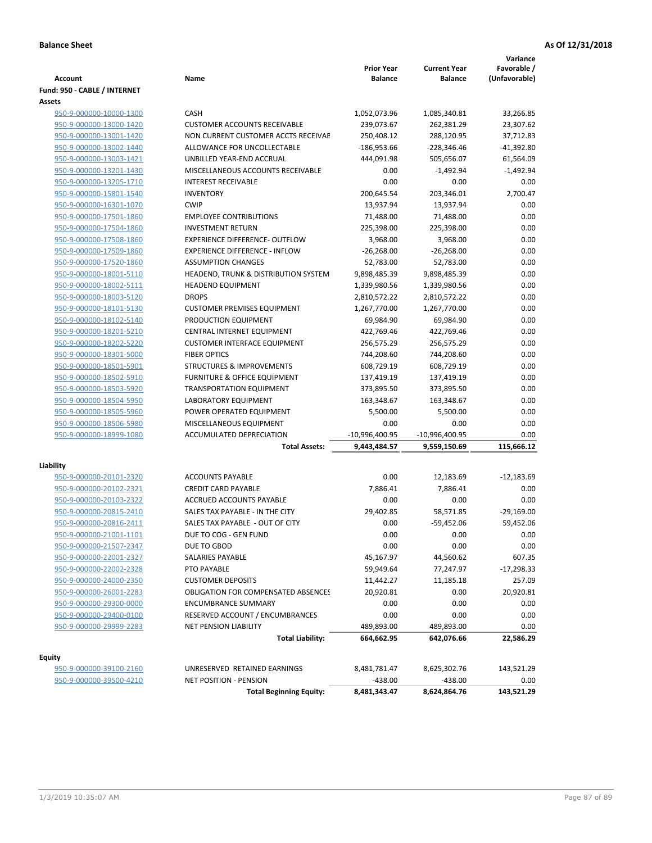| <b>Account</b>               | Name                                       | <b>Prior Year</b><br><b>Balance</b> | <b>Current Year</b><br><b>Balance</b> | Variance<br>Favorable /<br>(Unfavorable) |
|------------------------------|--------------------------------------------|-------------------------------------|---------------------------------------|------------------------------------------|
| Fund: 950 - CABLE / INTERNET |                                            |                                     |                                       |                                          |
| Assets                       |                                            |                                     |                                       |                                          |
| 950-9-000000-10000-1300      | CASH                                       | 1,052,073.96                        | 1,085,340.81                          | 33,266.85                                |
| 950-9-000000-13000-1420      | <b>CUSTOMER ACCOUNTS RECEIVABLE</b>        | 239,073.67                          | 262,381.29                            | 23,307.62                                |
| 950-9-000000-13001-1420      | NON CURRENT CUSTOMER ACCTS RECEIVAE        | 250,408.12                          | 288,120.95                            | 37,712.83                                |
| 950-9-000000-13002-1440      | ALLOWANCE FOR UNCOLLECTABLE                | -186,953.66                         | $-228,346.46$                         | -41,392.80                               |
| 950-9-000000-13003-1421      | UNBILLED YEAR-END ACCRUAL                  | 444,091.98                          | 505,656.07                            | 61,564.09                                |
| 950-9-000000-13201-1430      | MISCELLANEOUS ACCOUNTS RECEIVABLE          | 0.00                                | $-1,492.94$                           | $-1,492.94$                              |
| 950-9-000000-13205-1710      | <b>INTEREST RECEIVABLE</b>                 | 0.00                                | 0.00                                  | 0.00                                     |
| 950-9-000000-15801-1540      | <b>INVENTORY</b>                           | 200,645.54                          | 203,346.01                            | 2,700.47                                 |
| 950-9-000000-16301-1070      | <b>CWIP</b>                                | 13,937.94                           | 13,937.94                             | 0.00                                     |
| 950-9-000000-17501-1860      | <b>EMPLOYEE CONTRIBUTIONS</b>              | 71,488.00                           | 71,488.00                             | 0.00                                     |
| 950-9-000000-17504-1860      | <b>INVESTMENT RETURN</b>                   | 225,398.00                          | 225,398.00                            | 0.00                                     |
| 950-9-000000-17508-1860      | <b>EXPERIENCE DIFFERENCE- OUTFLOW</b>      | 3,968.00                            | 3,968.00                              | 0.00                                     |
| 950-9-000000-17509-1860      | <b>EXPERIENCE DIFFERENCE - INFLOW</b>      | $-26,268.00$                        | $-26,268.00$                          | 0.00                                     |
| 950-9-000000-17520-1860      | <b>ASSUMPTION CHANGES</b>                  | 52,783.00                           | 52,783.00                             | 0.00                                     |
| 950-9-000000-18001-5110      | HEADEND, TRUNK & DISTRIBUTION SYSTEM       | 9,898,485.39                        | 9,898,485.39                          | 0.00                                     |
| 950-9-000000-18002-5111      | <b>HEADEND EQUIPMENT</b>                   | 1,339,980.56                        | 1,339,980.56                          | 0.00                                     |
| 950-9-000000-18003-5120      | <b>DROPS</b>                               | 2,810,572.22                        | 2,810,572.22                          | 0.00                                     |
| 950-9-000000-18101-5130      | <b>CUSTOMER PREMISES EQUIPMENT</b>         | 1,267,770.00                        | 1,267,770.00                          | 0.00                                     |
| 950-9-000000-18102-5140      | PRODUCTION EQUIPMENT                       | 69,984.90                           | 69,984.90                             | 0.00                                     |
| 950-9-000000-18201-5210      | CENTRAL INTERNET EQUIPMENT                 | 422,769.46                          | 422,769.46                            | 0.00                                     |
| 950-9-000000-18202-5220      | <b>CUSTOMER INTERFACE EQUIPMENT</b>        | 256,575.29                          | 256,575.29                            | 0.00                                     |
| 950-9-000000-18301-5000      | <b>FIBER OPTICS</b>                        | 744,208.60                          | 744,208.60                            | 0.00                                     |
| 950-9-000000-18501-5901      | <b>STRUCTURES &amp; IMPROVEMENTS</b>       | 608,729.19                          | 608,729.19                            | 0.00                                     |
| 950-9-000000-18502-5910      | <b>FURNITURE &amp; OFFICE EQUIPMENT</b>    | 137,419.19                          | 137,419.19                            | 0.00                                     |
| 950-9-000000-18503-5920      | <b>TRANSPORTATION EQUIPMENT</b>            | 373,895.50                          | 373,895.50                            | 0.00                                     |
| 950-9-000000-18504-5950      | <b>LABORATORY EQUIPMENT</b>                | 163,348.67                          | 163,348.67                            | 0.00                                     |
| 950-9-000000-18505-5960      | POWER OPERATED EQUIPMENT                   | 5,500.00                            | 5,500.00                              | 0.00                                     |
| 950-9-000000-18506-5980      | MISCELLANEOUS EQUIPMENT                    | 0.00                                | 0.00                                  | 0.00                                     |
| 950-9-000000-18999-1080      | ACCUMULATED DEPRECIATION                   | -10,996,400.95                      | -10,996,400.95                        | 0.00                                     |
|                              | <b>Total Assets:</b>                       | 9,443,484.57                        | 9,559,150.69                          | 115,666.12                               |
| Liability                    |                                            |                                     |                                       |                                          |
| 950-9-000000-20101-2320      | <b>ACCOUNTS PAYABLE</b>                    | 0.00                                | 12,183.69                             | $-12,183.69$                             |
| 950-9-000000-20102-2321      | <b>CREDIT CARD PAYABLE</b>                 | 7,886.41                            | 7,886.41                              | 0.00                                     |
| 950-9-000000-20103-2322      | <b>ACCRUED ACCOUNTS PAYABLE</b>            | 0.00                                | 0.00                                  | 0.00                                     |
| 950-9-000000-20815-2410      | SALES TAX PAYABLE - IN THE CITY            | 29,402.85                           | 58,571.85                             | $-29,169.00$                             |
| 950-9-000000-20816-2411      | SALES TAX PAYABLE - OUT OF CITY            | 0.00                                | $-59,452.06$                          | 59,452.06                                |
| 950-9-000000-21001-1101      | DUE TO COG - GEN FUND                      | 0.00                                | 0.00                                  | 0.00                                     |
| 950-9-000000-21507-2347      | DUE TO GBOD                                | 0.00                                | 0.00                                  | 0.00                                     |
| 950-9-000000-22001-2327      | <b>SALARIES PAYABLE</b>                    | 45,167.97                           | 44,560.62                             | 607.35                                   |
| 950-9-000000-22002-2328      | PTO PAYABLE                                | 59,949.64                           | 77,247.97                             | -17,298.33                               |
| 950-9-000000-24000-2350      | <b>CUSTOMER DEPOSITS</b>                   | 11,442.27                           | 11,185.18                             | 257.09                                   |
| 950-9-000000-26001-2283      | <b>OBLIGATION FOR COMPENSATED ABSENCES</b> | 20,920.81                           | 0.00                                  | 20,920.81                                |
| 950-9-000000-29300-0000      | <b>ENCUMBRANCE SUMMARY</b>                 | 0.00                                | 0.00                                  | 0.00                                     |
| 950-9-000000-29400-0100      | RESERVED ACCOUNT / ENCUMBRANCES            | 0.00                                | 0.00                                  | 0.00                                     |
|                              | <b>NET PENSION LIABILITY</b>               |                                     |                                       |                                          |
| 950-9-000000-29999-2283      | <b>Total Liability:</b>                    | 489,893.00<br>664,662.95            | 489,893.00<br>642,076.66              | 0.00<br>22,586.29                        |
|                              |                                            |                                     |                                       |                                          |
| Equity                       |                                            |                                     |                                       |                                          |
| 950-9-000000-39100-2160      | UNRESERVED RETAINED EARNINGS               | 8,481,781.47                        | 8,625,302.76                          | 143,521.29                               |
| 950-9-000000-39500-4210      | <b>NET POSITION - PENSION</b>              | $-438.00$                           | -438.00                               | 0.00                                     |
|                              | <b>Total Beginning Equity:</b>             | 8,481,343.47                        | 8,624,864.76                          | 143,521.29                               |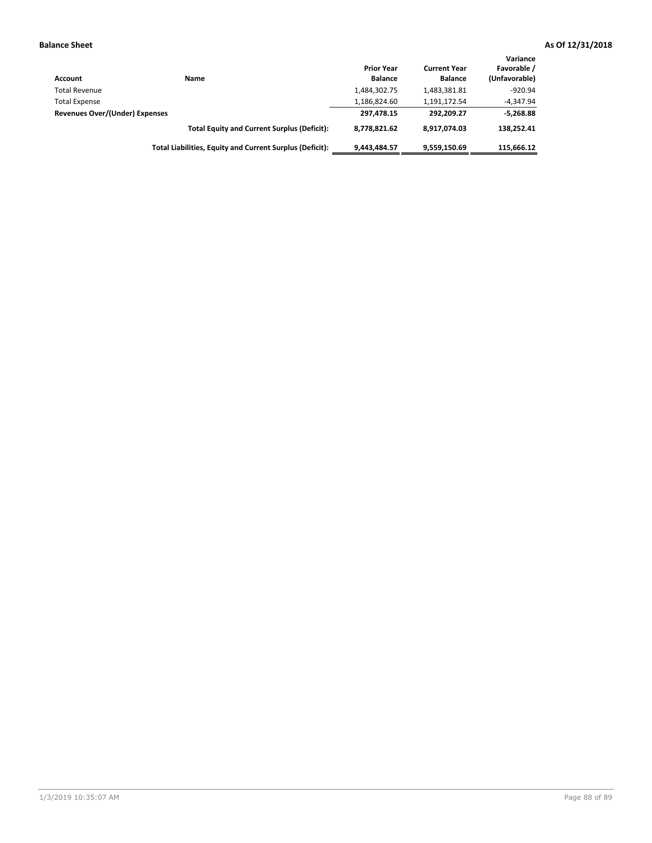| <b>Account</b>                 | Name                                                     | <b>Prior Year</b><br><b>Balance</b> | <b>Current Year</b><br><b>Balance</b> | Variance<br>Favorable /<br>(Unfavorable) |
|--------------------------------|----------------------------------------------------------|-------------------------------------|---------------------------------------|------------------------------------------|
| <b>Total Revenue</b>           |                                                          | 1,484,302.75                        | 1,483,381.81                          | $-920.94$                                |
| <b>Total Expense</b>           |                                                          | 1,186,824.60                        | 1,191,172.54                          | $-4,347.94$                              |
| Revenues Over/(Under) Expenses |                                                          | 297.478.15                          | 292.209.27                            | $-5,268.88$                              |
|                                | <b>Total Equity and Current Surplus (Deficit):</b>       | 8.778.821.62                        | 8,917,074.03                          | 138.252.41                               |
|                                | Total Liabilities, Equity and Current Surplus (Deficit): | 9,443,484.57                        | 9,559,150.69                          | 115.666.12                               |